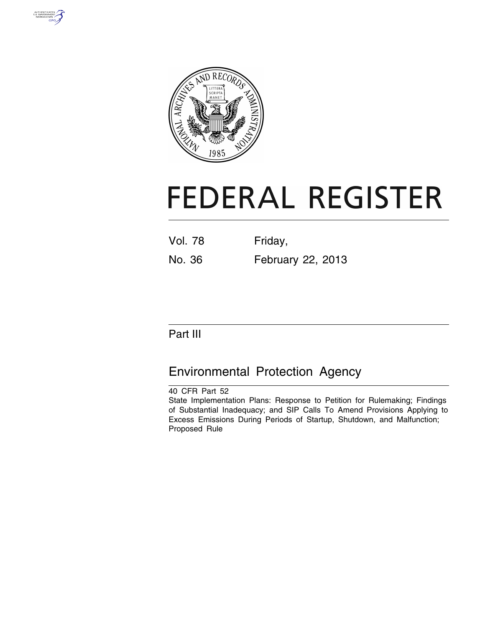



# **FEDERAL REGISTER**

Vol. 78 Friday, No. 36 February 22, 2013

Part III

# Environmental Protection Agency

40 CFR Part 52 State Implementation Plans: Response to Petition for Rulemaking; Findings of Substantial Inadequacy; and SIP Calls To Amend Provisions Applying to Excess Emissions During Periods of Startup, Shutdown, and Malfunction; Proposed Rule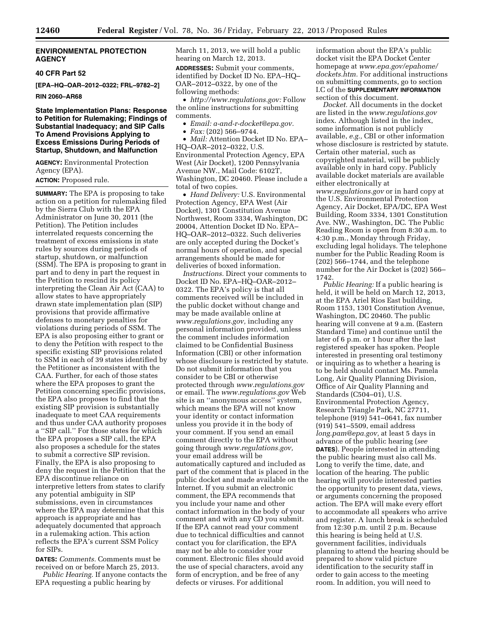# **ENVIRONMENTAL PROTECTION AGENCY**

# **40 CFR Part 52**

**[EPA–HQ–OAR–2012–0322; FRL–9782–2]** 

# **RIN 2060–AR68**

# **State Implementation Plans: Response to Petition for Rulemaking; Findings of Substantial Inadequacy; and SIP Calls To Amend Provisions Applying to Excess Emissions During Periods of Startup, Shutdown, and Malfunction**

**AGENCY:** Environmental Protection Agency (EPA).

**ACTION:** Proposed rule.

**SUMMARY:** The EPA is proposing to take action on a petition for rulemaking filed by the Sierra Club with the EPA Administrator on June 30, 2011 (the Petition). The Petition includes interrelated requests concerning the treatment of excess emissions in state rules by sources during periods of startup, shutdown, or malfunction (SSM). The EPA is proposing to grant in part and to deny in part the request in the Petition to rescind its policy interpreting the Clean Air Act (CAA) to allow states to have appropriately drawn state implementation plan (SIP) provisions that provide affirmative defenses to monetary penalties for violations during periods of SSM. The EPA is also proposing either to grant or to deny the Petition with respect to the specific existing SIP provisions related to SSM in each of 39 states identified by the Petitioner as inconsistent with the CAA. Further, for each of those states where the EPA proposes to grant the Petition concerning specific provisions, the EPA also proposes to find that the existing SIP provision is substantially inadequate to meet CAA requirements and thus under CAA authority proposes a ''SIP call.'' For those states for which the EPA proposes a SIP call, the EPA also proposes a schedule for the states to submit a corrective SIP revision. Finally, the EPA is also proposing to deny the request in the Petition that the EPA discontinue reliance on interpretive letters from states to clarify any potential ambiguity in SIP submissions, even in circumstances where the EPA may determine that this approach is appropriate and has adequately documented that approach in a rulemaking action. This action reflects the EPA's current SSM Policy for SIPs.

**DATES:** *Comments.* Comments must be received on or before March 25, 2013. *Public Hearing.* If anyone contacts the EPA requesting a public hearing by

March 11, 2013, we will hold a public hearing on March 12, 2013.

**ADDRESSES:** Submit your comments, identified by Docket ID No. EPA–HQ– OAR–2012–0322, by one of the following methods:

• *[http://www.regulations.gov:](http://www.regulations.gov)* Follow the online instructions for submitting comments.

- *Email: [a-and-r-docket@epa.gov.](mailto:a-and-r-docket@epa.gov)*
- *Fax:* (202) 566–9744.

• *Mail:* Attention Docket ID No. EPA– HQ–OAR–2012–0322, U.S.

Environmental Protection Agency, EPA West (Air Docket), 1200 Pennsylvania Avenue NW., Mail Code: 6102T, Washington, DC 20460. Please include a total of two copies.

• *Hand Delivery:* U.S. Environmental Protection Agency, EPA West (Air Docket), 1301 Constitution Avenue Northwest, Room 3334, Washington, DC 20004, Attention Docket ID No. EPA– HQ–OAR–2012–0322. Such deliveries are only accepted during the Docket's normal hours of operation, and special arrangements should be made for deliveries of boxed information.

*Instructions.* Direct your comments to Docket ID No. EPA–HQ–OAR–2012– 0322. The EPA's policy is that all comments received will be included in the public docket without change and may be made available online at *[www.regulations.gov,](http://www.regulations.gov)* including any personal information provided, unless the comment includes information claimed to be Confidential Business Information (CBI) or other information whose disclosure is restricted by statute. Do not submit information that you consider to be CBI or otherwise protected through *[www.regulations.gov](http://www.regulations.gov)*  or email. The *[www.regulations.gov](http://www.regulations.gov)* Web site is an ''anonymous access'' system, which means the EPA will not know your identity or contact information unless you provide it in the body of your comment. If you send an email comment directly to the EPA without going through *[www.regulations.gov,](http://www.regulations.gov)*  your email address will be automatically captured and included as part of the comment that is placed in the public docket and made available on the Internet. If you submit an electronic comment, the EPA recommends that you include your name and other contact information in the body of your comment and with any CD you submit. If the EPA cannot read your comment due to technical difficulties and cannot contact you for clarification, the EPA may not be able to consider your comment. Electronic files should avoid the use of special characters, avoid any form of encryption, and be free of any defects or viruses. For additional

information about the EPA's public docket visit the EPA Docket Center homepage at *[www.epa.gov/epahome/](http://www.epa.gov/epahome/dockets.htm) [dockets.htm.](http://www.epa.gov/epahome/dockets.htm)* For additional instructions on submitting comments, go to section I.C of the **SUPPLEMENTARY INFORMATION** section of this document.

*Docket.* All documents in the docket are listed in the *[www.regulations.gov](http://www.regulations.gov)*  index. Although listed in the index, some information is not publicly available, *e.g.,* CBI or other information whose disclosure is restricted by statute. Certain other material, such as copyrighted material, will be publicly available only in hard copy. Publicly available docket materials are available either electronically at *[www.regulations.gov](http://www.regulations.gov)* or in hard copy at the U.S. Environmental Protection Agency, Air Docket, EPA/DC, EPA West Building, Room 3334, 1301 Constitution Ave. NW., Washington, DC. The Public Reading Room is open from 8:30 a.m. to 4:30 p.m., Monday through Friday, excluding legal holidays. The telephone number for the Public Reading Room is (202) 566–1744, and the telephone number for the Air Docket is (202) 566– 1742.

*Public Hearing:* If a public hearing is held, it will be held on March 12, 2013, at the EPA Ariel Rios East building, Room 1153, 1301 Constitution Avenue, Washington, DC 20460. The public hearing will convene at 9 a.m. (Eastern Standard Time) and continue until the later of 6 p.m. or 1 hour after the last registered speaker has spoken. People interested in presenting oral testimony or inquiring as to whether a hearing is to be held should contact Ms. Pamela Long, Air Quality Planning Division, Office of Air Quality Planning and Standards (C504–01), U.S. Environmental Protection Agency, Research Triangle Park, NC 27711, telephone (919) 541–0641, fax number (919) 541–5509, email address *[long.pam@epa.gov,](mailto:long.pam@epa.gov)* at least 5 days in advance of the public hearing (*see*  **DATES**). People interested in attending the public hearing must also call Ms. Long to verify the time, date, and location of the hearing. The public hearing will provide interested parties the opportunity to present data, views, or arguments concerning the proposed action. The EPA will make every effort to accommodate all speakers who arrive and register. A lunch break is scheduled from 12:30 p.m. until 2 p.m. Because this hearing is being held at U.S. government facilities, individuals planning to attend the hearing should be prepared to show valid picture identification to the security staff in order to gain access to the meeting room. In addition, you will need to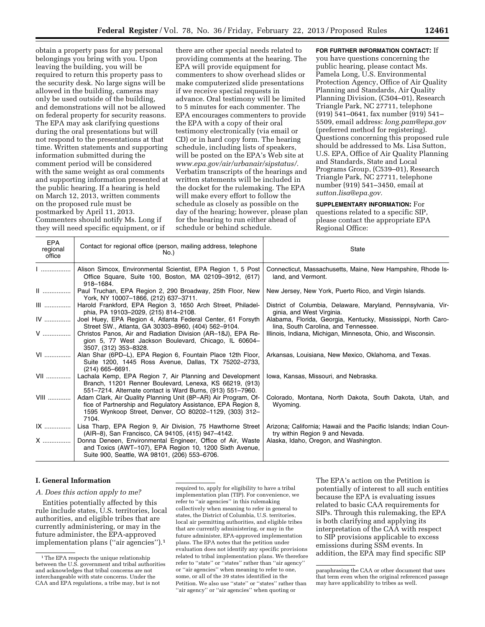obtain a property pass for any personal belongings you bring with you. Upon leaving the building, you will be required to return this property pass to the security desk. No large signs will be allowed in the building, cameras may only be used outside of the building, and demonstrations will not be allowed on federal property for security reasons. The EPA may ask clarifying questions during the oral presentations but will not respond to the presentations at that time. Written statements and supporting information submitted during the comment period will be considered with the same weight as oral comments and supporting information presented at the public hearing. If a hearing is held on March 12, 2013, written comments on the proposed rule must be postmarked by April 11, 2013. Commenters should notify Ms. Long if they will need specific equipment, or if

there are other special needs related to providing comments at the hearing. The EPA will provide equipment for commenters to show overhead slides or make computerized slide presentations if we receive special requests in advance. Oral testimony will be limited to 5 minutes for each commenter. The EPA encourages commenters to provide the EPA with a copy of their oral testimony electronically (via email or CD) or in hard copy form. The hearing schedule, including lists of speakers, will be posted on the EPA's Web site at *[www.epa.gov/air/urbanair/sipstatus/.](http://www.epa.gov/air/urbanair/sipstatus/)*  Verbatim transcripts of the hearings and written statements will be included in the docket for the rulemaking. The EPA will make every effort to follow the schedule as closely as possible on the day of the hearing; however, please plan for the hearing to run either ahead of schedule or behind schedule.

**FOR FURTHER INFORMATION CONTACT:** If you have questions concerning the public hearing, please contact Ms. Pamela Long, U.S. Environmental Protection Agency, Office of Air Quality Planning and Standards, Air Quality Planning Division, (C504–01), Research Triangle Park, NC 27711, telephone (919) 541–0641, fax number (919) 541– 5509, email address: *[long.pam@epa.gov](mailto:long.pam@epa.gov)*  (preferred method for registering). Questions concerning this proposed rule should be addressed to Ms. Lisa Sutton, U.S. EPA, Office of Air Quality Planning and Standards, State and Local Programs Group, (C539–01), Research Triangle Park, NC 27711, telephone number (919) 541–3450, email at *[sutton.lisa@epa.gov.](mailto:sutton.lisa@epa.gov)* 

**SUPPLEMENTARY INFORMATION:** For

questions related to a specific SIP, please contact the appropriate EPA Regional Office:

| <b>EPA</b><br>regional<br>office | Contact for regional office (person, mailing address, telephone<br>No.)                                                                                                                           | <b>State</b>                                                                                          |
|----------------------------------|---------------------------------------------------------------------------------------------------------------------------------------------------------------------------------------------------|-------------------------------------------------------------------------------------------------------|
|                                  | Alison Simcox, Environmental Scientist, EPA Region 1, 5 Post<br>Office Square, Suite 100, Boston, MA 02109-3912, (617)<br>918-1684.                                                               | Connecticut, Massachusetts, Maine, New Hampshire, Rhode Is-<br>land, and Vermont.                     |
| $\ $                             | Paul Truchan, EPA Region 2, 290 Broadway, 25th Floor, New<br>York, NY 10007-1866, (212) 637-3711.                                                                                                 | New Jersey, New York, Puerto Rico, and Virgin Islands.                                                |
| $III$                            | Harold Frankford, EPA Region 3, 1650 Arch Street, Philadel-<br>phia, PA 19103-2029, (215) 814-2108.                                                                                               | District of Columbia, Delaware, Maryland, Pennsylvania, Vir-<br>ginia, and West Virginia.             |
| $IV$                             | Joel Huey, EPA Region 4, Atlanta Federal Center, 61 Forsyth<br>Street SW., Atlanta, GA 30303-8960, (404) 562-9104.                                                                                | Alabama, Florida, Georgia, Kentucky, Mississippi, North Caro-<br>lina, South Carolina, and Tennessee. |
| $V$                              | Christos Panos, Air and Radiation Division (AR-18J), EPA Re-<br>gion 5, 77 West Jackson Boulevard, Chicago, IL 60604-<br>3507, (312) 353-8328.                                                    | Illinois, Indiana, Michigan, Minnesota, Ohio, and Wisconsin.                                          |
| VI                               | Alan Shar (6PD-L), EPA Region 6, Fountain Place 12th Floor,<br>Suite 1200, 1445 Ross Avenue, Dallas, TX 75202-2733,<br>$(214)$ 665-6691.                                                          | Arkansas, Louisiana, New Mexico, Oklahoma, and Texas.                                                 |
| VII                              | Lachala Kemp, EPA Region 7, Air Planning and Development<br>Branch, 11201 Renner Boulevard, Lenexa, KS 66219, (913)<br>551-7214. Alternate contact is Ward Burns, (913) 551-7960.                 | Iowa, Kansas, Missouri, and Nebraska.                                                                 |
| <b>VIII</b>                      | Adam Clark, Air Quality Planning Unit (8P-AR) Air Program, Of-<br>fice of Partnership and Regulatory Assistance, EPA Region 8,<br>1595 Wynkoop Street, Denver, CO 80202-1129, (303) 312-<br>7104. | Colorado, Montana, North Dakota, South Dakota, Utah, and<br>Wyoming.                                  |
| IX                               | Lisa Tharp, EPA Region 9, Air Division, 75 Hawthorne Street<br>(AIR-8), San Francisco, CA 94105, (415) 947-4142.                                                                                  | Arizona; California; Hawaii and the Pacific Islands; Indian Coun-<br>try within Region 9 and Nevada.  |
| X                                | Donna Deneen, Environmental Engineer, Office of Air, Waste<br>and Toxics (AWT-107), EPA Region 10, 1200 Sixth Avenue,<br>Suite 900, Seattle, WA 98101, (206) 553-6706.                            | Alaska, Idaho, Oregon, and Washington.                                                                |

# **I. General Information**

#### *A. Does this action apply to me?*

Entities potentially affected by this rule include states, U.S. territories, local authorities, and eligible tribes that are currently administering, or may in the future administer, the EPA-approved implementation plans (''air agencies'').1

required to, apply for eligibility to have a tribal implementation plan (TIP). For convenience, we refer to ''air agencies'' in this rulemaking collectively when meaning to refer in general to states, the District of Columbia, U.S. territories, local air permitting authorities, and eligible tribes that are currently administering, or may in the future administer, EPA-approved implementation plans. The EPA notes that the petition under evaluation does not identify any specific provisions related to tribal implementation plans. We therefore refer to "state" or "states" rather than "air agency" or ''air agencies'' when meaning to refer to one, some, or all of the 39 states identified in the Petition. We also use "state" or "states" rather than "air agency" or "air agencies" when quoting or

The EPA's action on the Petition is potentially of interest to all such entities because the EPA is evaluating issues related to basic CAA requirements for SIPs. Through this rulemaking, the EPA is both clarifying and applying its interpretation of the CAA with respect to SIP provisions applicable to excess emissions during SSM events. In addition, the EPA may find specific SIP

<sup>&</sup>lt;sup>1</sup>The EPA respects the unique relationship between the U.S. government and tribal authorities and acknowledges that tribal concerns are not interchangeable with state concerns. Under the CAA and EPA regulations, a tribe may, but is not

paraphrasing the CAA or other document that uses that term even when the original referenced passage may have applicability to tribes as well.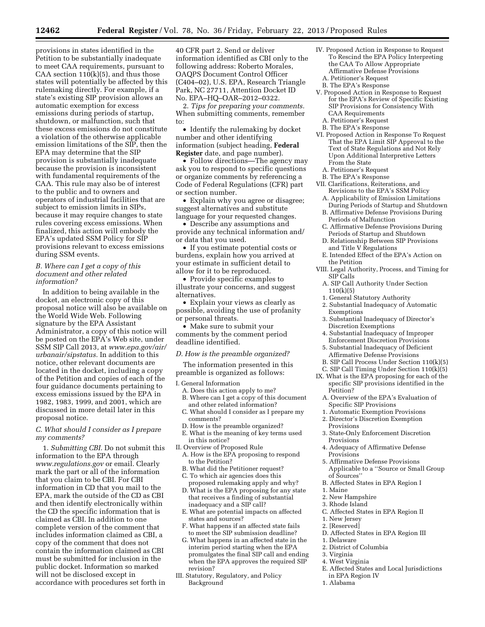provisions in states identified in the Petition to be substantially inadequate to meet CAA requirements, pursuant to CAA section  $110(k)(5)$ , and thus those states will potentially be affected by this rulemaking directly. For example, if a state's existing SIP provision allows an automatic exemption for excess emissions during periods of startup, shutdown, or malfunction, such that these excess emissions do not constitute a violation of the otherwise applicable emission limitations of the SIP, then the EPA may determine that the SIP provision is substantially inadequate because the provision is inconsistent with fundamental requirements of the CAA. This rule may also be of interest to the public and to owners and operators of industrial facilities that are subject to emission limits in SIPs, because it may require changes to state rules covering excess emissions. When finalized, this action will embody the EPA's updated SSM Policy for SIP provisions relevant to excess emissions during SSM events.

# *B. Where can I get a copy of this document and other related information?*

In addition to being available in the docket, an electronic copy of this proposal notice will also be available on the World Wide Web. Following signature by the EPA Assistant Administrator, a copy of this notice will be posted on the EPA's Web site, under SSM SIP Call 2013, at *[www.epa.gov/air/](http://www.epa.gov/air/urbanair/sipstatus) [urbanair/sipstatus.](http://www.epa.gov/air/urbanair/sipstatus)* In addition to this notice, other relevant documents are located in the docket, including a copy of the Petition and copies of each of the four guidance documents pertaining to excess emissions issued by the EPA in 1982, 1983, 1999, and 2001, which are discussed in more detail later in this proposal notice.

# *C. What should I consider as I prepare my comments?*

1. *Submitting CBI.* Do not submit this information to the EPA through *[www.regulations.gov](http://www.regulations.gov)* or email. Clearly mark the part or all of the information that you claim to be CBI. For CBI information in CD that you mail to the EPA, mark the outside of the CD as CBI and then identify electronically within the CD the specific information that is claimed as CBI. In addition to one complete version of the comment that includes information claimed as CBI, a copy of the comment that does not contain the information claimed as CBI must be submitted for inclusion in the public docket. Information so marked will not be disclosed except in accordance with procedures set forth in 40 CFR part 2. Send or deliver information identified as CBI only to the following address: Roberto Morales, OAQPS Document Control Officer (C404–02), U.S. EPA, Research Triangle Park, NC 27711, Attention Docket ID No. EPA–HQ–OAR–2012–0322.

2. *Tips for preparing your comments.*  When submitting comments, remember to:

• Identify the rulemaking by docket number and other identifying information (subject heading, **Federal Register** date, and page number).

• Follow directions—The agency may ask you to respond to specific questions or organize comments by referencing a Code of Federal Regulations (CFR) part or section number.

• Explain why you agree or disagree; suggest alternatives and substitute language for your requested changes.

• Describe any assumptions and provide any technical information and/ or data that you used.

• If you estimate potential costs or burdens, explain how you arrived at your estimate in sufficient detail to allow for it to be reproduced.

• Provide specific examples to illustrate your concerns, and suggest alternatives.

• Explain your views as clearly as possible, avoiding the use of profanity or personal threats.

• Make sure to submit your comments by the comment period deadline identified.

# *D. How is the preamble organized?*

The information presented in this preamble is organized as follows:

#### I. General Information

- A. Does this action apply to me?
- B. Where can I get a copy of this document and other related information?
- C. What should I consider as I prepare my comments?
- D. How is the preamble organized?
- E. What is the meaning of key terms used in this notice?
- II. Overview of Proposed Rule
- A. How is the EPA proposing to respond to the Petition?
- B. What did the Petitioner request? C. To which air agencies does this
- proposed rulemaking apply and why?
- D. What is the EPA proposing for any state that receives a finding of substantial inadequacy and a SIP call?
- E. What are potential impacts on affected states and sources?
- F. What happens if an affected state fails to meet the SIP submission deadline?
- G. What happens in an affected state in the interim period starting when the EPA promulgates the final SIP call and ending when the EPA approves the required SIP revision?
- III. Statutory, Regulatory, and Policy Background
- IV. Proposed Action in Response to Request To Rescind the EPA Policy Interpreting the CAA To Allow Appropriate Affirmative Defense Provisions A. Petitioner's Request
- B. The EPA's Response
- V. Proposed Action in Response to Request for the EPA's Review of Specific Existing SIP Provisions for Consistency With CAA Requirements
	- A. Petitioner's Request
- B. The EPA's Response
- VI. Proposed Action in Response To Request That the EPA Limit SIP Approval to the Text of State Regulations and Not Rely Upon Additional Interpretive Letters From the State
- A. Petitioner's Request
- B. The EPA's Response
- VII. Clarifications, Reiterations, and Revisions to the EPA's SSM Policy
	- A. Applicability of Emission Limitations During Periods of Startup and Shutdown
	- B. Affirmative Defense Provisions During Periods of Malfunction
	- C. Affirmative Defense Provisions During Periods of Startup and Shutdown
	- D. Relationship Between SIP Provisions and Title V Regulations
- E. Intended Effect of the EPA's Action on the Petition
- VIII. Legal Authority, Process, and Timing for SIP Calls
	- A. SIP Call Authority Under Section  $110(k)(5)$
	- 1. General Statutory Authority
	- 2. Substantial Inadequacy of Automatic Exemptions
	- 3. Substantial Inadequacy of Director's Discretion Exemptions
	- 4. Substantial Inadequacy of Improper Enforcement Discretion Provisions
	- 5. Substantial Inadequacy of Deficient Affirmative Defense Provisions
- B. SIP Call Process Under Section 110(k)(5)
- C. SIP Call Timing Under Section 110(k)(5) IX. What is the EPA proposing for each of the
- specific SIP provisions identified in the Petition?
- A. Overview of the EPA's Evaluation of Specific SIP Provisions
- 1. Automatic Exemption Provisions
- 2. Director's Discretion Exemption Provisions
- 3. State-Only Enforcement Discretion Provisions
- 4. Adequacy of Affirmative Defense Provisions
- 5. Affirmative Defense Provisions Applicable to a ''Source or Small Group of Sources''
- B. Affected States in EPA Region I
- 1. Maine
- 2. New Hampshire
- 3. Rhode Island
- C. Affected States in EPA Region II
- 1. New Jersey
- 2. [Reserved]
- D. Affected States in EPA Region III
- 1. Delaware
- 2. District of Columbia 3. Virginia
- 
- 4. West Virginia
- E. Affected States and Local Jurisdictions
- in EPA Region IV 1. Alabama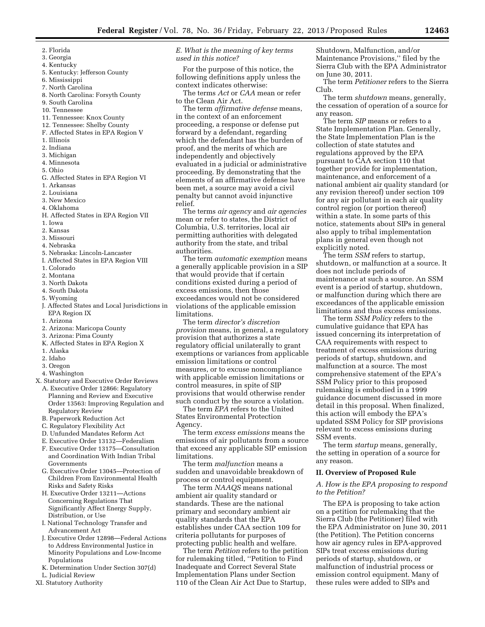- 2. Florida
- 3. Georgia
- 4. Kentucky
- 5. Kentucky: Jefferson County
- 6. Mississippi
- 7. North Carolina
- 8. North Carolina: Forsyth County
- 9. South Carolina
- 10. Tennessee
- 11. Tennessee: Knox County
- 12. Tennessee: Shelby County
- F. Affected States in EPA Region V
- 1. Illinois
- 2. Indiana
- 3. Michigan
- 4. Minnesota
- 5. Ohio
- G. Affected States in EPA Region VI
- 1. Arkansas
- 2. Louisiana
- 3. New Mexico
- 4. Oklahoma
- H. Affected States in EPA Region VII
- 1. Iowa
- 2. Kansas
- 3. Missouri
- 4. Nebraska
- 5. Nebraska: Lincoln-Lancaster
- I. Affected States in EPA Region VIII
- 1. Colorado
- 2. Montana
- 3. North Dakota
- 4. South Dakota
- 5. Wyoming
- J. Affected States and Local Jurisdictions in EPA Region IX
- 1. Arizona
- 2. Arizona: Maricopa County
- 3. Arizona: Pima County
- K. Affected States in EPA Region X
- 1. Alaska
- 2. Idaho
- 3. Oregon
- 4. Washington
- X. Statutory and Executive Order Reviews
	- A. Executive Order 12866: Regulatory Planning and Review and Executive Order 13563: Improving Regulation and Regulatory Review
	- B. Paperwork Reduction Act
	- C. Regulatory Flexibility Act
	- D. Unfunded Mandates Reform Act
	- E. Executive Order 13132—Federalism
	- F. Executive Order 13175—Consultation and Coordination With Indian Tribal Governments
	- G. Executive Order 13045—Protection of Children From Environmental Health Risks and Safety Risks
	- H. Executive Order 13211—Actions Concerning Regulations That Significantly Affect Energy Supply, Distribution, or Use
	- I. National Technology Transfer and Advancement Act
	- J. Executive Order 12898—Federal Actions to Address Environmental Justice in Minority Populations and Low-Income Populations
	- K. Determination Under Section 307(d)
- L. Judicial Review
- XI. Statutory Authority

# *E. What is the meaning of key terms used in this notice?*

For the purpose of this notice, the following definitions apply unless the context indicates otherwise:

The terms *Act* or *CAA* mean or refer to the Clean Air Act.

The term *affirmative defense* means, in the context of an enforcement proceeding, a response or defense put forward by a defendant, regarding which the defendant has the burden of proof, and the merits of which are independently and objectively evaluated in a judicial or administrative proceeding. By demonstrating that the elements of an affirmative defense have been met, a source may avoid a civil penalty but cannot avoid injunctive relief.

The terms *air agency* and *air agencies*  mean or refer to states, the District of Columbia, U.S. territories, local air permitting authorities with delegated authority from the state, and tribal authorities.

The term *automatic exemption* means a generally applicable provision in a SIP that would provide that if certain conditions existed during a period of excess emissions, then those exceedances would not be considered violations of the applicable emission limitations.

The term *director's discretion provision* means, in general, a regulatory provision that authorizes a state regulatory official unilaterally to grant exemptions or variances from applicable emission limitations or control measures, or to excuse noncompliance with applicable emission limitations or control measures, in spite of SIP provisions that would otherwise render such conduct by the source a violation.

The term *EPA* refers to the United States Environmental Protection Agency.

The term *excess emissions* means the emissions of air pollutants from a source that exceed any applicable SIP emission limitations.

The term *malfunction* means a sudden and unavoidable breakdown of process or control equipment.

The term *NAAQS* means national ambient air quality standard or standards. These are the national primary and secondary ambient air quality standards that the EPA establishes under CAA section 109 for criteria pollutants for purposes of protecting public health and welfare.

The term *Petition* refers to the petition for rulemaking titled, ''Petition to Find Inadequate and Correct Several State Implementation Plans under Section 110 of the Clean Air Act Due to Startup,

Shutdown, Malfunction, and/or Maintenance Provisions,'' filed by the Sierra Club with the EPA Administrator on June 30, 2011.

The term *Petitioner* refers to the Sierra Club.

The term *shutdown* means, generally, the cessation of operation of a source for any reason.

The term *SIP* means or refers to a State Implementation Plan. Generally, the State Implementation Plan is the collection of state statutes and regulations approved by the EPA pursuant to CAA section 110 that together provide for implementation, maintenance, and enforcement of a national ambient air quality standard (or any revision thereof) under section 109 for any air pollutant in each air quality control region (or portion thereof) within a state. In some parts of this notice, statements about SIPs in general also apply to tribal implementation plans in general even though not explicitly noted.

The term *SSM* refers to startup, shutdown, or malfunction at a source. It does not include periods of maintenance at such a source. An SSM event is a period of startup, shutdown, or malfunction during which there are exceedances of the applicable emission limitations and thus excess emissions.

The term *SSM Policy* refers to the cumulative guidance that EPA has issued concerning its interpretation of CAA requirements with respect to treatment of excess emissions during periods of startup, shutdown, and malfunction at a source. The most comprehensive statement of the EPA's SSM Policy prior to this proposed rulemaking is embodied in a 1999 guidance document discussed in more detail in this proposal. When finalized, this action will embody the EPA's updated SSM Policy for SIP provisions relevant to excess emissions during SSM events.

The term *startup* means, generally, the setting in operation of a source for any reason.

#### **II. Overview of Proposed Rule**

# *A. How is the EPA proposing to respond to the Petition?*

The EPA is proposing to take action on a petition for rulemaking that the Sierra Club (the Petitioner) filed with the EPA Administrator on June 30, 2011 (the Petition). The Petition concerns how air agency rules in EPA-approved SIPs treat excess emissions during periods of startup, shutdown, or malfunction of industrial process or emission control equipment. Many of these rules were added to SIPs and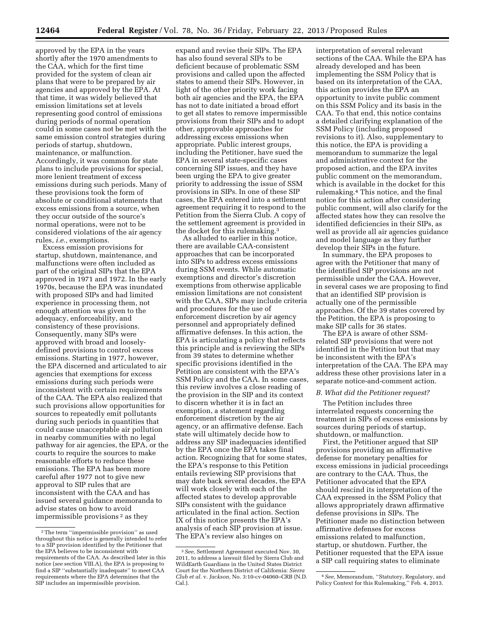approved by the EPA in the years shortly after the 1970 amendments to the CAA, which for the first time provided for the system of clean air plans that were to be prepared by air agencies and approved by the EPA. At that time, it was widely believed that emission limitations set at levels representing good control of emissions during periods of normal operation could in some cases not be met with the same emission control strategies during periods of startup, shutdown, maintenance, or malfunction. Accordingly, it was common for state plans to include provisions for special, more lenient treatment of excess emissions during such periods. Many of these provisions took the form of absolute or conditional statements that excess emissions from a source, when they occur outside of the source's normal operations, were not to be considered violations of the air agency rules, *i.e.,* exemptions.

Excess emission provisions for startup, shutdown, maintenance, and malfunctions were often included as part of the original SIPs that the EPA approved in 1971 and 1972. In the early 1970s, because the EPA was inundated with proposed SIPs and had limited experience in processing them, not enough attention was given to the adequacy, enforceability, and consistency of these provisions. Consequently, many SIPs were approved with broad and looselydefined provisions to control excess emissions. Starting in 1977, however, the EPA discerned and articulated to air agencies that exemptions for excess emissions during such periods were inconsistent with certain requirements of the CAA. The EPA also realized that such provisions allow opportunities for sources to repeatedly emit pollutants during such periods in quantities that could cause unacceptable air pollution in nearby communities with no legal pathway for air agencies, the EPA, or the courts to require the sources to make reasonable efforts to reduce these emissions. The EPA has been more careful after 1977 not to give new approval to SIP rules that are inconsistent with the CAA and has issued several guidance memoranda to advise states on how to avoid impermissible provisions 2 as they

expand and revise their SIPs. The EPA has also found several SIPs to be deficient because of problematic SSM provisions and called upon the affected states to amend their SIPs. However, in light of the other priority work facing both air agencies and the EPA, the EPA has not to date initiated a broad effort to get all states to remove impermissible provisions from their SIPs and to adopt other, approvable approaches for addressing excess emissions when appropriate. Public interest groups, including the Petitioner, have sued the EPA in several state-specific cases concerning SIP issues, and they have been urging the EPA to give greater priority to addressing the issue of SSM provisions in SIPs. In one of these SIP cases, the EPA entered into a settlement agreement requiring it to respond to the Petition from the Sierra Club. A copy of the settlement agreement is provided in the docket for this rulemaking.3

As alluded to earlier in this notice, there are available CAA-consistent approaches that can be incorporated into SIPs to address excess emissions during SSM events. While automatic exemptions and director's discretion exemptions from otherwise applicable emission limitations are not consistent with the CAA, SIPs may include criteria and procedures for the use of enforcement discretion by air agency personnel and appropriately defined affirmative defenses. In this action, the EPA is articulating a policy that reflects this principle and is reviewing the SIPs from 39 states to determine whether specific provisions identified in the Petition are consistent with the EPA's SSM Policy and the CAA. In some cases, this review involves a close reading of the provision in the SIP and its context to discern whether it is in fact an exemption, a statement regarding enforcement discretion by the air agency, or an affirmative defense. Each state will ultimately decide how to address any SIP inadequacies identified by the EPA once the EPA takes final action. Recognizing that for some states, the EPA's response to this Petition entails reviewing SIP provisions that may date back several decades, the EPA will work closely with each of the affected states to develop approvable SIPs consistent with the guidance articulated in the final action. Section IX of this notice presents the EPA's analysis of each SIP provision at issue. The EPA's review also hinges on

interpretation of several relevant sections of the CAA. While the EPA has already developed and has been implementing the SSM Policy that is based on its interpretation of the CAA, this action provides the EPA an opportunity to invite public comment on this SSM Policy and its basis in the CAA. To that end, this notice contains a detailed clarifying explanation of the SSM Policy (including proposed revisions to it). Also, supplementary to this notice, the EPA is providing a memorandum to summarize the legal and administrative context for the proposed action, and the EPA invites public comment on the memorandum, which is available in the docket for this rulemaking.4 This notice, and the final notice for this action after considering public comment, will also clarify for the affected states how they can resolve the identified deficiencies in their SIPs, as well as provide all air agencies guidance and model language as they further develop their SIPs in the future.

In summary, the EPA proposes to agree with the Petitioner that many of the identified SIP provisions are not permissible under the CAA. However, in several cases we are proposing to find that an identified SIP provision is actually one of the permissible approaches. Of the 39 states covered by the Petition, the EPA is proposing to make SIP calls for 36 states.

The EPA is aware of other SSMrelated SIP provisions that were not identified in the Petition but that may be inconsistent with the EPA's interpretation of the CAA. The EPA may address these other provisions later in a separate notice-and-comment action.

#### *B. What did the Petitioner request?*

The Petition includes three interrelated requests concerning the treatment in SIPs of excess emissions by sources during periods of startup, shutdown, or malfunction.

First, the Petitioner argued that SIP provisions providing an affirmative defense for monetary penalties for excess emissions in judicial proceedings are contrary to the CAA. Thus, the Petitioner advocated that the EPA should rescind its interpretation of the CAA expressed in the SSM Policy that allows appropriately drawn affirmative defense provisions in SIPs. The Petitioner made no distinction between affirmative defenses for excess emissions related to malfunction, startup, or shutdown. Further, the Petitioner requested that the EPA issue a SIP call requiring states to eliminate

<sup>2</sup>The term ''impermissible provision'' as used throughout this notice is generally intended to refer to a SIP provision identified by the Petitioner that the EPA believes to be inconsistent with requirements of the CAA. As described later in this notice (*see* section VIII.A), the EPA is proposing to find a SIP ''substantially inadequate'' to meet CAA requirements where the EPA determines that the SIP includes an impermissible provision.

<sup>3</sup>*See,* Settlement Agreement executed Nov. 30, 2011, to address a lawsuit filed by Sierra Club and WildEarth Guardians in the United States District Court for the Northern District of California: *Sierra Club et al.* v. *Jackson,* No. 3:10-cv-04060–CRB (N.D. Cal.).

<sup>4</sup>*See,* Memorandum, ''Statutory, Regulatory, and Policy Context for this Rulemaking,'' Feb. 4, 2013.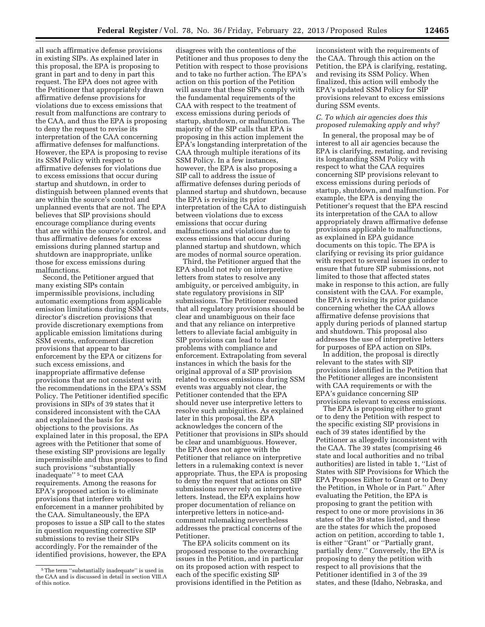all such affirmative defense provisions in existing SIPs. As explained later in this proposal, the EPA is proposing to grant in part and to deny in part this request. The EPA does not agree with the Petitioner that appropriately drawn affirmative defense provisions for violations due to excess emissions that result from malfunctions are contrary to the CAA, and thus the EPA is proposing to deny the request to revise its interpretation of the CAA concerning affirmative defenses for malfunctions. However, the EPA is proposing to revise its SSM Policy with respect to affirmative defenses for violations due to excess emissions that occur during startup and shutdown, in order to distinguish between planned events that are within the source's control and unplanned events that are not. The EPA believes that SIP provisions should encourage compliance during events that are within the source's control, and thus affirmative defenses for excess emissions during planned startup and shutdown are inappropriate, unlike those for excess emissions during malfunctions.

Second, the Petitioner argued that many existing SIPs contain impermissible provisions, including automatic exemptions from applicable emission limitations during SSM events, director's discretion provisions that provide discretionary exemptions from applicable emission limitations during SSM events, enforcement discretion provisions that appear to bar enforcement by the EPA or citizens for such excess emissions, and inappropriate affirmative defense provisions that are not consistent with the recommendations in the EPA's SSM Policy. The Petitioner identified specific provisions in SIPs of 39 states that it considered inconsistent with the CAA and explained the basis for its objections to the provisions. As explained later in this proposal, the EPA agrees with the Petitioner that some of these existing SIP provisions are legally impermissible and thus proposes to find such provisions ''substantially inadequate'' 5 to meet CAA requirements. Among the reasons for EPA's proposed action is to eliminate provisions that interfere with enforcement in a manner prohibited by the CAA. Simultaneously, the EPA proposes to issue a SIP call to the states in question requesting corrective SIP submissions to revise their SIPs accordingly. For the remainder of the identified provisions, however, the EPA

disagrees with the contentions of the Petitioner and thus proposes to deny the Petition with respect to those provisions and to take no further action. The EPA's action on this portion of the Petition will assure that these SIPs comply with the fundamental requirements of the CAA with respect to the treatment of excess emissions during periods of startup, shutdown, or malfunction. The majority of the SIP calls that EPA is proposing in this action implement the EPA's longstanding interpretation of the CAA through multiple iterations of its SSM Policy. In a few instances, however, the EPA is also proposing a SIP call to address the issue of affirmative defenses during periods of planned startup and shutdown, because the EPA is revising its prior interpretation of the CAA to distinguish between violations due to excess emissions that occur during malfunctions and violations due to excess emissions that occur during planned startup and shutdown, which are modes of normal source operation.

Third, the Petitioner argued that the EPA should not rely on interpretive letters from states to resolve any ambiguity, or perceived ambiguity, in state regulatory provisions in SIP submissions. The Petitioner reasoned that all regulatory provisions should be clear and unambiguous on their face and that any reliance on interpretive letters to alleviate facial ambiguity in SIP provisions can lead to later problems with compliance and enforcement. Extrapolating from several instances in which the basis for the original approval of a SIP provision related to excess emissions during SSM events was arguably not clear, the Petitioner contended that the EPA should never use interpretive letters to resolve such ambiguities. As explained later in this proposal, the EPA acknowledges the concern of the Petitioner that provisions in SIPs should be clear and unambiguous. However, the EPA does not agree with the Petitioner that reliance on interpretive letters in a rulemaking context is never appropriate. Thus, the EPA is proposing to deny the request that actions on SIP submissions never rely on interpretive letters. Instead, the EPA explains how proper documentation of reliance on interpretive letters in notice-andcomment rulemaking nevertheless addresses the practical concerns of the Petitioner.

The EPA solicits comment on its proposed response to the overarching issues in the Petition, and in particular on its proposed action with respect to each of the specific existing SIP provisions identified in the Petition as

inconsistent with the requirements of the CAA. Through this action on the Petition, the EPA is clarifying, restating, and revising its SSM Policy. When finalized, this action will embody the EPA's updated SSM Policy for SIP provisions relevant to excess emissions during SSM events.

# *C. To which air agencies does this proposed rulemaking apply and why?*

In general, the proposal may be of interest to all air agencies because the EPA is clarifying, restating, and revising its longstanding SSM Policy with respect to what the CAA requires concerning SIP provisions relevant to excess emissions during periods of startup, shutdown, and malfunction. For example, the EPA is denying the Petitioner's request that the EPA rescind its interpretation of the CAA to allow appropriately drawn affirmative defense provisions applicable to malfunctions, as explained in EPA guidance documents on this topic. The EPA is clarifying or revising its prior guidance with respect to several issues in order to ensure that future SIP submissions, not limited to those that affected states make in response to this action, are fully consistent with the CAA. For example, the EPA is revising its prior guidance concerning whether the CAA allows affirmative defense provisions that apply during periods of planned startup and shutdown. This proposal also addresses the use of interpretive letters for purposes of EPA action on SIPs.

In addition, the proposal is directly relevant to the states with SIP provisions identified in the Petition that the Petitioner alleges are inconsistent with CAA requirements or with the EPA's guidance concerning SIP provisions relevant to excess emissions.

The EPA is proposing either to grant or to deny the Petition with respect to the specific existing SIP provisions in each of 39 states identified by the Petitioner as allegedly inconsistent with the CAA. The 39 states (comprising 46 state and local authorities and no tribal authorities) are listed in table 1, ''List of States with SIP Provisions for Which the EPA Proposes Either to Grant or to Deny the Petition, in Whole or in Part.'' After evaluating the Petition, the EPA is proposing to grant the petition with respect to one or more provisions in 36 states of the 39 states listed, and these are the states for which the proposed action on petition, according to table 1, is either ''Grant'' or ''Partially grant, partially deny.'' Conversely, the EPA is proposing to deny the petition with respect to all provisions that the Petitioner identified in 3 of the 39 states, and these (Idaho, Nebraska, and

<sup>5</sup>The term ''substantially inadequate'' is used in the CAA and is discussed in detail in section VIII.A of this notice.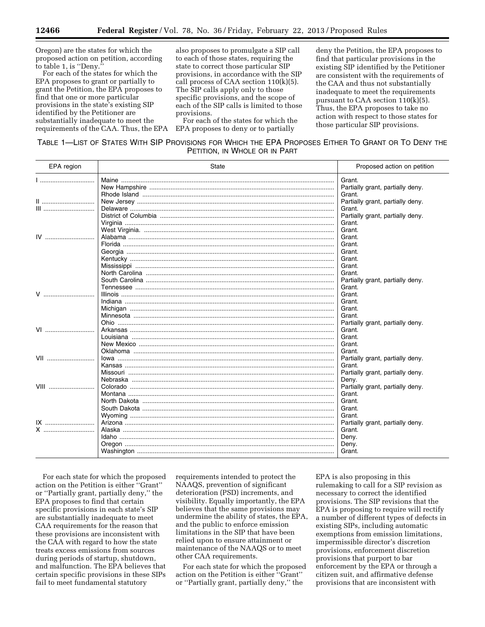Oregon) are the states for which the proposed action on petition, according to table 1, is ''Deny.''

For each of the states for which the EPA proposes to grant or partially to grant the Petition, the EPA proposes to find that one or more particular provisions in the state's existing SIP identified by the Petitioner are substantially inadequate to meet the

also proposes to promulgate a SIP call to each of those states, requiring the state to correct those particular SIP provisions, in accordance with the SIP call process of CAA section 110(k)(5). The SIP calls apply only to those specific provisions, and the scope of each of the SIP calls is limited to those provisions.

requirements of the CAA. Thus, the EPA EPA proposes to deny or to partially For each of the states for which the deny the Petition, the EPA proposes to find that particular provisions in the existing SIP identified by the Petitioner are consistent with the requirements of the CAA and thus not substantially inadequate to meet the requirements pursuant to CAA section 110(k)(5). Thus, the EPA proposes to take no action with respect to those states for those particular SIP provisions.

# TABLE 1—LIST OF STATES WITH SIP PROVISIONS FOR WHICH THE EPA PROPOSES EITHER TO GRANT OR TO DENY THE PETITION, IN WHOLE OR IN PART

| Grant.<br>Partially grant, partially deny.<br>Grant.<br>Partially grant, partially deny.<br>III<br>Grant.<br>Partially grant, partially deny.<br>Grant.<br>Grant.<br>IV<br>Grant.<br>Grant.<br>Grant.<br>Grant.<br>Grant.<br>Grant.<br>Partially grant, partially deny.<br>Grant.<br>$V$ and $V$<br>Grant.<br>Grant.<br>Grant.<br>Grant.<br><u>Ohio ………………………………………………………………………</u><br>Partially grant, partially deny.<br>VI<br>Grant.<br>Grant.<br>Grant.<br>Grant.<br>VII<br>Partially grant, partially deny.<br><u>lowa …………………………………………………………………………</u><br>Grant.<br>Partially grant, partially deny. |
|------------------------------------------------------------------------------------------------------------------------------------------------------------------------------------------------------------------------------------------------------------------------------------------------------------------------------------------------------------------------------------------------------------------------------------------------------------------------------------------------------------------------------------------------------------------------------------------------------------|
|                                                                                                                                                                                                                                                                                                                                                                                                                                                                                                                                                                                                            |
|                                                                                                                                                                                                                                                                                                                                                                                                                                                                                                                                                                                                            |
|                                                                                                                                                                                                                                                                                                                                                                                                                                                                                                                                                                                                            |
|                                                                                                                                                                                                                                                                                                                                                                                                                                                                                                                                                                                                            |
|                                                                                                                                                                                                                                                                                                                                                                                                                                                                                                                                                                                                            |
|                                                                                                                                                                                                                                                                                                                                                                                                                                                                                                                                                                                                            |
|                                                                                                                                                                                                                                                                                                                                                                                                                                                                                                                                                                                                            |
|                                                                                                                                                                                                                                                                                                                                                                                                                                                                                                                                                                                                            |
|                                                                                                                                                                                                                                                                                                                                                                                                                                                                                                                                                                                                            |
|                                                                                                                                                                                                                                                                                                                                                                                                                                                                                                                                                                                                            |
|                                                                                                                                                                                                                                                                                                                                                                                                                                                                                                                                                                                                            |
|                                                                                                                                                                                                                                                                                                                                                                                                                                                                                                                                                                                                            |
|                                                                                                                                                                                                                                                                                                                                                                                                                                                                                                                                                                                                            |
|                                                                                                                                                                                                                                                                                                                                                                                                                                                                                                                                                                                                            |
|                                                                                                                                                                                                                                                                                                                                                                                                                                                                                                                                                                                                            |
|                                                                                                                                                                                                                                                                                                                                                                                                                                                                                                                                                                                                            |
|                                                                                                                                                                                                                                                                                                                                                                                                                                                                                                                                                                                                            |
|                                                                                                                                                                                                                                                                                                                                                                                                                                                                                                                                                                                                            |
|                                                                                                                                                                                                                                                                                                                                                                                                                                                                                                                                                                                                            |
|                                                                                                                                                                                                                                                                                                                                                                                                                                                                                                                                                                                                            |
|                                                                                                                                                                                                                                                                                                                                                                                                                                                                                                                                                                                                            |
|                                                                                                                                                                                                                                                                                                                                                                                                                                                                                                                                                                                                            |
|                                                                                                                                                                                                                                                                                                                                                                                                                                                                                                                                                                                                            |
|                                                                                                                                                                                                                                                                                                                                                                                                                                                                                                                                                                                                            |
|                                                                                                                                                                                                                                                                                                                                                                                                                                                                                                                                                                                                            |
|                                                                                                                                                                                                                                                                                                                                                                                                                                                                                                                                                                                                            |
|                                                                                                                                                                                                                                                                                                                                                                                                                                                                                                                                                                                                            |
| Deny.                                                                                                                                                                                                                                                                                                                                                                                                                                                                                                                                                                                                      |
| Partially grant, partially deny.<br><b>VIII</b>                                                                                                                                                                                                                                                                                                                                                                                                                                                                                                                                                            |
| Grant.                                                                                                                                                                                                                                                                                                                                                                                                                                                                                                                                                                                                     |
| Grant.                                                                                                                                                                                                                                                                                                                                                                                                                                                                                                                                                                                                     |
| Grant.                                                                                                                                                                                                                                                                                                                                                                                                                                                                                                                                                                                                     |
| Grant.                                                                                                                                                                                                                                                                                                                                                                                                                                                                                                                                                                                                     |
| Partially grant, partially deny.<br>$IX$                                                                                                                                                                                                                                                                                                                                                                                                                                                                                                                                                                   |
| X<br>Grant.                                                                                                                                                                                                                                                                                                                                                                                                                                                                                                                                                                                                |
| Deny.<br><u>Idaho …………………………………………………………………………………</u>                                                                                                                                                                                                                                                                                                                                                                                                                                                                                                                                                      |
| Deny.                                                                                                                                                                                                                                                                                                                                                                                                                                                                                                                                                                                                      |
| Grant.                                                                                                                                                                                                                                                                                                                                                                                                                                                                                                                                                                                                     |

For each state for which the proposed action on the Petition is either ''Grant'' or ''Partially grant, partially deny,'' the EPA proposes to find that certain specific provisions in each state's SIP are substantially inadequate to meet CAA requirements for the reason that these provisions are inconsistent with the CAA with regard to how the state treats excess emissions from sources during periods of startup, shutdown, and malfunction. The EPA believes that certain specific provisions in these SIPs fail to meet fundamental statutory

requirements intended to protect the NAAQS, prevention of significant deterioration (PSD) increments, and visibility. Equally importantly, the EPA believes that the same provisions may undermine the ability of states, the EPA, and the public to enforce emission limitations in the SIP that have been relied upon to ensure attainment or maintenance of the NAAQS or to meet other CAA requirements.

For each state for which the proposed action on the Petition is either ''Grant'' or ''Partially grant, partially deny,'' the

EPA is also proposing in this rulemaking to call for a SIP revision as necessary to correct the identified provisions. The SIP revisions that the EPA is proposing to require will rectify a number of different types of defects in existing SIPs, including automatic exemptions from emission limitations, impermissible director's discretion provisions, enforcement discretion provisions that purport to bar enforcement by the EPA or through a citizen suit, and affirmative defense provisions that are inconsistent with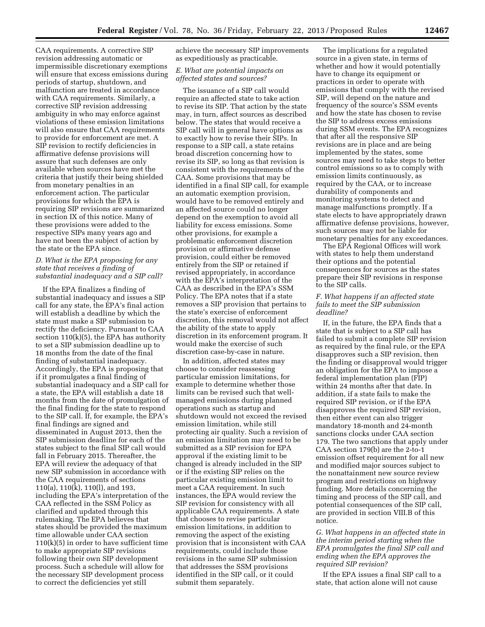CAA requirements. A corrective SIP revision addressing automatic or impermissible discretionary exemptions will ensure that excess emissions during periods of startup, shutdown, and malfunction are treated in accordance with CAA requirements. Similarly, a corrective SIP revision addressing ambiguity in who may enforce against violations of these emission limitations will also ensure that CAA requirements to provide for enforcement are met. A SIP revision to rectify deficiencies in affirmative defense provisions will assure that such defenses are only available when sources have met the criteria that justify their being shielded from monetary penalties in an enforcement action. The particular provisions for which the EPA is requiring SIP revisions are summarized in section IX of this notice. Many of these provisions were added to the respective SIPs many years ago and have not been the subject of action by the state or the EPA since.

#### *D. What is the EPA proposing for any state that receives a finding of substantial inadequacy and a SIP call?*

If the EPA finalizes a finding of substantial inadequacy and issues a SIP call for any state, the EPA's final action will establish a deadline by which the state must make a SIP submission to rectify the deficiency. Pursuant to CAA section 110(k)(5), the EPA has authority to set a SIP submission deadline up to 18 months from the date of the final finding of substantial inadequacy. Accordingly, the EPA is proposing that if it promulgates a final finding of substantial inadequacy and a SIP call for a state, the EPA will establish a date 18 months from the date of promulgation of the final finding for the state to respond to the SIP call. If, for example, the EPA's final findings are signed and disseminated in August 2013, then the SIP submission deadline for each of the states subject to the final SIP call would fall in February 2015. Thereafter, the EPA will review the adequacy of that new SIP submission in accordance with the CAA requirements of sections 110(a), 110(k), 110(l), and 193, including the EPA's interpretation of the CAA reflected in the SSM Policy as clarified and updated through this rulemaking. The EPA believes that states should be provided the maximum time allowable under CAA section 110(k)(5) in order to have sufficient time to make appropriate SIP revisions following their own SIP development process. Such a schedule will allow for the necessary SIP development process to correct the deficiencies yet still

achieve the necessary SIP improvements as expeditiously as practicable.

# *E. What are potential impacts on affected states and sources?*

The issuance of a SIP call would require an affected state to take action to revise its SIP. That action by the state may, in turn, affect sources as described below. The states that would receive a SIP call will in general have options as to exactly how to revise their SIPs. In response to a SIP call, a state retains broad discretion concerning how to revise its SIP, so long as that revision is consistent with the requirements of the CAA. Some provisions that may be identified in a final SIP call, for example an automatic exemption provision, would have to be removed entirely and an affected source could no longer depend on the exemption to avoid all liability for excess emissions. Some other provisions, for example a problematic enforcement discretion provision or affirmative defense provision, could either be removed entirely from the SIP or retained if revised appropriately, in accordance with the EPA's interpretation of the CAA as described in the EPA's SSM Policy. The EPA notes that if a state removes a SIP provision that pertains to the state's exercise of enforcement discretion, this removal would not affect the ability of the state to apply discretion in its enforcement program. It would make the exercise of such discretion case-by-case in nature.

In addition, affected states may choose to consider reassessing particular emission limitations, for example to determine whether those limits can be revised such that wellmanaged emissions during planned operations such as startup and shutdown would not exceed the revised emission limitation, while still protecting air quality. Such a revision of an emission limitation may need to be submitted as a SIP revision for EPA approval if the existing limit to be changed is already included in the SIP or if the existing SIP relies on the particular existing emission limit to meet a CAA requirement. In such instances, the EPA would review the SIP revision for consistency with all applicable CAA requirements. A state that chooses to revise particular emission limitations, in addition to removing the aspect of the existing provision that is inconsistent with CAA requirements, could include those revisions in the same SIP submission that addresses the SSM provisions identified in the SIP call, or it could submit them separately.

The implications for a regulated source in a given state, in terms of whether and how it would potentially have to change its equipment or practices in order to operate with emissions that comply with the revised SIP, will depend on the nature and frequency of the source's SSM events and how the state has chosen to revise the SIP to address excess emissions during SSM events. The EPA recognizes that after all the responsive SIP revisions are in place and are being implemented by the states, some sources may need to take steps to better control emissions so as to comply with emission limits continuously, as required by the CAA, or to increase durability of components and monitoring systems to detect and manage malfunctions promptly. If a state elects to have appropriately drawn affirmative defense provisions, however, such sources may not be liable for monetary penalties for any exceedances.

The EPA Regional Offices will work with states to help them understand their options and the potential consequences for sources as the states prepare their SIP revisions in response to the SIP calls.

# *F. What happens if an affected state fails to meet the SIP submission deadline?*

If, in the future, the EPA finds that a state that is subject to a SIP call has failed to submit a complete SIP revision as required by the final rule, or the EPA disapproves such a SIP revision, then the finding or disapproval would trigger an obligation for the EPA to impose a federal implementation plan (FIP) within 24 months after that date. In addition, if a state fails to make the required SIP revision, or if the EPA disapproves the required SIP revision, then either event can also trigger mandatory 18-month and 24-month sanctions clocks under CAA section 179. The two sanctions that apply under CAA section 179(b) are the 2-to-1 emission offset requirement for all new and modified major sources subject to the nonattainment new source review program and restrictions on highway funding. More details concerning the timing and process of the SIP call, and potential consequences of the SIP call, are provided in section VIII.B of this notice.

# *G. What happens in an affected state in the interim period starting when the EPA promulgates the final SIP call and ending when the EPA approves the required SIP revision?*

If the EPA issues a final SIP call to a state, that action alone will not cause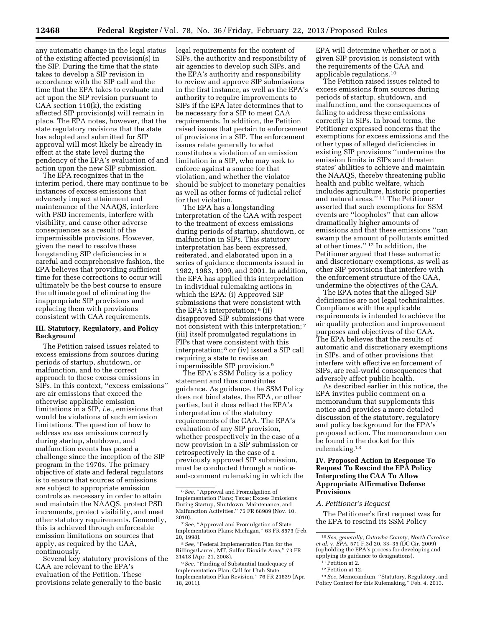any automatic change in the legal status of the existing affected provision(s) in the SIP. During the time that the state takes to develop a SIP revision in accordance with the SIP call and the time that the EPA takes to evaluate and act upon the SIP revision pursuant to CAA section 110(k), the existing affected SIP provision(s) will remain in place. The EPA notes, however, that the state regulatory revisions that the state has adopted and submitted for SIP approval will most likely be already in effect at the state level during the pendency of the EPA's evaluation of and action upon the new SIP submission.

The EPA recognizes that in the interim period, there may continue to be instances of excess emissions that adversely impact attainment and maintenance of the NAAQS, interfere with PSD increments, interfere with visibility, and cause other adverse consequences as a result of the impermissible provisions. However, given the need to resolve these longstanding SIP deficiencies in a careful and comprehensive fashion, the EPA believes that providing sufficient time for these corrections to occur will ultimately be the best course to ensure the ultimate goal of eliminating the inappropriate SIP provisions and replacing them with provisions consistent with CAA requirements.

# **III. Statutory, Regulatory, and Policy Background**

The Petition raised issues related to excess emissions from sources during periods of startup, shutdown, or malfunction, and to the correct approach to these excess emissions in SIPs. In this context, ''excess emissions'' are air emissions that exceed the otherwise applicable emission limitations in a SIP, *i.e.,* emissions that would be violations of such emission limitations. The question of how to address excess emissions correctly during startup, shutdown, and malfunction events has posed a challenge since the inception of the SIP program in the 1970s. The primary objective of state and federal regulators is to ensure that sources of emissions are subject to appropriate emission controls as necessary in order to attain and maintain the NAAQS, protect PSD increments, protect visibility, and meet other statutory requirements. Generally, this is achieved through enforceable emission limitations on sources that apply, as required by the CAA, continuously.

Several key statutory provisions of the CAA are relevant to the EPA's evaluation of the Petition. These provisions relate generally to the basic

legal requirements for the content of SIPs, the authority and responsibility of air agencies to develop such SIPs, and the EPA's authority and responsibility to review and approve SIP submissions in the first instance, as well as the EPA's authority to require improvements to SIPs if the EPA later determines that to be necessary for a SIP to meet CAA requirements. In addition, the Petition raised issues that pertain to enforcement of provisions in a SIP. The enforcement issues relate generally to what constitutes a violation of an emission limitation in a SIP, who may seek to enforce against a source for that violation, and whether the violator should be subject to monetary penalties as well as other forms of judicial relief for that violation.

The EPA has a longstanding interpretation of the CAA with respect to the treatment of excess emissions during periods of startup, shutdown, or malfunction in SIPs. This statutory interpretation has been expressed, reiterated, and elaborated upon in a series of guidance documents issued in 1982, 1983, 1999, and 2001. In addition, the EPA has applied this interpretation in individual rulemaking actions in which the EPA: (i) Approved SIP submissions that were consistent with the EPA's interpretation; 6 (ii) disapproved SIP submissions that were not consistent with this interpretation; 7 (iii) itself promulgated regulations in FIPs that were consistent with this interpretation; 8 or (iv) issued a SIP call requiring a state to revise an impermissible SIP provision.9

The EPA's SSM Policy is a policy statement and thus constitutes guidance. As guidance, the SSM Policy does not bind states, the EPA, or other parties, but it does reflect the EPA's interpretation of the statutory requirements of the CAA. The EPA's evaluation of any SIP provision, whether prospectively in the case of a new provision in a SIP submission or retrospectively in the case of a previously approved SIP submission, must be conducted through a noticeand-comment rulemaking in which the EPA will determine whether or not a given SIP provision is consistent with the requirements of the CAA and applicable regulations.10

The Petition raised issues related to excess emissions from sources during periods of startup, shutdown, and malfunction, and the consequences of failing to address these emissions correctly in SIPs. In broad terms, the Petitioner expressed concerns that the exemptions for excess emissions and the other types of alleged deficiencies in existing SIP provisions ''undermine the emission limits in SIPs and threaten states' abilities to achieve and maintain the NAAQS, thereby threatening public health and public welfare, which includes agriculture, historic properties and natural areas.'' 11 The Petitioner asserted that such exemptions for SSM events are ''loopholes'' that can allow dramatically higher amounts of emissions and that these emissions ''can swamp the amount of pollutants emitted at other times.'' 12 In addition, the Petitioner argued that these automatic and discretionary exemptions, as well as other SIP provisions that interfere with the enforcement structure of the CAA, undermine the objectives of the CAA.

The EPA notes that the alleged SIP deficiencies are not legal technicalities. Compliance with the applicable requirements is intended to achieve the air quality protection and improvement purposes and objectives of the CAA. The EPA believes that the results of automatic and discretionary exemptions in SIPs, and of other provisions that interfere with effective enforcement of SIPs, are real-world consequences that adversely affect public health.

As described earlier in this notice, the EPA invites public comment on a memorandum that supplements this notice and provides a more detailed discussion of the statutory, regulatory and policy background for the EPA's proposed action. The memorandum can be found in the docket for this rulemaking.13

# **IV. Proposed Action in Response To Request To Rescind the EPA Policy Interpreting the CAA To Allow Appropriate Affirmative Defense Provisions**

#### *A. Petitioner's Request*

The Petitioner's first request was for the EPA to rescind its SSM Policy

<sup>6</sup>*See,* ''Approval and Promulgation of Implementation Plans; Texas; Excess Emissions During Startup, Shutdown, Maintenance, and Malfunction Activities,'' 75 FR 68989 (Nov. 10, 2010).

<sup>7</sup>*See,* ''Approval and Promulgation of State Implementation Plans; Michigan,'' 63 FR 8573 (Feb. 20, 1998).

<sup>8</sup>*See,* ''Federal Implementation Plan for the Billings/Laurel, MT, Sulfur Dioxide Area,'' 73 FR 21418 (Apr. 21, 2008).

<sup>9</sup>*See,* ''Finding of Substantial Inadequacy of Implementation Plan; Call for Utah State Implementation Plan Revision,'' 76 FR 21639 (Apr. 18, 2011).

<sup>10</sup>*See, generally, Catawba County, North Carolina et al.* v. *EPA,* 571 F.3d 20, 33–35 (DC Cir. 2009) (upholding the EPA's process for developing and

<sup>&</sup>lt;sup>11</sup> Petition at 2.<br><sup>12</sup> Petition at 12.<br><sup>13</sup> *See, M*emorandum, ''Statutory, Regulatory, and Policy Context for this Rulemaking,'' Feb. 4, 2013.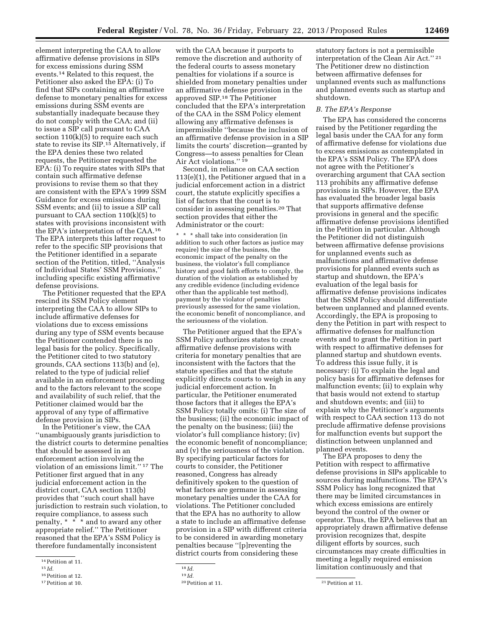element interpreting the CAA to allow affirmative defense provisions in SIPs for excess emissions during SSM events.14 Related to this request, the Petitioner also asked the EPA: (i) To find that SIPs containing an affirmative defense to monetary penalties for excess emissions during SSM events are substantially inadequate because they do not comply with the CAA; and (ii) to issue a SIP call pursuant to CAA section 110(k)(5) to require each such state to revise its SIP.15 Alternatively, if the EPA denies these two related requests, the Petitioner requested the EPA: (i) To require states with SIPs that contain such affirmative defense provisions to revise them so that they are consistent with the EPA's 1999 SSM Guidance for excess emissions during SSM events; and (ii) to issue a SIP call pursuant to CAA section 110(k)(5) to states with provisions inconsistent with the EPA's interpretation of the CAA.16 The EPA interprets this latter request to refer to the specific SIP provisions that the Petitioner identified in a separate section of the Petition, titled, ''Analysis of Individual States' SSM Provisions,'' including specific existing affirmative defense provisions.

The Petitioner requested that the EPA rescind its SSM Policy element interpreting the CAA to allow SIPs to include affirmative defenses for violations due to excess emissions during any type of SSM events because the Petitioner contended there is no legal basis for the policy. Specifically, the Petitioner cited to two statutory grounds, CAA sections 113(b) and (e), related to the type of judicial relief available in an enforcement proceeding and to the factors relevant to the scope and availability of such relief, that the Petitioner claimed would bar the approval of any type of affirmative defense provision in SIPs.

In the Petitioner's view, the CAA ''unambiguously grants jurisdiction to the district courts to determine penalties that should be assessed in an enforcement action involving the violation of an emissions limit.'' 17 The Petitioner first argued that in any judicial enforcement action in the district court, CAA section 113(b) provides that ''such court shall have jurisdiction to restrain such violation, to require compliance, to assess such penalty, \* \* \* and to award any other appropriate relief.'' The Petitioner reasoned that the EPA's SSM Policy is therefore fundamentally inconsistent

with the CAA because it purports to remove the discretion and authority of the federal courts to assess monetary penalties for violations if a source is shielded from monetary penalties under an affirmative defense provision in the approved SIP.18 The Petitioner concluded that the EPA's interpretation of the CAA in the SSM Policy element allowing any affirmative defenses is impermissible ''because the inclusion of an affirmative defense provision in a SIP limits the courts' discretion—granted by Congress—to assess penalties for Clean Air Act violations."<sup>19</sup>

Second, in reliance on CAA section 113(e)(1), the Petitioner argued that in a judicial enforcement action in a district court, the statute explicitly specifies a list of factors that the court is to consider in assessing penalties.20 That section provides that either the Administrator or the court:

\* \* \* shall take into consideration (in addition to such other factors as justice may require) the size of the business, the economic impact of the penalty on the business, the violator's full compliance history and good faith efforts to comply, the duration of the violation as established by any credible evidence (including evidence other than the applicable test method), payment by the violator of penalties previously assessed for the same violation, the economic benefit of noncompliance, and the seriousness of the violation.

The Petitioner argued that the EPA's SSM Policy authorizes states to create affirmative defense provisions with criteria for monetary penalties that are inconsistent with the factors that the statute specifies and that the statute explicitly directs courts to weigh in any judicial enforcement action. In particular, the Petitioner enumerated those factors that it alleges the EPA's SSM Policy totally omits: (i) The size of the business; (ii) the economic impact of the penalty on the business; (iii) the violator's full compliance history; (iv) the economic benefit of noncompliance; and (v) the seriousness of the violation. By specifying particular factors for courts to consider, the Petitioner reasoned, Congress has already definitively spoken to the question of what factors are germane in assessing monetary penalties under the CAA for violations. The Petitioner concluded that the EPA has no authority to allow a state to include an affirmative defense provision in a SIP with different criteria to be considered in awarding monetary penalties because ''[p]reventing the district courts from considering these

statutory factors is not a permissible interpretation of the Clean Air Act.'' 21 The Petitioner drew no distinction between affirmative defenses for unplanned events such as malfunctions and planned events such as startup and shutdown.

#### *B. The EPA's Response*

The EPA has considered the concerns raised by the Petitioner regarding the legal basis under the CAA for any form of affirmative defense for violations due to excess emissions as contemplated in the EPA's SSM Policy. The EPA does not agree with the Petitioner's overarching argument that CAA section 113 prohibits any affirmative defense provisions in SIPs. However, the EPA has evaluated the broader legal basis that supports affirmative defense provisions in general and the specific affirmative defense provisions identified in the Petition in particular. Although the Petitioner did not distinguish between affirmative defense provisions for unplanned events such as malfunctions and affirmative defense provisions for planned events such as startup and shutdown, the EPA's evaluation of the legal basis for affirmative defense provisions indicates that the SSM Policy should differentiate between unplanned and planned events. Accordingly, the EPA is proposing to deny the Petition in part with respect to affirmative defenses for malfunction events and to grant the Petition in part with respect to affirmative defenses for planned startup and shutdown events. To address this issue fully, it is necessary: (i) To explain the legal and policy basis for affirmative defenses for malfunction events; (ii) to explain why that basis would not extend to startup and shutdown events; and (iii) to explain why the Petitioner's arguments with respect to CAA section 113 do not preclude affirmative defense provisions for malfunction events but support the distinction between unplanned and planned events.

The EPA proposes to deny the Petition with respect to affirmative defense provisions in SIPs applicable to sources during malfunctions. The EPA's SSM Policy has long recognized that there may be limited circumstances in which excess emissions are entirely beyond the control of the owner or operator. Thus, the EPA believes that an appropriately drawn affirmative defense provision recognizes that, despite diligent efforts by sources, such circumstances may create difficulties in meeting a legally required emission limitation continuously and that

<sup>14</sup>Petition at 11.

<sup>15</sup> *Id.* 

<sup>16</sup>Petition at 12.

<sup>17</sup> Petition at 10.

<sup>18</sup> *Id.* 

<sup>19</sup> *Id.* 

<sup>&</sup>lt;sup>21</sup> Petition at 11.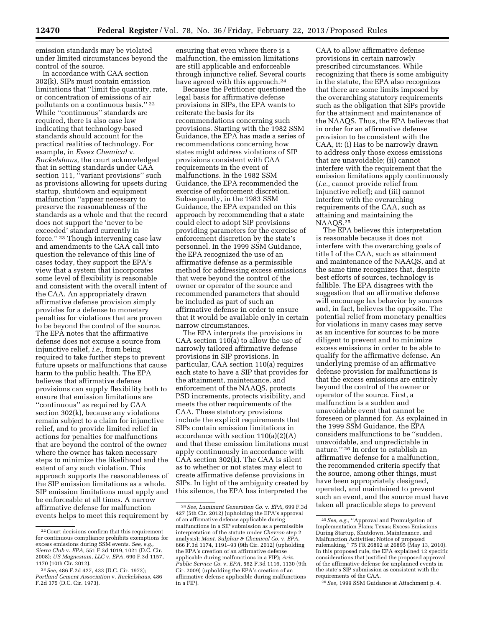emission standards may be violated under limited circumstances beyond the control of the source.

In accordance with CAA section 302(k), SIPs must contain emission limitations that ''limit the quantity, rate, or concentration of emissions of air pollutants on a continuous basis.'' 22 While ''continuous'' standards are required, there is also case law indicating that technology-based standards should account for the practical realities of technology. For example, in *Essex Chemical* v. *Ruckelshaus,* the court acknowledged that in setting standards under CAA section 111, "variant provisions" such as provisions allowing for upsets during startup, shutdown and equipment malfunction ''appear necessary to preserve the reasonableness of the standards as a whole and that the record does not support the 'never to be exceeded' standard currently in force.'' 23 Though intervening case law and amendments to the CAA call into question the relevance of this line of cases today, they support the EPA's view that a system that incorporates some level of flexibility is reasonable and consistent with the overall intent of the CAA. An appropriately drawn affirmative defense provision simply provides for a defense to monetary penalties for violations that are proven to be beyond the control of the source. The EPA notes that the affirmative defense does not excuse a source from injunctive relief, *i.e.,* from being required to take further steps to prevent future upsets or malfunctions that cause harm to the public health. The EPA believes that affirmative defense provisions can supply flexibility both to ensure that emission limitations are ''continuous'' as required by CAA section 302(k), because any violations remain subject to a claim for injunctive relief, and to provide limited relief in actions for penalties for malfunctions that are beyond the control of the owner where the owner has taken necessary steps to minimize the likelihood and the extent of any such violation. This approach supports the reasonableness of the SIP emission limitations as a whole. SIP emission limitations must apply and be enforceable at all times. A narrow affirmative defense for malfunction events helps to meet this requirement by

ensuring that even where there is a malfunction, the emission limitations are still applicable and enforceable through injunctive relief. Several courts have agreed with this approach.<sup>24</sup>

Because the Petitioner questioned the legal basis for affirmative defense provisions in SIPs, the EPA wants to reiterate the basis for its recommendations concerning such provisions. Starting with the 1982 SSM Guidance, the EPA has made a series of recommendations concerning how states might address violations of SIP provisions consistent with CAA requirements in the event of malfunctions. In the 1982 SSM Guidance, the EPA recommended the exercise of enforcement discretion. Subsequently, in the 1983 SSM Guidance, the EPA expanded on this approach by recommending that a state could elect to adopt SIP provisions providing parameters for the exercise of enforcement discretion by the state's personnel. In the 1999 SSM Guidance, the EPA recognized the use of an affirmative defense as a permissible method for addressing excess emissions that were beyond the control of the owner or operator of the source and recommended parameters that should be included as part of such an affirmative defense in order to ensure that it would be available only in certain narrow circumstances.

The EPA interprets the provisions in CAA section 110(a) to allow the use of narrowly tailored affirmative defense provisions in SIP provisions. In particular, CAA section 110(a) requires each state to have a SIP that provides for the attainment, maintenance, and enforcement of the NAAQS, protects PSD increments, protects visibility, and meets the other requirements of the CAA. These statutory provisions include the explicit requirements that SIPs contain emission limitations in accordance with section  $110(a)(2)(A)$ and that these emission limitations must apply continuously in accordance with CAA section 302(k). The CAA is silent as to whether or not states may elect to create affirmative defense provisions in SIPs. In light of the ambiguity created by this silence, the EPA has interpreted the

CAA to allow affirmative defense provisions in certain narrowly prescribed circumstances. While recognizing that there is some ambiguity in the statute, the EPA also recognizes that there are some limits imposed by the overarching statutory requirements such as the obligation that SIPs provide for the attainment and maintenance of the NAAQS. Thus, the EPA believes that in order for an affirmative defense provision to be consistent with the CAA, it: (i) Has to be narrowly drawn to address only those excess emissions that are unavoidable; (ii) cannot interfere with the requirement that the emission limitations apply continuously (*i.e.,* cannot provide relief from injunctive relief); and (iii) cannot interfere with the overarching requirements of the CAA, such as attaining and maintaining the NAAQS.25

The EPA believes this interpretation is reasonable because it does not interfere with the overarching goals of title I of the CAA, such as attainment and maintenance of the NAAQS, and at the same time recognizes that, despite best efforts of sources, technology is fallible. The EPA disagrees with the suggestion that an affirmative defense will encourage lax behavior by sources and, in fact, believes the opposite. The potential relief from monetary penalties for violations in many cases may serve as an incentive for sources to be more diligent to prevent and to minimize excess emissions in order to be able to qualify for the affirmative defense. An underlying premise of an affirmative defense provision for malfunctions is that the excess emissions are entirely beyond the control of the owner or operator of the source. First, a malfunction is a sudden and unavoidable event that cannot be foreseen or planned for. As explained in the 1999 SSM Guidance, the EPA considers malfunctions to be ''sudden, unavoidable, and unpredictable in nature.'' 26 In order to establish an affirmative defense for a malfunction, the recommended criteria specify that the source, among other things, must have been appropriately designed, operated, and maintained to prevent such an event, and the source must have taken all practicable steps to prevent

<sup>22</sup>Court decisions confirm that this requirement for continuous compliance prohibits exemptions for excess emissions during SSM events. *See, e.g., Sierra Club* v. *EPA,* 551 F.3d 1019, 1021 (D.C. Cir. 2008); *US Magnesium, LLC* v. *EPA,* 690 F.3d 1157, 1170 (10th Cir. 2012).

<sup>23</sup>*See,* 486 F.2d 427, 433 (D.C. Cir. 1973); *Portland Cement Association* v. *Ruckelshaus,* 486 F.2d 375 (D.C. Cir. 1973).

<sup>24</sup>*See, Luminant Generation Co.* v. *EPA,* 699 F.3d 427 (5th Cir. 2012) (upholding the EPA's approval of an affirmative defense applicable during malfunctions in a SIP submission as a permissible interpretation of the statute under *Chevron* step 2 analysis); *Mont. Sulphur & Chemical Co.* v. *EPA,*  666 F.3d 1174, 1191–93 (9th Cir. 2012) (upholding the EPA's creation of an affirmative defense applicable during malfunctions in a FIP); *Ariz. Public Service Co.* v. *EPA,* 562 F.3d 1116, 1130 (9th Cir. 2009) (upholding the EPA's creation of an affirmative defense applicable during malfunctions in a FIP).

<sup>25</sup>*See, e.g.,* ''Approval and Promulgation of Implementation Plans; Texas; Excess Emissions During Startup, Shutdown, Maintenance, and Malfunction Activities; Notice of proposed rulemaking,'' 75 FR 26892 at 26895 (May 13, 2010). In this proposed rule, the EPA explained 12 specific considerations that justified the proposed approval of the affirmative defense for unplanned events in the state's SIP submission as consistent with the requirements of the CAA.

<sup>26</sup>*See,* 1999 SSM Guidance at Attachment p. 4.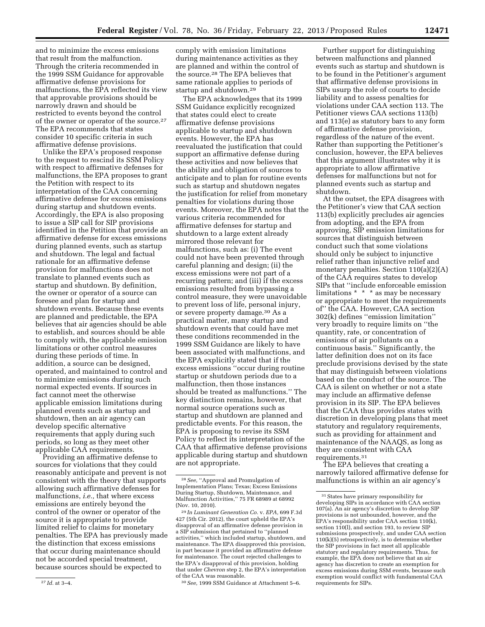and to minimize the excess emissions that result from the malfunction. Through the criteria recommended in the 1999 SSM Guidance for approvable affirmative defense provisions for malfunctions, the EPA reflected its view that approvable provisions should be narrowly drawn and should be restricted to events beyond the control of the owner or operator of the source.27 The EPA recommends that states consider 10 specific criteria in such affirmative defense provisions.

Unlike the EPA's proposed response to the request to rescind its SSM Policy with respect to affirmative defenses for malfunctions, the EPA proposes to grant the Petition with respect to its interpretation of the CAA concerning affirmative defense for excess emissions during startup and shutdown events. Accordingly, the EPA is also proposing to issue a SIP call for SIP provisions identified in the Petition that provide an affirmative defense for excess emissions during planned events, such as startup and shutdown. The legal and factual rationale for an affirmative defense provision for malfunctions does not translate to planned events such as startup and shutdown. By definition, the owner or operator of a source can foresee and plan for startup and shutdown events. Because these events are planned and predictable, the EPA believes that air agencies should be able to establish, and sources should be able to comply with, the applicable emission limitations or other control measures during these periods of time. In addition, a source can be designed, operated, and maintained to control and to minimize emissions during such normal expected events. If sources in fact cannot meet the otherwise applicable emission limitations during planned events such as startup and shutdown, then an air agency can develop specific alternative requirements that apply during such periods, so long as they meet other applicable CAA requirements.

Providing an affirmative defense to sources for violations that they could reasonably anticipate and prevent is not consistent with the theory that supports allowing such affirmative defenses for malfunctions, *i.e.,* that where excess emissions are entirely beyond the control of the owner or operator of the source it is appropriate to provide limited relief to claims for monetary penalties. The EPA has previously made the distinction that excess emissions that occur during maintenance should not be accorded special treatment, because sources should be expected to

27 *Id.* at 3–4.

The EPA acknowledges that its 1999 SSM Guidance explicitly recognized that states could elect to create affirmative defense provisions applicable to startup and shutdown events. However, the EPA has reevaluated the justification that could support an affirmative defense during these activities and now believes that the ability and obligation of sources to anticipate and to plan for routine events such as startup and shutdown negates the justification for relief from monetary penalties for violations during those events. Moreover, the EPA notes that the various criteria recommended for affirmative defenses for startup and shutdown to a large extent already mirrored those relevant for malfunctions, such as: (i) The event could not have been prevented through careful planning and design; (ii) the excess emissions were not part of a recurring pattern; and (iii) if the excess emissions resulted from bypassing a control measure, they were unavoidable to prevent loss of life, personal injury, or severe property damage.30 As a practical matter, many startup and shutdown events that could have met these conditions recommended in the 1999 SSM Guidance are likely to have been associated with malfunctions, and the EPA explicitly stated that if the excess emissions ''occur during routine startup or shutdown periods due to a malfunction, then those instances should be treated as malfunctions.'' The key distinction remains, however, that normal source operations such as startup and shutdown are planned and predictable events. For this reason, the EPA is proposing to revise its SSM Policy to reflect its interpretation of the CAA that affirmative defense provisions applicable during startup and shutdown are not appropriate.

Further support for distinguishing between malfunctions and planned events such as startup and shutdown is to be found in the Petitioner's argument that affirmative defense provisions in SIPs usurp the role of courts to decide liability and to assess penalties for violations under CAA section 113. The Petitioner views CAA sections 113(b) and 113(e) as statutory bars to any form of affirmative defense provision, regardless of the nature of the event. Rather than supporting the Petitioner's conclusion, however, the EPA believes that this argument illustrates why it is appropriate to allow affirmative defenses for malfunctions but not for planned events such as startup and shutdown.

At the outset, the EPA disagrees with the Petitioner's view that CAA section 113(b) explicitly precludes air agencies from adopting, and the EPA from approving, SIP emission limitations for sources that distinguish between conduct such that some violations should only be subject to injunctive relief rather than injunctive relief and monetary penalties. Section 110(a)(2)(A) of the CAA requires states to develop SIPs that ''include enforceable emission limitations \* \* \* as may be necessary or appropriate to meet the requirements of'' the CAA. However, CAA section 302(k) defines ''emission limitation'' very broadly to require limits on ''the quantity, rate, or concentration of emissions of air pollutants on a continuous basis.'' Significantly, the latter definition does not on its face preclude provisions devised by the state that may distinguish between violations based on the conduct of the source. The CAA is silent on whether or not a state may include an affirmative defense provision in its SIP. The EPA believes that the CAA thus provides states with discretion in developing plans that meet statutory and regulatory requirements, such as providing for attainment and maintenance of the NAAQS, as long as they are consistent with CAA requirements.31

The EPA believes that creating a narrowly tailored affirmative defense for malfunctions is within an air agency's

comply with emission limitations during maintenance activities as they are planned and within the control of the source.28 The EPA believes that same rationale applies to periods of startup and shutdown.29

<sup>28</sup>*See,* ''Approval and Promulgation of Implementation Plans; Texas; Excess Emissions During Startup, Shutdown, Maintenance, and Malfunction Activities,'' 75 FR 68989 at 68992 (Nov. 10, 2010).

<sup>29</sup> *In Luminant Generation Co.* v. *EPA,* 699 F.3d 427 (5th Cir. 2012), the court upheld the EPA's disapproval of an affirmative defense provision in a SIP submission that pertained to ''planned activities,'' which included startup, shutdown, and maintenance. The EPA disapproved this provision, in part because it provided an affirmative defense for maintenance. The court rejected challenges to the EPA's disapproval of this provision, holding that under *Chevron* step 2, the EPA's interpretation of the CAA was reasonable.

<sup>30</sup>*See,* 1999 SSM Guidance at Attachment 5–6.

<sup>31</sup>States have primary responsibility for developing SIPs in accordance with CAA section 107(a). An air agency's discretion to develop SIP provisions is not unbounded, however, and the EPA's responsibility under CAA section 110(k), section 110(l), and section 193, to review SIP submissions prospectively, and under CAA section  $110(k)(5)$  retrospectively, is to determine whether the SIP provisions in fact meet all applicable statutory and regulatory requirements. Thus, for example, the EPA does not believe that an air agency has discretion to create an exemption for excess emissions during SSM events, because such exemption would conflict with fundamental CAA requirements for SIPs.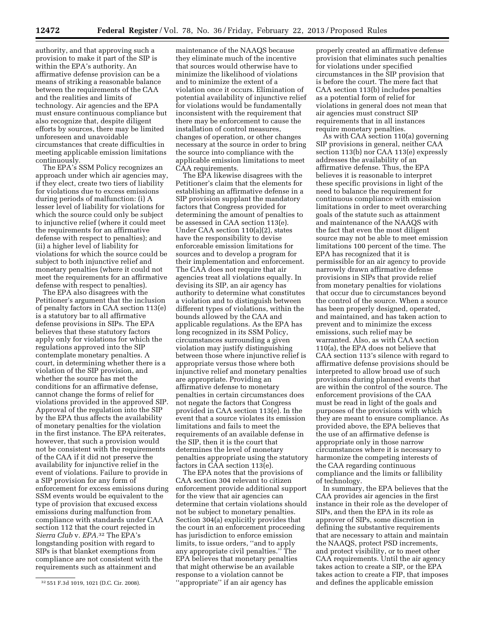authority, and that approving such a provision to make it part of the SIP is within the EPA's authority. An affirmative defense provision can be a means of striking a reasonable balance between the requirements of the CAA and the realities and limits of technology. Air agencies and the EPA must ensure continuous compliance but also recognize that, despite diligent efforts by sources, there may be limited unforeseen and unavoidable circumstances that create difficulties in meeting applicable emission limitations continuously.

The EPA's SSM Policy recognizes an approach under which air agencies may, if they elect, create two tiers of liability for violations due to excess emissions during periods of malfunction: (i) A lesser level of liability for violations for which the source could only be subject to injunctive relief (where it could meet the requirements for an affirmative defense with respect to penalties); and (ii) a higher level of liability for violations for which the source could be subject to both injunctive relief and monetary penalties (where it could not meet the requirements for an affirmative defense with respect to penalties).

The EPA also disagrees with the Petitioner's argument that the inclusion of penalty factors in CAA section 113(e) is a statutory bar to all affirmative defense provisions in SIPs. The EPA believes that these statutory factors apply only for violations for which the regulations approved into the SIP contemplate monetary penalties. A court, in determining whether there is a violation of the SIP provision, and whether the source has met the conditions for an affirmative defense, cannot change the forms of relief for violations provided in the approved SIP. Approval of the regulation into the SIP by the EPA thus affects the availability of monetary penalties for the violation in the first instance. The EPA reiterates, however, that such a provision would not be consistent with the requirements of the CAA if it did not preserve the availability for injunctive relief in the event of violations. Failure to provide in a SIP provision for any form of enforcement for excess emissions during SSM events would be equivalent to the type of provision that excused excess emissions during malfunction from compliance with standards under CAA section 112 that the court rejected in *Sierra Club* v. *EPA.*32 The EPA's longstanding position with regard to SIPs is that blanket exemptions from compliance are not consistent with the requirements such as attainment and

maintenance of the NAAQS because they eliminate much of the incentive that sources would otherwise have to minimize the likelihood of violations and to minimize the extent of a violation once it occurs. Elimination of potential availability of injunctive relief for violations would be fundamentally inconsistent with the requirement that there may be enforcement to cause the installation of control measures, changes of operation, or other changes necessary at the source in order to bring the source into compliance with the applicable emission limitations to meet CAA requirements.

The EPA likewise disagrees with the Petitioner's claim that the elements for establishing an affirmative defense in a SIP provision supplant the mandatory factors that Congress provided for determining the amount of penalties to be assessed in CAA section 113(e). Under CAA section 110(a)(2), states have the responsibility to devise enforceable emission limitations for sources and to develop a program for their implementation and enforcement. The CAA does not require that air agencies treat all violations equally. In devising its SIP, an air agency has authority to determine what constitutes a violation and to distinguish between different types of violations, within the bounds allowed by the CAA and applicable regulations. As the EPA has long recognized in its SSM Policy, circumstances surrounding a given violation may justify distinguishing between those where injunctive relief is appropriate versus those where both injunctive relief and monetary penalties are appropriate. Providing an affirmative defense to monetary penalties in certain circumstances does not negate the factors that Congress provided in CAA section 113(e). In the event that a source violates its emission limitations and fails to meet the requirements of an available defense in the SIP, then it is the court that determines the level of monetary penalties appropriate using the statutory factors in CAA section 113(e).

The EPA notes that the provisions of CAA section 304 relevant to citizen enforcement provide additional support for the view that air agencies can determine that certain violations should not be subject to monetary penalties. Section 304(a) explicitly provides that the court in an enforcement proceeding has jurisdiction to enforce emission limits, to issue orders, ''and to apply any appropriate civil penalties.'' The EPA believes that monetary penalties that might otherwise be an available response to a violation cannot be ''appropriate'' if an air agency has

properly created an affirmative defense provision that eliminates such penalties for violations under specified circumstances in the SIP provision that is before the court. The mere fact that CAA section 113(b) includes penalties as a potential form of relief for violations in general does not mean that air agencies must construct SIP requirements that in all instances require monetary penalties.

As with CAA section 110(a) governing SIP provisions in general, neither CAA section 113(b) nor CAA 113(e) expressly addresses the availability of an affirmative defense. Thus, the EPA believes it is reasonable to interpret these specific provisions in light of the need to balance the requirement for continuous compliance with emission limitations in order to meet overarching goals of the statute such as attainment and maintenance of the NAAQS with the fact that even the most diligent source may not be able to meet emission limitations 100 percent of the time. The EPA has recognized that it is permissible for an air agency to provide narrowly drawn affirmative defense provisions in SIPs that provide relief from monetary penalties for violations that occur due to circumstances beyond the control of the source. When a source has been properly designed, operated, and maintained, and has taken action to prevent and to minimize the excess emissions, such relief may be warranted. Also, as with CAA section 110(a), the EPA does not believe that CAA section 113's silence with regard to affirmative defense provisions should be interpreted to allow broad use of such provisions during planned events that are within the control of the source. The enforcement provisions of the CAA must be read in light of the goals and purposes of the provisions with which they are meant to ensure compliance. As provided above, the EPA believes that the use of an affirmative defense is appropriate only in those narrow circumstances where it is necessary to harmonize the competing interests of the CAA regarding continuous compliance and the limits or fallibility of technology.

In summary, the EPA believes that the CAA provides air agencies in the first instance in their role as the developer of SIPs, and then the EPA in its role as approver of SIPs, some discretion in defining the substantive requirements that are necessary to attain and maintain the NAAQS, protect PSD increments, and protect visibility, or to meet other CAA requirements. Until the air agency takes action to create a SIP, or the EPA takes action to create a FIP, that imposes and defines the applicable emission

<sup>32</sup> 551 F.3d 1019, 1021 (D.C. Cir. 2008).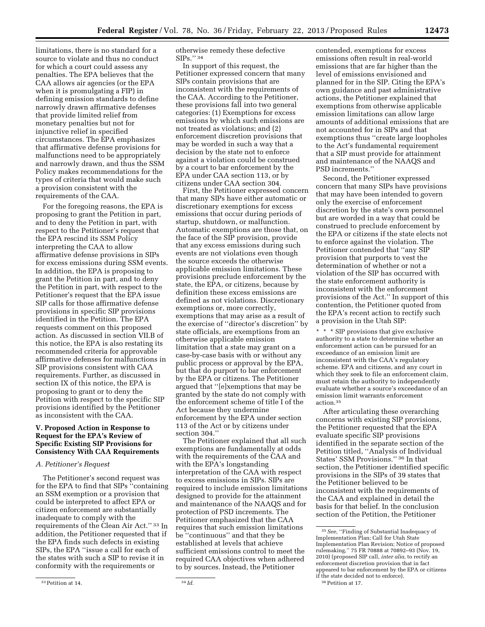limitations, there is no standard for a source to violate and thus no conduct for which a court could assess any penalties. The EPA believes that the CAA allows air agencies (or the EPA when it is promulgating a FIP) in defining emission standards to define narrowly drawn affirmative defenses that provide limited relief from monetary penalties but not for injunctive relief in specified circumstances. The EPA emphasizes that affirmative defense provisions for malfunctions need to be appropriately and narrowly drawn, and thus the SSM Policy makes recommendations for the types of criteria that would make such a provision consistent with the requirements of the CAA.

For the foregoing reasons, the EPA is proposing to grant the Petition in part, and to deny the Petition in part, with respect to the Petitioner's request that the EPA rescind its SSM Policy interpreting the CAA to allow affirmative defense provisions in SIPs for excess emissions during SSM events. In addition, the EPA is proposing to grant the Petition in part, and to deny the Petition in part, with respect to the Petitioner's request that the EPA issue SIP calls for those affirmative defense provisions in specific SIP provisions identified in the Petition. The EPA requests comment on this proposed action. As discussed in section VII.B of this notice, the EPA is also restating its recommended criteria for approvable affirmative defenses for malfunctions in SIP provisions consistent with CAA requirements. Further, as discussed in section IX of this notice, the EPA is proposing to grant or to deny the Petition with respect to the specific SIP provisions identified by the Petitioner as inconsistent with the CAA.

# **V. Proposed Action in Response to Request for the EPA's Review of Specific Existing SIP Provisions for Consistency With CAA Requirements**

# *A. Petitioner's Request*

The Petitioner's second request was for the EPA to find that SIPs ''containing an SSM exemption or a provision that could be interpreted to affect EPA or citizen enforcement are substantially inadequate to comply with the requirements of the Clean Air Act.'' 33 In addition, the Petitioner requested that if the EPA finds such defects in existing SIPs, the EPA ''issue a call for each of the states with such a SIP to revise it in conformity with the requirements or

otherwise remedy these defective SIPs.'' 34

In support of this request, the Petitioner expressed concern that many SIPs contain provisions that are inconsistent with the requirements of the CAA. According to the Petitioner, these provisions fall into two general categories: (1) Exemptions for excess emissions by which such emissions are not treated as violations; and (2) enforcement discretion provisions that may be worded in such a way that a decision by the state not to enforce against a violation could be construed by a court to bar enforcement by the EPA under CAA section 113, or by citizens under CAA section 304.

First, the Petitioner expressed concern that many SIPs have either automatic or discretionary exemptions for excess emissions that occur during periods of startup, shutdown, or malfunction. Automatic exemptions are those that, on the face of the SIP provision, provide that any excess emissions during such events are not violations even though the source exceeds the otherwise applicable emission limitations. These provisions preclude enforcement by the state, the EPA, or citizens, because by definition these excess emissions are defined as not violations. Discretionary exemptions or, more correctly, exemptions that may arise as a result of the exercise of ''director's discretion'' by state officials, are exemptions from an otherwise applicable emission limitation that a state may grant on a case-by-case basis with or without any public process or approval by the EPA, but that do purport to bar enforcement by the EPA or citizens. The Petitioner argued that ''[e]xemptions that may be granted by the state do not comply with the enforcement scheme of title I of the Act because they undermine enforcement by the EPA under section 113 of the Act or by citizens under section 304.''

The Petitioner explained that all such exemptions are fundamentally at odds with the requirements of the CAA and with the EPA's longstanding interpretation of the CAA with respect to excess emissions in SIPs. SIPs are required to include emission limitations designed to provide for the attainment and maintenance of the NAAQS and for protection of PSD increments. The Petitioner emphasized that the CAA requires that such emission limitations be ''continuous'' and that they be established at levels that achieve sufficient emissions control to meet the required CAA objectives when adhered to by sources. Instead, the Petitioner

contended, exemptions for excess emissions often result in real-world emissions that are far higher than the level of emissions envisioned and planned for in the SIP. Citing the EPA's own guidance and past administrative actions, the Petitioner explained that exemptions from otherwise applicable emission limitations can allow large amounts of additional emissions that are not accounted for in SIPs and that exemptions thus ''create large loopholes to the Act's fundamental requirement that a SIP must provide for attainment and maintenance of the NAAQS and PSD increments.''

Second, the Petitioner expressed concern that many SIPs have provisions that may have been intended to govern only the exercise of enforcement discretion by the state's own personnel but are worded in a way that could be construed to preclude enforcement by the EPA or citizens if the state elects not to enforce against the violation. The Petitioner contended that ''any SIP provision that purports to vest the determination of whether or not a violation of the SIP has occurred with the state enforcement authority is inconsistent with the enforcement provisions of the Act.'' In support of this contention, the Petitioner quoted from the EPA's recent action to rectify such a provision in the Utah SIP:

\* \* \* SIP provisions that give exclusive authority to a state to determine whether an enforcement action can be pursued for an exceedance of an emission limit are inconsistent with the CAA's regulatory scheme. EPA and citizens, and any court in which they seek to file an enforcement claim, must retain the authority to independently evaluate whether a source's exceedance of an emission limit warrants enforcement action.35

After articulating these overarching concerns with existing SIP provisions, the Petitioner requested that the EPA evaluate specific SIP provisions identified in the separate section of the Petition titled, ''Analysis of Individual States' SSM Provisions.'' 36 In that section, the Petitioner identified specific provisions in the SIPs of 39 states that the Petitioner believed to be inconsistent with the requirements of the CAA and explained in detail the basis for that belief. In the conclusion section of the Petition, the Petitioner

<sup>33</sup>Petition at 14. 34 *Id.* 

<sup>35</sup>*See,* ''Finding of Substantial Inadequacy of Implementation Plan; Call for Utah State Implementation Plan Revision; Notice of proposed rulemaking,'' 75 FR 70888 at 70892–93 (Nov. 19, 2010) (proposed SIP call, *inter alia,* to rectify an enforcement discretion provision that in fact appeared to bar enforcement by the EPA or citizens if the state decided not to enforce). 36Petition at 17.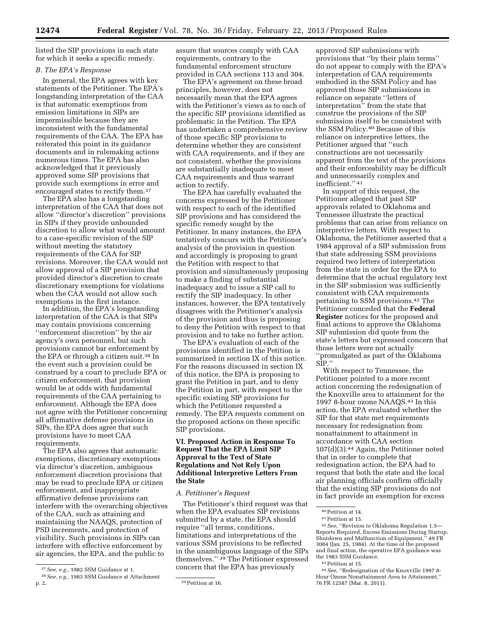listed the SIP provisions in each state for which it seeks a specific remedy.

## *B. The EPA's Response*

In general, the EPA agrees with key statements of the Petitioner. The EPA's longstanding interpretation of the CAA is that automatic exemptions from emission limitations in SIPs are impermissible because they are inconsistent with the fundamental requirements of the CAA. The EPA has reiterated this point in its guidance documents and in rulemaking actions numerous times. The EPA has also acknowledged that it previously approved some SIP provisions that provide such exemptions in error and encouraged states to rectify them.37

The EPA also has a longstanding interpretation of the CAA that does not allow ''director's discretion'' provisions in SIPs if they provide unbounded discretion to allow what would amount to a case-specific revision of the SIP without meeting the statutory requirements of the CAA for SIP revisions. Moreover, the CAA would not allow approval of a SIP provision that provided director's discretion to create discretionary exemptions for violations when the CAA would not allow such exemptions in the first instance.

In addition, the EPA's longstanding interpretation of the CAA is that SIPs may contain provisions concerning ''enforcement discretion'' by the air agency's own personnel, but such provisions cannot bar enforcement by the EPA or through a citizen suit.38 In the event such a provision could be construed by a court to preclude EPA or citizen enforcement, that provision would be at odds with fundamental requirements of the CAA pertaining to enforcement. Although the EPA does not agree with the Petitioner concerning all affirmative defense provisions in SIPs, the EPA does agree that such provisions have to meet CAA requirements.

The EPA also agrees that automatic exemptions, discretionary exemptions via director's discretion, ambiguous enforcement discretion provisions that may be read to preclude EPA or citizen enforcement, and inappropriate affirmative defense provisions can interfere with the overarching objectives of the CAA, such as attaining and maintaining the NAAQS, protection of PSD increments, and protection of visibility. Such provisions in SIPs can interfere with effective enforcement by air agencies, the EPA, and the public to

assure that sources comply with CAA requirements, contrary to the fundamental enforcement structure provided in CAA sections 113 and 304.

The EPA's agreement on these broad principles, however, does not necessarily mean that the EPA agrees with the Petitioner's views as to each of the specific SIP provisions identified as problematic in the Petition. The EPA has undertaken a comprehensive review of those specific SIP provisions to determine whether they are consistent with CAA requirements, and if they are not consistent, whether the provisions are substantially inadequate to meet CAA requirements and thus warrant action to rectify.

The EPA has carefully evaluated the concerns expressed by the Petitioner with respect to each of the identified SIP provisions and has considered the specific remedy sought by the Petitioner. In many instances, the EPA tentatively concurs with the Petitioner's analysis of the provision in question and accordingly is proposing to grant the Petition with respect to that provision and simultaneously proposing to make a finding of substantial inadequacy and to issue a SIP call to rectify the SIP inadequacy. In other instances, however, the EPA tentatively disagrees with the Petitioner's analysis of the provision and thus is proposing to deny the Petition with respect to that provision and to take no further action.

The EPA's evaluation of each of the provisions identified in the Petition is summarized in section IX of this notice. For the reasons discussed in section IX of this notice, the EPA is proposing to grant the Petition in part, and to deny the Petition in part, with respect to the specific existing SIP provisions for which the Petitioner requested a remedy. The EPA requests comment on the proposed actions on these specific SIP provisions.

# **VI. Proposed Action in Response To Request That the EPA Limit SIP Approval to the Text of State Regulations and Not Rely Upon Additional Interpretive Letters From the State**

#### *A. Petitioner's Request*

The Petitioner's third request was that when the EPA evaluates SIP revisions submitted by a state, the EPA should require ''all terms, conditions, limitations and interpretations of the various SSM provisions to be reflected in the unambiguous language of the SIPs themselves.'' 39 The Petitioner expressed concern that the EPA has previously

approved SIP submissions with provisions that ''by their plain terms'' do not appear to comply with the EPA's interpretation of CAA requirements embodied in the SSM Policy and has approved those SIP submissions in reliance on separate ''letters of interpretation'' from the state that construe the provisions of the SIP submission itself to be consistent with the SSM Policy.40 Because of this reliance on interpretive letters, the Petitioner argued that ''such constructions are not necessarily apparent from the text of the provisions and their enforceability may be difficult and unnecessarily complex and inefficient." 41

In support of this request, the Petitioner alleged that past SIP approvals related to Oklahoma and Tennessee illustrate the practical problems that can arise from reliance on interpretive letters. With respect to Oklahoma, the Petitioner asserted that a 1984 approval of a SIP submission from that state addressing SSM provisions required two letters of interpretation from the state in order for the EPA to determine that the actual regulatory text in the SIP submission was sufficiently consistent with CAA requirements pertaining to SSM provisions.42 The Petitioner conceded that the **Federal Register** notices for the proposed and final actions to approve the Oklahoma SIP submission did quote from the state's letters but expressed concern that those letters were not actually ''promulgated as part of the Oklahoma SIP.''

With respect to Tennessee, the Petitioner pointed to a more recent action concerning the redesignation of the Knoxville area to attainment for the 1997 8-hour ozone NAAQS.43 In this action, the EPA evaluated whether the SIP for that state met requirements necessary for redesignation from nonattainment to attainment in accordance with CAA section 107(d)(3).44 Again, the Petitioner noted that in order to complete that redesignation action, the EPA had to request that both the state and the local air planning officials confirm officially that the existing SIP provisions do not in fact provide an exemption for excess

40Petition at 14. 41Petition at 15. 42*See,* ''Revision to Oklahoma Regulation 1.5— Reports Required, Excess Emissions During Startup, Shutdown and Malfunction of Equipment,'' 49 FR 3084 (Jan. 25, 1984). At the time of the proposed and final action, the operative EPA guidance was the 1983 SSM Guidance.<br><sup>43</sup> Petition at 15.<br><sup>44</sup> *See*, ''Redesignation of the Knoxville 1997 8-

Hour Ozone Nonattainment Area to Attainment,'' 76 FR 12587 (Mar. 8, 2011).

<sup>37</sup>*See, e.g.,* 1982 SSM Guidance at 1.

<sup>38</sup>*See, e.g.,* 1983 SSM Guidance at Attachment

<sup>&</sup>lt;sup>39</sup> Petition at 16.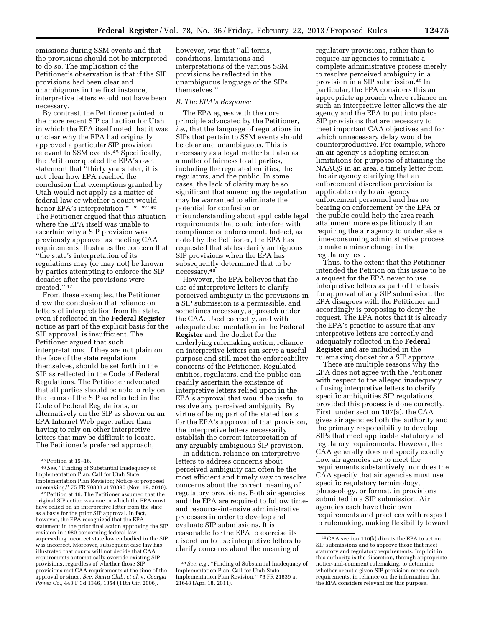emissions during SSM events and that the provisions should not be interpreted to do so. The implication of the Petitioner's observation is that if the SIP provisions had been clear and unambiguous in the first instance, interpretive letters would not have been necessary.

By contrast, the Petitioner pointed to the more recent SIP call action for Utah in which the EPA itself noted that it was unclear why the EPA had originally approved a particular SIP provision relevant to SSM events.45 Specifically, the Petitioner quoted the EPA's own statement that ''thirty years later, it is not clear how EPA reached the conclusion that exemptions granted by Utah would not apply as a matter of federal law or whether a court would honor EPA's interpretation \* \* \*" 46 The Petitioner argued that this situation where the EPA itself was unable to ascertain why a SIP provision was previously approved as meeting CAA requirements illustrates the concern that ''the state's interpretation of its regulations may (or may not) be known by parties attempting to enforce the SIP decades after the provisions were created.'' 47

From these examples, the Petitioner drew the conclusion that reliance on letters of interpretation from the state, even if reflected in the **Federal Register**  notice as part of the explicit basis for the SIP approval, is insufficient. The Petitioner argued that such interpretations, if they are not plain on the face of the state regulations themselves, should be set forth in the SIP as reflected in the Code of Federal Regulations. The Petitioner advocated that all parties should be able to rely on the terms of the SIP as reflected in the Code of Federal Regulations, or alternatively on the SIP as shown on an EPA Internet Web page, rather than having to rely on other interpretive letters that may be difficult to locate. The Petitioner's preferred approach,

47Petition at 16. The Petitioner assumed that the original SIP action was one in which the EPA must have relied on an interpretive letter from the state as a basis for the prior SIP approval. In fact, however, the EPA recognized that the EPA statement in the prior final action approving the SIP revision in 1980 concerning federal law superseding incorrect state law embodied in the SIP was incorrect. Moreover, subsequent case law has illustrated that courts will not decide that CAA requirements automatically override existing SIP provisions, regardless of whether those SIP provisions met CAA requirements at the time of the approval or since. *See, Sierra Club, et al.* v. *Georgia Power Co.,* 443 F.3d 1346, 1354 (11th Cir. 2006).

however, was that ''all terms, conditions, limitations and interpretations of the various SSM provisions be reflected in the unambiguous language of the SIPs themselves.''

#### *B. The EPA's Response*

The EPA agrees with the core principle advocated by the Petitioner, *i.e.,* that the language of regulations in SIPs that pertain to SSM events should be clear and unambiguous. This is necessary as a legal matter but also as a matter of fairness to all parties, including the regulated entities, the regulators, and the public. In some cases, the lack of clarity may be so significant that amending the regulation may be warranted to eliminate the potential for confusion or misunderstanding about applicable legal requirements that could interfere with compliance or enforcement. Indeed, as noted by the Petitioner, the EPA has requested that states clarify ambiguous SIP provisions when the EPA has subsequently determined that to be necessary.48

However, the EPA believes that the use of interpretive letters to clarify perceived ambiguity in the provisions in a SIP submission is a permissible, and sometimes necessary, approach under the CAA. Used correctly, and with adequate documentation in the **Federal Register** and the docket for the underlying rulemaking action, reliance on interpretive letters can serve a useful purpose and still meet the enforceability concerns of the Petitioner. Regulated entities, regulators, and the public can readily ascertain the existence of interpretive letters relied upon in the EPA's approval that would be useful to resolve any perceived ambiguity. By virtue of being part of the stated basis for the EPA's approval of that provision, the interpretive letters necessarily establish the correct interpretation of any arguably ambiguous SIP provision.

In addition, reliance on interpretive letters to address concerns about perceived ambiguity can often be the most efficient and timely way to resolve concerns about the correct meaning of regulatory provisions. Both air agencies and the EPA are required to follow timeand resource-intensive administrative processes in order to develop and evaluate SIP submissions. It is reasonable for the EPA to exercise its discretion to use interpretive letters to clarify concerns about the meaning of

regulatory provisions, rather than to require air agencies to reinitiate a complete administrative process merely to resolve perceived ambiguity in a provision in a SIP submission.49 In particular, the EPA considers this an appropriate approach where reliance on such an interpretive letter allows the air agency and the EPA to put into place SIP provisions that are necessary to meet important CAA objectives and for which unnecessary delay would be counterproductive. For example, where an air agency is adopting emission limitations for purposes of attaining the NAAQS in an area, a timely letter from the air agency clarifying that an enforcement discretion provision is applicable only to air agency enforcement personnel and has no bearing on enforcement by the EPA or the public could help the area reach attainment more expeditiously than requiring the air agency to undertake a time-consuming administrative process to make a minor change in the regulatory text.

Thus, to the extent that the Petitioner intended the Petition on this issue to be a request for the EPA never to use interpretive letters as part of the basis for approval of any SIP submission, the EPA disagrees with the Petitioner and accordingly is proposing to deny the request. The EPA notes that it is already the EPA's practice to assure that any interpretive letters are correctly and adequately reflected in the **Federal Register** and are included in the rulemaking docket for a SIP approval.

There are multiple reasons why the EPA does not agree with the Petitioner with respect to the alleged inadequacy of using interpretive letters to clarify specific ambiguities SIP regulations, provided this process is done correctly. First, under section 107(a), the CAA gives air agencies both the authority and the primary responsibility to develop SIPs that meet applicable statutory and regulatory requirements. However, the CAA generally does not specify exactly how air agencies are to meet the requirements substantively, nor does the CAA specify that air agencies must use specific regulatory terminology, phraseology, or format, in provisions submitted in a SIP submission. Air agencies each have their own requirements and practices with respect to rulemaking, making flexibility toward

 $\,$  45 Petition at 15–16.

<sup>46</sup>*See,* ''Finding of Substantial Inadequacy of Implementation Plan; Call for Utah State Implementation Plan Revision; Notice of proposed rulemaking,'' 75 FR 70888 at 70890 (Nov. 19, 2010).

<sup>48</sup>*See, e.g.,* ''Finding of Substantial Inadequacy of Implementation Plan; Call for Utah State Implementation Plan Revision,'' 76 FR 21639 at 21648 (Apr. 18, 2011).

<sup>49</sup>CAA section 110(k) directs the EPA to act on SIP submissions and to approve those that meet statutory and regulatory requirements. Implicit in this authority is the discretion, through appropriate notice-and-comment rulemaking, to determine whether or not a given SIP provision meets such requirements, in reliance on the information that the EPA considers relevant for this purpose.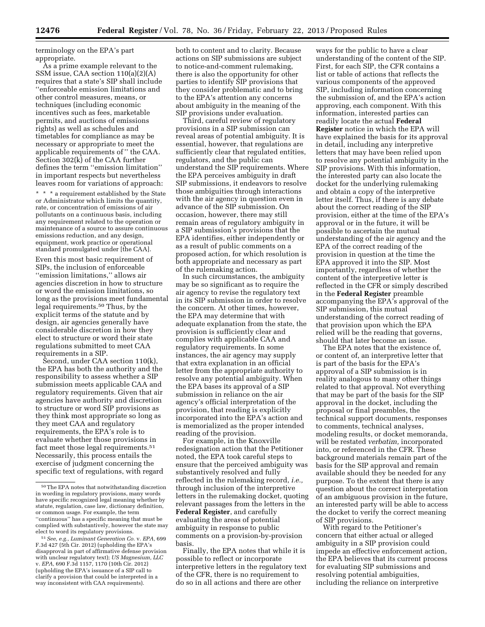terminology on the EPA's part appropriate.

As a prime example relevant to the SSM issue, CAA section 110(a)(2)(A) requires that a state's SIP shall include ''enforceable emission limitations and other control measures, means, or techniques (including economic incentives such as fees, marketable permits, and auctions of emissions rights) as well as schedules and timetables for compliance as may be necessary or appropriate to meet the applicable requirements of '' the CAA. Section 302(k) of the CAA further defines the term ''emission limitation'' in important respects but nevertheless leaves room for variations of approach:

\* \* \* a requirement established by the State or Administrator which limits the quantity, rate, or concentration of emissions of air pollutants on a continuous basis, including any requirement related to the operation or maintenance of a source to assure continuous emissions reduction, and any design, equipment, work practice or operational standard promulgated under [the CAA].

Even this most basic requirement of SIPs, the inclusion of enforceable ''emission limitations,'' allows air agencies discretion in how to structure or word the emission limitations, so long as the provisions meet fundamental legal requirements.50 Thus, by the explicit terms of the statute and by design, air agencies generally have considerable discretion in how they elect to structure or word their state regulations submitted to meet CAA requirements in a SIP.

Second, under CAA section 110(k), the EPA has both the authority and the responsibility to assess whether a SIP submission meets applicable CAA and regulatory requirements. Given that air agencies have authority and discretion to structure or word SIP provisions as they think most appropriate so long as they meet CAA and regulatory requirements, the EPA's role is to evaluate whether those provisions in fact meet those legal requirements.51 Necessarily, this process entails the exercise of judgment concerning the specific text of regulations, with regard both to content and to clarity. Because actions on SIP submissions are subject to notice-and-comment rulemaking, there is also the opportunity for other parties to identify SIP provisions that they consider problematic and to bring to the EPA's attention any concerns about ambiguity in the meaning of the SIP provisions under evaluation.

Third, careful review of regulatory provisions in a SIP submission can reveal areas of potential ambiguity. It is essential, however, that regulations are sufficiently clear that regulated entities, regulators, and the public can understand the SIP requirements. Where the EPA perceives ambiguity in draft SIP submissions, it endeavors to resolve those ambiguities through interactions with the air agency in question even in advance of the SIP submission. On occasion, however, there may still remain areas of regulatory ambiguity in a SIP submission's provisions that the EPA identifies, either independently or as a result of public comments on a proposed action, for which resolution is both appropriate and necessary as part of the rulemaking action.

In such circumstances, the ambiguity may be so significant as to require the air agency to revise the regulatory text in its SIP submission in order to resolve the concern. At other times, however, the EPA may determine that with adequate explanation from the state, the provision is sufficiently clear and complies with applicable CAA and regulatory requirements. In some instances, the air agency may supply that extra explanation in an official letter from the appropriate authority to resolve any potential ambiguity. When the EPA bases its approval of a SIP submission in reliance on the air agency's official interpretation of the provision, that reading is explicitly incorporated into the EPA's action and is memorialized as the proper intended reading of the provision.

For example, in the Knoxville redesignation action that the Petitioner noted, the EPA took careful steps to ensure that the perceived ambiguity was substantively resolved and fully reflected in the rulemaking record, *i.e.,*  through inclusion of the interpretive letters in the rulemaking docket, quoting relevant passages from the letters in the **Federal Register**, and carefully evaluating the areas of potential ambiguity in response to public comments on a provision-by-provision basis.

Finally, the EPA notes that while it is possible to reflect or incorporate interpretive letters in the regulatory text of the CFR, there is no requirement to do so in all actions and there are other

ways for the public to have a clear understanding of the content of the SIP. First, for each SIP, the CFR contains a list or table of actions that reflects the various components of the approved SIP, including information concerning the submission of, and the EPA's action approving, each component. With this information, interested parties can readily locate the actual **Federal Register** notice in which the EPA will have explained the basis for its approval in detail, including any interpretive letters that may have been relied upon to resolve any potential ambiguity in the SIP provisions. With this information, the interested party can also locate the docket for the underlying rulemaking and obtain a copy of the interpretive letter itself. Thus, if there is any debate about the correct reading of the SIP provision, either at the time of the EPA's approval or in the future, it will be possible to ascertain the mutual understanding of the air agency and the EPA of the correct reading of the provision in question at the time the EPA approved it into the SIP. Most importantly, regardless of whether the content of the interpretive letter is reflected in the CFR or simply described in the **Federal Register** preamble accompanying the EPA's approval of the SIP submission, this mutual understanding of the correct reading of that provision upon which the EPA relied will be the reading that governs, should that later become an issue.

The EPA notes that the existence of, or content of, an interpretive letter that is part of the basis for the EPA's approval of a SIP submission is in reality analogous to many other things related to that approval. Not everything that may be part of the basis for the SIP approval in the docket, including the proposal or final preambles, the technical support documents, responses to comments, technical analyses, modeling results, or docket memoranda, will be restated *verbatim,* incorporated into, or referenced in the CFR. These background materials remain part of the basis for the SIP approval and remain available should they be needed for any purpose. To the extent that there is any question about the correct interpretation of an ambiguous provision in the future, an interested party will be able to access the docket to verify the correct meaning of SIP provisions.

With regard to the Petitioner's concern that either actual or alleged ambiguity in a SIP provision could impede an effective enforcement action, the EPA believes that its current process for evaluating SIP submissions and resolving potential ambiguities, including the reliance on interpretive

<sup>50</sup>The EPA notes that notwithstanding discretion in wording in regulatory provisions, many words have specific recognized legal meaning whether by statute, regulation, case law, dictionary definition, or common usage. For example, the term ''continuous'' has a specific meaning that must be complied with substantively, however the state may elect to word its regulatory provisions.

<sup>51</sup>*See, e.g., Luminant Generation Co.* v. *EPA,* 699 F.3d 427 (5th Cir. 2012) (upholding the EPA's disapproval in part of affirmative defense provision with unclear regulatory text); *US Magnesium, LLC*  v. *EPA,* 690 F.3d 1157, 1170 (10th Cir. 2012) (upholding the EPA's issuance of a SIP call to clarify a provision that could be interpreted in a way inconsistent with CAA requirements).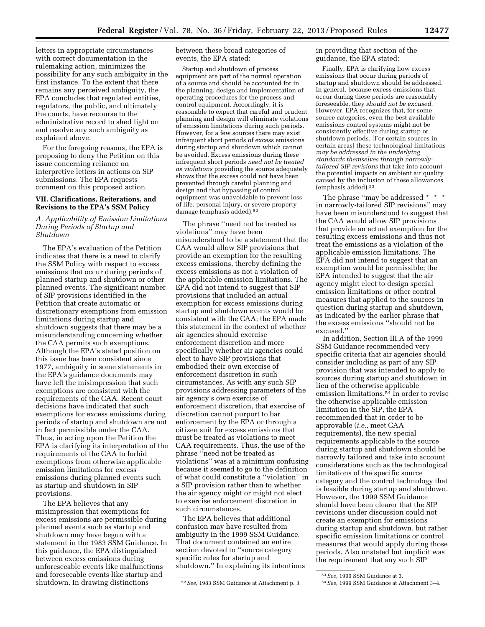letters in appropriate circumstances with correct documentation in the rulemaking action, minimizes the possibility for any such ambiguity in the first instance. To the extent that there remains any perceived ambiguity, the EPA concludes that regulated entities, regulators, the public, and ultimately the courts, have recourse to the administrative record to shed light on and resolve any such ambiguity as explained above.

For the foregoing reasons, the EPA is proposing to deny the Petition on this issue concerning reliance on interpretive letters in actions on SIP submissions. The EPA requests comment on this proposed action.

#### **VII. Clarifications, Reiterations, and Revisions to the EPA's SSM Policy**

## *A. Applicability of Emission Limitations During Periods of Startup and Shutdown*

The EPA's evaluation of the Petition indicates that there is a need to clarify the SSM Policy with respect to excess emissions that occur during periods of planned startup and shutdown or other planned events. The significant number of SIP provisions identified in the Petition that create automatic or discretionary exemptions from emission limitations during startup and shutdown suggests that there may be a misunderstanding concerning whether the CAA permits such exemptions. Although the EPA's stated position on this issue has been consistent since 1977, ambiguity in some statements in the EPA's guidance documents may have left the misimpression that such exemptions are consistent with the requirements of the CAA. Recent court decisions have indicated that such exemptions for excess emissions during periods of startup and shutdown are not in fact permissible under the CAA. Thus, in acting upon the Petition the EPA is clarifying its interpretation of the requirements of the CAA to forbid exemptions from otherwise applicable emission limitations for excess emissions during planned events such as startup and shutdown in SIP provisions.

The EPA believes that any misimpression that exemptions for excess emissions are permissible during planned events such as startup and shutdown may have begun with a statement in the 1983 SSM Guidance. In this guidance, the EPA distinguished between excess emissions during unforeseeable events like malfunctions and foreseeable events like startup and shutdown. In drawing distinctions

between these broad categories of events, the EPA stated:

Startup and shutdown of process equipment are part of the normal operation of a source and should be accounted for in the planning, design and implementation of operating procedures for the process and control equipment. Accordingly, it is reasonable to expect that careful and prudent planning and design will eliminate violations of emission limitations during such periods. However, for a few sources there may exist infrequent short periods of excess emissions during startup and shutdown which cannot be avoided. Excess emissions during these infrequent short periods *need not be treated as violations* providing the source adequately shows that the excess could not have been prevented through careful planning and design and that bypassing of control equipment was unavoidable to prevent loss of life, personal injury, or severe property damage (emphasis added).52

The phrase ''need not be treated as violations'' may have been misunderstood to be a statement that the CAA would allow SIP provisions that provide an exemption for the resulting excess emissions, thereby defining the excess emissions as not a violation of the applicable emission limitations. The EPA did not intend to suggest that SIP provisions that included an actual exemption for excess emissions during startup and shutdown events would be consistent with the CAA; the EPA made this statement in the context of whether air agencies should exercise enforcement discretion and more specifically whether air agencies could elect to have SIP provisions that embodied their own exercise of enforcement discretion in such circumstances. As with any such SIP provisions addressing parameters of the air agency's own exercise of enforcement discretion, that exercise of discretion cannot purport to bar enforcement by the EPA or through a citizen suit for excess emissions that must be treated as violations to meet CAA requirements. Thus, the use of the phrase ''need not be treated as violations'' was at a minimum confusing because it seemed to go to the definition of what could constitute a ''violation'' in a SIP provision rather than to whether the air agency might or might not elect to exercise enforcement discretion in such circumstances.

The EPA believes that additional confusion may have resulted from ambiguity in the 1999 SSM Guidance. That document contained an entire section devoted to ''source category specific rules for startup and shutdown.'' In explaining its intentions in providing that section of the guidance, the EPA stated:

Finally, EPA is clarifying how excess emissions that occur during periods of startup and shutdown should be addressed. In general, because excess emissions that occur during these periods are reasonably foreseeable, they *should not be excused.*  However, EPA recognizes that, for some source categories, even the best available emissions control systems might not be consistently effective during startup or shutdown periods. [For certain sources in certain areas] these technological limitations *may be addressed in the underlying standards themselves through narrowlytailored SIP revisions* that take into account the potential impacts on ambient air quality caused by the inclusion of these allowances (emphasis added).53

The phrase "may be addressed \* \* \* in narrowly-tailored SIP revisions'' may have been misunderstood to suggest that the CAA would allow SIP provisions that provide an actual exemption for the resulting excess emissions and thus not treat the emissions as a violation of the applicable emission limitations. The EPA did not intend to suggest that an exemption would be permissible; the EPA intended to suggest that the air agency might elect to design special emission limitations or other control measures that applied to the sources in question during startup and shutdown, as indicated by the earlier phrase that the excess emissions ''should not be excused.''

In addition, Section III.A of the 1999 SSM Guidance recommended very specific criteria that air agencies should consider including as part of any SIP provision that was intended to apply to sources during startup and shutdown in lieu of the otherwise applicable emission limitations.54 In order to revise the otherwise applicable emission limitation in the SIP, the EPA recommended that in order to be approvable (*i.e.,* meet CAA requirements), the new special requirements applicable to the source during startup and shutdown should be narrowly tailored and take into account considerations such as the technological limitations of the specific source category and the control technology that is feasible during startup and shutdown. However, the 1999 SSM Guidance should have been clearer that the SIP revisions under discussion could not create an exemption for emissions during startup and shutdown, but rather specific emission limitations or control measures that would apply during those periods. Also unstated but implicit was the requirement that any such SIP

<sup>52</sup>*See,* 1983 SSM Guidance at Attachment p. 3.

<sup>53</sup>*See,* 1999 SSM Guidance at 3.

<sup>54</sup>*See,* 1999 SSM Guidance at Attachment 3–4.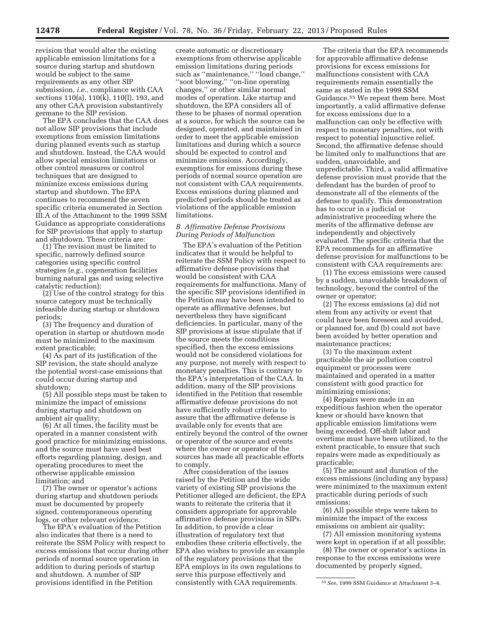revision that would alter the existing applicable emission limitations for a source during startup and shutdown would be subject to the same requirements as any other SIP submission, *i.e.,* compliance with CAA sections 110(a), 110(k), 110(l), 193, and any other CAA provision substantively germane to the SIP revision.

The EPA concludes that the CAA does not allow SIP provisions that include exemptions from emission limitations during planned events such as startup and shutdown. Instead, the CAA would allow special emission limitations or other control measures or control techniques that are designed to minimize excess emissions during startup and shutdown. The EPA continues to recommend the seven specific criteria enumerated in Section III.A of the Attachment to the 1999 SSM Guidance as appropriate considerations for SIP provisions that apply to startup and shutdown. These criteria are:

(1) The revision must be limited to specific, narrowly defined source categories using specific control strategies (*e.g.,* cogeneration facilities burning natural gas and using selective catalytic reduction);

(2) Use of the control strategy for this source category must be technically infeasible during startup or shutdown periods;

(3) The frequency and duration of operation in startup or shutdown mode must be minimized to the maximum extent practicable;

(4) As part of its justification of the SIP revision, the state should analyze the potential worst-case emissions that could occur during startup and shutdown;

(5) All possible steps must be taken to minimize the impact of emissions during startup and shutdown on ambient air quality;

(6) At all times, the facility must be operated in a manner consistent with good practice for minimizing emissions, and the source must have used best efforts regarding planning, design, and operating procedures to meet the otherwise applicable emission limitation; and

(7) The owner or operator's actions during startup and shutdown periods must be documented by properly signed, contemporaneous operating logs, or other relevant evidence.

The EPA's evaluation of the Petition also indicates that there is a need to reiterate the SSM Policy with respect to excess emissions that occur during other periods of normal source operation in addition to during periods of startup and shutdown. A number of SIP provisions identified in the Petition

create automatic or discretionary exemptions from otherwise applicable emission limitations during periods such as ''maintenance,'' ''load change,'' ''soot blowing,'' ''on-line operating changes,'' or other similar normal modes of operation. Like startup and shutdown, the EPA considers all of these to be phases of normal operation at a source, for which the source can be designed, operated, and maintained in order to meet the applicable emission limitations and during which a source should be expected to control and minimize emissions. Accordingly, exemptions for emissions during these periods of normal source operation are not consistent with CAA requirements. Excess emissions during planned and predicted periods should be treated as violations of the applicable emission limitations.

#### *B. Affirmative Defense Provisions During Periods of Malfunction*

The EPA's evaluation of the Petition indicates that it would be helpful to reiterate the SSM Policy with respect to affirmative defense provisions that would be consistent with CAA requirements for malfunctions. Many of the specific SIP provisions identified in the Petition may have been intended to operate as affirmative defenses, but nevertheless they have significant deficiencies. In particular, many of the SIP provisions at issue stipulate that if the source meets the conditions specified, then the excess emissions would not be considered violations for any purpose, not merely with respect to monetary penalties. This is contrary to the EPA's interpretation of the CAA. In addition, many of the SIP provisions identified in the Petition that resemble affirmative defense provisions do not have sufficiently robust criteria to assure that the affirmative defense is available only for events that are entirely beyond the control of the owner or operator of the source and events where the owner or operator of the sources has made all practicable efforts to comply.

After consideration of the issues raised by the Petition and the wide variety of existing SIP provisions the Petitioner alleged are deficient, the EPA wants to reiterate the criteria that it considers appropriate for approvable affirmative defense provisions in SIPs. In addition, to provide a clear illustration of regulatory text that embodies these criteria effectively, the EPA also wishes to provide an example of the regulatory provisions that the EPA employs in its own regulations to serve this purpose effectively and consistently with CAA requirements.

The criteria that the EPA recommends for approvable affirmative defense provisions for excess emissions for malfunctions consistent with CAA requirements remain essentially the same as stated in the 1999 SSM Guidance.55 We repeat them here. Most importantly, a valid affirmative defense for excess emissions due to a malfunction can only be effective with respect to monetary penalties, not with respect to potential injunctive relief. Second, the affirmative defense should be limited only to malfunctions that are sudden, unavoidable, and unpredictable. Third, a valid affirmative defense provision must provide that the defendant has the burden of proof to demonstrate all of the elements of the defense to qualify. This demonstration has to occur in a judicial or administrative proceeding where the merits of the affirmative defense are independently and objectively evaluated. The specific criteria that the EPA recommends for an affirmative defense provision for malfunctions to be consistent with CAA requirements are:

(1) The excess emissions were caused by a sudden, unavoidable breakdown of technology, beyond the control of the owner or operator;

(2) The excess emissions (a) did not stem from any activity or event that could have been foreseen and avoided, or planned for, and (b) could not have been avoided by better operation and maintenance practices;

(3) To the maximum extent practicable the air pollution control equipment or processes were maintained and operated in a matter consistent with good practice for minimizing emissions;

(4) Repairs were made in an expeditious fashion when the operator knew or should have known that applicable emission limitations were being exceeded. Off-shift labor and overtime must have been utilized, to the extent practicable, to ensure that such repairs were made as expeditiously as practicable;

(5) The amount and duration of the excess emissions (including any bypass) were minimized to the maximum extent practicable during periods of such emissions;

(6) All possible steps were taken to minimize the impact of the excess emissions on ambient air quality;

(7) All emission monitoring systems were kept in operation if at all possible;

(8) The owner or operator's actions in response to the excess emissions were documented by properly signed,

<sup>55</sup>*See,* 1999 SSM Guidance at Attachment 3–4.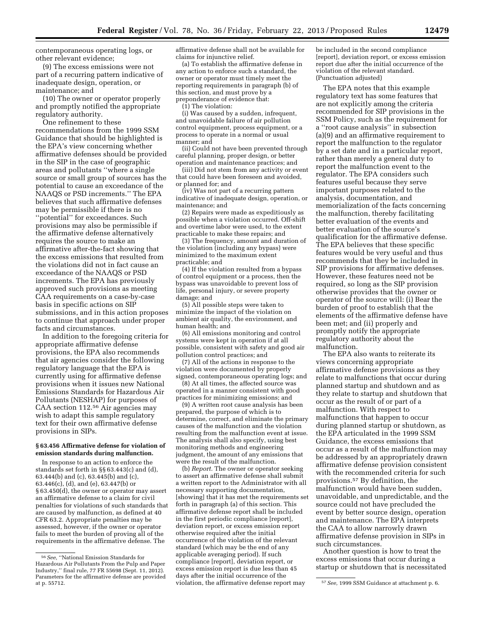contemporaneous operating logs, or other relevant evidence;

(9) The excess emissions were not part of a recurring pattern indicative of inadequate design, operation, or maintenance; and

(10) The owner or operator properly and promptly notified the appropriate regulatory authority.

One refinement to these recommendations from the 1999 SSM Guidance that should be highlighted is the EPA's view concerning whether affirmative defenses should be provided in the SIP in the case of geographic areas and pollutants ''where a single source or small group of sources has the potential to cause an exceedance of the NAAQS or PSD increments.'' The EPA believes that such affirmative defenses may be permissible if there is no ''potential'' for exceedances. Such provisions may also be permissible if the affirmative defense alternatively requires the source to make an affirmative after-the-fact showing that the excess emissions that resulted from the violations did not in fact cause an exceedance of the NAAQS or PSD increments. The EPA has previously approved such provisions as meeting CAA requirements on a case-by-case basis in specific actions on SIP submissions, and in this action proposes to continue that approach under proper facts and circumstances.

In addition to the foregoing criteria for appropriate affirmative defense provisions, the EPA also recommends that air agencies consider the following regulatory language that the EPA is currently using for affirmative defense provisions when it issues new National Emissions Standards for Hazardous Air Pollutants (NESHAP) for purposes of CAA section 112.56 Air agencies may wish to adapt this sample regulatory text for their own affirmative defense provisions in SIPs.

#### **§ 63.456 Affirmative defense for violation of emission standards during malfunction.**

In response to an action to enforce the standards set forth in §§ 63.443(c) and (d), 63.444(b) and (c), 63.445(b) and (c), 63.446(c), (d), and (e), 63.447(b) or § 63.450(d), the owner or operator may assert an affirmative defense to a claim for civil penalties for violations of such standards that are caused by malfunction, as defined at 40 CFR 63.2. Appropriate penalties may be assessed, however, if the owner or operator fails to meet the burden of proving all of the requirements in the affirmative defense. The

affirmative defense shall not be available for claims for injunctive relief.

(a) To establish the affirmative defense in any action to enforce such a standard, the owner or operator must timely meet the reporting requirements in paragraph (b) of this section, and must prove by a preponderance of evidence that:

(1) The violation:

(i) Was caused by a sudden, infrequent, and unavoidable failure of air pollution control equipment, process equipment, or a process to operate in a normal or usual manner; and

(ii) Could not have been prevented through careful planning, proper design, or better operation and maintenance practices; and

(iii) Did not stem from any activity or event that could have been foreseen and avoided, or planned for; and

(iv) Was not part of a recurring pattern indicative of inadequate design, operation, or maintenance; and

(2) Repairs were made as expeditiously as possible when a violation occurred. Off-shift and overtime labor were used, to the extent practicable to make these repairs; and

(3) The frequency, amount and duration of the violation (including any bypass) were minimized to the maximum extent practicable; and

(4) If the violation resulted from a bypass of control equipment or a process, then the bypass was unavoidable to prevent loss of life, personal injury, or severe property damage; and

(5) All possible steps were taken to minimize the impact of the violation on ambient air quality, the environment, and human health; and

(6) All emissions monitoring and control systems were kept in operation if at all possible, consistent with safety and good air pollution control practices; and

(7) All of the actions in response to the violation were documented by properly signed, contemporaneous operating logs; and

(8) At all times, the affected source was operated in a manner consistent with good practices for minimizing emissions; and

(9) A written root cause analysis has been prepared, the purpose of which is to determine, correct, and eliminate the primary causes of the malfunction and the violation resulting from the malfunction event at issue. The analysis shall also specify, using best monitoring methods and engineering judgment, the amount of any emissions that were the result of the malfunction.

(b) *Report.* The owner or operator seeking to assert an affirmative defense shall submit a written report to the Administrator with all necessary supporting documentation, [showing] that it has met the requirements set forth in paragraph (a) of this section. This affirmative defense report shall be included in the first periodic compliance [report], deviation report, or excess emission report otherwise required after the initial occurrence of the violation of the relevant standard (which may be the end of any applicable averaging period). If such compliance [report], deviation report, or excess emission report is due less than 45 days after the initial occurrence of the

be included in the second compliance [report], deviation report, or excess emission report due after the initial occurrence of the violation of the relevant standard. (Punctuation adjusted)

The EPA notes that this example regulatory text has some features that are not explicitly among the criteria recommended for SIP provisions in the SSM Policy, such as the requirement for a ''root cause analysis'' in subsection (a)(9) and an affirmative requirement to report the malfunction to the regulator by a set date and in a particular report, rather than merely a general duty to report the malfunction event to the regulator. The EPA considers such features useful because they serve important purposes related to the analysis, documentation, and memorialization of the facts concerning the malfunction, thereby facilitating better evaluation of the events and better evaluation of the source's qualification for the affirmative defense. The EPA believes that these specific features would be very useful and thus recommends that they be included in SIP provisions for affirmative defenses. However, these features need not be required, so long as the SIP provision otherwise provides that the owner or operator of the source will: (i) Bear the burden of proof to establish that the elements of the affirmative defense have been met; and (ii) properly and promptly notify the appropriate regulatory authority about the malfunction.

The EPA also wants to reiterate its views concerning appropriate affirmative defense provisions as they relate to malfunctions that occur during planned startup and shutdown and as they relate to startup and shutdown that occur as the result of or part of a malfunction. With respect to malfunctions that happen to occur during planned startup or shutdown, as the EPA articulated in the 1999 SSM Guidance, the excess emissions that occur as a result of the malfunction may be addressed by an appropriately drawn affirmative defense provision consistent with the recommended criteria for such provisions.57 By definition, the malfunction would have been sudden, unavoidable, and unpredictable, and the source could not have precluded the event by better source design, operation and maintenance. The EPA interprets the CAA to allow narrowly drawn affirmative defense provision in SIPs in such circumstances.

Another question is how to treat the excess emissions that occur during a startup or shutdown that is necessitated

<sup>56</sup>*See,* ''National Emission Standards for Hazardous Air Pollutants From the Pulp and Paper Industry,'' final rule, 77 FR 55698 (Sept. 11, 2012). Parameters for the affirmative defense are provided at p. 55712. 57*See,* 1999 SSM Guidance at attachment p. 6. violation, the affirmative defense report may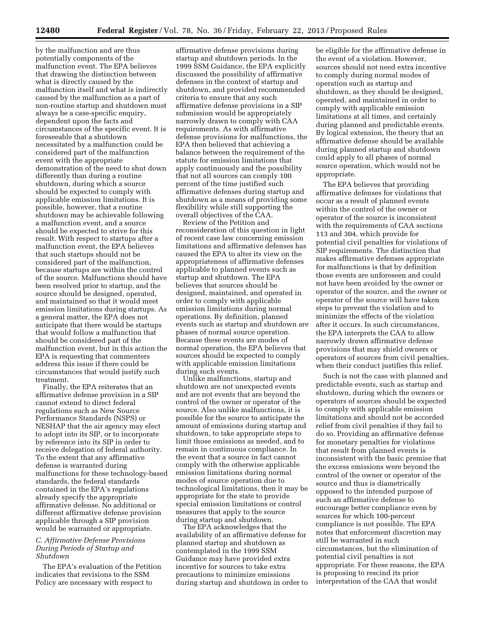by the malfunction and are thus potentially components of the malfunction event. The EPA believes that drawing the distinction between what is directly caused by the malfunction itself and what is indirectly caused by the malfunction as a part of non-routine startup and shutdown must always be a case-specific enquiry, dependent upon the facts and circumstances of the specific event. It is foreseeable that a shutdown necessitated by a malfunction could be considered part of the malfunction event with the appropriate demonstration of the need to shut down differently than during a routine shutdown, during which a source should be expected to comply with applicable emission limitations. It is possible, however, that a routine shutdown may be achievable following a malfunction event, and a source should be expected to strive for this result. With respect to startups after a malfunction event, the EPA believes that such startups should not be considered part of the malfunction, because startups are within the control of the source. Malfunctions should have been resolved prior to startup, and the source should be designed, operated, and maintained so that it would meet emission limitations during startups. As a general matter, the EPA does not anticipate that there would be startups that would follow a malfunction that should be considered part of the malfunction event, but in this action the EPA is requesting that commenters address this issue if there could be circumstances that would justify such treatment.

Finally, the EPA reiterates that an affirmative defense provision in a SIP cannot extend to direct federal regulations such as New Source Performance Standards (NSPS) or NESHAP that the air agency may elect to adopt into its SIP, or to incorporate by reference into its SIP in order to receive delegation of federal authority. To the extent that any affirmative defense is warranted during malfunctions for these technology-based standards, the federal standards contained in the EPA's regulations already specify the appropriate affirmative defense. No additional or different affirmative defense provision applicable through a SIP provision would be warranted or appropriate.

# *C. Affirmative Defense Provisions During Periods of Startup and Shutdown*

The EPA's evaluation of the Petition indicates that revisions to the SSM Policy are necessary with respect to

affirmative defense provisions during startup and shutdown periods. In the 1999 SSM Guidance, the EPA explicitly discussed the possibility of affirmative defenses in the context of startup and shutdown, and provided recommended criteria to ensure that any such affirmative defense provisions in a SIP submission would be appropriately narrowly drawn to comply with CAA requirements. As with affirmative defense provisions for malfunctions, the EPA then believed that achieving a balance between the requirement of the statute for emission limitations that apply continuously and the possibility that not all sources can comply 100 percent of the time justified such affirmative defenses during startup and shutdown as a means of providing some flexibility while still supporting the overall objectives of the CAA.

Review of the Petition and reconsideration of this question in light of recent case law concerning emission limitations and affirmative defenses has caused the EPA to alter its view on the appropriateness of affirmative defenses applicable to planned events such as startup and shutdown. The EPA believes that sources should be designed, maintained, and operated in order to comply with applicable emission limitations during normal operations. By definition, planned events such as startup and shutdown are phases of normal source operation. Because these events are modes of normal operation, the EPA believes that sources should be expected to comply with applicable emission limitations during such events.

Unlike malfunctions, startup and shutdown are not unexpected events and are not events that are beyond the control of the owner or operator of the source. Also unlike malfunctions, it is possible for the source to anticipate the amount of emissions during startup and shutdown, to take appropriate steps to limit those emissions as needed, and to remain in continuous compliance. In the event that a source in fact cannot comply with the otherwise applicable emission limitations during normal modes of source operation due to technological limitations, then it may be appropriate for the state to provide special emission limitations or control measures that apply to the source during startup and shutdown.

The EPA acknowledges that the availability of an affirmative defense for planned startup and shutdown as contemplated in the 1999 SSM Guidance may have provided extra incentive for sources to take extra precautions to minimize emissions during startup and shutdown in order to be eligible for the affirmative defense in the event of a violation. However, sources should not need extra incentive to comply during normal modes of operation such as startup and shutdown, as they should be designed, operated, and maintained in order to comply with applicable emission limitations at all times, and certainly during planned and predictable events. By logical extension, the theory that an affirmative defense should be available during planned startup and shutdown could apply to all phases of normal source operation, which would not be appropriate.

The EPA believes that providing affirmative defenses for violations that occur as a result of planned events within the control of the owner or operator of the source is inconsistent with the requirements of CAA sections 113 and 304, which provide for potential civil penalties for violations of SIP requirements. The distinction that makes affirmative defenses appropriate for malfunctions is that by definition those events are unforeseen and could not have been avoided by the owner or operator of the source, and the owner or operator of the source will have taken steps to prevent the violation and to minimize the effects of the violation after it occurs. In such circumstances, the EPA interprets the CAA to allow narrowly drawn affirmative defense provisions that may shield owners or operators of sources from civil penalties, when their conduct justifies this relief.

Such is not the case with planned and predictable events, such as startup and shutdown, during which the owners or operators of sources should be expected to comply with applicable emission limitations and should not be accorded relief from civil penalties if they fail to do so. Providing an affirmative defense for monetary penalties for violations that result from planned events is inconsistent with the basic premise that the excess emissions were beyond the control of the owner or operator of the source and thus is diametrically opposed to the intended purpose of such an affirmative defense to encourage better compliance even by sources for which 100-percent compliance is not possible. The EPA notes that enforcement discretion may still be warranted in such circumstances, but the elimination of potential civil penalties is not appropriate. For these reasons, the EPA is proposing to rescind its prior interpretation of the CAA that would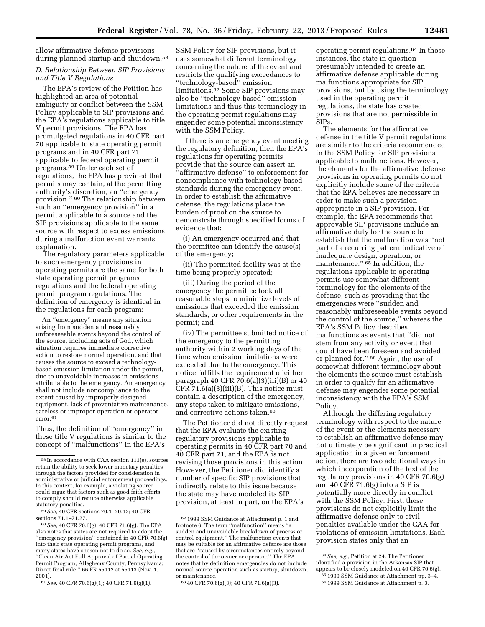allow affirmative defense provisions during planned startup and shutdown.<sup>58</sup>

# *D. Relationship Between SIP Provisions and Title V Regulations*

The EPA's review of the Petition has highlighted an area of potential ambiguity or conflict between the SSM Policy applicable to SIP provisions and the EPA's regulations applicable to title V permit provisions. The EPA has promulgated regulations in 40 CFR part 70 applicable to state operating permit programs and in 40 CFR part 71 applicable to federal operating permit programs.59 Under each set of regulations, the EPA has provided that permits may contain, at the permitting authority's discretion, an ''emergency provision.'' 60 The relationship between such an ''emergency provision'' in a permit applicable to a source and the SIP provisions applicable to the same source with respect to excess emissions during a malfunction event warrants explanation.

The regulatory parameters applicable to such emergency provisions in operating permits are the same for both state operating permit programs regulations and the federal operating permit program regulations. The definition of emergency is identical in the regulations for each program:

An ''emergency'' means any situation arising from sudden and reasonably unforeseeable events beyond the control of the source, including acts of God, which situation requires immediate corrective action to restore normal operation, and that causes the source to exceed a technologybased emission limitation under the permit, due to unavoidable increases in emissions attributable to the emergency. An emergency shall not include noncompliance to the extent caused by improperly designed equipment, lack of preventative maintenance, careless or improper operation or operator error.61

Thus, the definition of ''emergency'' in these title V regulations is similar to the concept of ''malfunctions'' in the EPA's

60*See,* 40 CFR 70.6(g); 40 CFR 71.6(g). The EPA also notes that states are not required to adopt the ''emergency provision'' contained in 40 CFR 70.6(g) into their state operating permit programs, and many states have chosen not to do so. *See, e.g.,*  ''Clean Air Act Full Approval of Partial Operating Permit Program; Allegheny County; Pennsylvania; Direct final rule,'' 66 FR 55112 at 55113 (Nov. 1, 2001).

61*See,* 40 CFR 70.6(g)(1); 40 CFR 71.6(g)(1).

SSM Policy for SIP provisions, but it uses somewhat different terminology concerning the nature of the event and restricts the qualifying exceedances to ''technology-based'' emission limitations.62 Some SIP provisions may also be ''technology-based'' emission limitations and thus this terminology in the operating permit regulations may engender some potential inconsistency with the SSM Policy.

If there is an emergency event meeting the regulatory definition, then the EPA's regulations for operating permits provide that the source can assert an ''affirmative defense'' to enforcement for noncompliance with technology-based standards during the emergency event. In order to establish the affirmative defense, the regulations place the burden of proof on the source to demonstrate through specified forms of evidence that:

(i) An emergency occurred and that the permittee can identify the cause(s) of the emergency;

(ii) The permitted facility was at the time being properly operated;

(iii) During the period of the emergency the permittee took all reasonable steps to minimize levels of emissions that exceeded the emission standards, or other requirements in the permit; and

(iv) The permittee submitted notice of the emergency to the permitting authority within 2 working days of the time when emission limitations were exceeded due to the emergency. This notice fulfills the requirement of either paragraph 40 CFR 70.6(a)(3)(iii)(B) or 40 CFR  $71.6(a)(3)(iii)(B)$ . This notice must contain a description of the emergency, any steps taken to mitigate emissions, and corrective actions taken.63

The Petitioner did not directly request that the EPA evaluate the existing regulatory provisions applicable to operating permits in 40 CFR part 70 and 40 CFR part 71, and the EPA is not revising those provisions in this action. However, the Petitioner did identify a number of specific SIP provisions that indirectly relate to this issue because the state may have modeled its SIP provision, at least in part, on the EPA's

operating permit regulations.64 In those instances, the state in question presumably intended to create an affirmative defense applicable during malfunctions appropriate for SIP provisions, but by using the terminology used in the operating permit regulations, the state has created provisions that are not permissible in SIPs.

The elements for the affirmative defense in the title V permit regulations are similar to the criteria recommended in the SSM Policy for SIP provisions applicable to malfunctions. However, the elements for the affirmative defense provisions in operating permits do not explicitly include some of the criteria that the EPA believes are necessary in order to make such a provision appropriate in a SIP provision. For example, the EPA recommends that approvable SIP provisions include an affirmative duty for the source to establish that the malfunction was ''not part of a recurring pattern indicative of inadequate design, operation, or maintenance.'' 65 In addition, the regulations applicable to operating permits use somewhat different terminology for the elements of the defense, such as providing that the emergencies were ''sudden and reasonably unforeseeable events beyond the control of the source,'' whereas the EPA's SSM Policy describes malfunctions as events that ''did not stem from any activity or event that could have been foreseen and avoided, or planned for.'' 66 Again, the use of somewhat different terminology about the elements the source must establish in order to qualify for an affirmative defense may engender some potential inconsistency with the EPA's SSM Policy.

Although the differing regulatory terminology with respect to the nature of the event or the elements necessary to establish an affirmative defense may not ultimately be significant in practical application in a given enforcement action, there are two additional ways in which incorporation of the text of the regulatory provisions in 40 CFR 70.6(g) and 40 CFR 71.6(g) into a SIP is potentially more directly in conflict with the SSM Policy. First, these provisions do not explicitly limit the affirmative defense only to civil penalties available under the CAA for violations of emission limitations. Each provision states only that an

<sup>58</sup> In accordance with CAA section 113(e), sources retain the ability to seek lower monetary penalties through the factors provided for consideration in administrative or judicial enforcement proceedings. In this context, for example, a violating source could argue that factors such as good faith efforts to comply should reduce otherwise applicable statutory penalties.

<sup>59</sup>*See,* 40 CFR sections 70.1–70.12; 40 CFR sections 71.1–71.27.

<sup>62</sup> 1999 SSM Guidance at Attachment p. 1 and footnote 6. The term ''malfunction'' means ''a sudden and unavoidable breakdown of process or control equipment.'' The malfunction events that may be suitable for an affirmative defense are those that are ''caused by circumstances entirely beyond the control of the owner or operator.'' The EPA notes that by definition emergencies do not include normal source operation such as startup, shutdown, or maintenance.

<sup>63</sup> 40 CFR 70.6(g)(3); 40 CFR 71.6(g)(3).

<sup>64</sup>*See, e.g.,* Petition at 24. The Petitioner identified a provision in the Arkansas SIP that appears to be closely modeled on 40 CFR 70.6(g). 65 1999 SSM Guidance at Attachment pp. 3–4.

<sup>66</sup> 1999 SSM Guidance at Attachment p. 3.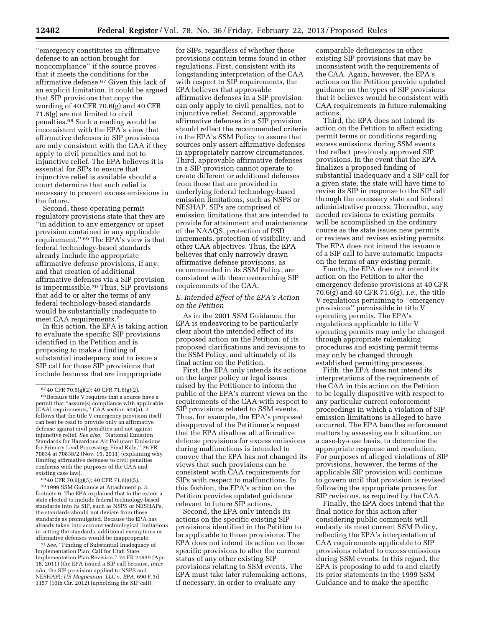''emergency constitutes an affirmative defense to an action brought for noncompliance'' if the source proves that it meets the conditions for the affirmative defense.67 Given this lack of an explicit limitation, it could be argued that SIP provisions that copy the wording of 40 CFR 70.6(g) and 40 CFR 71.6(g) are not limited to civil penalties.68 Such a reading would be inconsistent with the EPA's view that affirmative defenses in SIP provisions are only consistent with the CAA if they apply to civil penalties and not to injunctive relief. The EPA believes it is essential for SIPs to ensure that injunctive relief is available should a court determine that such relief is necessary to prevent excess emissions in the future.

Second, these operating permit regulatory provisions state that they are ''in addition to any emergency or upset provision contained in any applicable requirement.'' 69 The EPA's view is that federal technology-based standards already include the appropriate affirmative defense provisions, if any, and that creation of additional affirmative defenses via a SIP provision is impermissible.70 Thus, SIP provisions that add to or alter the terms of any federal technology-based standards would be substantially inadequate to meet CAA requirements.71

In this action, the EPA is taking action to evaluate the specific SIP provisions identified in the Petition and is proposing to make a finding of substantial inadequacy and to issue a SIP call for those SIP provisions that include features that are inappropriate

69 40 CFR 70.6(g)(5); 40 CFR 71.6(g)(5).

70 1999 SSM Guidance at Attachment p. 3, footnote 6. The EPA explained that to the extent a state elected to include federal technology-based standards into its SIP, such as NSPS or NESHAPs, the standards should not deviate from those standards as promulgated. Because the EPA has already taken into account technological limitations in setting the standards, additional exemptions or affirmative defenses would be inappropriate.

71*See,* ''Finding of Substantial Inadequacy of Implementation Plan; Call for Utah State Implementation Plan Revision,'' 74 FR 21639 (Apr. 18, 2011) (the EPA issued a SIP call because, *inter alia,* the SIP provision applied to NSPS and NESHAP); *US Magnesium, LLC* v. *EPA,* 690 F.3d 1157 (10th Cir. 2012) (upholding the SIP call).

for SIPs, regardless of whether those provisions contain terms found in other regulations. First, consistent with its longstanding interpretation of the CAA with respect to SIP requirements, the EPA believes that approvable affirmative defenses in a SIP provision can only apply to civil penalties, not to injunctive relief. Second, approvable affirmative defenses in a SIP provision should reflect the recommended criteria in the EPA's SSM Policy to assure that sources only assert affirmative defenses in appropriately narrow circumstances. Third, approvable affirmative defenses in a SIP provision cannot operate to create different or additional defenses from those that are provided in underlying federal technology-based emission limitations, such as NSPS or NESHAP. SIPs are comprised of emission limitations that are intended to provide for attainment and maintenance of the NAAQS, protection of PSD increments, protection of visibility, and other CAA objectives. Thus, the EPA believes that only narrowly drawn affirmative defense provisions, as recommended in its SSM Policy, are consistent with these overarching SIP requirements of the CAA.

#### *E. Intended Effect of the EPA's Action on the Petition*

As in the 2001 SSM Guidance, the EPA is endeavoring to be particularly clear about the intended effect of its proposed action on the Petition, of its proposed clarifications and revisions to the SSM Policy, and ultimately of its final action on the Petition.

First, the EPA only intends its actions on the larger policy or legal issues raised by the Petitioner to inform the public of the EPA's current views on the requirements of the CAA with respect to SIP provisions related to SSM events. Thus, for example, the EPA's proposed disapproval of the Petitioner's request that the EPA disallow all affirmative defense provisions for excess emissions during malfunctions is intended to convey that the EPA has not changed its views that such provisions can be consistent with CAA requirements for SIPs with respect to malfunctions. In this fashion, the EPA's action on the Petition provides updated guidance relevant to future SIP actions.

Second, the EPA only intends its actions on the specific existing SIP provisions identified in the Petition to be applicable to those provisions. The EPA does not intend its action on those specific provisions to alter the current status of any other existing SIP provisions relating to SSM events. The EPA must take later rulemaking actions, if necessary, in order to evaluate any

comparable deficiencies in other existing SIP provisions that may be inconsistent with the requirements of the CAA. Again, however, the EPA's actions on the Petition provide updated guidance on the types of SIP provisions that it believes would be consistent with CAA requirements in future rulemaking actions.

Third, the EPA does not intend its action on the Petition to affect existing permit terms or conditions regarding excess emissions during SSM events that reflect previously approved SIP provisions. In the event that the EPA finalizes a proposed finding of substantial inadequacy and a SIP call for a given state, the state will have time to revise its SIP in response to the SIP call through the necessary state and federal administrative process. Thereafter, any needed revisions to existing permits will be accomplished in the ordinary course as the state issues new permits or reviews and revises existing permits. The EPA does not intend the issuance of a SIP call to have automatic impacts on the terms of any existing permit.

Fourth, the EPA does not intend its action on the Petition to alter the emergency defense provisions at 40 CFR 70.6(g) and 40 CFR 71.6(g), *i.e.,* the title V regulations pertaining to ''emergency provisions'' permissible in title V operating permits. The EPA's regulations applicable to title V operating permits may only be changed through appropriate rulemaking procedures and existing permit terms may only be changed through established permitting processes.

Fifth, the EPA does not intend its interpretations of the requirements of the CAA in this action on the Petition to be legally dispositive with respect to any particular current enforcement proceedings in which a violation of SIP emission limitations is alleged to have occurred. The EPA handles enforcement matters by assessing each situation, on a case-by-case basis, to determine the appropriate response and resolution. For purposes of alleged violations of SIP provisions, however, the terms of the applicable SIP provision will continue to govern until that provision is revised following the appropriate process for SIP revisions, as required by the CAA.

Finally, the EPA does intend that the final notice for this action after considering public comments will embody its most current SSM Policy, reflecting the EPA's interpretation of CAA requirements applicable to SIP provisions related to excess emissions during SSM events. In this regard, the EPA is proposing to add to and clarify its prior statements in the 1999 SSM Guidance and to make the specific

<sup>67</sup> 40 CFR 70.6(g)(2); 40 CFR 71.6(g)(2).

<sup>68</sup>Because title V requires that a source have a permit that ''assure[s] compliance with applicable [CAA] requirements,'' CAA section 504(a), it follows that the title V emergency provision itself can best be read to provide only an affirmative defense against civil penalties and not against injunctive relief. *See also,* ''National Emission Standards for Hazardous Air Pollutant Emissions for Primary Lead Processing; Final Rule,'' 76 FR 70834 at 70838/2 (Nov. 15, 2011) (explaining why limiting affirmative defenses to civil penalties conforms with the purposes of the CAA and existing case law).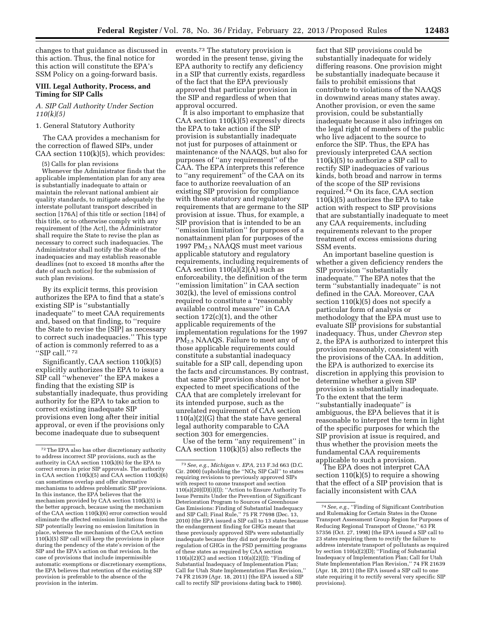changes to that guidance as discussed in this action. Thus, the final notice for this action will constitute the EPA's SSM Policy on a going-forward basis.

# **VIII. Legal Authority, Process, and Timing for SIP Calls**

#### *A. SIP Call Authority Under Section 110(k)(5)*

# 1. General Statutory Authority

The CAA provides a mechanism for the correction of flawed SIPs, under CAA section 110(k)(5), which provides:

(5) Calls for plan revisions

Whenever the Administrator finds that the applicable implementation plan for any area is substantially inadequate to attain or maintain the relevant national ambient air quality standards, to mitigate adequately the interstate pollutant transport described in section [176A] of this title or section [184] of this title, or to otherwise comply with any requirement of [the Act], the Administrator shall require the State to revise the plan as necessary to correct such inadequacies. The Administrator shall notify the State of the inadequacies and may establish reasonable deadlines (not to exceed 18 months after the date of such notice) for the submission of such plan revisions.

By its explicit terms, this provision authorizes the EPA to find that a state's existing SIP is ''substantially inadequate'' to meet CAA requirements and, based on that finding, to ''require the State to revise the [SIP] as necessary to correct such inadequacies.'' This type of action is commonly referred to as a ''SIP call.'' 72

Significantly, CAA section 110(k)(5) explicitly authorizes the EPA to issue a SIP call ''whenever'' the EPA makes a finding that the existing SIP is substantially inadequate, thus providing authority for the EPA to take action to correct existing inadequate SIP provisions even long after their initial approval, or even if the provisions only become inadequate due to subsequent

events.73 The statutory provision is worded in the present tense, giving the EPA authority to rectify any deficiency in a SIP that currently exists, regardless of the fact that the EPA previously approved that particular provision in the SIP and regardless of when that approval occurred.

It is also important to emphasize that CAA section 110(k)(5) expressly directs the EPA to take action if the SIP provision is substantially inadequate not just for purposes of attainment or maintenance of the NAAQS, but also for purposes of ''any requirement'' of the CAA. The EPA interprets this reference to ''any requirement'' of the CAA on its face to authorize reevaluation of an existing SIP provision for compliance with those statutory and regulatory requirements that are germane to the SIP provision at issue. Thus, for example, a SIP provision that is intended to be an ''emission limitation'' for purposes of a nonattainment plan for purposes of the 1997 PM2.5 NAAQS must meet various applicable statutory and regulatory requirements, including requirements of CAA section  $110(a)(2)(A)$  such as enforceability, the definition of the term ''emission limitation'' in CAA section 302(k), the level of emissions control required to constitute a ''reasonably available control measure'' in CAA section  $172(c)(1)$ , and the other applicable requirements of the implementation regulations for the 1997 PM2.5 NAAQS. Failure to meet any of those applicable requirements could constitute a substantial inadequacy suitable for a SIP call, depending upon the facts and circumstances. By contrast, that same SIP provision should not be expected to meet specifications of the CAA that are completely irrelevant for its intended purpose, such as the unrelated requirement of CAA section 110(a)(2)(G) that the state have general legal authority comparable to CAA section 303 for emergencies.

Use of the term ''any requirement'' in CAA section  $110(k)(5)$  also reflects the

fact that SIP provisions could be substantially inadequate for widely differing reasons. One provision might be substantially inadequate because it fails to prohibit emissions that contribute to violations of the NAAQS in downwind areas many states away. Another provision, or even the same provision, could be substantially inadequate because it also infringes on the legal right of members of the public who live adjacent to the source to enforce the SIP. Thus, the EPA has previously interpreted CAA section  $110(k)(5)$  to authorize a SIP call to rectify SIP inadequacies of various kinds, both broad and narrow in terms of the scope of the SIP revisions required.74 On its face, CAA section  $110(k)(5)$  authorizes the EPA to take action with respect to SIP provisions that are substantially inadequate to meet any CAA requirements, including requirements relevant to the proper treatment of excess emissions during SSM events.

An important baseline question is whether a given deficiency renders the SIP provision ''substantially inadequate.'' The EPA notes that the term ''substantially inadequate'' is not defined in the CAA. Moreover, CAA section  $110(k)(5)$  does not specify a particular form of analysis or methodology that the EPA must use to evaluate SIP provisions for substantial inadequacy. Thus, under *Chevron* step 2, the EPA is authorized to interpret this provision reasonably, consistent with the provisions of the CAA. In addition, the EPA is authorized to exercise its discretion in applying this provision to determine whether a given SIP provision is substantially inadequate. To the extent that the term ''substantially inadequate'' is ambiguous, the EPA believes that it is reasonable to interpret the term in light of the specific purposes for which the SIP provision at issue is required, and thus whether the provision meets the fundamental CAA requirements applicable to such a provision.

The EPA does not interpret CAA section 110(k)(5) to require a showing that the effect of a SIP provision that is facially inconsistent with CAA

<sup>72</sup>The EPA also has other discretionary authority to address incorrect SIP provisions, such as the authority in CAA section 110(k)(6) for the EPA to correct errors in prior SIP approvals. The authority in CAA section 110(k)(5) and CAA section 110(k)(6) can sometimes overlap and offer alternative mechanisms to address problematic SIP provisions. In this instance, the EPA believes that the mechanism provided by CAA section 110(k)(5) is the better approach, because using the mechanism of the CAA section 110(k)(6) error correction would eliminate the affected emission limitations from the SIP potentially leaving no emission limitation in place, whereas the mechanism of the CAA section 110(k)(5) SIP call will keep the provisions in place during the pendency of the state's revision of the SIP and the EPA's action on that revision. In the case of provisions that include impermissible automatic exemptions or discretionary exemptions, the EPA believes that retention of the existing SIP provision is preferable to the absence of the provision in the interim.

<sup>73</sup>*See, e.g., Michigan* v. *EPA,* 213 F.3d 663 (D.C. Cir. 2000) (upholding the "NO<sub>X</sub> SIP Call" to states requiring revisions to previously approved SIPs with respect to ozone transport and section  $110(a)(20)(D)(i)(I))$ ; "Action to Ensure Authority To Issue Permits Under the Prevention of Significant Deterioration Program to Sources of Greenhouse Gas Emissions: Finding of Substantial Inadequacy and SIP Call; Final Rule,'' 75 FR 77698 (Dec. 13, 2010) (the EPA issued a SIP call to 13 states because the endangerment finding for GHGs meant that these previously approved SIPs were substantially inadequate because they did not provide for the regulation of GHGs in the PSD permitting programs of these states as required by CAA section  $110(a)(2)(C)$  and section  $110(a)(2)(J)$ ); "Finding of Substantial Inadequacy of Implementation Plan; Call for Utah State Implementation Plan Revision,'' 74 FR 21639 (Apr. 18, 2011) (the EPA issued a SIP call to rectify SIP provisions dating back to 1980).

<sup>74</sup>*See, e.g.,* ''Finding of Significant Contribution and Rulemaking for Certain States in the Ozone Transport Assessment Group Region for Purposes of Reducing Regional Transport of Ozone,'' 63 FR 57356 (Oct. 27, 1998) (the EPA issued a SIP call to 23 states requiring them to rectify the failure to address interstate transport of pollutants as required by section 110(a)(2)(D); ''Finding of Substantial Inadequacy of Implementation Plan; Call for Utah State Implementation Plan Revision,'' 74 FR 21639 (Apr. 18, 2011) (the EPA issued a SIP call to one state requiring it to rectify several very specific SIP provisions).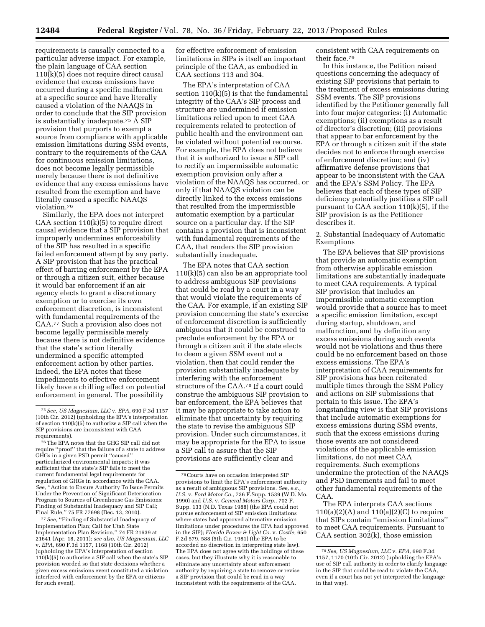requirements is causally connected to a particular adverse impact. For example, the plain language of CAA section 110(k)(5) does not require direct causal evidence that excess emissions have occurred during a specific malfunction at a specific source and have literally caused a violation of the NAAQS in order to conclude that the SIP provision is substantially inadequate.75 A SIP provision that purports to exempt a source from compliance with applicable emission limitations during SSM events, contrary to the requirements of the CAA for continuous emission limitations, does not become legally permissible merely because there is not definitive evidence that any excess emissions have resulted from the exemption and have literally caused a specific NAAQS violation.76

Similarly, the EPA does not interpret CAA section 110(k)(5) to require direct causal evidence that a SIP provision that improperly undermines enforceability of the SIP has resulted in a specific failed enforcement attempt by any party. A SIP provision that has the practical effect of barring enforcement by the EPA or through a citizen suit, either because it would bar enforcement if an air agency elects to grant a discretionary exemption or to exercise its own enforcement discretion, is inconsistent with fundamental requirements of the CAA.77 Such a provision also does not become legally permissible merely because there is not definitive evidence that the state's action literally undermined a specific attempted enforcement action by other parties. Indeed, the EPA notes that these impediments to effective enforcement likely have a chilling effect on potential enforcement in general. The possibility

76The EPA notes that the GHG SIP call did not require ''proof'' that the failure of a state to address GHGs in a given PSD permit ''caused'' particularized environmental impacts; it was sufficient that the state's SIP fails to meet the current fundamental legal requirements for regulation of GHGs in accordance with the CAA. *See,* ''Action to Ensure Authority To Issue Permits Under the Prevention of Significant Deterioration Program to Sources of Greenhouse Gas Emissions: Finding of Substantial Inadequacy and SIP Call; Final Rule,'' 75 FR 77698 (Dec. 13, 2010).

77*See,* ''Finding of Substantial Inadequacy of Implementation Plan; Call for Utah State Implementation Plan Revision,'' 74 FR 21639 at 21641 (Apr. 18, 2011); *see also, US Magnesium, LLC*  v. *EPA,* 690 F.3d 1157, 1168 (10th Cir. 2012) (upholding the EPA's interpretation of section  $110(k)(5)$  to authorize a SIP call when the state's SIP provision worded so that state decisions whether a given excess emissions event constituted a violation interfered with enforcement by the EPA or citizens for such event).

for effective enforcement of emission limitations in SIPs is itself an important principle of the CAA, as embodied in CAA sections 113 and 304.

The EPA's interpretation of CAA section 110(k)(5) is that the fundamental integrity of the CAA's SIP process and structure are undermined if emission limitations relied upon to meet CAA requirements related to protection of public health and the environment can be violated without potential recourse. For example, the EPA does not believe that it is authorized to issue a SIP call to rectify an impermissible automatic exemption provision only after a violation of the NAAQS has occurred, or only if that NAAQS violation can be directly linked to the excess emissions that resulted from the impermissible automatic exemption by a particular source on a particular day. If the SIP contains a provision that is inconsistent with fundamental requirements of the CAA, that renders the SIP provision substantially inadequate.

The EPA notes that CAA section 110(k)(5) can also be an appropriate tool to address ambiguous SIP provisions that could be read by a court in a way that would violate the requirements of the CAA. For example, if an existing SIP provision concerning the state's exercise of enforcement discretion is sufficiently ambiguous that it could be construed to preclude enforcement by the EPA or through a citizen suit if the state elects to deem a given SSM event not a violation, then that could render the provision substantially inadequate by interfering with the enforcement structure of the CAA.78 If a court could construe the ambiguous SIP provision to bar enforcement, the EPA believes that it may be appropriate to take action to eliminate that uncertainty by requiring the state to revise the ambiguous SIP provision. Under such circumstances, it may be appropriate for the EPA to issue a SIP call to assure that the SIP provisions are sufficiently clear and

consistent with CAA requirements on their face.79

In this instance, the Petition raised questions concerning the adequacy of existing SIP provisions that pertain to the treatment of excess emissions during SSM events. The SIP provisions identified by the Petitioner generally fall into four major categories: (i) Automatic exemptions; (ii) exemptions as a result of director's discretion; (iii) provisions that appear to bar enforcement by the EPA or through a citizen suit if the state decides not to enforce through exercise of enforcement discretion; and (iv) affirmative defense provisions that appear to be inconsistent with the CAA and the EPA's SSM Policy. The EPA believes that each of these types of SIP deficiency potentially justifies a SIP call pursuant to CAA section 110(k)(5), if the SIP provision is as the Petitioner describes it.

2. Substantial Inadequacy of Automatic Exemptions

The EPA believes that SIP provisions that provide an automatic exemption from otherwise applicable emission limitations are substantially inadequate to meet CAA requirements. A typical SIP provision that includes an impermissible automatic exemption would provide that a source has to meet a specific emission limitation, except during startup, shutdown, and malfunction, and by definition any excess emissions during such events would not be violations and thus there could be no enforcement based on those excess emissions. The EPA's interpretation of CAA requirements for SIP provisions has been reiterated multiple times through the SSM Policy and actions on SIP submissions that pertain to this issue. The EPA's longstanding view is that SIP provisions that include automatic exemptions for excess emissions during SSM events, such that the excess emissions during those events are not considered violations of the applicable emission limitations, do not meet CAA requirements. Such exemptions undermine the protection of the NAAQS and PSD increments and fail to meet other fundamental requirements of the CAA.

The EPA interprets CAA sections  $110(a)(2)(A)$  and  $110(a)(2)(C)$  to require that SIPs contain ''emission limitations'' to meet CAA requirements. Pursuant to CAA section  $302(k)$ , those emission

<sup>75</sup>*See, US Magnesium, LLC* v. *EPA,* 690 F.3d 1157 (10th Cir. 2012) (upholding the EPA's interpretation of section 110(k)(5) to authorize a SIP call when the SIP provisions are inconsistent with CAA requirements).

<sup>78</sup>Courts have on occasion interpreted SIP provisions to limit the EPA's enforcement authority as a result of ambiguous SIP provisions. See, e.g. *U.S.* v. *Ford Motor Co.,* 736 F.Supp. 1539 (W.D. Mo. 1990) and *U.S.* v. *General Motors Corp.,* 702 F. Supp. 133 (N.D. Texas 1988) (the EPA could not pursue enforcement of SIP emission limitations where states had approved alternative emission limitations under procedures the EPA had approved in the SIP); *Florida Power & Light Co.* v. *Costle,* 650 F.2d 579, 588 (5th Cir. 1981) (the EPA to be accorded no discretion in interpreting state law). The EPA does not agree with the holdings of these cases, but they illustrate why it is reasonable to eliminate any uncertainty about enforcement authority by requiring a state to remove or revise a SIP provision that could be read in a way inconsistent with the requirements of the CAA.

<sup>79</sup>*See, US Magnesium, LLC* v. *EPA,* 690 F.3d 1157, 1170 (10th Cir. 2012) (upholding the EPA's use of SIP call authority in order to clarify language in the SIP that could be read to violate the CAA, even if a court has not yet interpreted the language in that way).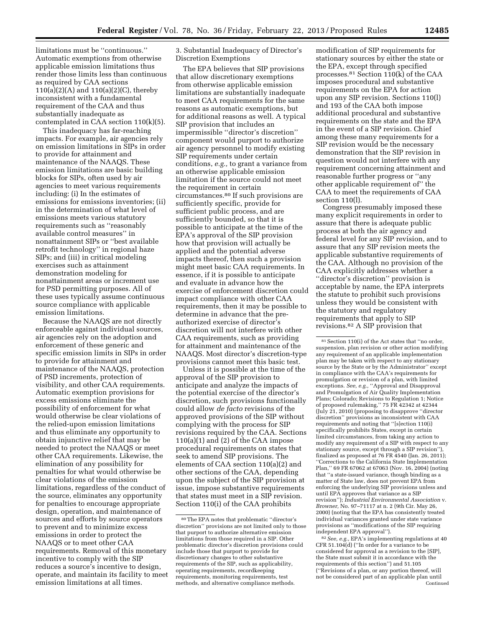3. Substantial Inadequacy of Director's Discretion Exemptions

Automatic exemptions from otherwise applicable emission limitations thus render those limits less than continuous as required by CAA sections 110(a)(2)(A) and 110(a)(2)(C), thereby inconsistent with a fundamental requirement of the CAA and thus substantially inadequate as contemplated in CAA section 110(k)(5). This inadequacy has far-reaching impacts. For example, air agencies rely

limitations must be ''continuous.''

on emission limitations in SIPs in order to provide for attainment and maintenance of the NAAQS. These emission limitations are basic building blocks for SIPs, often used by air agencies to meet various requirements including: (i) In the estimates of emissions for emissions inventories; (ii) in the determination of what level of emissions meets various statutory requirements such as ''reasonably available control measures'' in nonattainment SIPs or ''best available retrofit technology'' in regional haze SIPs; and (iii) in critical modeling exercises such as attainment demonstration modeling for nonattainment areas or increment use for PSD permitting purposes. All of these uses typically assume continuous source compliance with applicable emission limitations.

Because the NAAQS are not directly enforceable against individual sources, air agencies rely on the adoption and enforcement of these generic and specific emission limits in SIPs in order to provide for attainment and maintenance of the NAAQS, protection of PSD increments, protection of visibility, and other CAA requirements. Automatic exemption provisions for excess emissions eliminate the possibility of enforcement for what would otherwise be clear violations of the relied-upon emission limitations and thus eliminate any opportunity to obtain injunctive relief that may be needed to protect the NAAQS or meet other CAA requirements. Likewise, the elimination of any possibility for penalties for what would otherwise be clear violations of the emission limitations, regardless of the conduct of the source, eliminates any opportunity for penalties to encourage appropriate design, operation, and maintenance of sources and efforts by source operators to prevent and to minimize excess emissions in order to protect the NAAQS or to meet other CAA requirements. Removal of this monetary incentive to comply with the SIP reduces a source's incentive to design, operate, and maintain its facility to meet emission limitations at all times.

The EPA believes that SIP provisions that allow discretionary exemptions from otherwise applicable emission limitations are substantially inadequate to meet CAA requirements for the same reasons as automatic exemptions, but for additional reasons as well. A typical SIP provision that includes an impermissible ''director's discretion'' component would purport to authorize air agency personnel to modify existing SIP requirements under certain conditions, *e.g.,* to grant a variance from an otherwise applicable emission limitation if the source could not meet

the requirement in certain circumstances.80 If such provisions are sufficiently specific, provide for sufficient public process, and are sufficiently bounded, so that it is possible to anticipate at the time of the EPA's approval of the SIP provision how that provision will actually be applied and the potential adverse impacts thereof, then such a provision might meet basic CAA requirements. In essence, if it is possible to anticipate and evaluate in advance how the exercise of enforcement discretion could impact compliance with other CAA requirements, then it may be possible to determine in advance that the preauthorized exercise of director's discretion will not interfere with other CAA requirements, such as providing for attainment and maintenance of the NAAQS. Most director's discretion-type provisions cannot meet this basic test.

Unless it is possible at the time of the approval of the SIP provision to anticipate and analyze the impacts of the potential exercise of the director's discretion, such provisions functionally could allow *de facto* revisions of the approved provisions of the SIP without complying with the process for SIP revisions required by the CAA. Sections 110(a)(1) and (2) of the CAA impose procedural requirements on states that seek to amend SIP provisions. The elements of CAA section 110(a)(2) and other sections of the CAA, depending upon the subject of the SIP provision at issue, impose substantive requirements that states must meet in a SIP revision. Section 110(i) of the CAA prohibits

modification of SIP requirements for stationary sources by either the state or the EPA, except through specified processes.81 Section 110(k) of the CAA imposes procedural and substantive requirements on the EPA for action upon any SIP revision. Sections 110(l) and 193 of the CAA both impose additional procedural and substantive requirements on the state and the EPA in the event of a SIP revision. Chief among these many requirements for a SIP revision would be the necessary demonstration that the SIP revision in question would not interfere with any requirement concerning attainment and reasonable further progress or ''any other applicable requirement of'' the CAA to meet the requirements of CAA section 110(l).

Congress presumably imposed these many explicit requirements in order to assure that there is adequate public process at both the air agency and federal level for any SIP revision, and to assure that any SIP revision meets the applicable substantive requirements of the CAA. Although no provision of the CAA explicitly addresses whether a ''director's discretion'' provision is acceptable by name, the EPA interprets the statute to prohibit such provisions unless they would be consistent with the statutory and regulatory requirements that apply to SIP revisions.82 A SIP provision that

<sup>80</sup>The EPA notes that problematic ''director's discretion'' provisions are not limited only to those that purport to authorize alternative emission limitations from those required in a SIP. Other problematic director's discretion provisions could include those that purport to provide for discretionary changes to other substantive requirements of the SIP, such as applicability, operating requirements, recordkeeping requirements, monitoring requirements, test methods, and alternative compliance methods.

 $^{81}\rm{Section}$  110(i) of the Act states that ''no order, suspension, plan revision or other action modifying any requirement of an applicable implementation plan may be taken with respect to any stationary source by the State or by the Administrator'' except in compliance with the CAA's requirements for promulgation or revision of a plan, with limited exceptions. *See, e.g.,* ''Approval and Disapproval and Promulgation of Air Quality Implementation Plans; Colorado; Revisions to Regulation 1; Notice of proposed rulemaking,'' 75 FR 42342 at 42344 (July 21, 2010) (proposing to disapprove ''director discretion'' provisions as inconsistent with CAA requirements and noting that ''[s]ection 110(i) specifically prohibits States, except in certain limited circumstances, from taking any action to modify any requirement of a SIP with respect to any stationary source, except through a SIP revision''), finalized as proposed at 76 FR 4540 (Jan. 26, 2011); ''Corrections to the California State Implementation Plan,'' 69 FR 67062 at 67063 (Nov. 16, 2004) (noting that ''a state-issued variance, though binding as a matter of State law, does not prevent EPA from enforcing the underlying SIP provisions unless and until EPA approves that variance as a SIP revision''); *Industrial Environmental Association* v. *Browner,* No. 97–71117 at n. 2 (9th Cir. May 26, 2000) (noting that the EPA has consistently treated individual variances granted under state variance provisions as ''modifications of the SIP requiring independent EPA approval'').

<sup>82</sup>*See, e.g.,* EPA's implementing regulations at 40 CFR 51.104(d) (''In order for a variance to be considered for approval as a revision to the [SIP], the State must submit it in accordance with the requirements of this section'') and 51.105 (''Revisions of a plan, or any portion thereof, will not be considered part of an applicable plan until Continued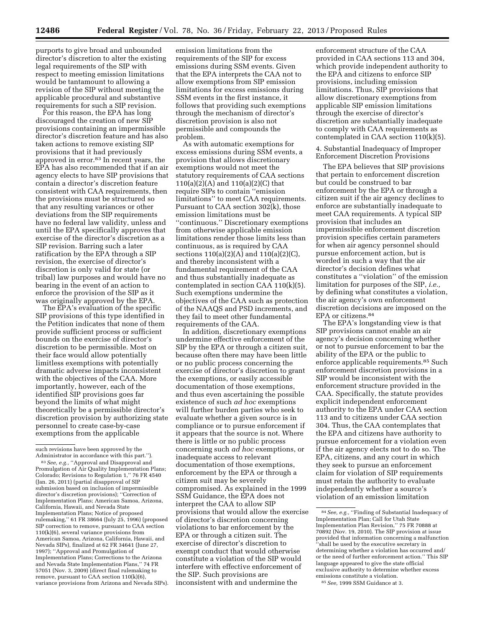purports to give broad and unbounded director's discretion to alter the existing legal requirements of the SIP with respect to meeting emission limitations would be tantamount to allowing a revision of the SIP without meeting the applicable procedural and substantive requirements for such a SIP revision.

For this reason, the EPA has long discouraged the creation of new SIP provisions containing an impermissible director's discretion feature and has also taken actions to remove existing SIP provisions that it had previously approved in error.83 In recent years, the EPA has also recommended that if an air agency elects to have SIP provisions that contain a director's discretion feature consistent with CAA requirements, then the provisions must be structured so that any resulting variances or other deviations from the SIP requirements have no federal law validity, unless and until the EPA specifically approves that exercise of the director's discretion as a SIP revision. Barring such a later ratification by the EPA through a SIP revision, the exercise of director's discretion is only valid for state (or tribal) law purposes and would have no bearing in the event of an action to enforce the provision of the SIP as it was originally approved by the EPA.

The EPA's evaluation of the specific SIP provisions of this type identified in the Petition indicates that none of them provide sufficient process or sufficient bounds on the exercise of director's discretion to be permissible. Most on their face would allow potentially limitless exemptions with potentially dramatic adverse impacts inconsistent with the objectives of the CAA. More importantly, however, each of the identified SIP provisions goes far beyond the limits of what might theoretically be a permissible director's discretion provision by authorizing state personnel to create case-by-case exemptions from the applicable

emission limitations from the requirements of the SIP for excess emissions during SSM events. Given that the EPA interprets the CAA not to allow exemptions from SIP emission limitations for excess emissions during SSM events in the first instance, it follows that providing such exemptions through the mechanism of director's discretion provision is also not permissible and compounds the problem.

As with automatic exemptions for excess emissions during SSM events, a provision that allows discretionary exemptions would not meet the statutory requirements of CAA sections 110(a)(2)(A) and 110(a)(2)(C) that require SIPs to contain ''emission limitations'' to meet CAA requirements. Pursuant to CAA section 302(k), those emission limitations must be ''continuous.'' Discretionary exemptions from otherwise applicable emission limitations render those limits less than continuous, as is required by CAA sections 110(a)(2)(A) and 110(a)(2)(C), and thereby inconsistent with a fundamental requirement of the CAA and thus substantially inadequate as contemplated in section CAA 110(k)(5). Such exemptions undermine the objectives of the CAA such as protection of the NAAQS and PSD increments, and they fail to meet other fundamental requirements of the CAA.

In addition, discretionary exemptions undermine effective enforcement of the SIP by the EPA or through a citizen suit, because often there may have been little or no public process concerning the exercise of director's discretion to grant the exemptions, or easily accessible documentation of those exemptions, and thus even ascertaining the possible existence of such *ad hoc* exemptions will further burden parties who seek to evaluate whether a given source is in compliance or to pursue enforcement if it appears that the source is not. Where there is little or no public process concerning such *ad hoc* exemptions, or inadequate access to relevant documentation of those exemptions, enforcement by the EPA or through a citizen suit may be severely compromised. As explained in the 1999 SSM Guidance, the EPA does not interpret the CAA to allow SIP provisions that would allow the exercise of director's discretion concerning violations to bar enforcement by the EPA or through a citizen suit. The exercise of director's discretion to exempt conduct that would otherwise constitute a violation of the SIP would interfere with effective enforcement of the SIP. Such provisions are inconsistent with and undermine the

enforcement structure of the CAA provided in CAA sections 113 and 304, which provide independent authority to the EPA and citizens to enforce SIP provisions, including emission limitations. Thus, SIP provisions that allow discretionary exemptions from applicable SIP emission limitations through the exercise of director's discretion are substantially inadequate to comply with CAA requirements as contemplated in CAA section 110(k)(5).

4. Substantial Inadequacy of Improper Enforcement Discretion Provisions

The EPA believes that SIP provisions that pertain to enforcement discretion but could be construed to bar enforcement by the EPA or through a citizen suit if the air agency declines to enforce are substantially inadequate to meet CAA requirements. A typical SIP provision that includes an impermissible enforcement discretion provision specifies certain parameters for when air agency personnel should pursue enforcement action, but is worded in such a way that the air director's decision defines what constitutes a ''violation'' of the emission limitation for purposes of the SIP, *i.e.,*  by defining what constitutes a violation, the air agency's own enforcement discretion decisions are imposed on the EPA or citizens.84

The EPA's longstanding view is that SIP provisions cannot enable an air agency's decision concerning whether or not to pursue enforcement to bar the ability of the EPA or the public to enforce applicable requirements.85 Such enforcement discretion provisions in a SIP would be inconsistent with the enforcement structure provided in the CAA. Specifically, the statute provides explicit independent enforcement authority to the EPA under CAA section 113 and to citizens under CAA section 304. Thus, the CAA contemplates that the EPA and citizens have authority to pursue enforcement for a violation even if the air agency elects not to do so. The EPA, citizens, and any court in which they seek to pursue an enforcement claim for violation of SIP requirements must retain the authority to evaluate independently whether a source's violation of an emission limitation

such revisions have been approved by the Administrator in accordance with this part.'').

<sup>83</sup>*See, e.g.,* ''Approval and Disapproval and Promulgation of Air Quality Implementation Plans; Colorado; Revisions to Regulation 1,'' 76 FR 4540 (Jan. 26, 2011) (partial disapproval of SIP submission based on inclusion of impermissible director's discretion provisions); ''Correction of Implementation Plans; American Samoa, Arizona, California, Hawaii, and Nevada State Implementation Plans; Notice of proposed rulemaking,'' 61 FR 38664 (July 25, 1996) (proposed SIP correction to remove, pursuant to CAA section 110(k)(6), several variance provisions from American Samoa, Arizona, California, Hawaii, and Nevada SIPs), finalized at 62 FR 34641 (June 27, 1997); ''Approval and Promulgation of Implementation Plans; Corrections to the Arizona and Nevada State Implementation Plans,'' 74 FR 57051 (Nov. 3, 2009) (direct final rulemaking to remove, pursuant to CAA section 110(k)(6), variance provisions from Arizona and Nevada SIPs).

<sup>84</sup>*See, e.g.,* ''Finding of Substantial Inadequacy of Implementation Plan; Call for Utah State Implementation Plan Revision,'' 75 FR 70888 at 70892 (Nov. 19, 2010). The SIP provision at issue provided that information concerning a malfunction ''shall be used by the executive secretary in determining whether a violation has occurred and/ or the need of further enforcement action.'' This SIP language appeared to give the state official exclusive authority to determine whether excess emissions constitute a violation.

<sup>85</sup>*See,* 1999 SSM Guidance at 3.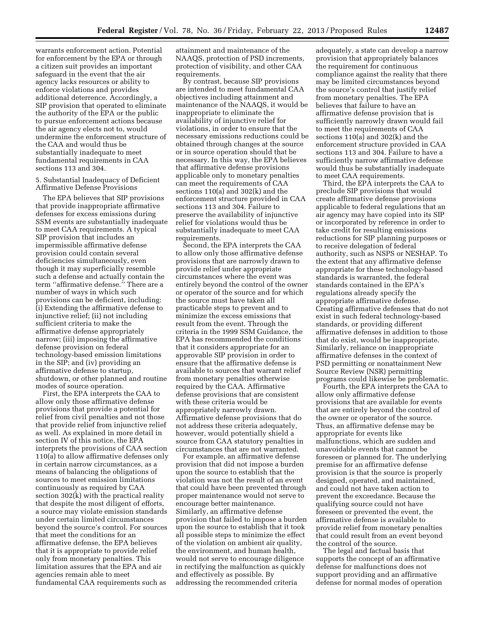warrants enforcement action. Potential for enforcement by the EPA or through a citizen suit provides an important safeguard in the event that the air agency lacks resources or ability to enforce violations and provides additional deterrence. Accordingly, a SIP provision that operated to eliminate the authority of the EPA or the public to pursue enforcement actions because the air agency elects not to, would undermine the enforcement structure of the CAA and would thus be substantially inadequate to meet fundamental requirements in CAA sections 113 and 304.

5. Substantial Inadequacy of Deficient Affirmative Defense Provisions

The EPA believes that SIP provisions that provide inappropriate affirmative defenses for excess emissions during SSM events are substantially inadequate to meet CAA requirements. A typical SIP provision that includes an impermissible affirmative defense provision could contain several deficiencies simultaneously, even though it may superficially resemble such a defense and actually contain the term ''affirmative defense.'' There are a number of ways in which such provisions can be deficient, including: (i) Extending the affirmative defense to injunctive relief; (ii) not including sufficient criteria to make the affirmative defense appropriately narrow; (iii) imposing the affirmative defense provision on federal technology-based emission limitations in the SIP; and (iv) providing an affirmative defense to startup, shutdown, or other planned and routine modes of source operation.

First, the EPA interprets the CAA to allow only those affirmative defense provisions that provide a potential for relief from civil penalties and not those that provide relief from injunctive relief as well. As explained in more detail in section IV of this notice, the EPA interprets the provisions of CAA section 110(a) to allow affirmative defenses only in certain narrow circumstances, as a means of balancing the obligations of sources to meet emission limitations continuously as required by CAA section 302(k) with the practical reality that despite the most diligent of efforts, a source may violate emission standards under certain limited circumstances beyond the source's control. For sources that meet the conditions for an affirmative defense, the EPA believes that it is appropriate to provide relief only from monetary penalties. This limitation assures that the EPA and air agencies remain able to meet fundamental CAA requirements such as

attainment and maintenance of the NAAQS, protection of PSD increments, protection of visibility, and other CAA requirements.

By contrast, because SIP provisions are intended to meet fundamental CAA objectives including attainment and maintenance of the NAAQS, it would be inappropriate to eliminate the availability of injunctive relief for violations, in order to ensure that the necessary emissions reductions could be obtained through changes at the source or in source operation should that be necessary. In this way, the EPA believes that affirmative defense provisions applicable only to monetary penalties can meet the requirements of CAA sections 110(a) and 302(k) and the enforcement structure provided in CAA sections 113 and 304. Failure to preserve the availability of injunctive relief for violations would thus be substantially inadequate to meet CAA requirements.

Second, the EPA interprets the CAA to allow only those affirmative defense provisions that are narrowly drawn to provide relief under appropriate circumstances where the event was entirely beyond the control of the owner or operator of the source and for which the source must have taken all practicable steps to prevent and to minimize the excess emissions that result from the event. Through the criteria in the 1999 SSM Guidance, the EPA has recommended the conditions that it considers appropriate for an approvable SIP provision in order to ensure that the affirmative defense is available to sources that warrant relief from monetary penalties otherwise required by the CAA. Affirmative defense provisions that are consistent with these criteria would be appropriately narrowly drawn. Affirmative defense provisions that do not address these criteria adequately, however, would potentially shield a source from CAA statutory penalties in circumstances that are not warranted.

For example, an affirmative defense provision that did not impose a burden upon the source to establish that the violation was not the result of an event that could have been prevented through proper maintenance would not serve to encourage better maintenance. Similarly, an affirmative defense provision that failed to impose a burden upon the source to establish that it took all possible steps to minimize the effect of the violation on ambient air quality, the environment, and human health, would not serve to encourage diligence in rectifying the malfunction as quickly and effectively as possible. By addressing the recommended criteria

adequately, a state can develop a narrow provision that appropriately balances the requirement for continuous compliance against the reality that there may be limited circumstances beyond the source's control that justify relief from monetary penalties. The EPA believes that failure to have an affirmative defense provision that is sufficiently narrowly drawn would fail to meet the requirements of CAA sections 110(a) and 302(k) and the enforcement structure provided in CAA sections 113 and 304. Failure to have a sufficiently narrow affirmative defense would thus be substantially inadequate to meet CAA requirements.

Third, the EPA interprets the CAA to preclude SIP provisions that would create affirmative defense provisions applicable to federal regulations that an air agency may have copied into its SIP or incorporated by reference in order to take credit for resulting emissions reductions for SIP planning purposes or to receive delegation of federal authority, such as NSPS or NESHAP. To the extent that any affirmative defense appropriate for these technology-based standards is warranted, the federal standards contained in the EPA's regulations already specify the appropriate affirmative defense. Creating affirmative defenses that do not exist in such federal technology-based standards, or providing different affirmative defenses in addition to those that do exist, would be inappropriate. Similarly, reliance on inappropriate affirmative defenses in the context of PSD permitting or nonattainment New Source Review (NSR) permitting programs could likewise be problematic.

Fourth, the EPA interprets the CAA to allow only affirmative defense provisions that are available for events that are entirely beyond the control of the owner or operator of the source. Thus, an affirmative defense may be appropriate for events like malfunctions, which are sudden and unavoidable events that cannot be foreseen or planned for. The underlying premise for an affirmative defense provision is that the source is properly designed, operated, and maintained, and could not have taken action to prevent the exceedance. Because the qualifying source could not have foreseen or prevented the event, the affirmative defense is available to provide relief from monetary penalties that could result from an event beyond the control of the source.

The legal and factual basis that supports the concept of an affirmative defense for malfunctions does not support providing and an affirmative defense for normal modes of operation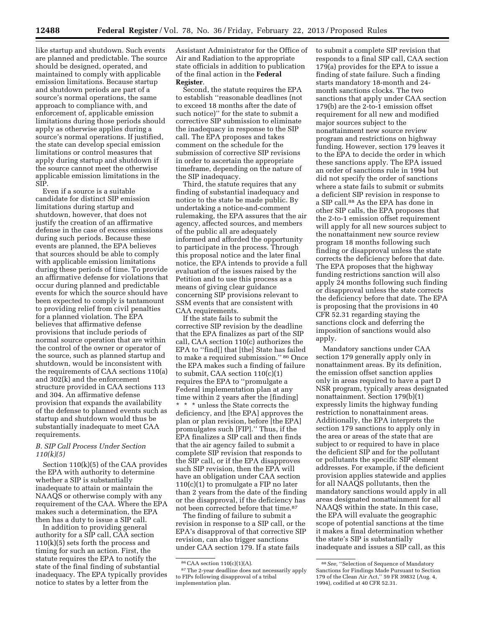like startup and shutdown. Such events are planned and predictable. The source should be designed, operated, and maintained to comply with applicable emission limitations. Because startup and shutdown periods are part of a source's normal operations, the same approach to compliance with, and enforcement of, applicable emission limitations during those periods should apply as otherwise applies during a source's normal operations. If justified, the state can develop special emission limitations or control measures that apply during startup and shutdown if the source cannot meet the otherwise applicable emission limitations in the SIP.

Even if a source is a suitable candidate for distinct SIP emission limitations during startup and shutdown, however, that does not justify the creation of an affirmative defense in the case of excess emissions during such periods. Because these events are planned, the EPA believes that sources should be able to comply with applicable emission limitations during these periods of time. To provide an affirmative defense for violations that occur during planned and predictable events for which the source should have been expected to comply is tantamount to providing relief from civil penalties for a planned violation. The EPA believes that affirmative defense provisions that include periods of normal source operation that are within the control of the owner or operator of the source, such as planned startup and shutdown, would be inconsistent with the requirements of CAA sections 110(a) and 302(k) and the enforcement structure provided in CAA sections 113 and 304. An affirmative defense provision that expands the availability of the defense to planned events such as startup and shutdown would thus be substantially inadequate to meet CAA requirements.

# *B. SIP Call Process Under Section 110(k)(5)*

Section 110(k)(5) of the CAA provides the EPA with authority to determine whether a SIP is substantially inadequate to attain or maintain the NAAQS or otherwise comply with any requirement of the CAA. Where the EPA makes such a determination, the EPA then has a duty to issue a SIP call.

In addition to providing general authority for a SIP call, CAA section 110(k)(5) sets forth the process and timing for such an action. First, the statute requires the EPA to notify the state of the final finding of substantial inadequacy. The EPA typically provides notice to states by a letter from the

Assistant Administrator for the Office of Air and Radiation to the appropriate state officials in addition to publication of the final action in the **Federal Register**.

Second, the statute requires the EPA to establish ''reasonable deadlines (not to exceed 18 months after the date of such notice)'' for the state to submit a corrective SIP submission to eliminate the inadequacy in response to the SIP call. The EPA proposes and takes comment on the schedule for the submission of corrective SIP revisions in order to ascertain the appropriate timeframe, depending on the nature of the SIP inadequacy.

Third, the statute requires that any finding of substantial inadequacy and notice to the state be made public. By undertaking a notice-and-comment rulemaking, the EPA assures that the air agency, affected sources, and members of the public all are adequately informed and afforded the opportunity to participate in the process. Through this proposal notice and the later final notice, the EPA intends to provide a full evaluation of the issues raised by the Petition and to use this process as a means of giving clear guidance concerning SIP provisions relevant to SSM events that are consistent with CAA requirements.

If the state fails to submit the corrective SIP revision by the deadline that the EPA finalizes as part of the SIP call, CAA section 110(c) authorizes the EPA to ''find[] that [the] State has failed to make a required submission.'' 86 Once the EPA makes such a finding of failure to submit, CAA section 110(c)(1) requires the EPA to ''promulgate a Federal implementation plan at any time within 2 years after the [finding] \* \* \* unless the State corrects the deficiency, and [the EPA] approves the plan or plan revision, before [the EPA] promulgates such [FIP].'' Thus, if the EPA finalizes a SIP call and then finds that the air agency failed to submit a complete SIP revision that responds to the SIP call, or if the EPA disapproves such SIP revision, then the EPA will have an obligation under CAA section  $110(c)(1)$  to promulgate a FIP no later than 2 years from the date of the finding or the disapproval, if the deficiency has not been corrected before that time.<sup>87</sup>

The finding of failure to submit a revision in response to a SIP call, or the EPA's disapproval of that corrective SIP revision, can also trigger sanctions under CAA section 179. If a state fails

to submit a complete SIP revision that responds to a final SIP call, CAA section 179(a) provides for the EPA to issue a finding of state failure. Such a finding starts mandatory 18-month and 24 month sanctions clocks. The two sanctions that apply under CAA section 179(b) are the 2-to-1 emission offset requirement for all new and modified major sources subject to the nonattainment new source review program and restrictions on highway funding. However, section 179 leaves it to the EPA to decide the order in which these sanctions apply. The EPA issued an order of sanctions rule in 1994 but did not specify the order of sanctions where a state fails to submit or submits a deficient SIP revision in response to a SIP call.88 As the EPA has done in other SIP calls, the EPA proposes that the 2-to-1 emission offset requirement will apply for all new sources subject to the nonattainment new source review program 18 months following such finding or disapproval unless the state corrects the deficiency before that date. The EPA proposes that the highway funding restrictions sanction will also apply 24 months following such finding or disapproval unless the state corrects the deficiency before that date. The EPA is proposing that the provisions in 40 CFR 52.31 regarding staying the sanctions clock and deferring the imposition of sanctions would also apply.

Mandatory sanctions under CAA section 179 generally apply only in nonattainment areas. By its definition, the emission offset sanction applies only in areas required to have a part D NSR program, typically areas designated nonattainment. Section 179(b)(1) expressly limits the highway funding restriction to nonattainment areas. Additionally, the EPA interprets the section 179 sanctions to apply only in the area or areas of the state that are subject to or required to have in place the deficient SIP and for the pollutant or pollutants the specific SIP element addresses. For example, if the deficient provision applies statewide and applies for all NAAQS pollutants, then the mandatory sanctions would apply in all areas designated nonattainment for all NAAQS within the state. In this case, the EPA will evaluate the geographic scope of potential sanctions at the time it makes a final determination whether the state's SIP is substantially inadequate and issues a SIP call, as this

<sup>86</sup>CAA section 110(c)(1)(A).

<sup>87</sup>The 2-year deadline does not necessarily apply to FIPs following disapproval of a tribal implementation plan.

<sup>88</sup>*See,* ''Selection of Sequence of Mandatory Sanctions for Findings Made Pursuant to Section 179 of the Clean Air Act,'' 59 FR 39832 (Aug. 4, 1994), codified at 40 CFR 52.31.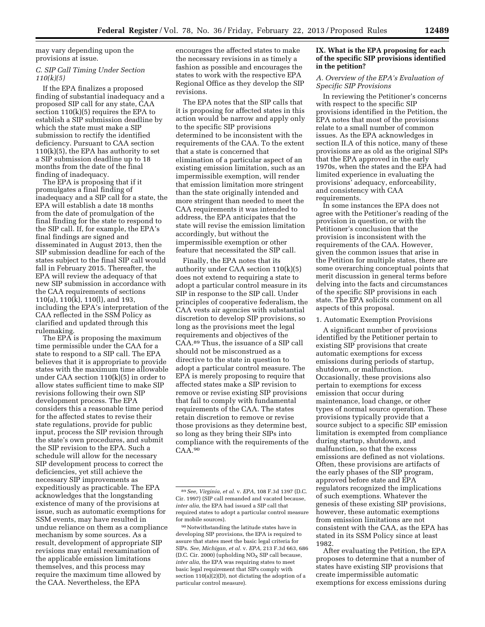may vary depending upon the provisions at issue.

# *C. SIP Call Timing Under Section 110(k)(5)*

If the EPA finalizes a proposed finding of substantial inadequacy and a proposed SIP call for any state, CAA section 110(k)(5) requires the EPA to establish a SIP submission deadline by which the state must make a SIP submission to rectify the identified deficiency. Pursuant to CAA section  $110(k)(5)$ , the EPA has authority to set a SIP submission deadline up to 18 months from the date of the final finding of inadequacy.

The EPA is proposing that if it promulgates a final finding of inadequacy and a SIP call for a state, the EPA will establish a date 18 months from the date of promulgation of the final finding for the state to respond to the SIP call. If, for example, the EPA's final findings are signed and disseminated in August 2013, then the SIP submission deadline for each of the states subject to the final SIP call would fall in February 2015. Thereafter, the EPA will review the adequacy of that new SIP submission in accordance with the CAA requirements of sections 110(a), 110(k), 110(l), and 193, including the EPA's interpretation of the CAA reflected in the SSM Policy as clarified and updated through this rulemaking.

The EPA is proposing the maximum time permissible under the CAA for a state to respond to a SIP call. The EPA believes that it is appropriate to provide states with the maximum time allowable under CAA section 110(k)(5) in order to allow states sufficient time to make SIP revisions following their own SIP development process. The EPA considers this a reasonable time period for the affected states to revise their state regulations, provide for public input, process the SIP revision through the state's own procedures, and submit the SIP revision to the EPA. Such a schedule will allow for the necessary SIP development process to correct the deficiencies, yet still achieve the necessary SIP improvements as expeditiously as practicable. The EPA acknowledges that the longstanding existence of many of the provisions at issue, such as automatic exemptions for SSM events, may have resulted in undue reliance on them as a compliance mechanism by some sources. As a result, development of appropriate SIP revisions may entail reexamination of the applicable emission limitations themselves, and this process may require the maximum time allowed by the CAA. Nevertheless, the EPA

encourages the affected states to make the necessary revisions in as timely a fashion as possible and encourages the states to work with the respective EPA Regional Office as they develop the SIP revisions.

The EPA notes that the SIP calls that it is proposing for affected states in this action would be narrow and apply only to the specific SIP provisions determined to be inconsistent with the requirements of the CAA. To the extent that a state is concerned that elimination of a particular aspect of an existing emission limitation, such as an impermissible exemption, will render that emission limitation more stringent than the state originally intended and more stringent than needed to meet the CAA requirements it was intended to address, the EPA anticipates that the state will revise the emission limitation accordingly, but without the impermissible exemption or other feature that necessitated the SIP call.

Finally, the EPA notes that its authority under CAA section 110(k)(5) does not extend to requiring a state to adopt a particular control measure in its SIP in response to the SIP call. Under principles of cooperative federalism, the CAA vests air agencies with substantial discretion to develop SIP provisions, so long as the provisions meet the legal requirements and objectives of the CAA.89 Thus, the issuance of a SIP call should not be misconstrued as a directive to the state in question to adopt a particular control measure. The EPA is merely proposing to require that affected states make a SIP revision to remove or revise existing SIP provisions that fail to comply with fundamental requirements of the CAA. The states retain discretion to remove or revise those provisions as they determine best, so long as they bring their SIPs into compliance with the requirements of the CAA.90

# **IX. What is the EPA proposing for each of the specific SIP provisions identified in the petition?**

# *A. Overview of the EPA's Evaluation of Specific SIP Provisions*

In reviewing the Petitioner's concerns with respect to the specific SIP provisions identified in the Petition, the EPA notes that most of the provisions relate to a small number of common issues. As the EPA acknowledges in section II.A of this notice, many of these provisions are as old as the original SIPs that the EPA approved in the early 1970s, when the states and the EPA had limited experience in evaluating the provisions' adequacy, enforceability, and consistency with CAA requirements.

In some instances the EPA does not agree with the Petitioner's reading of the provision in question, or with the Petitioner's conclusion that the provision is inconsistent with the requirements of the CAA. However, given the common issues that arise in the Petition for multiple states, there are some overarching conceptual points that merit discussion in general terms before delving into the facts and circumstances of the specific SIP provisions in each state. The EPA solicits comment on all aspects of this proposal.

#### 1. Automatic Exemption Provisions

A significant number of provisions identified by the Petitioner pertain to existing SIP provisions that create automatic exemptions for excess emissions during periods of startup, shutdown, or malfunction. Occasionally, these provisions also pertain to exemptions for excess emission that occur during maintenance, load change, or other types of normal source operation. These provisions typically provide that a source subject to a specific SIP emission limitation is exempted from compliance during startup, shutdown, and malfunction, so that the excess emissions are defined as not violations. Often, these provisions are artifacts of the early phases of the SIP program, approved before state and EPA regulators recognized the implications of such exemptions. Whatever the genesis of these existing SIP provisions, however, these automatic exemptions from emission limitations are not consistent with the CAA, as the EPA has stated in its SSM Policy since at least 1982.

After evaluating the Petition, the EPA proposes to determine that a number of states have existing SIP provisions that create impermissible automatic exemptions for excess emissions during

<sup>89</sup>*See, Virginia, et al.* v. *EPA,* 108 F.3d 1397 (D.C. Cir. 1997) (SIP call remanded and vacated because, *inter alia,* the EPA had issued a SIP call that required states to adopt a particular control measure for mobile sources).

<sup>90</sup>Notwithstanding the latitude states have in developing SIP provisions, the EPA is required to assure that states meet the basic legal criteria for SIPs. *See, Michigan, et al.* v. *EPA,* 213 F.3d 663, 686 (D.C. Cir. 2000) (upholding  $NO<sub>x</sub>$  SIP call because, *inter alia,* the EPA was requiring states to meet basic legal requirement that SIPs comply with section 110(a)(2)(D), not dictating the adoption of a particular control measure).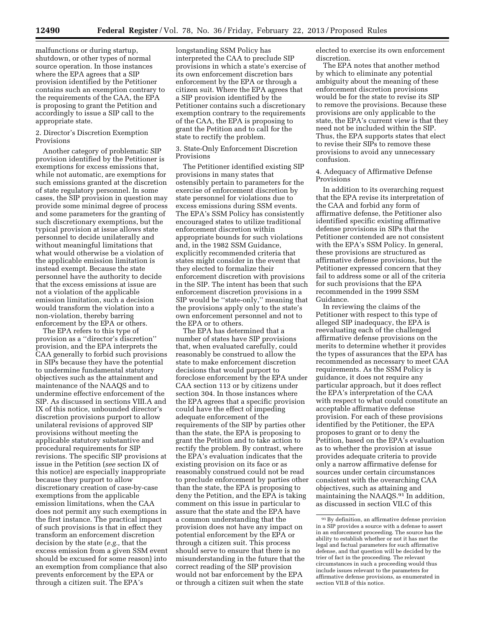malfunctions or during startup, shutdown, or other types of normal source operation. In those instances where the EPA agrees that a SIP provision identified by the Petitioner contains such an exemption contrary to the requirements of the CAA, the EPA is proposing to grant the Petition and accordingly to issue a SIP call to the appropriate state.

#### 2. Director's Discretion Exemption Provisions

Another category of problematic SIP provision identified by the Petitioner is exemptions for excess emissions that, while not automatic, are exemptions for such emissions granted at the discretion of state regulatory personnel. In some cases, the SIP provision in question may provide some minimal degree of process and some parameters for the granting of such discretionary exemptions, but the typical provision at issue allows state personnel to decide unilaterally and without meaningful limitations that what would otherwise be a violation of the applicable emission limitation is instead exempt. Because the state personnel have the authority to decide that the excess emissions at issue are not a violation of the applicable emission limitation, such a decision would transform the violation into a non-violation, thereby barring enforcement by the EPA or others.

The EPA refers to this type of provision as a ''director's discretion'' provision, and the EPA interprets the CAA generally to forbid such provisions in SIPs because they have the potential to undermine fundamental statutory objectives such as the attainment and maintenance of the NAAQS and to undermine effective enforcement of the SIP. As discussed in sections VIII.A and IX of this notice, unbounded director's discretion provisions purport to allow unilateral revisions of approved SIP provisions without meeting the applicable statutory substantive and procedural requirements for SIP revisions. The specific SIP provisions at issue in the Petition (*see* section IX of this notice) are especially inappropriate because they purport to allow discretionary creation of case-by-case exemptions from the applicable emission limitations, when the CAA does not permit any such exemptions in the first instance. The practical impact of such provisions is that in effect they transform an enforcement discretion decision by the state (*e.g.,* that the excess emission from a given SSM event should be excused for some reason) into an exemption from compliance that also prevents enforcement by the EPA or through a citizen suit. The EPA's

longstanding SSM Policy has interpreted the CAA to preclude SIP provisions in which a state's exercise of its own enforcement discretion bars enforcement by the EPA or through a citizen suit. Where the EPA agrees that a SIP provision identified by the Petitioner contains such a discretionary exemption contrary to the requirements of the CAA, the EPA is proposing to grant the Petition and to call for the state to rectify the problem.

#### 3. State-Only Enforcement Discretion Provisions

The Petitioner identified existing SIP provisions in many states that ostensibly pertain to parameters for the exercise of enforcement discretion by state personnel for violations due to excess emissions during SSM events. The EPA's SSM Policy has consistently encouraged states to utilize traditional enforcement discretion within appropriate bounds for such violations and, in the 1982 SSM Guidance, explicitly recommended criteria that states might consider in the event that they elected to formalize their enforcement discretion with provisions in the SIP. The intent has been that such enforcement discretion provisions in a SIP would be ''state-only,'' meaning that the provisions apply only to the state's own enforcement personnel and not to the EPA or to others.

The EPA has determined that a number of states have SIP provisions that, when evaluated carefully, could reasonably be construed to allow the state to make enforcement discretion decisions that would purport to foreclose enforcement by the EPA under CAA section 113 or by citizens under section 304. In those instances where the EPA agrees that a specific provision could have the effect of impeding adequate enforcement of the requirements of the SIP by parties other than the state, the EPA is proposing to grant the Petition and to take action to rectify the problem. By contrast, where the EPA's evaluation indicates that the existing provision on its face or as reasonably construed could not be read to preclude enforcement by parties other than the state, the EPA is proposing to deny the Petition, and the EPA is taking comment on this issue in particular to assure that the state and the EPA have a common understanding that the provision does not have any impact on potential enforcement by the EPA or through a citizen suit. This process should serve to ensure that there is no misunderstanding in the future that the correct reading of the SIP provision would not bar enforcement by the EPA or through a citizen suit when the state

elected to exercise its own enforcement discretion.

The EPA notes that another method by which to eliminate any potential ambiguity about the meaning of these enforcement discretion provisions would be for the state to revise its SIP to remove the provisions. Because these provisions are only applicable to the state, the EPA's current view is that they need not be included within the SIP. Thus, the EPA supports states that elect to revise their SIPs to remove these provisions to avoid any unnecessary confusion.

4. Adequacy of Affirmative Defense Provisions

In addition to its overarching request that the EPA revise its interpretation of the CAA and forbid any form of affirmative defense, the Petitioner also identified specific existing affirmative defense provisions in SIPs that the Petitioner contended are not consistent with the EPA's SSM Policy. In general, these provisions are structured as affirmative defense provisions, but the Petitioner expressed concern that they fail to address some or all of the criteria for such provisions that the EPA recommended in the 1999 SSM Guidance.

In reviewing the claims of the Petitioner with respect to this type of alleged SIP inadequacy, the EPA is reevaluating each of the challenged affirmative defense provisions on the merits to determine whether it provides the types of assurances that the EPA has recommended as necessary to meet CAA requirements. As the SSM Policy is guidance, it does not require any particular approach, but it does reflect the EPA's interpretation of the CAA with respect to what could constitute an acceptable affirmative defense provision. For each of these provisions identified by the Petitioner, the EPA proposes to grant or to deny the Petition, based on the EPA's evaluation as to whether the provision at issue provides adequate criteria to provide only a narrow affirmative defense for sources under certain circumstances consistent with the overarching CAA objectives, such as attaining and maintaining the NAAQS.<sup>91</sup> In addition, as discussed in section VII.C of this

<sup>91</sup>By definition, an affirmative defense provision in a SIP provides a source with a defense to assert in an enforcement proceeding. The source has the ability to establish whether or not it has met the legal and factual parameters for such affirmative defense, and that question will be decided by the trier of fact in the proceeding. The relevant circumstances in such a proceeding would thus include issues relevant to the parameters for affirmative defense provisions, as enumerated in section VII.B of this notice.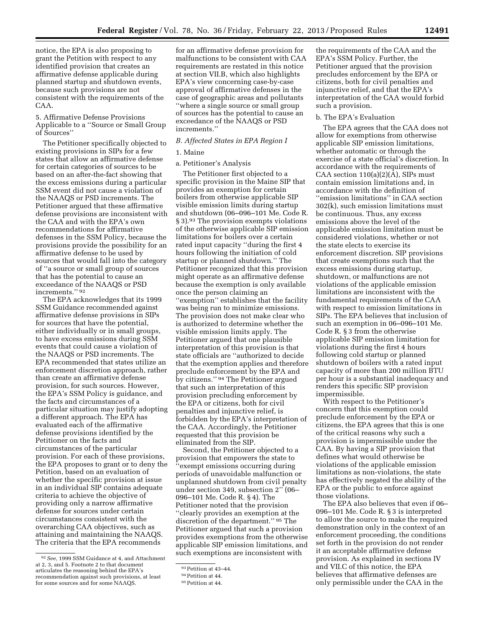notice, the EPA is also proposing to grant the Petition with respect to any identified provision that creates an affirmative defense applicable during planned startup and shutdown events, because such provisions are not consistent with the requirements of the CAA.

5. Affirmative Defense Provisions Applicable to a ''Source or Small Group of Sources''

The Petitioner specifically objected to existing provisions in SIPs for a few states that allow an affirmative defense for certain categories of sources to be based on an after-the-fact showing that the excess emissions during a particular SSM event did not cause a violation of the NAAQS or PSD increments. The Petitioner argued that these affirmative defense provisions are inconsistent with the CAA and with the EPA's own recommendations for affirmative defenses in the SSM Policy, because the provisions provide the possibility for an affirmative defense to be used by sources that would fall into the category of ''a source or small group of sources that has the potential to cause an exceedance of the NAAQS or PSD increments.'' 92

The EPA acknowledges that its 1999 SSM Guidance recommended against affirmative defense provisions in SIPs for sources that have the potential, either individually or in small groups, to have excess emissions during SSM events that could cause a violation of the NAAQS or PSD increments. The EPA recommended that states utilize an enforcement discretion approach, rather than create an affirmative defense provision, for such sources. However, the EPA's SSM Policy is guidance, and the facts and circumstances of a particular situation may justify adopting a different approach. The EPA has evaluated each of the affirmative defense provisions identified by the Petitioner on the facts and circumstances of the particular provision. For each of these provisions, the EPA proposes to grant or to deny the Petition, based on an evaluation of whether the specific provision at issue in an individual SIP contains adequate criteria to achieve the objective of providing only a narrow affirmative defense for sources under certain circumstances consistent with the overarching CAA objectives, such as attaining and maintaining the NAAQS. The criteria that the EPA recommends

for an affirmative defense provision for malfunctions to be consistent with CAA requirements are restated in this notice at section VII.B, which also highlights EPA's view concerning case-by-case approval of affirmative defenses in the case of geographic areas and pollutants ''where a single source or small group of sources has the potential to cause an exceedance of the NAAQS or PSD increments.''

# *B. Affected States in EPA Region I*

# 1. Maine

# a. Petitioner's Analysis

The Petitioner first objected to a specific provision in the Maine SIP that provides an exemption for certain boilers from otherwise applicable SIP visible emission limits during startup and shutdown (06–096–101 Me. Code R. § 3).<sup>93</sup> The provision exempts violations of the otherwise applicable SIP emission limitations for boilers over a certain rated input capacity ''during the first 4 hours following the initiation of cold startup or planned shutdown.'' The Petitioner recognized that this provision might operate as an affirmative defense because the exemption is only available once the person claiming an ''exemption'' establishes that the facility was being run to minimize emissions. The provision does not make clear who is authorized to determine whether the visible emission limits apply. The Petitioner argued that one plausible interpretation of this provision is that state officials are ''authorized to decide that the exemption applies and therefore preclude enforcement by the EPA and by citizens.'' 94 The Petitioner argued that such an interpretation of this provision precluding enforcement by the EPA or citizens, both for civil penalties and injunctive relief, is forbidden by the EPA's interpretation of the CAA. Accordingly, the Petitioner requested that this provision be eliminated from the SIP.

Second, the Petitioner objected to a provision that empowers the state to ''exempt emissions occurring during periods of unavoidable malfunction or unplanned shutdown from civil penalty under section 349, subsection 2'' (06– 096–101 Me. Code R. § 4). The Petitioner noted that the provision ''clearly provides an exemption at the discretion of the department.'' 95 The Petitioner argued that such a provision provides exemptions from the otherwise applicable SIP emission limitations, and such exemptions are inconsistent with

the requirements of the CAA and the EPA's SSM Policy. Further, the Petitioner argued that the provision precludes enforcement by the EPA or citizens, both for civil penalties and injunctive relief, and that the EPA's interpretation of the CAA would forbid such a provision.

#### b. The EPA's Evaluation

The EPA agrees that the CAA does not allow for exemptions from otherwise applicable SIP emission limitations, whether automatic or through the exercise of a state official's discretion. In accordance with the requirements of CAA section  $110(a)(2)(A)$ , SIPs must contain emission limitations and, in accordance with the definition of ''emission limitations'' in CAA section 302(k), such emission limitations must be continuous. Thus, any excess emissions above the level of the applicable emission limitation must be considered violations, whether or not the state elects to exercise its enforcement discretion. SIP provisions that create exemptions such that the excess emissions during startup, shutdown, or malfunctions are not violations of the applicable emission limitations are inconsistent with the fundamental requirements of the CAA with respect to emission limitations in SIPs. The EPA believes that inclusion of such an exemption in 06–096–101 Me. Code R. § 3 from the otherwise applicable SIP emission limitation for violations during the first 4 hours following cold startup or planned shutdown of boilers with a rated input capacity of more than 200 million BTU per hour is a substantial inadequacy and renders this specific SIP provision impermissible.

With respect to the Petitioner's concern that this exemption could preclude enforcement by the EPA or citizens, the EPA agrees that this is one of the critical reasons why such a provision is impermissible under the CAA. By having a SIP provision that defines what would otherwise be violations of the applicable emission limitations as non-violations, the state has effectively negated the ability of the EPA or the public to enforce against those violations.

The EPA also believes that even if 06– 096–101 Me. Code R. § 3 is interpreted to allow the source to make the required demonstration only in the context of an enforcement proceeding, the conditions set forth in the provision do not render it an acceptable affirmative defense provision. As explained in sections IV and VII.C of this notice, the EPA believes that affirmative defenses are only permissible under the CAA in the

<sup>92</sup>*See,* 1999 SSM Guidance at 4, and Attachment at 2, 3, and 5. Footnote 2 to that document articulates the reasoning behind the EPA's recommendation against such provisions, at least for some sources and for some NAAQS.

<sup>93</sup>Petition at 43–44.

<sup>94</sup>Petition at 44.

<sup>95</sup>Petition at 44.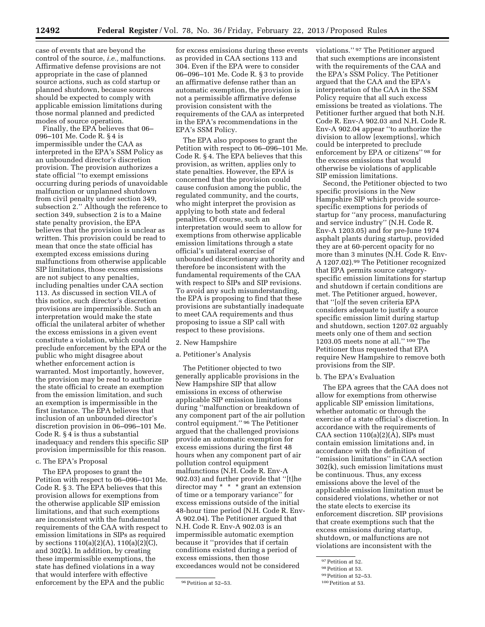case of events that are beyond the control of the source, *i.e.,* malfunctions. Affirmative defense provisions are not appropriate in the case of planned source actions, such as cold startup or planned shutdown, because sources should be expected to comply with applicable emission limitations during those normal planned and predicted modes of source operation.

Finally, the EPA believes that 06– 096–101 Me. Code R. § 4 is impermissible under the CAA as interpreted in the EPA's SSM Policy as an unbounded director's discretion provision. The provision authorizes a state official ''to exempt emissions occurring during periods of unavoidable malfunction or unplanned shutdown from civil penalty under section 349, subsection 2.'' Although the reference to section 349, subsection 2 is to a Maine state penalty provision, the EPA believes that the provision is unclear as written. This provision could be read to mean that once the state official has exempted excess emissions during malfunctions from otherwise applicable SIP limitations, those excess emissions are not subject to any penalties, including penalties under CAA section 113. As discussed in section VII.A of this notice, such director's discretion provisions are impermissible. Such an interpretation would make the state official the unilateral arbiter of whether the excess emissions in a given event constitute a violation, which could preclude enforcement by the EPA or the public who might disagree about whether enforcement action is warranted. Most importantly, however, the provision may be read to authorize the state official to create an exemption from the emission limitation, and such an exemption is impermissible in the first instance. The EPA believes that inclusion of an unbounded director's discretion provision in 06–096–101 Me. Code R. § 4 is thus a substantial inadequacy and renders this specific SIP provision impermissible for this reason.

# c. The EPA's Proposal

The EPA proposes to grant the Petition with respect to 06–096–101 Me. Code R. § 3. The EPA believes that this provision allows for exemptions from the otherwise applicable SIP emission limitations, and that such exemptions are inconsistent with the fundamental requirements of the CAA with respect to emission limitations in SIPs as required by sections  $110(a)(2)(A)$ ,  $110(a)(2)(C)$ , and 302(k). In addition, by creating these impermissible exemptions, the state has defined violations in a way that would interfere with effective enforcement by the EPA and the public

for excess emissions during these events as provided in CAA sections 113 and 304. Even if the EPA were to consider 06–096–101 Me. Code R. § 3 to provide an affirmative defense rather than an automatic exemption, the provision is not a permissible affirmative defense provision consistent with the requirements of the CAA as interpreted in the EPA's recommendations in the EPA's SSM Policy.

The EPA also proposes to grant the Petition with respect to 06–096–101 Me. Code R. § 4. The EPA believes that this provision, as written, applies only to state penalties. However, the EPA is concerned that the provision could cause confusion among the public, the regulated community, and the courts, who might interpret the provision as applying to both state and federal penalties. Of course, such an interpretation would seem to allow for exemptions from otherwise applicable emission limitations through a state official's unilateral exercise of unbounded discretionary authority and therefore be inconsistent with the fundamental requirements of the CAA with respect to SIPs and SIP revisions. To avoid any such misunderstanding, the EPA is proposing to find that these provisions are substantially inadequate to meet CAA requirements and thus proposing to issue a SIP call with respect to these provisions.

#### 2. New Hampshire

#### a. Petitioner's Analysis

The Petitioner objected to two generally applicable provisions in the New Hampshire SIP that allow emissions in excess of otherwise applicable SIP emission limitations during ''malfunction or breakdown of any component part of the air pollution control equipment.'' 96 The Petitioner argued that the challenged provisions provide an automatic exemption for excess emissions during the first 48 hours when any component part of air pollution control equipment malfunctions (N.H. Code R. Env-A 902.03) and further provide that ''[t]he director may \* \* \* grant an extension of time or a temporary variance'' for excess emissions outside of the initial 48-hour time period (N.H. Code R. Env-A 902.04). The Petitioner argued that N.H. Code R. Env-A 902.03 is an impermissible automatic exemption because it ''provides that if certain conditions existed during a period of excess emissions, then those exceedances would not be considered

violations.'' 97 The Petitioner argued that such exemptions are inconsistent with the requirements of the CAA and the EPA's SSM Policy. The Petitioner argued that the CAA and the EPA's interpretation of the CAA in the SSM Policy require that all such excess emissions be treated as violations. The Petitioner further argued that both N.H. Code R. Env-A 902.03 and N.H. Code R. Env-A 902.04 appear ''to authorize the division to allow [exemptions], which could be interpreted to preclude enforcement by EPA or citizens'' 98 for the excess emissions that would otherwise be violations of applicable SIP emission limitations.

Second, the Petitioner objected to two specific provisions in the New Hampshire SIP which provide sourcespecific exemptions for periods of startup for ''any process, manufacturing and service industry'' (N.H. Code R. Env-A 1203.05) and for pre-June 1974 asphalt plants during startup, provided they are at 60-percent opacity for no more than 3 minutes (N.H. Code R. Env-A 1207.02).99 The Petitioner recognized that EPA permits source categoryspecific emission limitations for startup and shutdown if certain conditions are met. The Petitioner argued, however, that ''[o]f the seven criteria EPA considers adequate to justify a source specific emission limit during startup and shutdown, section 1207.02 arguably meets only one of them and section 1203.05 meets none at all.'' 100 The Petitioner thus requested that EPA require New Hampshire to remove both provisions from the SIP.

#### b. The EPA's Evaluation

The EPA agrees that the CAA does not allow for exemptions from otherwise applicable SIP emission limitations, whether automatic or through the exercise of a state official's discretion. In accordance with the requirements of CAA section  $110(a)(2)(\overline{A})$ , SIPs must contain emission limitations and, in accordance with the definition of ''emission limitations'' in CAA section 302(k), such emission limitations must be continuous. Thus, any excess emissions above the level of the applicable emission limitation must be considered violations, whether or not the state elects to exercise its enforcement discretion. SIP provisions that create exemptions such that the excess emissions during startup, shutdown, or malfunctions are not violations are inconsistent with the

<sup>96</sup>Petition at 52–53.

<sup>97</sup>Petition at 52.

<sup>98</sup>Petition at 53.

<sup>99</sup>Petition at 52–53.

<sup>100</sup>Petition at 53.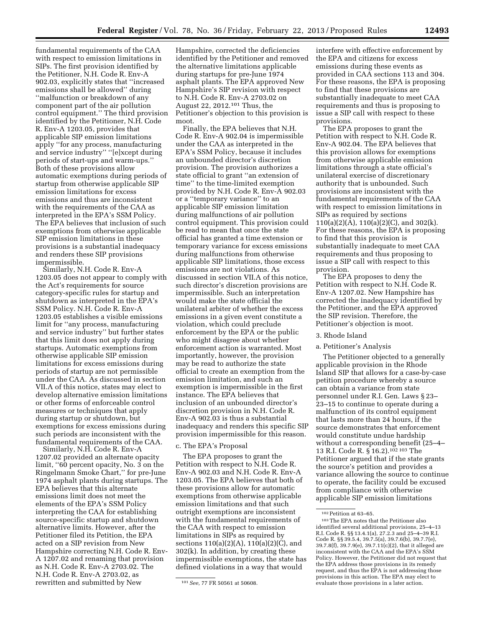fundamental requirements of the CAA with respect to emission limitations in SIPs. The first provision identified by the Petitioner, N.H. Code R. Env-A 902.03, explicitly states that ''increased emissions shall be allowed'' during ''malfunction or breakdown of any component part of the air pollution control equipment.'' The third provision identified by the Petitioner, N.H. Code R. Env-A 1203.05, provides that applicable SIP emission limitations apply ''for any process, manufacturing and service industry'' ''[e]xcept during periods of start-ups and warm-ups.'' Both of these provisions allow automatic exemptions during periods of startup from otherwise applicable SIP emission limitations for excess emissions and thus are inconsistent with the requirements of the CAA as interpreted in the EPA's SSM Policy. The EPA believes that inclusion of such exemptions from otherwise applicable SIP emission limitations in these provisions is a substantial inadequacy and renders these SIP provisions impermissible.

Similarly, N.H. Code R. Env-A 1203.05 does not appear to comply with the Act's requirements for source category-specific rules for startup and shutdown as interpreted in the EPA's SSM Policy. N.H. Code R. Env-A 1203.05 establishes a visible emissions limit for ''any process, manufacturing and service industry'' but further states that this limit does not apply during startups. Automatic exemptions from otherwise applicable SIP emission limitations for excess emissions during periods of startup are not permissible under the CAA. As discussed in section VII.A of this notice, states may elect to develop alternative emission limitations or other forms of enforceable control measures or techniques that apply during startup or shutdown, but exemptions for excess emissions during such periods are inconsistent with the fundamental requirements of the CAA.

Similarly, N.H. Code R. Env-A 1207.02 provided an alternate opacity limit, ''60 percent opacity, No. 3 on the Ringelmann Smoke Chart,'' for pre-June 1974 asphalt plants during startups. The EPA believes that this alternate emissions limit does not meet the elements of the EPA's SSM Policy interpreting the CAA for establishing source-specific startup and shutdown alternative limits. However, after the Petitioner filed its Petition, the EPA acted on a SIP revision from New Hampshire correcting N.H. Code R. Env-A 1207.02 and renaming that provision as N.H. Code R. Env-A 2703.02. The N.H. Code R. Env-A 2703.02, as rewritten and submitted by New

Hampshire, corrected the deficiencies identified by the Petitioner and removed the alternative limitations applicable during startups for pre-June 1974 asphalt plants. The EPA approved New Hampshire's SIP revision with respect to N.H. Code R. Env-A 2703.02 on August 22, 2012.101 Thus, the Petitioner's objection to this provision is moot.

Finally, the EPA believes that N.H. Code R. Env-A 902.04 is impermissible under the CAA as interpreted in the EPA's SSM Policy, because it includes an unbounded director's discretion provision. The provision authorizes a state official to grant ''an extension of time'' to the time-limited exemption provided by N.H. Code R. Env-A 902.03 or a ''temporary variance'' to an applicable SIP emission limitation during malfunctions of air pollution control equipment. This provision could be read to mean that once the state official has granted a time extension or temporary variance for excess emissions during malfunctions from otherwise applicable SIP limitations, those excess emissions are not violations. As discussed in section VII.A of this notice, such director's discretion provisions are impermissible. Such an interpretation would make the state official the unilateral arbiter of whether the excess emissions in a given event constitute a violation, which could preclude enforcement by the EPA or the public who might disagree about whether enforcement action is warranted. Most importantly, however, the provision may be read to authorize the state official to create an exemption from the emission limitation, and such an exemption is impermissible in the first instance. The EPA believes that inclusion of an unbounded director's discretion provision in N.H. Code R. Env-A 902.03 is thus a substantial inadequacy and renders this specific SIP provision impermissible for this reason.

#### c. The EPA's Proposal

The EPA proposes to grant the Petition with respect to N.H. Code R. Env-A 902.03 and N.H. Code R. Env-A 1203.05. The EPA believes that both of these provisions allow for automatic exemptions from otherwise applicable emission limitations and that such outright exemptions are inconsistent with the fundamental requirements of the CAA with respect to emission limitations in SIPs as required by sections 110(a)(2)(A), 110(a)(2)(C), and 302(k). In addition, by creating these impermissible exemptions, the state has defined violations in a way that would

interfere with effective enforcement by the EPA and citizens for excess emissions during these events as provided in CAA sections 113 and 304. For these reasons, the EPA is proposing to find that these provisions are substantially inadequate to meet CAA requirements and thus is proposing to issue a SIP call with respect to these provisions.

The EPA proposes to grant the Petition with respect to N.H. Code R. Env-A 902.04. The EPA believes that this provision allows for exemptions from otherwise applicable emission limitations through a state official's unilateral exercise of discretionary authority that is unbounded. Such provisions are inconsistent with the fundamental requirements of the CAA with respect to emission limitations in SIPs as required by sections  $110(a)(2)(A)$ ,  $110(a)(2)(C)$ , and  $302(k)$ . For these reasons, the EPA is proposing to find that this provision is substantially inadequate to meet CAA requirements and thus proposing to issue a SIP call with respect to this provision.

The EPA proposes to deny the Petition with respect to N.H. Code R. Env-A 1207.02. New Hampshire has corrected the inadequacy identified by the Petitioner, and the EPA approved the SIP revision. Therefore, the Petitioner's objection is moot.

#### 3. Rhode Island

#### a. Petitioner's Analysis

The Petitioner objected to a generally applicable provision in the Rhode Island SIP that allows for a case-by-case petition procedure whereby a source can obtain a variance from state personnel under R.I. Gen. Laws § 23– 23–15 to continue to operate during a malfunction of its control equipment that lasts more than 24 hours, if the source demonstrates that enforcement would constitute undue hardship without a corresponding benefit (25–4– 13 R.I. Code R. § 16.2).102 103 The Petitioner argued that if the state grants the source's petition and provides a variance allowing the source to continue to operate, the facility could be excused from compliance with otherwise applicable SIP emission limitations

<sup>101</sup>*See,* 77 FR 50561 at 50608.

<sup>&</sup>lt;sup>102</sup> Petition at 63–65.<br><sup>103</sup> The EPA notes that the Petitioner also identified several additional provisions, 25–4–13 R.I. Code R. §§ 13.4.1(a), 27.2.3 and 25–4–39 R.I. Code R. §§ 39.5.4, 39.7.5(a), 39.7.6(b), 39.7.7(e), 39.7.8(f), 39.7.9(e), 39.7.11(c)(2), that it alleged are inconsistent with the CAA and the EPA's SSM Policy. However, the Petitioner did not request that the EPA address those provisions in its remedy request, and thus the EPA is not addressing those provisions in this action. The EPA may elect to evaluate those provisions in a later action.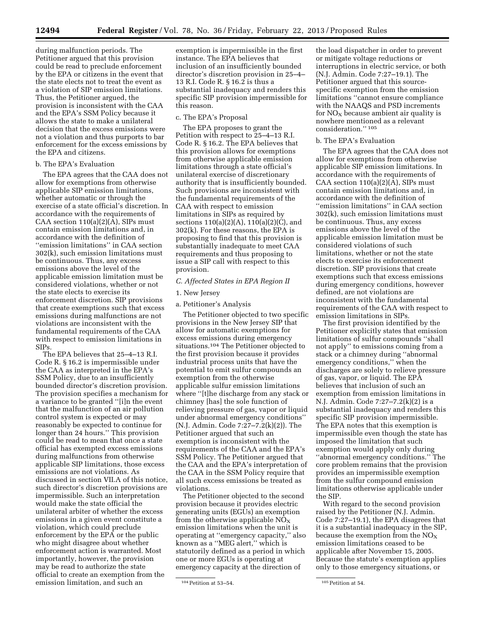during malfunction periods. The Petitioner argued that this provision could be read to preclude enforcement by the EPA or citizens in the event that the state elects not to treat the event as a violation of SIP emission limitations. Thus, the Petitioner argued, the provision is inconsistent with the CAA and the EPA's SSM Policy because it allows the state to make a unilateral decision that the excess emissions were not a violation and thus purports to bar enforcement for the excess emissions by the EPA and citizens.

#### b. The EPA's Evaluation

The EPA agrees that the CAA does not allow for exemptions from otherwise applicable SIP emission limitations, whether automatic or through the exercise of a state official's discretion. In accordance with the requirements of CAA section  $110(a)(2)(\overline{A})$ , SIPs must contain emission limitations and, in accordance with the definition of ''emission limitations'' in CAA section 302(k), such emission limitations must be continuous. Thus, any excess emissions above the level of the applicable emission limitation must be considered violations, whether or not the state elects to exercise its enforcement discretion. SIP provisions that create exemptions such that excess emissions during malfunctions are not violations are inconsistent with the fundamental requirements of the CAA with respect to emission limitations in SIPs.

The EPA believes that 25–4–13 R.I. Code R. § 16.2 is impermissible under the CAA as interpreted in the EPA's SSM Policy, due to an insufficiently bounded director's discretion provision. The provision specifies a mechanism for a variance to be granted ''[i]n the event that the malfunction of an air pollution control system is expected or may reasonably be expected to continue for longer than 24 hours.'' This provision could be read to mean that once a state official has exempted excess emissions during malfunctions from otherwise applicable SIP limitations, those excess emissions are not violations. As discussed in section VII.A of this notice, such director's discretion provisions are impermissible. Such an interpretation would make the state official the unilateral arbiter of whether the excess emissions in a given event constitute a violation, which could preclude enforcement by the EPA or the public who might disagree about whether enforcement action is warranted. Most importantly, however, the provision may be read to authorize the state official to create an exemption from the emission limitation, and such an

exemption is impermissible in the first instance. The EPA believes that inclusion of an insufficiently bounded director's discretion provision in 25–4– 13 R.I. Code R. § 16.2 is thus a substantial inadequacy and renders this specific SIP provision impermissible for this reason.

#### c. The EPA's Proposal

The EPA proposes to grant the Petition with respect to 25–4–13 R.I. Code R. § 16.2. The EPA believes that this provision allows for exemptions from otherwise applicable emission limitations through a state official's unilateral exercise of discretionary authority that is insufficiently bounded. Such provisions are inconsistent with the fundamental requirements of the CAA with respect to emission limitations in SIPs as required by sections 110(a)(2)(A), 110(a)(2)(C), and 302(k). For these reasons, the EPA is proposing to find that this provision is substantially inadequate to meet CAA requirements and thus proposing to issue a SIP call with respect to this provision.

#### *C. Affected States in EPA Region II*

#### 1. New Jersey

#### a. Petitioner's Analysis

The Petitioner objected to two specific provisions in the New Jersey SIP that allow for automatic exemptions for excess emissions during emergency situations.104 The Petitioner objected to the first provision because it provides industrial process units that have the potential to emit sulfur compounds an exemption from the otherwise applicable sulfur emission limitations where ''[t]he discharge from any stack or chimney [has] the sole function of relieving pressure of gas, vapor or liquid under abnormal emergency conditions'' (N.J. Admin. Code 7:27–7.2(k)(2)). The Petitioner argued that such an exemption is inconsistent with the requirements of the CAA and the EPA's SSM Policy. The Petitioner argued that the CAA and the EPA's interpretation of the CAA in the SSM Policy require that all such excess emissions be treated as violations.

The Petitioner objected to the second provision because it provides electric generating units (EGUs) an exemption from the otherwise applicable  $NO<sub>x</sub>$ emission limitations when the unit is operating at ''emergency capacity,'' also known as a ''MEG alert,'' which is statutorily defined as a period in which one or more EGUs is operating at emergency capacity at the direction of

the load dispatcher in order to prevent or mitigate voltage reductions or interruptions in electric service, or both (N.J. Admin. Code 7:27–19.1). The Petitioner argued that this sourcespecific exemption from the emission limitations ''cannot ensure compliance with the NAAQS and PSD increments for  $NO<sub>x</sub>$  because ambient air quality is nowhere mentioned as a relevant consideration.'' 105

#### b. The EPA's Evaluation

The EPA agrees that the CAA does not allow for exemptions from otherwise applicable SIP emission limitations. In accordance with the requirements of CAA section  $110(a)(2)(\overline{A})$ , SIPs must contain emission limitations and, in accordance with the definition of ''emission limitations'' in CAA section 302(k), such emission limitations must be continuous. Thus, any excess emissions above the level of the applicable emission limitation must be considered violations of such limitations, whether or not the state elects to exercise its enforcement discretion. SIP provisions that create exemptions such that excess emissions during emergency conditions, however defined, are not violations are inconsistent with the fundamental requirements of the CAA with respect to emission limitations in SIPs.

The first provision identified by the Petitioner explicitly states that emission limitations of sulfur compounds ''shall not apply'' to emissions coming from a stack or a chimney during ''abnormal emergency conditions,'' when the discharges are solely to relieve pressure of gas, vapor, or liquid. The EPA believes that inclusion of such an exemption from emission limitations in N.J. Admin. Code 7:27–7.2(k)(2) is a substantial inadequacy and renders this specific SIP provision impermissible. The EPA notes that this exemption is impermissible even though the state has imposed the limitation that such exemption would apply only during ''abnormal emergency conditions.'' The core problem remains that the provision provides an impermissible exemption from the sulfur compound emission limitations otherwise applicable under the SIP.

With regard to the second provision raised by the Petitioner (N.J. Admin. Code 7:27–19.1), the EPA disagrees that it is a substantial inadequacy in the SIP, because the exemption from the  $NO<sub>x</sub>$ emission limitations ceased to be applicable after November 15, 2005. Because the statute's exemption applies only to those emergency situations, or

<sup>104</sup>Petition at 53–54. 105Petition at 54.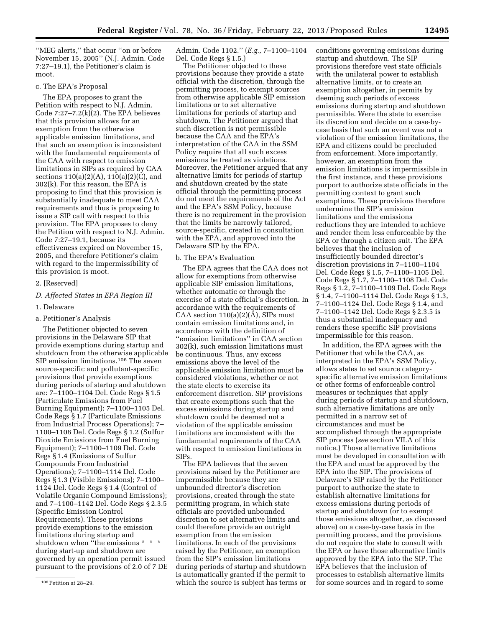''MEG alerts,'' that occur ''on or before November 15, 2005'' (N.J. Admin. Code 7:27–19.1), the Petitioner's claim is moot.

# c. The EPA's Proposal

The EPA proposes to grant the Petition with respect to N.J. Admin. Code  $7:27-7.2(k)(2)$ . The EPA believes that this provision allows for an exemption from the otherwise applicable emission limitations, and that such an exemption is inconsistent with the fundamental requirements of the CAA with respect to emission limitations in SIPs as required by CAA sections 110(a)(2)(A), 110(a)(2)(C), and 302(k). For this reason, the EPA is proposing to find that this provision is substantially inadequate to meet CAA requirements and thus is proposing to issue a SIP call with respect to this provision. The EPA proposes to deny the Petition with respect to N.J. Admin. Code 7:27–19.1, because its effectiveness expired on November 15, 2005, and therefore Petitioner's claim with regard to the impermissibility of this provision is moot.

#### 2. [Reserved]

# *D. Affected States in EPA Region III*

#### 1. Delaware

## a. Petitioner's Analysis

The Petitioner objected to seven provisions in the Delaware SIP that provide exemptions during startup and shutdown from the otherwise applicable SIP emission limitations.106 The seven source-specific and pollutant-specific provisions that provide exemptions during periods of startup and shutdown are: 7–1100–1104 Del. Code Regs § 1.5 (Particulate Emissions from Fuel Burning Equipment); 7–1100–1105 Del. Code Regs § 1.7 (Particulate Emissions from Industrial Process Operations); 7– 1100–1108 Del. Code Regs § 1.2 (Sulfur Dioxide Emissions from Fuel Burning Equipment); 7–1100–1109 Del. Code Regs § 1.4 (Emissions of Sulfur Compounds From Industrial Operations); 7–1100–1114 Del. Code Regs § 1.3 (Visible Emissions); 7–1100– 1124 Del. Code Regs § 1.4 (Control of Volatile Organic Compound Emissions); and 7–1100–1142 Del. Code Regs § 2.3.5 (Specific Emission Control Requirements). These provisions provide exemptions to the emission limitations during startup and shutdown when "the emissions \* \* \* during start-up and shutdown are governed by an operation permit issued pursuant to the provisions of 2.0 of 7 DE

Admin. Code 1102.'' (*E.g.,* 7–1100–1104 Del. Code Regs § 1.5.)

The Petitioner objected to these provisions because they provide a state official with the discretion, through the permitting process, to exempt sources from otherwise applicable SIP emission limitations or to set alternative limitations for periods of startup and shutdown. The Petitioner argued that such discretion is not permissible because the CAA and the EPA's interpretation of the CAA in the SSM Policy require that all such excess emissions be treated as violations. Moreover, the Petitioner argued that any alternative limits for periods of startup and shutdown created by the state official through the permitting process do not meet the requirements of the Act and the EPA's SSM Policy, because there is no requirement in the provision that the limits be narrowly tailored, source-specific, created in consultation with the EPA, and approved into the Delaware SIP by the EPA.

### b. The EPA's Evaluation

The EPA agrees that the CAA does not allow for exemptions from otherwise applicable SIP emission limitations, whether automatic or through the exercise of a state official's discretion. In accordance with the requirements of CAA section  $110(a)(2)(A)$ , SIPs must contain emission limitations and, in accordance with the definition of ''emission limitations'' in CAA section 302(k), such emission limitations must be continuous. Thus, any excess emissions above the level of the applicable emission limitation must be considered violations, whether or not the state elects to exercise its enforcement discretion. SIP provisions that create exemptions such that the excess emissions during startup and shutdown could be deemed not a violation of the applicable emission limitations are inconsistent with the fundamental requirements of the CAA with respect to emission limitations in SIPs.

The EPA believes that the seven provisions raised by the Petitioner are impermissible because they are unbounded director's discretion provisions, created through the state permitting program, in which state officials are provided unbounded discretion to set alternative limits and could therefore provide an outright exemption from the emission limitations. In each of the provisions raised by the Petitioner, an exemption from the SIP's emission limitations during periods of startup and shutdown is automatically granted if the permit to which the source is subject has terms or conditions governing emissions during startup and shutdown. The SIP provisions therefore vest state officials with the unilateral power to establish alternative limits, or to create an exemption altogether, in permits by deeming such periods of excess emissions during startup and shutdown permissible. Were the state to exercise its discretion and decide on a case-bycase basis that such an event was not a violation of the emission limitations, the EPA and citizens could be precluded from enforcement. More importantly, however, an exemption from the emission limitations is impermissible in the first instance, and these provisions purport to authorize state officials in the permitting context to grant such exemptions. These provisions therefore undermine the SIP's emission limitations and the emissions reductions they are intended to achieve and render them less enforceable by the EPA or through a citizen suit. The EPA believes that the inclusion of insufficiently bounded director's discretion provisions in 7–1100–1104 Del. Code Regs § 1.5, 7–1100–1105 Del. Code Regs § 1.7, 7–1100–1108 Del. Code Regs § 1.2, 7–1100–1109 Del. Code Regs § 1.4, 7–1100–1114 Del. Code Regs § 1.3, 7–1100–1124 Del. Code Regs § 1.4, and 7–1100–1142 Del. Code Regs § 2.3.5 is thus a substantial inadequacy and renders these specific SIP provisions impermissible for this reason.

In addition, the EPA agrees with the Petitioner that while the CAA, as interpreted in the EPA's SSM Policy, allows states to set source categoryspecific alternative emission limitations or other forms of enforceable control measures or techniques that apply during periods of startup and shutdown, such alternative limitations are only permitted in a narrow set of circumstances and must be accomplished through the appropriate SIP process (*see* section VII.A of this notice.) Those alternative limitations must be developed in consultation with the EPA and must be approved by the EPA into the SIP. The provisions of Delaware's SIP raised by the Petitioner purport to authorize the state to establish alternative limitations for excess emissions during periods of startup and shutdown (or to exempt those emissions altogether, as discussed above) on a case-by-case basis in the permitting process, and the provisions do not require the state to consult with the EPA or have those alternative limits approved by the EPA into the SIP. The EPA believes that the inclusion of processes to establish alternative limits for some sources and in regard to some

<sup>106</sup>Petition at 28–29.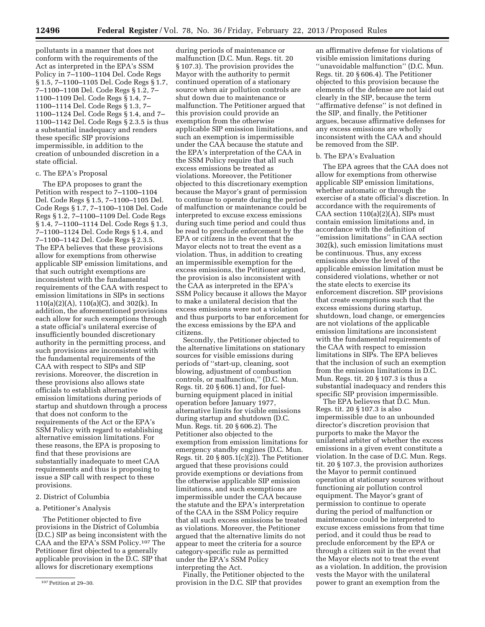pollutants in a manner that does not conform with the requirements of the Act as interpreted in the EPA's SSM Policy in 7–1100–1104 Del. Code Regs § 1.5, 7–1100–1105 Del. Code Regs § 1.7, 7–1100–1108 Del. Code Regs § 1.2, 7– 1100–1109 Del. Code Regs § 1.4, 7– 1100–1114 Del. Code Regs § 1.3, 7– 1100–1124 Del. Code Regs § 1.4, and 7– 1100–1142 Del. Code Regs § 2.3.5 is thus a substantial inadequacy and renders these specific SIP provisions impermissible, in addition to the creation of unbounded discretion in a state official.

# c. The EPA's Proposal

The EPA proposes to grant the Petition with respect to 7–1100–1104 Del. Code Regs § 1.5, 7–1100–1105 Del. Code Regs § 1.7, 7–1100–1108 Del. Code Regs § 1.2, 7–1100–1109 Del. Code Regs § 1.4, 7–1100–1114 Del. Code Regs § 1.3, 7–1100–1124 Del. Code Regs § 1.4, and 7–1100–1142 Del. Code Regs § 2.3.5. The EPA believes that these provisions allow for exemptions from otherwise applicable SIP emission limitations, and that such outright exemptions are inconsistent with the fundamental requirements of the CAA with respect to emission limitations in SIPs in sections 110(a)(2)(A), 110(a)(C), and 302(k). In addition, the aforementioned provisions each allow for such exemptions through a state official's unilateral exercise of insufficiently bounded discretionary authority in the permitting process, and such provisions are inconsistent with the fundamental requirements of the CAA with respect to SIPs and SIP revisions. Moreover, the discretion in these provisions also allows state officials to establish alternative emission limitations during periods of startup and shutdown through a process that does not conform to the requirements of the Act or the EPA's SSM Policy with regard to establishing alternative emission limitations. For these reasons, the EPA is proposing to find that these provisions are substantially inadequate to meet CAA requirements and thus is proposing to issue a SIP call with respect to these provisions.

# 2. District of Columbia

# a. Petitioner's Analysis

The Petitioner objected to five provisions in the District of Columbia (D.C.) SIP as being inconsistent with the CAA and the EPA's SSM Policy.107 The Petitioner first objected to a generally applicable provision in the D.C. SIP that allows for discretionary exemptions

during periods of maintenance or malfunction (D.C. Mun. Regs. tit. 20 § 107.3). The provision provides the Mayor with the authority to permit continued operation of a stationary source when air pollution controls are shut down due to maintenance or malfunction. The Petitioner argued that this provision could provide an exemption from the otherwise applicable SIP emission limitations, and such an exemption is impermissible under the CAA because the statute and the EPA's interpretation of the CAA in the SSM Policy require that all such excess emissions be treated as violations. Moreover, the Petitioner objected to this discretionary exemption because the Mayor's grant of permission to continue to operate during the period of malfunction or maintenance could be interpreted to excuse excess emissions during such time period and could thus be read to preclude enforcement by the EPA or citizens in the event that the Mayor elects not to treat the event as a violation. Thus, in addition to creating an impermissible exemption for the excess emissions, the Petitioner argued, the provision is also inconsistent with the CAA as interpreted in the EPA's SSM Policy because it allows the Mayor to make a unilateral decision that the excess emissions were not a violation and thus purports to bar enforcement for the excess emissions by the EPA and citizens.

Secondly, the Petitioner objected to the alternative limitations on stationary sources for visible emissions during periods of ''start-up, cleaning, soot blowing, adjustment of combustion controls, or malfunction,'' (D.C. Mun. Regs. tit. 20 § 606.1) and, for fuelburning equipment placed in initial operation before January 1977, alternative limits for visible emissions during startup and shutdown (D.C. Mun. Regs. tit. 20 § 606.2). The Petitioner also objected to the exemption from emission limitations for emergency standby engines (D.C. Mun. Regs. tit. 20 § 805.1(c)(2)). The Petitioner argued that these provisions could provide exemptions or deviations from the otherwise applicable SIP emission limitations, and such exemptions are impermissible under the CAA because the statute and the EPA's interpretation of the CAA in the SSM Policy require that all such excess emissions be treated as violations. Moreover, the Petitioner argued that the alternative limits do not appear to meet the criteria for a source category-specific rule as permitted under the EPA's SSM Policy interpreting the Act.

Finally, the Petitioner objected to the provision in the D.C. SIP that provides

an affirmative defense for violations of visible emission limitations during ''unavoidable malfunction'' (D.C. Mun. Regs. tit. 20 § 606.4). The Petitioner objected to this provision because the elements of the defense are not laid out clearly in the SIP, because the term ''affirmative defense'' is not defined in the SIP, and finally, the Petitioner argues, because affirmative defenses for any excess emissions are wholly inconsistent with the CAA and should be removed from the SIP.

## b. The EPA's Evaluation

The EPA agrees that the CAA does not allow for exemptions from otherwise applicable SIP emission limitations, whether automatic or through the exercise of a state official's discretion. In accordance with the requirements of CAA section  $110(a)(2)(\overline{A})$ , SIPs must contain emission limitations and, in accordance with the definition of ''emission limitations'' in CAA section 302(k), such emission limitations must be continuous. Thus, any excess emissions above the level of the applicable emission limitation must be considered violations, whether or not the state elects to exercise its enforcement discretion. SIP provisions that create exemptions such that the excess emissions during startup, shutdown, load change, or emergencies are not violations of the applicable emission limitations are inconsistent with the fundamental requirements of the CAA with respect to emission limitations in SIPs. The EPA believes that the inclusion of such an exemption from the emission limitations in D.C. Mun. Regs. tit. 20 § 107.3 is thus a substantial inadequacy and renders this specific SIP provision impermissible.

The EPA believes that D.C. Mun. Regs. tit. 20 § 107.3 is also impermissible due to an unbounded director's discretion provision that purports to make the Mayor the unilateral arbiter of whether the excess emissions in a given event constitute a violation. In the case of D.C. Mun. Regs. tit. 20 § 107.3, the provision authorizes the Mayor to permit continued operation at stationary sources without functioning air pollution control equipment. The Mayor's grant of permission to continue to operate during the period of malfunction or maintenance could be interpreted to excuse excess emissions from that time period, and it could thus be read to preclude enforcement by the EPA or through a citizen suit in the event that the Mayor elects not to treat the event as a violation. In addition, the provision vests the Mayor with the unilateral power to grant an exemption from the

<sup>107</sup>Petition at 29–30.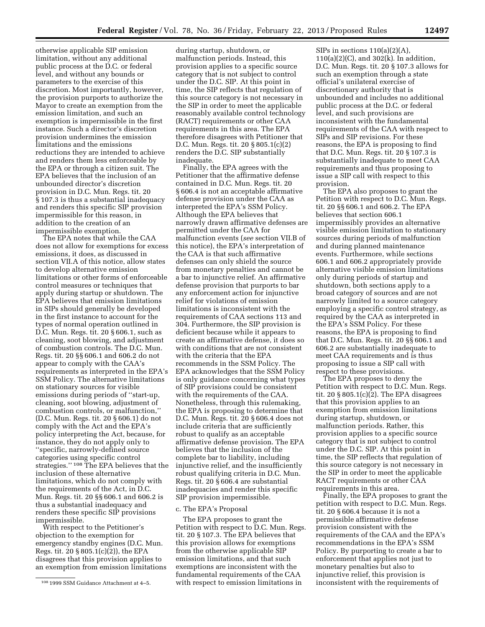otherwise applicable SIP emission limitation, without any additional public process at the D.C. or federal level, and without any bounds or parameters to the exercise of this discretion. Most importantly, however, the provision purports to authorize the Mayor to create an exemption from the emission limitation, and such an exemption is impermissible in the first instance. Such a director's discretion provision undermines the emission limitations and the emissions reductions they are intended to achieve and renders them less enforceable by the EPA or through a citizen suit. The EPA believes that the inclusion of an unbounded director's discretion provision in D.C. Mun. Regs. tit. 20 § 107.3 is thus a substantial inadequacy and renders this specific SIP provision impermissible for this reason, in addition to the creation of an impermissible exemption.

The EPA notes that while the CAA does not allow for exemptions for excess emissions, it does, as discussed in section VII.A of this notice, allow states to develop alternative emission limitations or other forms of enforceable control measures or techniques that apply during startup or shutdown. The EPA believes that emission limitations in SIPs should generally be developed in the first instance to account for the types of normal operation outlined in D.C. Mun. Regs. tit. 20 § 606.1, such as cleaning, soot blowing, and adjustment of combustion controls. The D.C. Mun. Regs. tit. 20 §§ 606.1 and 606.2 do not appear to comply with the CAA's requirements as interpreted in the EPA's SSM Policy. The alternative limitations on stationary sources for visible emissions during periods of ''start-up, cleaning, soot blowing, adjustment of combustion controls, or malfunction,'' (D.C. Mun. Regs. tit. 20 § 606.1) do not comply with the Act and the EPA's policy interpreting the Act, because, for instance, they do not apply only to ''specific, narrowly-defined source categories using specific control strategies.'' 108 The EPA believes that the inclusion of these alternative limitations, which do not comply with the requirements of the Act, in D.C. Mun. Regs. tit. 20 §§ 606.1 and 606.2 is thus a substantial inadequacy and renders these specific SIP provisions impermissible.

With respect to the Petitioner's objection to the exemption for emergency standby engines (D.C. Mun. Regs. tit. 20 § 805.1(c)(2)), the EPA disagrees that this provision applies to an exemption from emission limitations during startup, shutdown, or malfunction periods. Instead, this provision applies to a specific source category that is not subject to control under the D.C. SIP. At this point in time, the SIP reflects that regulation of this source category is not necessary in the SIP in order to meet the applicable reasonably available control technology (RACT) requirements or other CAA requirements in this area. The EPA therefore disagrees with Petitioner that D.C. Mun. Regs. tit. 20 § 805.1(c)(2) renders the D.C. SIP substantially inadequate.

Finally, the EPA agrees with the Petitioner that the affirmative defense contained in D.C. Mun. Regs. tit. 20 § 606.4 is not an acceptable affirmative defense provision under the CAA as interpreted the EPA's SSM Policy. Although the EPA believes that narrowly drawn affirmative defenses are permitted under the CAA for malfunction events (*see* section VII.B of this notice), the EPA's interpretation of the CAA is that such affirmative defenses can only shield the source from monetary penalties and cannot be a bar to injunctive relief. An affirmative defense provision that purports to bar any enforcement action for injunctive relief for violations of emission limitations is inconsistent with the requirements of CAA sections 113 and 304. Furthermore, the SIP provision is deficient because while it appears to create an affirmative defense, it does so with conditions that are not consistent with the criteria that the EPA recommends in the SSM Policy. The EPA acknowledges that the SSM Policy is only guidance concerning what types of SIP provisions could be consistent with the requirements of the CAA. Nonetheless, through this rulemaking, the EPA is proposing to determine that D.C. Mun. Regs. tit. 20 § 606.4 does not include criteria that are sufficiently robust to qualify as an acceptable affirmative defense provision. The EPA believes that the inclusion of the complete bar to liability, including injunctive relief, and the insufficiently robust qualifying criteria in D.C. Mun. Regs. tit. 20 § 606.4 are substantial inadequacies and render this specific SIP provision impermissible.

#### c. The EPA's Proposal

The EPA proposes to grant the Petition with respect to D.C. Mun. Regs. tit. 20 § 107.3. The EPA believes that this provision allows for exemptions from the otherwise applicable SIP emission limitations, and that such exemptions are inconsistent with the fundamental requirements of the CAA with respect to emission limitations in

SIPs in sections  $110(a)(2)(A)$ , 110(a)(2)(C), and 302(k). In addition, D.C. Mun. Regs. tit. 20 § 107.3 allows for such an exemption through a state official's unilateral exercise of discretionary authority that is unbounded and includes no additional public process at the D.C. or federal level, and such provisions are inconsistent with the fundamental requirements of the CAA with respect to SIPs and SIP revisions. For these reasons, the EPA is proposing to find that D.C. Mun. Regs. tit. 20 § 107.3 is substantially inadequate to meet CAA requirements and thus proposing to issue a SIP call with respect to this provision.

The EPA also proposes to grant the Petition with respect to D.C. Mun. Regs. tit. 20 §§ 606.1 and 606.2. The EPA believes that section 606.1 impermissibly provides an alternative visible emission limitation to stationary sources during periods of malfunction and during planned maintenance events. Furthermore, while sections 606.1 and 606.2 appropriately provide alternative visible emission limitations only during periods of startup and shutdown, both sections apply to a broad category of sources and are not narrowly limited to a source category employing a specific control strategy, as required by the CAA as interpreted in the EPA's SSM Policy. For these reasons, the EPA is proposing to find that D.C. Mun. Regs. tit. 20 §§ 606.1 and 606.2 are substantially inadequate to meet CAA requirements and is thus proposing to issue a SIP call with respect to these provisions.

The EPA proposes to deny the Petition with respect to D.C. Mun. Regs. tit. 20 § 805.1(c)(2). The EPA disagrees that this provision applies to an exemption from emission limitations during startup, shutdown, or malfunction periods. Rather, this provision applies to a specific source category that is not subject to control under the D.C. SIP. At this point in time, the SIP reflects that regulation of this source category is not necessary in the SIP in order to meet the applicable RACT requirements or other CAA requirements in this area.

Finally, the EPA proposes to grant the petition with respect to D.C. Mun. Regs. tit. 20 § 606.4 because it is not a permissible affirmative defense provision consistent with the requirements of the CAA and the EPA's recommendations in the EPA's SSM Policy. By purporting to create a bar to enforcement that applies not just to monetary penalties but also to injunctive relief, this provision is inconsistent with the requirements of

<sup>108</sup> 1999 SSM Guidance Attachment at 4–5.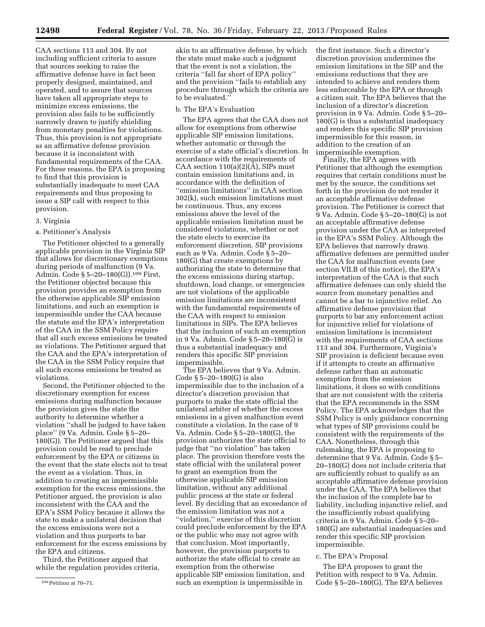CAA sections 113 and 304. By not including sufficient criteria to assure that sources seeking to raise the affirmative defense have in fact been properly designed, maintained, and operated, and to assure that sources have taken all appropriate steps to minimize excess emissions, the provision also fails to be sufficiently narrowly drawn to justify shielding from monetary penalties for violations. Thus, this provision is not appropriate as an affirmative defense provision because it is inconsistent with fundamental requirements of the CAA. For these reasons, the EPA is proposing to find that this provision is substantially inadequate to meet CAA requirements and thus proposing to issue a SIP call with respect to this provision.

## 3. Virginia

## a. Petitioner's Analysis

The Petitioner objected to a generally applicable provision in the Virginia SIP that allows for discretionary exemptions during periods of malfunction (9 Va. Admin. Code § 5–20–180(G)).109 First, the Petitioner objected because this provision provides an exemption from the otherwise applicable SIP emission limitations, and such an exemption is impermissible under the CAA because the statute and the EPA's interpretation of the CAA in the SSM Policy require that all such excess emissions be treated as violations. The Petitioner argued that the CAA and the EPA's interpretation of the CAA in the SSM Policy require that all such excess emissions be treated as violations.

Second, the Petitioner objected to the discretionary exemption for excess emissions during malfunction because the provision gives the state the authority to determine whether a violation ''shall be judged to have taken place'' (9 Va. Admin. Code § 5–20– 180(G)). The Petitioner argued that this provision could be read to preclude enforcement by the EPA or citizens in the event that the state elects not to treat the event as a violation. Thus, in addition to creating an impermissible exemption for the excess emissions, the Petitioner argued, the provision is also inconsistent with the CAA and the EPA's SSM Policy because it allows the state to make a unilateral decision that the excess emissions were not a violation and thus purports to bar enforcement for the excess emissions by the EPA and citizens.

Third, the Petitioner argued that while the regulation provides criteria, akin to an affirmative defense, by which the state must make such a judgment that the event is not a violation, the criteria ''fall far short of EPA policy'' and the provision ''fails to establish any procedure through which the criteria are to be evaluated.''

## b. The EPA's Evaluation

The EPA agrees that the CAA does not allow for exemptions from otherwise applicable SIP emission limitations, whether automatic or through the exercise of a state official's discretion. In accordance with the requirements of CAA section  $110(a)(2)(A)$ , SIPs must contain emission limitations and, in accordance with the definition of ''emission limitations'' in CAA section 302(k), such emission limitations must be continuous. Thus, any excess emissions above the level of the applicable emission limitation must be considered violations, whether or not the state elects to exercise its enforcement discretion. SIP provisions such as 9 Va. Admin. Code § 5–20– 180(G) that create exemptions by authorizing the state to determine that the excess emissions during startup, shutdown, load change, or emergencies are not violations of the applicable emission limitations are inconsistent with the fundamental requirements of the CAA with respect to emission limitations in SIPs. The EPA believes that the inclusion of such an exemption in 9 Va. Admin. Code § 5–20–180(G) is thus a substantial inadequacy and renders this specific SIP provision impermissible.

The EPA believes that 9 Va. Admin. Code § 5–20–180(G) is also impermissible due to the inclusion of a director's discretion provision that purports to make the state official the unilateral arbiter of whether the excess emissions in a given malfunction event constitute a violation. In the case of 9 Va. Admin. Code § 5–20–180(G), the provision authorizes the state official to judge that ''no violation'' has taken place. The provision therefore vests the state official with the unilateral power to grant an exemption from the otherwise applicable SIP emission limitation, without any additional public process at the state or federal level. By deciding that an exceedance of the emission limitation was not a ''violation,'' exercise of this discretion could preclude enforcement by the EPA or the public who may not agree with that conclusion. Most importantly, however, the provision purports to authorize the state official to create an exemption from the otherwise applicable SIP emission limitation, and such an exemption is impermissible in

the first instance. Such a director's discretion provision undermines the emission limitations in the SIP and the emissions reductions that they are intended to achieve and renders them less enforceable by the EPA or through a citizen suit. The EPA believes that the inclusion of a director's discretion provision in 9 Va. Admin. Code § 5–20– 180(G) is thus a substantial inadequacy and renders this specific SIP provision impermissible for this reason, in addition to the creation of an impermissible exemption.

Finally, the EPA agrees with Petitioner that although the exemption requires that certain conditions must be met by the source, the conditions set forth in the provision do not render it an acceptable affirmative defense provision. The Petitioner is correct that 9 Va. Admin. Code § 5–20–180(G) is not an acceptable affirmative defense provision under the CAA as interpreted in the EPA's SSM Policy. Although the EPA believes that narrowly drawn affirmative defenses are permitted under the CAA for malfunction events (*see*  section VII.B of this notice), the EPA's interpretation of the CAA is that such affirmative defenses can only shield the source from monetary penalties and cannot be a bar to injunctive relief. An affirmative defense provision that purports to bar any enforcement action for injunctive relief for violations of emission limitations is inconsistent with the requirements of CAA sections 113 and 304. Furthermore, Virginia's SIP provision is deficient because even if it attempts to create an affirmative defense rather than an automatic exemption from the emission limitations, it does so with conditions that are not consistent with the criteria that the EPA recommends in the SSM Policy. The EPA acknowledges that the SSM Policy is only guidance concerning what types of SIP provisions could be consistent with the requirements of the CAA. Nonetheless, through this rulemaking, the EPA is proposing to determine that 9 Va. Admin. Code § 5– 20–180(G) does not include criteria that are sufficiently robust to qualify as an acceptable affirmative defense provision under the CAA. The EPA believes that the inclusion of the complete bar to liability, including injunctive relief, and the insufficiently robust qualifying criteria in 9 Va. Admin. Code § 5–20– 180(G) are substantial inadequacies and render this specific SIP provision impermissible.

#### c. The EPA's Proposal

The EPA proposes to grant the Petition with respect to 9 Va. Admin. Code § 5–20–180(G). The EPA believes

<sup>109</sup>Petition at 70–71.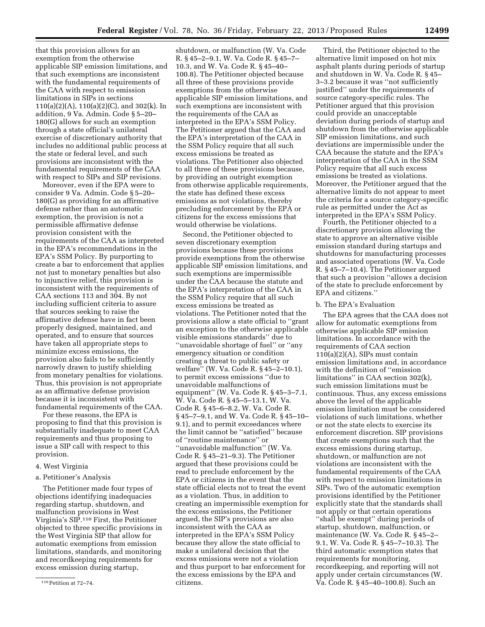that this provision allows for an exemption from the otherwise applicable SIP emission limitations, and that such exemptions are inconsistent with the fundamental requirements of the CAA with respect to emission limitations in SIPs in sections 110(a)(2)(A), 110(a)(2)(C), and 302(k). In addition, 9 Va. Admin. Code § 5–20– 180(G) allows for such an exemption through a state official's unilateral exercise of discretionary authority that includes no additional public process at the state or federal level, and such provisions are inconsistent with the fundamental requirements of the CAA with respect to SIPs and SIP revisions.

Moreover, even if the EPA were to consider 9 Va. Admin. Code § 5–20– 180(G) as providing for an affirmative defense rather than an automatic exemption, the provision is not a permissible affirmative defense provision consistent with the requirements of the CAA as interpreted in the EPA's recommendations in the EPA's SSM Policy. By purporting to create a bar to enforcement that applies not just to monetary penalties but also to injunctive relief, this provision is inconsistent with the requirements of CAA sections 113 and 304. By not including sufficient criteria to assure that sources seeking to raise the affirmative defense have in fact been properly designed, maintained, and operated, and to ensure that sources have taken all appropriate steps to minimize excess emissions, the provision also fails to be sufficiently narrowly drawn to justify shielding from monetary penalties for violations. Thus, this provision is not appropriate as an affirmative defense provision because it is inconsistent with fundamental requirements of the CAA.

For these reasons, the EPA is proposing to find that this provision is substantially inadequate to meet CAA requirements and thus proposing to issue a SIP call with respect to this provision.

# 4. West Virginia

# a. Petitioner's Analysis

The Petitioner made four types of objections identifying inadequacies regarding startup, shutdown, and malfunction provisions in West Virginia's SIP.110 First, the Petitioner objected to three specific provisions in the West Virginia SIP that allow for automatic exemptions from emission limitations, standards, and monitoring and recordkeeping requirements for excess emission during startup,

shutdown, or malfunction (W. Va. Code R. § 45–2–9.1, W. Va. Code R. § 45–7– 10.3, and W. Va. Code R. § 45–40– 100.8). The Petitioner objected because all three of these provisions provide exemptions from the otherwise applicable SIP emission limitations, and such exemptions are inconsistent with the requirements of the CAA as interpreted in the EPA's SSM Policy. The Petitioner argued that the CAA and the EPA's interpretation of the CAA in the SSM Policy require that all such excess emissions be treated as violations. The Petitioner also objected to all three of these provisions because, by providing an outright exemption from otherwise applicable requirements, the state has defined these excess emissions as not violations, thereby precluding enforcement by the EPA or citizens for the excess emissions that would otherwise be violations.

Second, the Petitioner objected to seven discretionary exemption provisions because these provisions provide exemptions from the otherwise applicable SIP emission limitations, and such exemptions are impermissible under the CAA because the statute and the EPA's interpretation of the CAA in the SSM Policy require that all such excess emissions be treated as violations. The Petitioner noted that the provisions allow a state official to ''grant an exception to the otherwise applicable visible emissions standards'' due to ''unavoidable shortage of fuel'' or ''any emergency situation or condition creating a threat to public safety or welfare'' (W. Va. Code R. § 45–2–10.1), to permit excess emissions ''due to unavoidable malfunctions of equipment'' (W. Va. Code R. § 45–3–7.1, W. Va. Code R. § 45–5–13.1, W. Va. Code R. § 45–6–8.2, W. Va. Code R. § 45–7–9.1, and W. Va. Code R. § 45–10– 9.1), and to permit exceedances where the limit cannot be ''satisfied'' because of ''routine maintenance'' or ''unavoidable malfunction'' (W. Va. Code R. § 45–21–9.3). The Petitioner argued that these provisions could be read to preclude enforcement by the EPA or citizens in the event that the state official elects not to treat the event as a violation. Thus, in addition to creating an impermissible exemption for the excess emissions, the Petitioner argued, the SIP's provisions are also inconsistent with the CAA as interpreted in the EPA's SSM Policy because they allow the state official to make a unilateral decision that the excess emissions were not a violation and thus purport to bar enforcement for the excess emissions by the EPA and citizens.

Third, the Petitioner objected to the alternative limit imposed on hot mix asphalt plants during periods of startup and shutdown in W. Va. Code R. § 45– 3–3.2 because it was ''not sufficiently justified'' under the requirements of source category-specific rules. The Petitioner argued that this provision could provide an unacceptable deviation during periods of startup and shutdown from the otherwise applicable SIP emission limitations, and such deviations are impermissible under the CAA because the statute and the EPA's interpretation of the CAA in the SSM Policy require that all such excess emissions be treated as violations. Moreover, the Petitioner argued that the alternative limits do not appear to meet the criteria for a source category-specific rule as permitted under the Act as interpreted in the EPA's SSM Policy.

Fourth, the Petitioner objected to a discretionary provision allowing the state to approve an alternative visible emission standard during startups and shutdowns for manufacturing processes and associated operations (W. Va. Code R. § 45–7–10.4). The Petitioner argued that such a provision ''allows a decision of the state to preclude enforcement by EPA and citizens.''

#### b. The EPA's Evaluation

The EPA agrees that the CAA does not allow for automatic exemptions from otherwise applicable SIP emission limitations. In accordance with the requirements of CAA section  $110(a)(2)(A)$ , SIPs must contain emission limitations and, in accordance with the definition of ''emission limitations'' in CAA section 302(k), such emission limitations must be continuous. Thus, any excess emissions above the level of the applicable emission limitation must be considered violations of such limitations, whether or not the state elects to exercise its enforcement discretion. SIP provisions that create exemptions such that the excess emissions during startup, shutdown, or malfunction are not violations are inconsistent with the fundamental requirements of the CAA with respect to emission limitations in SIPs. Two of the automatic exemption provisions identified by the Petitioner explicitly state that the standards shall not apply or that certain operations ''shall be exempt'' during periods of startup, shutdown, malfunction, or maintenance (W. Va. Code R. § 45–2– 9.1, W. Va. Code R. § 45–7–10.3). The third automatic exemption states that requirements for monitoring, recordkeeping, and reporting will not apply under certain circumstances (W. Va. Code R. § 45–40–100.8). Such an

<sup>110</sup>Petition at 72–74.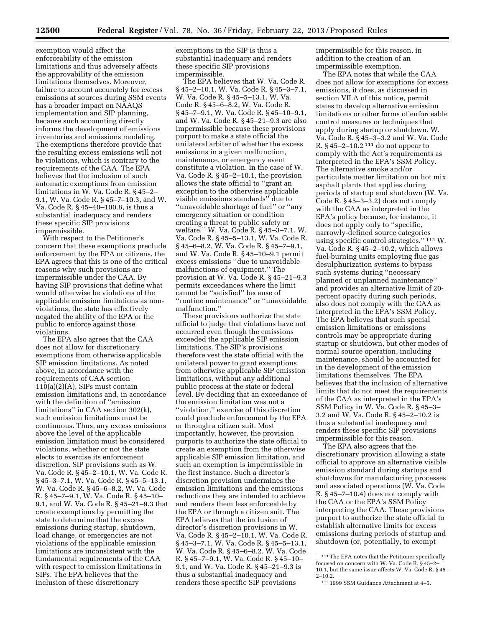exemption would affect the enforceability of the emission limitations and thus adversely affects the approvability of the emission limitations themselves. Moreover, failure to account accurately for excess emissions at sources during SSM events has a broader impact on NAAQS implementation and SIP planning, because such accounting directly informs the development of emissions inventories and emissions modeling. The exemptions therefore provide that the resulting excess emissions will not be violations, which is contrary to the requirements of the CAA. The EPA believes that the inclusion of such automatic exemptions from emission limitations in W. Va. Code R. § 45–2– 9.1, W. Va. Code R. § 45–7–10.3, and W. Va. Code R. § 45–40–100.8, is thus a substantial inadequacy and renders these specific SIP provisions impermissible.

With respect to the Petitioner's concern that these exemptions preclude enforcement by the EPA or citizens, the EPA agrees that this is one of the critical reasons why such provisions are impermissible under the CAA. By having SIP provisions that define what would otherwise be violations of the applicable emission limitations as nonviolations, the state has effectively negated the ability of the EPA or the public to enforce against those violations.

The EPA also agrees that the CAA does not allow for discretionary exemptions from otherwise applicable SIP emission limitations. As noted above, in accordance with the requirements of CAA section  $110(a)(2)(A)$ , SIPs must contain emission limitations and, in accordance with the definition of ''emission limitations'' in CAA section 302(k), such emission limitations must be continuous. Thus, any excess emissions above the level of the applicable emission limitation must be considered violations, whether or not the state elects to exercise its enforcement discretion. SIP provisions such as W. Va. Code R. § 45–2–10.1, W. Va. Code R. § 45–3–7.1, W. Va. Code R. § 45–5–13.1, W. Va. Code R. § 45–6–8.2, W. Va. Code R. § 45–7–9.1, W. Va. Code R. § 45–10– 9.1, and W. Va. Code R. § 45–21–9.3 that create exemptions by permitting the state to determine that the excess emissions during startup, shutdown, load change, or emergencies are not violations of the applicable emission limitations are inconsistent with the fundamental requirements of the CAA with respect to emission limitations in SIPs. The EPA believes that the inclusion of these discretionary

exemptions in the SIP is thus a substantial inadequacy and renders these specific SIP provisions impermissible.

The EPA believes that W. Va. Code R. § 45–2–10.1, W. Va. Code R. § 45–3–7.1, W. Va. Code R. § 45–5–13.1, W. Va. Code R. § 45–6–8.2, W. Va. Code R. § 45–7–9.1, W. Va. Code R. § 45–10–9.1, and W. Va. Code R. § 45–21–9.3 are also impermissible because these provisions purport to make a state official the unilateral arbiter of whether the excess emissions in a given malfunction, maintenance, or emergency event constitute a violation. In the case of W. Va. Code R. § 45–2–10.1, the provision allows the state official to ''grant an exception to the otherwise applicable visible emissions standards'' due to ''unavoidable shortage of fuel'' or ''any emergency situation or condition creating a threat to public safety or welfare.'' W. Va. Code R. § 45–3–7.1, W. Va. Code R. § 45–5–13.1, W. Va. Code R. § 45–6–8.2, W. Va. Code R. § 45–7–9.1, and W. Va. Code R. § 45–10–9.1 permit excess emissions ''due to unavoidable malfunctions of equipment.'' The provision at W. Va. Code R. § 45–21–9.3 permits exceedances where the limit cannot be ''satisfied'' because of ''routine maintenance'' or ''unavoidable malfunction.''

These provisions authorize the state official to judge that violations have not occurred even though the emissions exceeded the applicable SIP emission limitations. The SIP's provisions therefore vest the state official with the unilateral power to grant exemptions from otherwise applicable SIP emission limitations, without any additional public process at the state or federal level. By deciding that an exceedance of the emission limitation was not a ''violation,'' exercise of this discretion could preclude enforcement by the EPA or through a citizen suit. Most importantly, however, the provision purports to authorize the state official to create an exemption from the otherwise applicable SIP emission limitation, and such an exemption is impermissible in the first instance. Such a director's discretion provision undermines the emission limitations and the emissions reductions they are intended to achieve and renders them less enforceable by the EPA or through a citizen suit. The EPA believes that the inclusion of director's discretion provisions in W. Va. Code R. § 45–2–10.1, W. Va. Code R. § 45–3–7.1, W. Va. Code R. § 45–5–13.1, W. Va. Code R. § 45–6–8.2, W. Va. Code R. § 45–7–9.1, W. Va. Code R. § 45–10– 9.1, and W. Va. Code R. § 45–21–9.3 is thus a substantial inadequacy and renders these specific SIP provisions

impermissible for this reason, in addition to the creation of an impermissible exemption.

The EPA notes that while the CAA does not allow for exemptions for excess emissions, it does, as discussed in section VII.A of this notice, permit states to develop alternative emission limitations or other forms of enforceable control measures or techniques that apply during startup or shutdown. W. Va. Code R. § 45–3–3.2 and W. Va. Code R. § 45–2–10.2 111 do not appear to comply with the Act's requirements as interpreted in the EPA's SSM Policy. The alternative smoke and/or particulate matter limitation on hot mix asphalt plants that applies during periods of startup and shutdown (W. Va. Code R. § 45–3–3.2) does not comply with the CAA as interpreted in the EPA's policy because, for instance, it does not apply only to ''specific, narrowly-defined source categories using specific control strategies.'' 112 W. Va. Code R. § 45–2–10.2, which allows fuel-burning units employing flue gas desulphurization systems to bypass such systems during ''necessary planned or unplanned maintenance'' and provides an alternative limit of 20 percent opacity during such periods, also does not comply with the CAA as interpreted in the EPA's SSM Policy. The EPA believes that such special emission limitations or emissions controls may be appropriate during startup or shutdown, but other modes of normal source operation, including maintenance, should be accounted for in the development of the emission limitations themselves. The EPA believes that the inclusion of alternative limits that do not meet the requirements of the CAA as interpreted in the EPA's SSM Policy in W. Va. Code R. § 45–3– 3.2 and W. Va. Code R. § 45–2–10.2 is thus a substantial inadequacy and renders these specific SIP provisions impermissible for this reason.

The EPA also agrees that the discretionary provision allowing a state official to approve an alternative visible emission standard during startups and shutdowns for manufacturing processes and associated operations (W. Va. Code R. § 45–7–10.4) does not comply with the CAA or the EPA's SSM Policy interpreting the CAA. These provisions purport to authorize the state official to establish alternative limits for excess emissions during periods of startup and shutdown (or, potentially, to exempt

<sup>111</sup>The EPA notes that the Petitioner specifically focused on concern with W. Va. Code R. § 45–2– 10.1, but the same issue affects W. Va. Code R. § 45– 2–10.2.

<sup>112</sup> 1999 SSM Guidance Attachment at 4–5.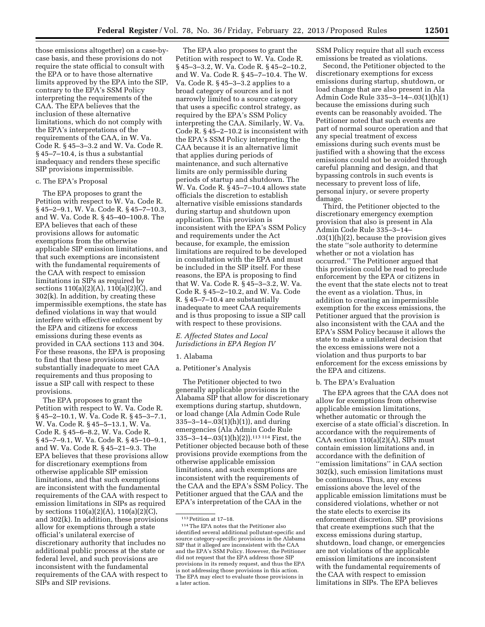those emissions altogether) on a case-bycase basis, and these provisions do not require the state official to consult with the EPA or to have those alternative limits approved by the EPA into the SIP, contrary to the EPA's SSM Policy interpreting the requirements of the CAA. The EPA believes that the inclusion of these alternative limitations, which do not comply with the EPA's interpretations of the requirements of the CAA, in W. Va. Code R. § 45–3–3.2 and W. Va. Code R. § 45–7–10.4, is thus a substantial inadequacy and renders these specific SIP provisions impermissible.

## c. The EPA's Proposal

The EPA proposes to grant the Petition with respect to W. Va. Code R. § 45–2–9.1, W. Va. Code R. § 45–7–10.3, and W. Va. Code R. § 45–40–100.8. The EPA believes that each of these provisions allows for automatic exemptions from the otherwise applicable SIP emission limitations, and that such exemptions are inconsistent with the fundamental requirements of the CAA with respect to emission limitations in SIPs as required by sections 110(a)(2)(A), 110(a)(2)(C), and 302(k). In addition, by creating these impermissible exemptions, the state has defined violations in way that would interfere with effective enforcement by the EPA and citizens for excess emissions during these events as provided in CAA sections 113 and 304. For these reasons, the EPA is proposing to find that these provisions are substantially inadequate to meet CAA requirements and thus proposing to issue a SIP call with respect to these provisions.

The EPA proposes to grant the Petition with respect to W. Va. Code R. § 45–2–10.1, W. Va. Code R. § 45–3–7.1, W. Va. Code R. § 45–5–13.1, W. Va. Code R. § 45–6–8.2, W. Va. Code R. § 45–7–9.1, W. Va. Code R. § 45–10–9.1, and W. Va. Code R. § 45–21–9.3. The EPA believes that these provisions allow for discretionary exemptions from otherwise applicable SIP emission limitations, and that such exemptions are inconsistent with the fundamental requirements of the CAA with respect to emission limitations in SIPs as required by sections 110(a)(2)(A), 110(a)(2)(C), and 302(k). In addition, these provisions allow for exemptions through a state official's unilateral exercise of discretionary authority that includes no additional public process at the state or federal level, and such provisions are inconsistent with the fundamental requirements of the CAA with respect to SIPs and SIP revisions.

The EPA also proposes to grant the Petition with respect to W. Va. Code R. § 45–3–3.2, W. Va. Code R. § 45–2–10.2, and W. Va. Code R. § 45–7–10.4. The W. Va. Code R. § 45–3–3.2 applies to a broad category of sources and is not narrowly limited to a source category that uses a specific control strategy, as required by the EPA's SSM Policy interpreting the CAA. Similarly, W. Va. Code R. § 45–2–10.2 is inconsistent with the EPA's SSM Policy interpreting the CAA because it is an alternative limit that applies during periods of maintenance, and such alternative limits are only permissible during periods of startup and shutdown. The W. Va. Code R. § 45–7–10.4 allows state officials the discretion to establish alternative visible emissions standards during startup and shutdown upon application. This provision is inconsistent with the EPA's SSM Policy and requirements under the Act because, for example, the emission limitations are required to be developed in consultation with the EPA and must be included in the SIP itself. For these reasons, the EPA is proposing to find that W. Va. Code R. § 45–3–3.2, W. Va. Code R. § 45–2–10.2, and W. Va. Code R. § 45–7–10.4 are substantially inadequate to meet CAA requirements and is thus proposing to issue a SIP call with respect to these provisions.

# *E. Affected States and Local Jurisdictions in EPA Region IV*

### 1. Alabama

# a. Petitioner's Analysis

The Petitioner objected to two generally applicable provisions in the Alabama SIP that allow for discretionary exemptions during startup, shutdown, or load change (Ala Admin Code Rule 335–3–14–.03(1)(h)(1)), and during emergencies (Ala Admin Code Rule 335–3–14–.03(1)(h)(2)).113 114 First, the Petitioner objected because both of these provisions provide exemptions from the otherwise applicable emission limitations, and such exemptions are inconsistent with the requirements of the CAA and the EPA's SSM Policy. The Petitioner argued that the CAA and the EPA's interpretation of the CAA in the

SSM Policy require that all such excess emissions be treated as violations.

Second, the Petitioner objected to the discretionary exemptions for excess emissions during startup, shutdown, or load change that are also present in Ala Admin Code Rule 335–3–14–.03(1)(h)(1) because the emissions during such events can be reasonably avoided. The Petitioner noted that such events are part of normal source operation and that any special treatment of excess emissions during such events must be justified with a showing that the excess emissions could not be avoided through careful planning and design, and that bypassing controls in such events is necessary to prevent loss of life, personal injury, or severe property damage.

Third, the Petitioner objected to the discretionary emergency exemption provision that also is present in Ala Admin Code Rule 335–3–14– .03(1)(h)(2), because the provision gives the state ''sole authority to determine whether or not a violation has occurred.'' The Petitioner argued that this provision could be read to preclude enforcement by the EPA or citizens in the event that the state elects not to treat the event as a violation. Thus, in addition to creating an impermissible exemption for the excess emissions, the Petitioner argued that the provision is also inconsistent with the CAA and the EPA's SSM Policy because it allows the state to make a unilateral decision that the excess emissions were not a violation and thus purports to bar enforcement for the excess emissions by the EPA and citizens.

#### b. The EPA's Evaluation

The EPA agrees that the CAA does not allow for exemptions from otherwise applicable emission limitations, whether automatic or through the exercise of a state official's discretion. In accordance with the requirements of CAA section  $110(a)(2)(A)$ , SIPs must contain emission limitations and, in accordance with the definition of ''emission limitations'' in CAA section 302(k), such emission limitations must be continuous. Thus, any excess emissions above the level of the applicable emission limitations must be considered violations, whether or not the state elects to exercise its enforcement discretion. SIP provisions that create exemptions such that the excess emissions during startup, shutdown, load change, or emergencies are not violations of the applicable emission limitations are inconsistent with the fundamental requirements of the CAA with respect to emission limitations in SIPs. The EPA believes

<sup>113</sup>Petition at 17–18.

<sup>114</sup>The EPA notes that the Petitioner also identified several additional pollutant-specific and source category-specific provisions in the Alabama SIP that it alleged are inconsistent with the CAA and the EPA's SSM Policy. However, the Petitioner did not request that the EPA address those SIP provisions in its remedy request, and thus the EPA is not addressing those provisions in this action. The EPA may elect to evaluate those provisions in a later action.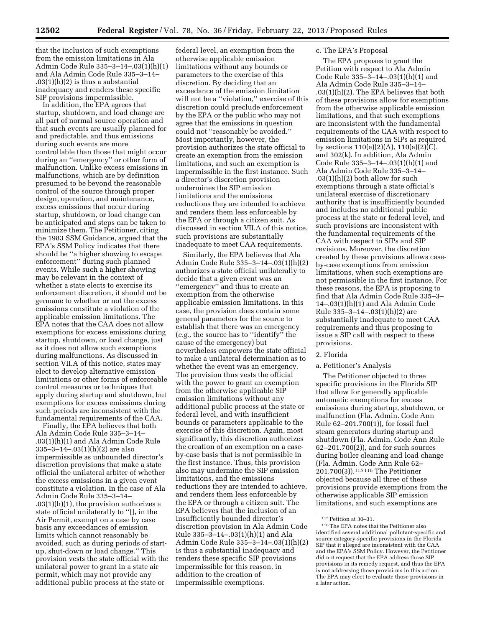that the inclusion of such exemptions from the emission limitations in Ala Admin Code Rule 335–3–14–.03(1)(h)(1) and Ala Admin Code Rule 335–3–14–  $.03(1)(h)(2)$  is thus a substantial inadequacy and renders these specific SIP provisions impermissible.

In addition, the EPA agrees that startup, shutdown, and load change are all part of normal source operation and that such events are usually planned for and predictable, and thus emissions during such events are more controllable than those that might occur during an ''emergency'' or other form of malfunction. Unlike excess emissions in malfunctions, which are by definition presumed to be beyond the reasonable control of the source through proper design, operation, and maintenance, excess emissions that occur during startup, shutdown, or load change can be anticipated and steps can be taken to minimize them. The Petitioner, citing the 1983 SSM Guidance, argued that the EPA's SSM Policy indicates that there should be ''a higher showing to escape enforcement'' during such planned events. While such a higher showing may be relevant in the context of whether a state elects to exercise its enforcement discretion, it should not be germane to whether or not the excess emissions constitute a violation of the applicable emission limitations. The EPA notes that the CAA does not allow exemptions for excess emissions during startup, shutdown, or load change, just as it does not allow such exemptions during malfunctions. As discussed in section VII.A of this notice, states may elect to develop alternative emission limitations or other forms of enforceable control measures or techniques that apply during startup and shutdown, but exemptions for excess emissions during such periods are inconsistent with the fundamental requirements of the CAA.

Finally, the EPA believes that both Ala Admin Code Rule 335–3–14– .03(1)(h)(1) and Ala Admin Code Rule 335–3–14–.03(1)(h)(2) are also impermissible as unbounded director's discretion provisions that make a state official the unilateral arbiter of whether the excess emissions in a given event constitute a violation. In the case of Ala Admin Code Rule 335–3–14–  $.03(1)(h)(1)$ , the provision authorizes a state official unilaterally to ''[], in the Air Permit, exempt on a case by case basis any exceedances of emission limits which cannot reasonably be avoided, such as during periods of startup, shut-down or load change.'' This provision vests the state official with the unilateral power to grant in a state air permit, which may not provide any additional public process at the state or

federal level, an exemption from the otherwise applicable emission limitations without any bounds or parameters to the exercise of this discretion. By deciding that an exceedance of the emission limitation will not be a ''violation,'' exercise of this discretion could preclude enforcement by the EPA or the public who may not agree that the emissions in question could not ''reasonably be avoided.'' Most importantly, however, the provision authorizes the state official to create an exemption from the emission limitations, and such an exemption is impermissible in the first instance. Such a director's discretion provision undermines the SIP emission limitations and the emissions reductions they are intended to achieve and renders them less enforceable by the EPA or through a citizen suit. As discussed in section VII.A of this notice, such provisions are substantially inadequate to meet CAA requirements.

Similarly, the EPA believes that Ala Admin Code Rule 335–3–14–.03(1)(h)(2) authorizes a state official unilaterally to decide that a given event was an ''emergency'' and thus to create an exemption from the otherwise applicable emission limitations. In this case, the provision does contain some general parameters for the source to establish that there was an emergency (*e.g.,* the source has to ''identify'' the cause of the emergency) but nevertheless empowers the state official to make a unilateral determination as to whether the event was an emergency. The provision thus vests the official with the power to grant an exemption from the otherwise applicable SIP emission limitations without any additional public process at the state or federal level, and with insufficient bounds or parameters applicable to the exercise of this discretion. Again, most significantly, this discretion authorizes the creation of an exemption on a caseby-case basis that is not permissible in the first instance. Thus, this provision also may undermine the SIP emission limitations, and the emissions reductions they are intended to achieve, and renders them less enforceable by the EPA or through a citizen suit. The EPA believes that the inclusion of an insufficiently bounded director's discretion provision in Ala Admin Code Rule 335–3–14–.03(1)(h)(1) and Ala Admin Code Rule 335–3–14–.03(1)(h)(2) is thus a substantial inadequacy and renders these specific SIP provisions impermissible for this reason, in addition to the creation of impermissible exemptions.

# c. The EPA's Proposal

The EPA proposes to grant the Petition with respect to Ala Admin Code Rule 335–3–14–.03(1)(h)(1) and Ala Admin Code Rule 335–3–14– .03(1)(h)(2). The EPA believes that both of these provisions allow for exemptions from the otherwise applicable emission limitations, and that such exemptions are inconsistent with the fundamental requirements of the CAA with respect to emission limitations in SIPs as required by sections 110(a)(2)(A), 110(a)(2)(C), and 302(k). In addition, Ala Admin Code Rule 335–3–14–.03(1)(h)(1) and Ala Admin Code Rule 335–3–14– .03(1)(h)(2) both allow for such exemptions through a state official's unilateral exercise of discretionary authority that is insufficiently bounded and includes no additional public process at the state or federal level, and such provisions are inconsistent with the fundamental requirements of the CAA with respect to SIPs and SIP revisions. Moreover, the discretion created by these provisions allows caseby-case exemptions from emission limitations, when such exemptions are not permissible in the first instance. For these reasons, the EPA is proposing to find that Ala Admin Code Rule 335–3– 14–.03(1)(h)(1) and Ala Admin Code Rule 335–3–14–.03(1)(h)(2) are substantially inadequate to meet CAA requirements and thus proposing to issue a SIP call with respect to these provisions.

#### 2. Florida

### a. Petitioner's Analysis

The Petitioner objected to three specific provisions in the Florida SIP that allow for generally applicable automatic exemptions for excess emissions during startup, shutdown, or malfunction (Fla. Admin. Code Ann Rule 62–201.700(1)), for fossil fuel steam generators during startup and shutdown (Fla. Admin. Code Ann Rule 62–201.700(2)), and for such sources during boiler cleaning and load change (Fla. Admin. Code Ann Rule 62– 201.700(3)).115 116 The Petitioner objected because all three of these provisions provide exemptions from the otherwise applicable SIP emission limitations, and such exemptions are

<sup>115</sup>Petition at 30–31.

<sup>116</sup>The EPA notes that the Petitioner also identified several additional pollutant-specific and source category-specific provisions in the Florida SIP that it alleged are inconsistent with the CAA and the EPA's SSM Policy. However, the Petitioner did not request that the EPA address those SIP provisions in its remedy request, and thus the EPA is not addressing those provisions in this action. The EPA may elect to evaluate those provisions in a later action.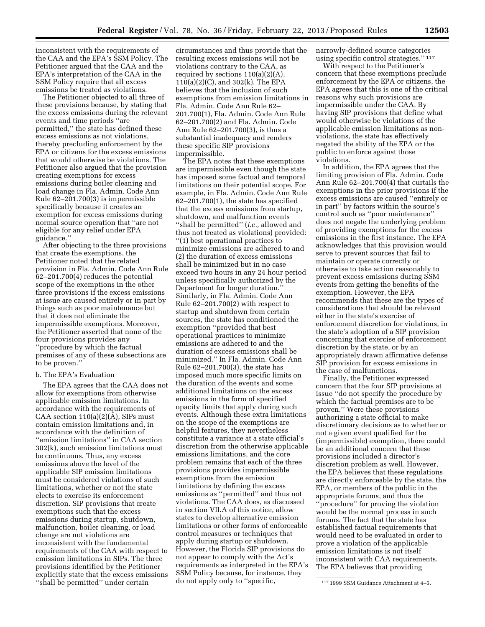inconsistent with the requirements of the CAA and the EPA's SSM Policy. The Petitioner argued that the CAA and the EPA's interpretation of the CAA in the SSM Policy require that all excess emissions be treated as violations.

The Petitioner objected to all three of these provisions because, by stating that the excess emissions during the relevant events and time periods ''are permitted,'' the state has defined these excess emissions as not violations, thereby precluding enforcement by the EPA or citizens for the excess emissions that would otherwise be violations. The Petitioner also argued that the provision creating exemptions for excess emissions during boiler cleaning and load change in Fla. Admin. Code Ann Rule 62–201.700(3) is impermissible specifically because it creates an exemption for excess emissions during normal source operation that ''are not eligible for any relief under EPA guidance.''

After objecting to the three provisions that create the exemptions, the Petitioner noted that the related provision in Fla. Admin. Code Ann Rule 62–201.700(4) reduces the potential scope of the exemptions in the other three provisions if the excess emissions at issue are caused entirely or in part by things such as poor maintenance but that it does not eliminate the impermissible exemptions. Moreover, the Petitioner asserted that none of the four provisions provides any ''procedure by which the factual premises of any of these subsections are to be proven.''

#### b. The EPA's Evaluation

The EPA agrees that the CAA does not allow for exemptions from otherwise applicable emission limitations. In accordance with the requirements of CAA section  $110(a)(2)(\overline{A})$ , SIPs must contain emission limitations and, in accordance with the definition of ''emission limitations'' in CAA section 302(k), such emission limitations must be continuous. Thus, any excess emissions above the level of the applicable SIP emission limitations must be considered violations of such limitations, whether or not the state elects to exercise its enforcement discretion. SIP provisions that create exemptions such that the excess emissions during startup, shutdown, malfunction, boiler cleaning, or load change are not violations are inconsistent with the fundamental requirements of the CAA with respect to emission limitations in SIPs. The three provisions identified by the Petitioner explicitly state that the excess emissions ''shall be permitted'' under certain

circumstances and thus provide that the resulting excess emissions will not be violations contrary to the CAA, as required by sections  $110(a)(2)(A)$ , 110(a)(2)(C), and 302(k). The EPA believes that the inclusion of such exemptions from emission limitations in Fla. Admin. Code Ann Rule 62– 201.700(1), Fla. Admin. Code Ann Rule 62–201.700(2) and Fla. Admin. Code Ann Rule 62–201.700(3), is thus a substantial inadequacy and renders these specific SIP provisions impermissible.

The EPA notes that these exemptions are impermissible even though the state has imposed some factual and temporal limitations on their potential scope. For example, in Fla. Admin. Code Ann Rule 62–201.700(1), the state has specified that the excess emissions from startup, shutdown, and malfunction events ''shall be permitted'' (*i.e.,* allowed and thus not treated as violations) provided: ''(1) best operational practices to minimize emissions are adhered to and (2) the duration of excess emissions shall be minimized but in no case exceed two hours in any 24 hour period unless specifically authorized by the Department for longer duration. Similarly, in Fla. Admin. Code Ann Rule 62–201.700(2) with respect to startup and shutdown from certain sources, the state has conditioned the exemption ''provided that best operational practices to minimize emissions are adhered to and the duration of excess emissions shall be minimized.'' In Fla. Admin. Code Ann Rule 62–201.700(3), the state has imposed much more specific limits on the duration of the events and some additional limitations on the excess emissions in the form of specified opacity limits that apply during such events. Although these extra limitations on the scope of the exemptions are helpful features, they nevertheless constitute a variance at a state official's discretion from the otherwise applicable emissions limitations, and the core problem remains that each of the three provisions provides impermissible exemptions from the emission limitations by defining the excess emissions as ''permitted'' and thus not violations. The CAA does, as discussed in section VII.A of this notice, allow states to develop alternative emission limitations or other forms of enforceable control measures or techniques that apply during startup or shutdown. However, the Florida SIP provisions do not appear to comply with the Act's requirements as interpreted in the EPA's SSM Policy because, for instance, they do not apply only to ''specific,

narrowly-defined source categories using specific control strategies.'' 117

With respect to the Petitioner's concern that these exemptions preclude enforcement by the EPA or citizens, the EPA agrees that this is one of the critical reasons why such provisions are impermissible under the CAA. By having SIP provisions that define what would otherwise be violations of the applicable emission limitations as nonviolations, the state has effectively negated the ability of the EPA or the public to enforce against those violations.

In addition, the EPA agrees that the limiting provision of Fla. Admin. Code Ann Rule 62–201.700(4) that curtails the exemptions in the prior provisions if the excess emissions are caused ''entirely or in part'' by factors within the source's control such as ''poor maintenance'' does not negate the underlying problem of providing exemptions for the excess emissions in the first instance. The EPA acknowledges that this provision would serve to prevent sources that fail to maintain or operate correctly or otherwise to take action reasonably to prevent excess emissions during SSM events from getting the benefits of the exemption. However, the EPA recommends that these are the types of considerations that should be relevant either in the state's exercise of enforcement discretion for violations, in the state's adoption of a SIP provision concerning that exercise of enforcement discretion by the state, or by an appropriately drawn affirmative defense SIP provision for excess emissions in the case of malfunctions.

Finally, the Petitioner expressed concern that the four SIP provisions at issue ''do not specify the procedure by which the factual premises are to be proven.'' Were these provisions authorizing a state official to make discretionary decisions as to whether or not a given event qualified for the (impermissible) exemption, there could be an additional concern that these provisions included a director's discretion problem as well. However, the EPA believes that these regulations are directly enforceable by the state, the EPA, or members of the public in the appropriate forums, and thus the ''procedure'' for proving the violation would be the normal process in such forums. The fact that the state has established factual requirements that would need to be evaluated in order to prove a violation of the applicable emission limitations is not itself inconsistent with CAA requirements. The EPA believes that providing

<sup>117</sup> 1999 SSM Guidance Attachment at 4–5.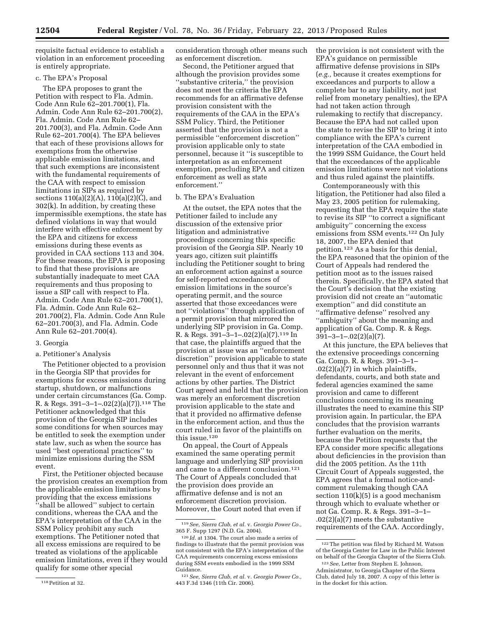requisite factual evidence to establish a violation in an enforcement proceeding is entirely appropriate.

# c. The EPA's Proposal

The EPA proposes to grant the Petition with respect to Fla. Admin. Code Ann Rule 62–201.700(1), Fla. Admin. Code Ann Rule 62–201.700(2), Fla. Admin. Code Ann Rule 62– 201.700(3), and Fla. Admin. Code Ann Rule 62–201.700(4). The EPA believes that each of these provisions allows for exemptions from the otherwise applicable emission limitations, and that such exemptions are inconsistent with the fundamental requirements of the CAA with respect to emission limitations in SIPs as required by sections 110(a)(2)(A), 110(a)(2)(C), and 302(k). In addition, by creating these impermissible exemptions, the state has defined violations in way that would interfere with effective enforcement by the EPA and citizens for excess emissions during these events as provided in CAA sections 113 and 304. For these reasons, the EPA is proposing to find that these provisions are substantially inadequate to meet CAA requirements and thus proposing to issue a SIP call with respect to Fla. Admin. Code Ann Rule 62–201.700(1), Fla. Admin. Code Ann Rule 62– 201.700(2), Fla. Admin. Code Ann Rule 62–201.700(3), and Fla. Admin. Code Ann Rule 62–201.700(4).

#### 3. Georgia

#### a. Petitioner's Analysis

The Petitioner objected to a provision in the Georgia SIP that provides for exemptions for excess emissions during startup, shutdown, or malfunctions under certain circumstances (Ga. Comp. R. & Regs. 391–3–1–.02(2)(a)(7)).118 The Petitioner acknowledged that this provision of the Georgia SIP includes some conditions for when sources may be entitled to seek the exemption under state law, such as when the source has used ''best operational practices'' to minimize emissions during the SSM event.

First, the Petitioner objected because the provision creates an exemption from the applicable emission limitations by providing that the excess emissions ''shall be allowed'' subject to certain conditions, whereas the CAA and the EPA's interpretation of the CAA in the SSM Policy prohibit any such exemptions. The Petitioner noted that all excess emissions are required to be treated as violations of the applicable emission limitations, even if they would qualify for some other special

consideration through other means such as enforcement discretion.

Second, the Petitioner argued that although the provision provides some ''substantive criteria,'' the provision does not meet the criteria the EPA recommends for an affirmative defense provision consistent with the requirements of the CAA in the EPA's SSM Policy. Third, the Petitioner asserted that the provision is not a permissible ''enforcement discretion'' provision applicable only to state personnel, because it ''is susceptible to interpretation as an enforcement exemption, precluding EPA and citizen enforcement as well as state enforcement.''

# b. The EPA's Evaluation

At the outset, the EPA notes that the Petitioner failed to include any discussion of the extensive prior litigation and administrative proceedings concerning this specific provision of the Georgia SIP. Nearly 10 years ago, citizen suit plaintiffs including the Petitioner sought to bring an enforcement action against a source for self-reported exceedances of emission limitations in the source's operating permit, and the source asserted that those exceedances were not ''violations'' through application of a permit provision that mirrored the underlying SIP provision in Ga. Comp. R. & Regs. 391–3–1–.02(2)(a)(7).119 In that case, the plaintiffs argued that the provision at issue was an ''enforcement discretion'' provision applicable to state personnel only and thus that it was not relevant in the event of enforcement actions by other parties. The District Court agreed and held that the provision was merely an enforcement discretion provision applicable to the state and that it provided no affirmative defense in the enforcement action, and thus the court ruled in favor of the plaintiffs on this issue.<sup>120</sup>

On appeal, the Court of Appeals examined the same operating permit language and underlying SIP provision and came to a different conclusion.121 The Court of Appeals concluded that the provision does provide an affirmative defense and is not an enforcement discretion provision. Moreover, the Court noted that even if

the provision is not consistent with the EPA's guidance on permissible affirmative defense provisions in SIPs (*e.g.,* because it creates exemptions for exceedances and purports to allow a complete bar to any liability, not just relief from monetary penalties), the EPA had not taken action through rulemaking to rectify that discrepancy. Because the EPA had not called upon the state to revise the SIP to bring it into compliance with the EPA's current interpretation of the CAA embodied in the 1999 SSM Guidance, the Court held that the exceedances of the applicable emission limitations were not violations and thus ruled against the plaintiffs.

Contemporaneously with this litigation, the Petitioner had also filed a May 23, 2005 petition for rulemaking, requesting that the EPA require the state to revise its SIP ''to correct a significant ambiguity'' concerning the excess emissions from SSM events.122 On July 18, 2007, the EPA denied that petition.123 As a basis for this denial, the EPA reasoned that the opinion of the Court of Appeals had rendered the petition moot as to the issues raised therein. Specifically, the EPA stated that the Court's decision that the existing provision did not create an ''automatic exemption'' and did constitute an ''affirmative defense'' resolved any ''ambiguity'' about the meaning and application of Ga. Comp. R. & Regs.  $391 - 3 - 1 - .02(2)(a)(7)$ .

At this juncture, the EPA believes that the extensive proceedings concerning Ga. Comp. R. & Regs. 391–3–1– .02(2)(a)(7) in which plaintiffs, defendants, courts, and both state and federal agencies examined the same provision and came to different conclusions concerning its meaning illustrates the need to examine this SIP provision again. In particular, the EPA concludes that the provision warrants further evaluation on the merits, because the Petition requests that the EPA consider more specific allegations about deficiencies in the provision than did the 2005 petition. As the 11th Circuit Court of Appeals suggested, the EPA agrees that a formal notice-andcomment rulemaking though CAA section  $110(k)(5)$  is a good mechanism through which to evaluate whether or not Ga. Comp. R. & Regs. 391–3–1– .02(2)(a)(7) meets the substantive requirements of the CAA. Accordingly,

<sup>118</sup>Petition at 32.

<sup>119</sup>*See, Sierra Club, et al.* v. *Georgia Power Co.,*  365 F. Supp 1297 (N.D. Ga. 2004).

<sup>120</sup> *Id.* at 1304. The court also made a series of findings to illustrate that the permit provision was not consistent with the EPA's interpretation of the CAA requirements concerning excess emissions during SSM events embodied in the 1999 SSM Guidance.

<sup>121</sup>*See, Sierra Club, et al.* v. *Georgia Power Co.,*  443 F.3d 1346 (11th Cir. 2006).

 $^{\rm 122}$  The petition was filed by Richard M. Watson of the Georgia Center for Law in the Public Interest on behalf of the Georgia Chapter of the Sierra Club.

<sup>123</sup>*See,* Letter from Stephen E. Johnson, Administrator, to Georgia Chapter of the Sierra Club, dated July 18, 2007. A copy of this letter is in the docket for this action.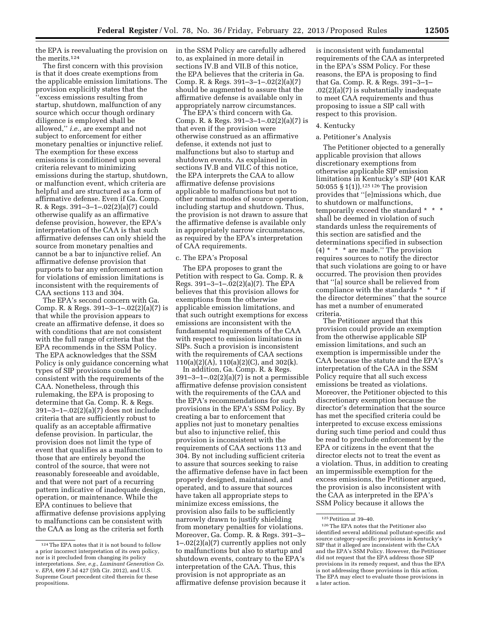the EPA is reevaluating the provision on the merits.124

The first concern with this provision is that it does create exemptions from the applicable emission limitations. The provision explicitly states that the ''excess emissions resulting from startup, shutdown, malfunction of any source which occur though ordinary diligence is employed shall be allowed,'' *i.e.,* are exempt and not subject to enforcement for either monetary penalties or injunctive relief. The exemption for these excess emissions is conditioned upon several criteria relevant to minimizing emissions during the startup, shutdown, or malfunction event, which criteria are helpful and are structured as a form of affirmative defense. Even if Ga. Comp. R. & Regs. 391–3–1–.02(2)(a)(7) could otherwise qualify as an affirmative defense provision, however, the EPA's interpretation of the CAA is that such affirmative defenses can only shield the source from monetary penalties and cannot be a bar to injunctive relief. An affirmative defense provision that purports to bar any enforcement action for violations of emission limitations is inconsistent with the requirements of CAA sections 113 and 304.

The EPA's second concern with Ga. Comp. R. & Regs. 391–3–1–.02(2)(a)(7) is that while the provision appears to create an affirmative defense, it does so with conditions that are not consistent with the full range of criteria that the EPA recommends in the SSM Policy. The EPA acknowledges that the SSM Policy is only guidance concerning what types of SIP provisions could be consistent with the requirements of the CAA. Nonetheless, through this rulemaking, the EPA is proposing to determine that Ga. Comp. R. & Regs. 391–3–1–.02(2)(a)(7) does not include criteria that are sufficiently robust to qualify as an acceptable affirmative defense provision. In particular, the provision does not limit the type of event that qualifies as a malfunction to those that are entirely beyond the control of the source, that were not reasonably foreseeable and avoidable, and that were not part of a recurring pattern indicative of inadequate design, operation, or maintenance. While the EPA continues to believe that affirmative defense provisions applying to malfunctions can be consistent with the CAA as long as the criteria set forth

in the SSM Policy are carefully adhered to, as explained in more detail in sections IV.B and VII.B of this notice, the EPA believes that the criteria in Ga. Comp. R. & Regs. 391–3–1–.02(2)(a)(7) should be augmented to assure that the affirmative defense is available only in appropriately narrow circumstances.

The EPA's third concern with Ga. Comp. R. & Regs. 391–3–1–.02(2)(a)(7) is that even if the provision were otherwise construed as an affirmative defense, it extends not just to malfunctions but also to startup and shutdown events. As explained in sections IV.B and VII.C of this notice, the EPA interprets the CAA to allow affirmative defense provisions applicable to malfunctions but not to other normal modes of source operation, including startup and shutdown. Thus, the provision is not drawn to assure that the affirmative defense is available only in appropriately narrow circumstances, as required by the EPA's interpretation of CAA requirements.

#### c. The EPA's Proposal

The EPA proposes to grant the Petition with respect to Ga. Comp. R. & Regs. 391–3–1–.02(2)(a)(7). The EPA believes that this provision allows for exemptions from the otherwise applicable emission limitations, and that such outright exemptions for excess emissions are inconsistent with the fundamental requirements of the CAA with respect to emission limitations in SIPs. Such a provision is inconsistent with the requirements of CAA sections  $110(a)(2)(A)$ ,  $110(a)(2)(C)$ , and  $302(k)$ .

In addition, Ga. Comp. R. & Regs. 391–3–1–.02(2)(a)(7) is not a permissible affirmative defense provision consistent with the requirements of the CAA and the EPA's recommendations for such provisions in the EPA's SSM Policy. By creating a bar to enforcement that applies not just to monetary penalties but also to injunctive relief, this provision is inconsistent with the requirements of CAA sections 113 and 304. By not including sufficient criteria to assure that sources seeking to raise the affirmative defense have in fact been properly designed, maintained, and operated, and to assure that sources have taken all appropriate steps to minimize excess emissions, the provision also fails to be sufficiently narrowly drawn to justify shielding from monetary penalties for violations. Moreover, Ga. Comp. R. & Regs. 391–3– 1–.02(2)(a)(7) currently applies not only to malfunctions but also to startup and shutdown events, contrary to the EPA's interpretation of the CAA. Thus, this provision is not appropriate as an affirmative defense provision because it

is inconsistent with fundamental requirements of the CAA as interpreted in the EPA's SSM Policy. For these reasons, the EPA is proposing to find that Ga. Comp. R. & Regs. 391–3–1– .02(2)(a)(7) is substantially inadequate to meet CAA requirements and thus proposing to issue a SIP call with respect to this provision.

## 4. Kentucky

#### a. Petitioner's Analysis

The Petitioner objected to a generally applicable provision that allows discretionary exemptions from otherwise applicable SIP emission limitations in Kentucky's SIP (401 KAR 50:055 § 1(1)).125 126 The provision provides that ''[e]missions which, due to shutdown or malfunctions, temporarily exceed the standard \* \* \* shall be deemed in violation of such standards unless the requirements of this section are satisfied and the determinations specified in subsection  $(4)$  \* \* \* are made." The provision requires sources to notify the director that such violations are going to or have occurred. The provision then provides that ''[a] source shall be relieved from compliance with the standards \* \* \* if the director determines'' that the source has met a number of enumerated criteria.

The Petitioner argued that this provision could provide an exemption from the otherwise applicable SIP emission limitations, and such an exemption is impermissible under the CAA because the statute and the EPA's interpretation of the CAA in the SSM Policy require that all such excess emissions be treated as violations. Moreover, the Petitioner objected to this discretionary exemption because the director's determination that the source has met the specified criteria could be interpreted to excuse excess emissions during such time period and could thus be read to preclude enforcement by the EPA or citizens in the event that the director elects not to treat the event as a violation. Thus, in addition to creating an impermissible exemption for the excess emissions, the Petitioner argued, the provision is also inconsistent with the CAA as interpreted in the EPA's SSM Policy because it allows the

<sup>124</sup>The EPA notes that it is not bound to follow a prior incorrect interpretation of its own policy, nor is it precluded from changing its policy interpretations. *See, e.g., Luminant Generation Co.*  v. *EPA,* 699 F.3d 427 (5th Cir. 2012), and U.S. Supreme Court precedent cited therein for these propositions.

<sup>125</sup>Petition at 39–40.

<sup>126</sup>The EPA notes that the Petitioner also identified several additional pollutant-specific and source category-specific provisions in Kentucky's SIP that it alleged are inconsistent with the CAA and the EPA's SSM Policy. However, the Petitioner did not request that the EPA address those SIP provisions in its remedy request, and thus the EPA is not addressing those provisions in this action. The EPA may elect to evaluate those provisions in a later action.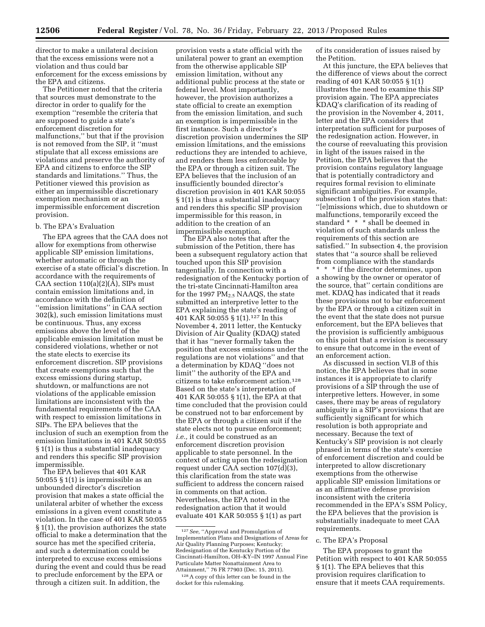director to make a unilateral decision that the excess emissions were not a violation and thus could bar enforcement for the excess emissions by the EPA and citizens.

The Petitioner noted that the criteria that sources must demonstrate to the director in order to qualify for the exemption ''resemble the criteria that are supposed to guide a state's enforcement discretion for malfunctions,'' but that if the provision is not removed from the SIP, it ''must stipulate that all excess emissions are violations and preserve the authority of EPA and citizens to enforce the SIP standards and limitations.'' Thus, the Petitioner viewed this provision as either an impermissible discretionary exemption mechanism or an impermissible enforcement discretion provision.

## b. The EPA's Evaluation

The EPA agrees that the CAA does not allow for exemptions from otherwise applicable SIP emission limitations, whether automatic or through the exercise of a state official's discretion. In accordance with the requirements of CAA section  $110(a)(2)(A)$ , SIPs must contain emission limitations and, in accordance with the definition of ''emission limitations'' in CAA section 302(k), such emission limitations must be continuous. Thus, any excess emissions above the level of the applicable emission limitation must be considered violations, whether or not the state elects to exercise its enforcement discretion. SIP provisions that create exemptions such that the excess emissions during startup, shutdown, or malfunctions are not violations of the applicable emission limitations are inconsistent with the fundamental requirements of the CAA with respect to emission limitations in SIPs. The EPA believes that the inclusion of such an exemption from the emission limitations in 401 KAR 50:055 § 1(1) is thus a substantial inadequacy and renders this specific SIP provision impermissible.

The EPA believes that 401 KAR 50:055 § 1(1) is impermissible as an unbounded director's discretion provision that makes a state official the unilateral arbiter of whether the excess emissions in a given event constitute a violation. In the case of 401 KAR 50:055 § 1(1), the provision authorizes the state official to make a determination that the source has met the specified criteria, and such a determination could be interpreted to excuse excess emissions during the event and could thus be read to preclude enforcement by the EPA or through a citizen suit. In addition, the

provision vests a state official with the unilateral power to grant an exemption from the otherwise applicable SIP emission limitation, without any additional public process at the state or federal level. Most importantly, however, the provision authorizes a state official to create an exemption from the emission limitation, and such an exemption is impermissible in the first instance. Such a director's discretion provision undermines the SIP emission limitations, and the emissions reductions they are intended to achieve, and renders them less enforceable by the EPA or through a citizen suit. The EPA believes that the inclusion of an insufficiently bounded director's discretion provision in 401 KAR 50:055 § 1(1) is thus a substantial inadequacy and renders this specific SIP provision impermissible for this reason, in addition to the creation of an impermissible exemption.

The EPA also notes that after the submission of the Petition, there has been a subsequent regulatory action that touched upon this SIP provision tangentially. In connection with a redesignation of the Kentucky portion of the tri-state Cincinnati-Hamilton area for the 1997 PM2.5 NAAQS, the state submitted an interpretive letter to the EPA explaining the state's reading of 401 KAR 50:055 § 1(1).127 In this November 4, 2011 letter, the Kentucky Division of Air Quality (KDAQ) stated that it has ''never formally taken the position that excess emissions under the regulations are not violations'' and that a determination by KDAQ ''does not limit'' the authority of the EPA and citizens to take enforcement action.128 Based on the state's interpretation of 401 KAR 50:055 § 1(1), the EPA at that time concluded that the provision could be construed not to bar enforcement by the EPA or through a citizen suit if the state elects not to pursue enforcement; *i.e.,* it could be construed as an enforcement discretion provision applicable to state personnel. In the context of acting upon the redesignation request under CAA section 107(d)(3), this clarification from the state was sufficient to address the concern raised in comments on that action. Nevertheless, the EPA noted in the redesignation action that it would evaluate 401 KAR 50:055 § 1(1) as part

of its consideration of issues raised by the Petition.

At this juncture, the EPA believes that the difference of views about the correct reading of 401 KAR 50:055 § 1(1) illustrates the need to examine this SIP provision again. The EPA appreciates KDAQ's clarification of its reading of the provision in the November 4, 2011, letter and the EPA considers that interpretation sufficient for purposes of the redesignation action. However, in the course of reevaluating this provision in light of the issues raised in the Petition, the EPA believes that the provision contains regulatory language that is potentially contradictory and requires formal revision to eliminate significant ambiguities. For example, subsection 1 of the provision states that: ''[e]missions which, due to shutdown or malfunctions, temporarily exceed the standard \* \* \* shall be deemed in violation of such standards unless the requirements of this section are satisfied.'' In subsection 4, the provision states that ''a source shall be relieved from compliance with the standards \* \* \* if the director determines, upon a showing by the owner or operator of

the source, that'' certain conditions are met. KDAQ has indicated that it reads these provisions not to bar enforcement by the EPA or through a citizen suit in the event that the state does not pursue enforcement, but the EPA believes that the provision is sufficiently ambiguous on this point that a revision is necessary to ensure that outcome in the event of an enforcement action.

As discussed in section VI.B of this notice, the EPA believes that in some instances it is appropriate to clarify provisions of a SIP through the use of interpretive letters. However, in some cases, there may be areas of regulatory ambiguity in a SIP's provisions that are sufficiently significant for which resolution is both appropriate and necessary. Because the text of Kentucky's SIP provision is not clearly phrased in terms of the state's exercise of enforcement discretion and could be interpreted to allow discretionary exemptions from the otherwise applicable SIP emission limitations or as an affirmative defense provision inconsistent with the criteria recommended in the EPA's SSM Policy, the EPA believes that the provision is substantially inadequate to meet CAA requirements.

#### c. The EPA's Proposal

The EPA proposes to grant the Petition with respect to 401 KAR 50:055 § 1(1). The EPA believes that this provision requires clarification to ensure that it meets CAA requirements.

<sup>127</sup>*See,* ''Approval and Promulgation of Implementation Plans and Designations of Areas for Air Quality Planning Purposes; Kentucky; Redesignation of the Kentucky Portion of the Cincinnati-Hamilton, OH–KY–IN 1997 Annual Fine Particulate Matter Nonattainment Area to Attainment,'' 76 FR 77903 (Dec. 15, 2011).

<sup>128</sup>A copy of this letter can be found in the docket for this rulemaking.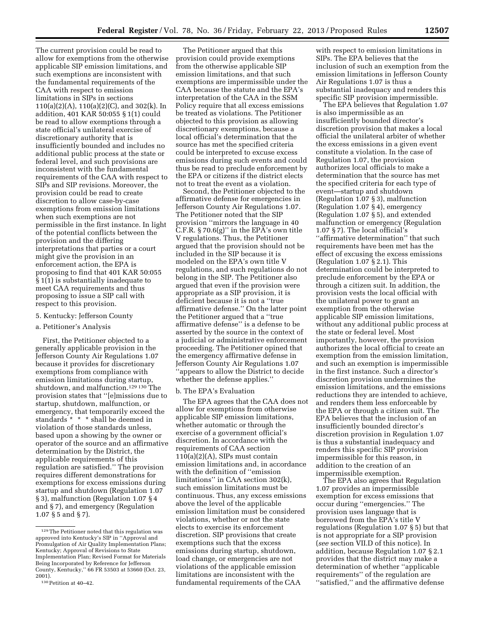The current provision could be read to allow for exemptions from the otherwise applicable SIP emission limitations, and such exemptions are inconsistent with the fundamental requirements of the CAA with respect to emission limitations in SIPs in sections 110(a)(2)(A), 110(a)(2)(C), and 302(k). In addition, 401 KAR 50:055 § 1(1) could be read to allow exemptions through a state official's unilateral exercise of discretionary authority that is insufficiently bounded and includes no additional public process at the state or federal level, and such provisions are inconsistent with the fundamental requirements of the CAA with respect to SIPs and SIP revisions. Moreover, the provision could be read to create discretion to allow case-by-case exemptions from emission limitations when such exemptions are not permissible in the first instance. In light of the potential conflicts between the provision and the differing interpretations that parties or a court might give the provision in an enforcement action, the EPA is proposing to find that 401 KAR 50:055 § 1(1) is substantially inadequate to meet CAA requirements and thus proposing to issue a SIP call with respect to this provision.

# 5. Kentucky: Jefferson County

## a. Petitioner's Analysis

First, the Petitioner objected to a generally applicable provision in the Jefferson County Air Regulations 1.07 because it provides for discretionary exemptions from compliance with emission limitations during startup, shutdown, and malfunction.129 130 The provision states that ''[e]missions due to startup, shutdown, malfunction, or emergency, that temporarily exceed the standards \* \* \* shall be deemed in violation of those standards unless, based upon a showing by the owner or operator of the source and an affirmative determination by the District, the applicable requirements of this regulation are satisfied.'' The provision requires different demonstrations for exemptions for excess emissions during startup and shutdown (Regulation 1.07 § 3), malfunction (Regulation 1.07 § 4 and § 7), and emergency (Regulation 1.07 § 5 and § 7).

The Petitioner argued that this provision could provide exemptions from the otherwise applicable SIP emission limitations, and that such exemptions are impermissible under the CAA because the statute and the EPA's interpretation of the CAA in the SSM Policy require that all excess emissions be treated as violations. The Petitioner objected to this provision as allowing discretionary exemptions, because a local official's determination that the source has met the specified criteria could be interpreted to excuse excess emissions during such events and could thus be read to preclude enforcement by the EPA or citizens if the district elects not to treat the event as a violation.

Second, the Petitioner objected to the affirmative defense for emergencies in Jefferson County Air Regulations 1.07. The Petitioner noted that the SIP provision ''mirrors the language in 40 C.F.R.  $\S 70.6(g)$ " in the EPA's own title V regulations. Thus, the Petitioner argued that the provision should not be included in the SIP because it is modeled on the EPA's own title V regulations, and such regulations do not belong in the SIP. The Petitioner also argued that even if the provision were appropriate as a SIP provision, it is deficient because it is not a ''true affirmative defense.'' On the latter point the Petitioner argued that a ''true affirmative defense'' is a defense to be asserted by the source in the context of a judicial or administrative enforcement proceeding. The Petitioner opined that the emergency affirmative defense in Jefferson County Air Regulations 1.07 ''appears to allow the District to decide whether the defense applies.''

## b. The EPA's Evaluation

The EPA agrees that the CAA does not allow for exemptions from otherwise applicable SIP emission limitations, whether automatic or through the exercise of a government official's discretion. In accordance with the requirements of CAA section  $110(a)(2)(A)$ , SIPs must contain emission limitations and, in accordance with the definition of ''emission limitations'' in CAA section 302(k), such emission limitations must be continuous. Thus, any excess emissions above the level of the applicable emission limitation must be considered violations, whether or not the state elects to exercise its enforcement discretion. SIP provisions that create exemptions such that the excess emissions during startup, shutdown, load change, or emergencies are not violations of the applicable emission limitations are inconsistent with the fundamental requirements of the CAA

with respect to emission limitations in SIPs. The EPA believes that the inclusion of such an exemption from the emission limitations in Jefferson County Air Regulations 1.07 is thus a substantial inadequacy and renders this specific SIP provision impermissible.

The EPA believes that Regulation 1.07 is also impermissible as an insufficiently bounded director's discretion provision that makes a local official the unilateral arbiter of whether the excess emissions in a given event constitute a violation. In the case of Regulation 1.07, the provision authorizes local officials to make a determination that the source has met the specified criteria for each type of event—startup and shutdown (Regulation 1.07 § 3), malfunction (Regulation 1.07 § 4), emergency (Regulation 1.07 § 5), and extended malfunction or emergency (Regulation 1.07 § 7). The local official's ''affirmative determination'' that such requirements have been met has the effect of excusing the excess emissions (Regulation 1.07 § 2.1). This determination could be interpreted to preclude enforcement by the EPA or through a citizen suit. In addition, the provision vests the local official with the unilateral power to grant an exemption from the otherwise applicable SIP emission limitations, without any additional public process at the state or federal level. Most importantly, however, the provision authorizes the local official to create an exemption from the emission limitation, and such an exemption is impermissible in the first instance. Such a director's discretion provision undermines the emission limitations, and the emissions reductions they are intended to achieve, and renders them less enforceable by the EPA or through a citizen suit. The EPA believes that the inclusion of an insufficiently bounded director's discretion provision in Regulation 1.07 is thus a substantial inadequacy and renders this specific SIP provision impermissible for this reason, in addition to the creation of an impermissible exemption.

The EPA also agrees that Regulation 1.07 provides an impermissible exemption for excess emissions that occur during ''emergencies.'' The provision uses language that is borrowed from the EPA's title V regulations (Regulation 1.07 § 5) but that is not appropriate for a SIP provision (*see* section VII.D of this notice). In addition, because Regulation 1.07 § 2.1 provides that the district may make a determination of whether ''applicable requirements'' of the regulation are ''satisfied,'' and the affirmative defense

<sup>129</sup>The Petitioner noted that this regulation was approved into Kentucky's SIP in ''Approval and Promulgation of Air Quality Implementation Plans; Kentucky; Approval of Revisions to State Implementation Plan; Revised Format for Materials Being Incorporated by Reference for Jefferson County, Kentucky,'' 66 FR 53503 at 53660 (Oct. 23, 2001).

<sup>130</sup>Petition at 40–42.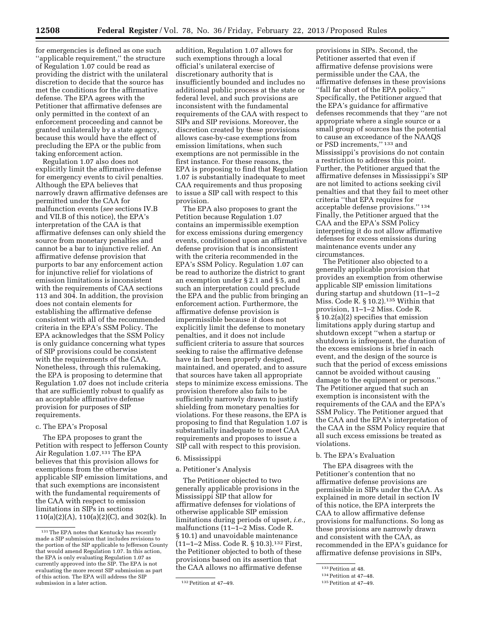for emergencies is defined as one such ''applicable requirement,'' the structure of Regulation 1.07 could be read as providing the district with the unilateral discretion to decide that the source has met the conditions for the affirmative defense. The EPA agrees with the Petitioner that affirmative defenses are only permitted in the context of an enforcement proceeding and cannot be granted unilaterally by a state agency, because this would have the effect of precluding the EPA or the public from taking enforcement action.

Regulation 1.07 also does not explicitly limit the affirmative defense for emergency events to civil penalties. Although the EPA believes that narrowly drawn affirmative defenses are permitted under the CAA for malfunction events (*see* sections IV.B and VII.B of this notice), the EPA's interpretation of the CAA is that affirmative defenses can only shield the source from monetary penalties and cannot be a bar to injunctive relief. An affirmative defense provision that purports to bar any enforcement action for injunctive relief for violations of emission limitations is inconsistent with the requirements of CAA sections 113 and 304. In addition, the provision does not contain elements for establishing the affirmative defense consistent with all of the recommended criteria in the EPA's SSM Policy. The EPA acknowledges that the SSM Policy is only guidance concerning what types of SIP provisions could be consistent with the requirements of the CAA. Nonetheless, through this rulemaking, the EPA is proposing to determine that Regulation 1.07 does not include criteria that are sufficiently robust to qualify as an acceptable affirmative defense provision for purposes of SIP requirements.

## c. The EPA's Proposal

The EPA proposes to grant the Petition with respect to Jefferson County Air Regulation 1.07.131 The EPA believes that this provision allows for exemptions from the otherwise applicable SIP emission limitations, and that such exemptions are inconsistent with the fundamental requirements of the CAA with respect to emission limitations in SIPs in sections 110(a)(2)(A), 110(a)(2)(C), and 302(k). In

addition, Regulation 1.07 allows for such exemptions through a local official's unilateral exercise of discretionary authority that is insufficiently bounded and includes no additional public process at the state or federal level, and such provisions are inconsistent with the fundamental requirements of the CAA with respect to SIPs and SIP revisions. Moreover, the discretion created by these provisions allows case-by-case exemptions from emission limitations, when such exemptions are not permissible in the first instance. For these reasons, the EPA is proposing to find that Regulation 1.07 is substantially inadequate to meet CAA requirements and thus proposing to issue a SIP call with respect to this provision.

The EPA also proposes to grant the Petition because Regulation 1.07 contains an impermissible exemption for excess emissions during emergency events, conditioned upon an affirmative defense provision that is inconsistent with the criteria recommended in the EPA's SSM Policy. Regulation 1.07 can be read to authorize the district to grant an exemption under § 2.1 and § 5, and such an interpretation could preclude the EPA and the public from bringing an enforcement action. Furthermore, the affirmative defense provision is impermissible because it does not explicitly limit the defense to monetary penalties, and it does not include sufficient criteria to assure that sources seeking to raise the affirmative defense have in fact been properly designed, maintained, and operated, and to assure that sources have taken all appropriate steps to minimize excess emissions. The provision therefore also fails to be sufficiently narrowly drawn to justify shielding from monetary penalties for violations. For these reasons, the EPA is proposing to find that Regulation 1.07 is substantially inadequate to meet CAA requirements and proposes to issue a SIP call with respect to this provision.

### 6. Mississippi

## a. Petitioner's Analysis

The Petitioner objected to two generally applicable provisions in the Mississippi SIP that allow for affirmative defenses for violations of otherwise applicable SIP emission limitations during periods of upset, *i.e.,*  malfunctions (11–1–2 Miss. Code R. § 10.1) and unavoidable maintenance (11–1–2 Miss. Code R. § 10.3).132 First, the Petitioner objected to both of these provisions based on its assertion that the CAA allows no affirmative defense

provisions in SIPs. Second, the Petitioner asserted that even if affirmative defense provisions were permissible under the CAA, the affirmative defenses in these provisions ''fall far short of the EPA policy.'' Specifically, the Petitioner argued that the EPA's guidance for affirmative defenses recommends that they ''are not appropriate where a single source or a small group of sources has the potential to cause an exceedance of the NAAQS or PSD increments,'' 133 and Mississippi's provisions do not contain a restriction to address this point. Further, the Petitioner argued that the affirmative defenses in Mississippi's SIP are not limited to actions seeking civil penalties and that they fail to meet other criteria ''that EPA requires for acceptable defense provisions.'' 134 Finally, the Petitioner argued that the CAA and the EPA's SSM Policy interpreting it do not allow affirmative defenses for excess emissions during maintenance events under any circumstances.

The Petitioner also objected to a generally applicable provision that provides an exemption from otherwise applicable SIP emission limitations during startup and shutdown (11–1–2 Miss. Code R.  $§ 10.2$ .  $135$  Within that provision, 11–1–2 Miss. Code R. § 10.2(a)(2) specifies that emission limitations apply during startup and shutdown except ''when a startup or shutdown is infrequent, the duration of the excess emissions is brief in each event, and the design of the source is such that the period of excess emissions cannot be avoided without causing damage to the equipment or persons.'' The Petitioner argued that such an exemption is inconsistent with the requirements of the CAA and the EPA's SSM Policy. The Petitioner argued that the CAA and the EPA's interpretation of the CAA in the SSM Policy require that all such excess emissions be treated as violations.

# b. The EPA's Evaluation

The EPA disagrees with the Petitioner's contention that no affirmative defense provisions are permissible in SIPs under the CAA. As explained in more detail in section IV of this notice, the EPA interprets the CAA to allow affirmative defense provisions for malfunctions. So long as these provisions are narrowly drawn and consistent with the CAA, as recommended in the EPA's guidance for affirmative defense provisions in SIPs,

<sup>131</sup>The EPA notes that Kentucky has recently made a SIP submission that includes revisions to the portion of the SIP applicable to Jefferson County that would amend Regulation 1.07. In this action, the EPA is only evaluating Regulation 1.07 as currently approved into the SIP. The EPA is not evaluating the more recent SIP submission as part of this action. The EPA will address the SIP submission in a later action. 132 Petition at 47–49.

<sup>133</sup>Petition at 48.

<sup>134</sup>Petition at 47–48.

<sup>135</sup>Petition at 47–49.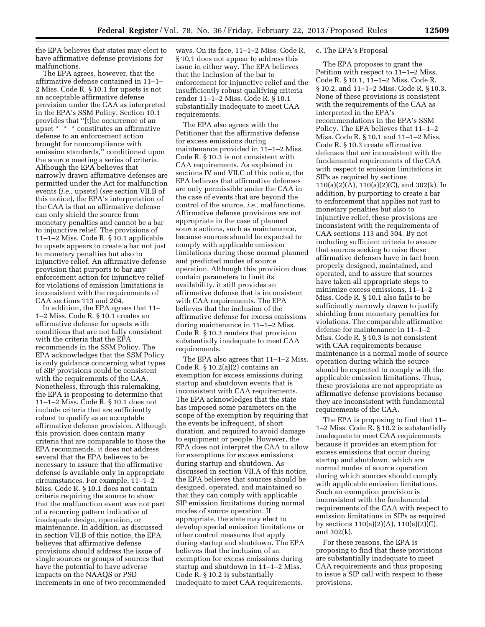the EPA believes that states may elect to have affirmative defense provisions for malfunctions.

The EPA agrees, however, that the affirmative defense contained in 11–1– 2 Miss. Code R. § 10.1 for upsets is not an acceptable affirmative defense provision under the CAA as interpreted in the EPA's SSM Policy. Section 10.1 provides that ''[t]he occurrence of an upset \* \* \* constitutes an affirmative defense to an enforcement action brought for noncompliance with emission standards,'' conditioned upon the source meeting a series of criteria. Although the EPA believes that narrowly drawn affirmative defenses are permitted under the Act for malfunction events (*i.e.,* upsets) (*see* section VII.B of this notice), the EPA's interpretation of the CAA is that an affirmative defense can only shield the source from monetary penalties and cannot be a bar to injunctive relief. The provisions of 11–1–2 Miss. Code R. § 10.1 applicable to upsets appears to create a bar not just to monetary penalties but also to injunctive relief. An affirmative defense provision that purports to bar any enforcement action for injunctive relief for violations of emission limitations is inconsistent with the requirements of CAA sections 113 and 204.

In addition, the EPA agrees that 11– 1–2 Miss. Code R. § 10.1 creates an affirmative defense for upsets with conditions that are not fully consistent with the criteria that the EPA recommends in the SSM Policy. The EPA acknowledges that the SSM Policy is only guidance concerning what types of SIP provisions could be consistent with the requirements of the CAA. Nonetheless, through this rulemaking, the EPA is proposing to determine that 11–1–2 Miss. Code R. § 10.1 does not include criteria that are sufficiently robust to qualify as an acceptable affirmative defense provision. Although this provision does contain many criteria that are comparable to those the EPA recommends, it does not address several that the EPA believes to be necessary to assure that the affirmative defense is available only in appropriate circumstances. For example, 11–1–2 Miss. Code R. § 10.1 does not contain criteria requiring the source to show that the malfunction event was not part of a recurring pattern indicative of inadequate design, operation, or maintenance. In addition, as discussed in section VII.B of this notice, the EPA believes that affirmative defense provisions should address the issue of single sources or groups of sources that have the potential to have adverse impacts on the NAAQS or PSD increments in one of two recommended ways. On its face, 11–1–2 Miss. Code R. § 10.1 does not appear to address this issue in either way. The EPA believes that the inclusion of the bar to enforcement for injunctive relief and the insufficiently robust qualifying criteria render 11–1–2 Miss. Code R. § 10.1 substantially inadequate to meet CAA requirements.

The EPA also agrees with the Petitioner that the affirmative defense for excess emissions during maintenance provided in 11–1–2 Miss. Code R. § 10.3 is not consistent with CAA requirements. As explained in sections IV and VII.C of this notice, the EPA believes that affirmative defenses are only permissible under the CAA in the case of events that are beyond the control of the source, *i.e.,* malfunctions. Affirmative defense provisions are not appropriate in the case of planned source actions, such as maintenance, because sources should be expected to comply with applicable emission limitations during those normal planned and predicted modes of source operation. Although this provision does contain parameters to limit its availability, it still provides an affirmative defense that is inconsistent with CAA requirements. The EPA believes that the inclusion of the affirmative defense for excess emissions during maintenance in 11–1–2 Miss. Code R. § 10.3 renders that provision substantially inadequate to meet CAA requirements.

The EPA also agrees that 11–1–2 Miss. Code R. § 10.2(a)(2) contains an exemption for excess emissions during startup and shutdown events that is inconsistent with CAA requirements. The EPA acknowledges that the state has imposed some parameters on the scope of the exemption by requiring that the events be infrequent, of short duration, and required to avoid damage to equipment or people. However, the EPA does not interpret the CAA to allow for exemptions for excess emissions during startup and shutdown. As discussed in section VII.A of this notice, the EPA believes that sources should be designed, operated, and maintained so that they can comply with applicable SIP emission limitations during normal modes of source operation. If appropriate, the state may elect to develop special emission limitations or other control measures that apply during startup and shutdown. The EPA believes that the inclusion of an exemption for excess emissions during startup and shutdown in 11–1–2 Miss. Code R. § 10.2 is substantially inadequate to meet CAA requirements.

## c. The EPA's Proposal

The EPA proposes to grant the Petition with respect to 11–1–2 Miss. Code R. § 10.1, 11–1–2 Miss. Code R. § 10.2, and 11–1–2 Miss. Code R. § 10.3. None of these provisions is consistent with the requirements of the CAA as interpreted in the EPA's recommendations in the EPA's SSM Policy. The EPA believes that 11–1–2 Miss. Code R. § 10.1 and 11–1–2 Miss. Code R. § 10.3 create affirmative defenses that are inconsistent with the fundamental requirements of the CAA with respect to emission limitations in SIPs as required by sections 110(a)(2)(A), 110(a)(2)(C), and 302(k). In addition, by purporting to create a bar to enforcement that applies not just to monetary penalties but also to injunctive relief, these provisions are inconsistent with the requirements of CAA sections 113 and 304. By not including sufficient criteria to assure that sources seeking to raise these affirmative defenses have in fact been properly designed, maintained, and operated, and to assure that sources have taken all appropriate steps to minimize excess emissions, 11–1–2 Miss. Code R. § 10.1 also fails to be sufficiently narrowly drawn to justify shielding from monetary penalties for violations. The comparable affirmative defense for maintenance in 11–1–2 Miss. Code R. § 10.3 is not consistent with CAA requirements because maintenance is a normal mode of source operation during which the source should be expected to comply with the applicable emission limitations. Thus, these provisions are not appropriate as affirmative defense provisions because they are inconsistent with fundamental requirements of the CAA.

The EPA is proposing to find that 11– 1–2 Miss. Code R. § 10.2 is substantially inadequate to meet CAA requirements because it provides an exemption for excess emissions that occur during startup and shutdown, which are normal modes of source operation during which sources should comply with applicable emission limitations. Such an exemption provision is inconsistent with the fundamental requirements of the CAA with respect to emission limitations in SIPs as required by sections 110(a)(2)(A), 110(a)(2)(C), and 302(k).

For these reasons, the EPA is proposing to find that these provisions are substantially inadequate to meet CAA requirements and thus proposing to issue a SIP call with respect to these provisions.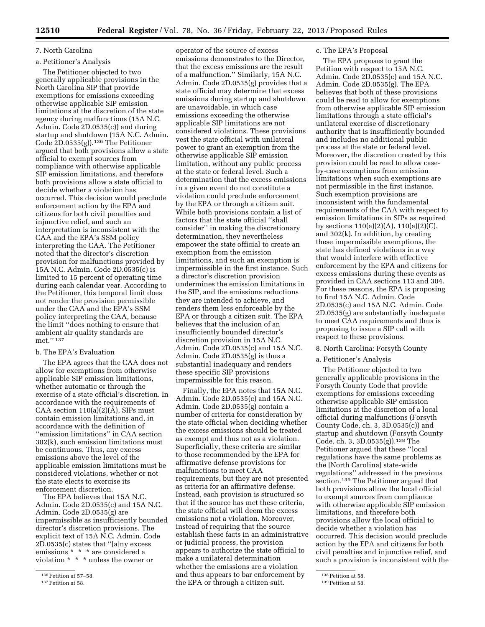# 7. North Carolina

# a. Petitioner's Analysis

The Petitioner objected to two generally applicable provisions in the North Carolina SIP that provide exemptions for emissions exceeding otherwise applicable SIP emission limitations at the discretion of the state agency during malfunctions (15A N.C. Admin. Code 2D.0535(c)) and during startup and shutdown (15A N.C. Admin. Code 2D.0535(g)).136 The Petitioner argued that both provisions allow a state official to exempt sources from compliance with otherwise applicable SIP emission limitations, and therefore both provisions allow a state official to decide whether a violation has occurred. This decision would preclude enforcement action by the EPA and citizens for both civil penalties and injunctive relief, and such an interpretation is inconsistent with the CAA and the EPA's SSM policy interpreting the CAA. The Petitioner noted that the director's discretion provision for malfunctions provided by 15A N.C. Admin. Code 2D.0535(c) is limited to 15 percent of operating time during each calendar year. According to the Petitioner, this temporal limit does not render the provision permissible under the CAA and the EPA's SSM policy interpreting the CAA, because the limit ''does nothing to ensure that ambient air quality standards are met.'' 137

#### b. The EPA's Evaluation

The EPA agrees that the CAA does not allow for exemptions from otherwise applicable SIP emission limitations, whether automatic or through the exercise of a state official's discretion. In accordance with the requirements of CAA section 110(a)(2)(A), SIPs must contain emission limitations and, in accordance with the definition of ''emission limitations'' in CAA section 302(k), such emission limitations must be continuous. Thus, any excess emissions above the level of the applicable emission limitations must be considered violations, whether or not the state elects to exercise its enforcement discretion.

The EPA believes that 15A N.C. Admin. Code 2D.0535(c) and 15A N.C. Admin. Code 2D.0535(g) are impermissible as insufficiently bounded director's discretion provisions. The explicit text of 15A N.C. Admin. Code 2D.0535(c) states that ''[a]ny excess emissions \* \* \* are considered a violation \* \* \* unless the owner or

operator of the source of excess emissions demonstrates to the Director, that the excess emissions are the result of a malfunction.'' Similarly, 15A N.C. Admin. Code 2D.0535(g) provides that a state official may determine that excess emissions during startup and shutdown are unavoidable, in which case emissions exceeding the otherwise applicable SIP limitations are not considered violations. These provisions vest the state official with unilateral power to grant an exemption from the otherwise applicable SIP emission limitation, without any public process at the state or federal level. Such a determination that the excess emissions in a given event do not constitute a violation could preclude enforcement by the EPA or through a citizen suit. While both provisions contain a list of factors that the state official ''shall consider'' in making the discretionary determination, they nevertheless empower the state official to create an exemption from the emission limitations, and such an exemption is impermissible in the first instance. Such a director's discretion provision undermines the emission limitations in the SIP, and the emissions reductions they are intended to achieve, and renders them less enforceable by the EPA or through a citizen suit. The EPA believes that the inclusion of an insufficiently bounded director's discretion provision in 15A N.C. Admin. Code 2D.0535(c) and 15A N.C. Admin. Code 2D.0535(g) is thus a substantial inadequacy and renders these specific SIP provisions impermissible for this reason.

Finally, the EPA notes that 15A N.C. Admin. Code 2D.0535(c) and 15A N.C. Admin. Code 2D.0535(g) contain a number of criteria for consideration by the state official when deciding whether the excess emissions should be treated as exempt and thus not as a violation. Superficially, these criteria are similar to those recommended by the EPA for affirmative defense provisions for malfunctions to meet CAA requirements, but they are not presented as criteria for an affirmative defense. Instead, each provision is structured so that if the source has met these criteria, the state official will deem the excess emissions not a violation. Moreover, instead of requiring that the source establish these facts in an administrative or judicial process, the provision appears to authorize the state official to make a unilateral determination whether the emissions are a violation and thus appears to bar enforcement by the EPA or through a citizen suit.

## c. The EPA's Proposal

The EPA proposes to grant the Petition with respect to 15A N.C. Admin. Code 2D.0535(c) and 15A N.C. Admin. Code 2D.0535(g). The EPA believes that both of these provisions could be read to allow for exemptions from otherwise applicable SIP emission limitations through a state official's unilateral exercise of discretionary authority that is insufficiently bounded and includes no additional public process at the state or federal level. Moreover, the discretion created by this provision could be read to allow caseby-case exemptions from emission limitations when such exemptions are not permissible in the first instance. Such exemption provisions are inconsistent with the fundamental requirements of the CAA with respect to emission limitations in SIPs as required by sections  $110(a)(2)(A)$ ,  $110(a)(2)(C)$ , and 302(k). In addition, by creating these impermissible exemptions, the state has defined violations in a way that would interfere with effective enforcement by the EPA and citizens for excess emissions during these events as provided in CAA sections 113 and 304. For these reasons, the EPA is proposing to find 15A N.C. Admin. Code 2D.0535(c) and 15A N.C. Admin. Code 2D.0535(g) are substantially inadequate to meet CAA requirements and thus is proposing to issue a SIP call with respect to these provisions.

## 8. North Carolina: Forsyth County

## a. Petitioner's Analysis

The Petitioner objected to two generally applicable provisions in the Forsyth County Code that provide exemptions for emissions exceeding otherwise applicable SIP emission limitations at the discretion of a local official during malfunctions (Forsyth County Code, ch. 3, 3D.0535(c)) and startup and shutdown (Forsyth County Code, ch. 3, 3D.0535(g)).138 The Petitioner argued that these ''local regulations have the same problems as the [North Carolina] state-wide regulations'' addressed in the previous section.139 The Petitioner argued that both provisions allow the local official to exempt sources from compliance with otherwise applicable SIP emission limitations, and therefore both provisions allow the local official to decide whether a violation has occurred. This decision would preclude action by the EPA and citizens for both civil penalties and injunctive relief, and such a provision is inconsistent with the

<sup>136</sup>Petition at 57–58.

<sup>137</sup>Petition at 58.

<sup>138</sup>Petition at 58.

<sup>139</sup>Petition at 58.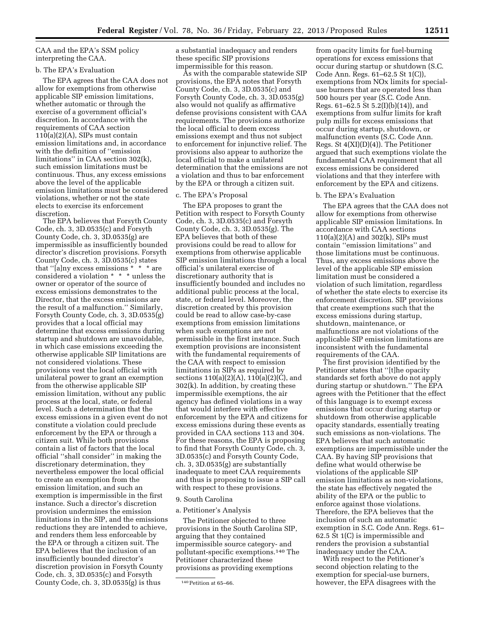CAA and the EPA's SSM policy interpreting the CAA.

# b. The EPA's Evaluation

The EPA agrees that the CAA does not allow for exemptions from otherwise applicable SIP emission limitations, whether automatic or through the exercise of a government official's discretion. In accordance with the requirements of CAA section  $110(a)(2)(A)$ , SIPs must contain emission limitations and, in accordance with the definition of ''emission limitations'' in CAA section 302(k), such emission limitations must be continuous. Thus, any excess emissions above the level of the applicable emission limitations must be considered violations, whether or not the state elects to exercise its enforcement discretion.

The EPA believes that Forsyth County Code, ch. 3, 3D.0535(c) and Forsyth County Code, ch. 3, 3D.0535(g) are impermissible as insufficiently bounded director's discretion provisions. Forsyth County Code, ch. 3, 3D.0535(c) states that ''[a]ny excess emissions \* \* \* are considered a violation \* \* \* unless the owner or operator of the source of excess emissions demonstrates to the Director, that the excess emissions are the result of a malfunction.'' Similarly, Forsyth County Code, ch. 3, 3D.0535(g) provides that a local official may determine that excess emissions during startup and shutdown are unavoidable, in which case emissions exceeding the otherwise applicable SIP limitations are not considered violations. These provisions vest the local official with unilateral power to grant an exemption from the otherwise applicable SIP emission limitation, without any public process at the local, state, or federal level. Such a determination that the excess emissions in a given event do not constitute a violation could preclude enforcement by the EPA or through a citizen suit. While both provisions contain a list of factors that the local official ''shall consider'' in making the discretionary determination, they nevertheless empower the local official to create an exemption from the emission limitation, and such an exemption is impermissible in the first instance. Such a director's discretion provision undermines the emission limitations in the SIP, and the emissions reductions they are intended to achieve, and renders them less enforceable by the EPA or through a citizen suit. The EPA believes that the inclusion of an insufficiently bounded director's discretion provision in Forsyth County Code, ch. 3, 3D.0535(c) and Forsyth County Code, ch. 3, 3D.0535(g) is thus

a substantial inadequacy and renders these specific SIP provisions impermissible for this reason.

As with the comparable statewide SIP provisions, the EPA notes that Forsyth County Code, ch. 3, 3D.0535(c) and Forsyth County Code, ch. 3, 3D.0535(g) also would not qualify as affirmative defense provisions consistent with CAA requirements. The provisions authorize the local official to deem excess emissions exempt and thus not subject to enforcement for injunctive relief. The provisions also appear to authorize the local official to make a unilateral determination that the emissions are not a violation and thus to bar enforcement by the EPA or through a citizen suit.

## c. The EPA's Proposal

The EPA proposes to grant the Petition with respect to Forsyth County Code, ch. 3, 3D.0535(c) and Forsyth County Code, ch. 3, 3D.0535(g). The EPA believes that both of these provisions could be read to allow for exemptions from otherwise applicable SIP emission limitations through a local official's unilateral exercise of discretionary authority that is insufficiently bounded and includes no additional public process at the local, state, or federal level. Moreover, the discretion created by this provision could be read to allow case-by-case exemptions from emission limitations when such exemptions are not permissible in the first instance. Such exemption provisions are inconsistent with the fundamental requirements of the CAA with respect to emission limitations in SIPs as required by sections  $110(a)(2)(A)$ ,  $110(a)(2)(C)$ , and 302(k). In addition, by creating these impermissible exemptions, the air agency has defined violations in a way that would interfere with effective enforcement by the EPA and citizens for excess emissions during these events as provided in CAA sections 113 and 304. For these reasons, the EPA is proposing to find that Forsyth County Code, ch. 3, 3D.0535(c) and Forsyth County Code, ch. 3, 3D.0535(g) are substantially inadequate to meet CAA requirements and thus is proposing to issue a SIP call with respect to these provisions.

#### 9. South Carolina

#### a. Petitioner's Analysis

The Petitioner objected to three provisions in the South Carolina SIP, arguing that they contained impermissible source category- and pollutant-specific exemptions.140 The Petitioner characterized these provisions as providing exemptions

from opacity limits for fuel-burning operations for excess emissions that occur during startup or shutdown (S.C. Code Ann. Regs. 61–62.5 St 1(C)), exemptions from NOx limits for specialuse burners that are operated less than 500 hours per year (S.C. Code Ann. Regs. 61–62.5 St 5.2(I)(b)(14)), and exemptions from sulfur limits for kraft pulp mills for excess emissions that occur during startup, shutdown, or malfunction events (S.C. Code Ann. Regs. St 4(XI)(D)(4)). The Petitioner argued that such exemptions violate the fundamental CAA requirement that all excess emissions be considered violations and that they interfere with enforcement by the EPA and citizens.

# b. The EPA's Evaluation

The EPA agrees that the CAA does not allow for exemptions from otherwise applicable SIP emission limitations. In accordance with CAA sections 110(a)(2)(A) and 302(k), SIPs must contain ''emission limitations'' and those limitations must be continuous. Thus, any excess emissions above the level of the applicable SIP emission limitation must be considered a violation of such limitation, regardless of whether the state elects to exercise its enforcement discretion. SIP provisions that create exemptions such that the excess emissions during startup, shutdown, maintenance, or malfunctions are not violations of the applicable SIP emission limitations are inconsistent with the fundamental requirements of the CAA.

The first provision identified by the Petitioner states that ''[t]he opacity standards set forth above do not apply during startup or shutdown.'' The EPA agrees with the Petitioner that the effect of this language is to exempt excess emissions that occur during startup or shutdown from otherwise applicable opacity standards, essentially treating such emissions as non-violations. The EPA believes that such automatic exemptions are impermissible under the CAA. By having SIP provisions that define what would otherwise be violations of the applicable SIP emission limitations as non-violations, the state has effectively negated the ability of the EPA or the public to enforce against those violations. Therefore, the EPA believes that the inclusion of such an automatic exemption in S.C. Code Ann. Regs. 61– 62.5 St 1(C) is impermissible and renders the provision a substantial inadequacy under the CAA.

With respect to the Petitioner's second objection relating to the exemption for special-use burners, however, the EPA disagrees with the

<sup>140</sup>Petition at 65–66.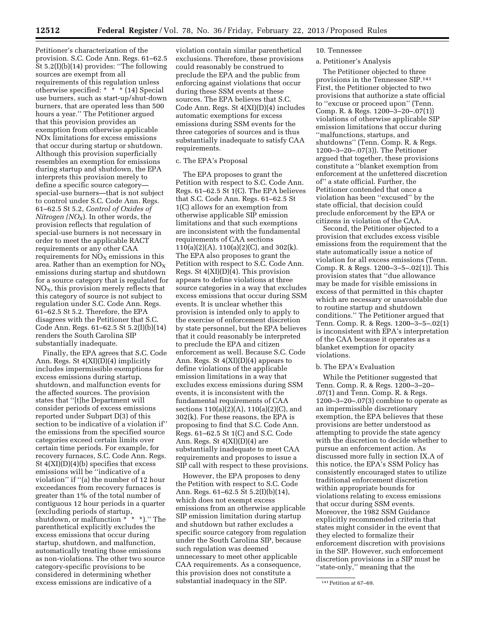Petitioner's characterization of the provision. S.C. Code Ann. Regs. 61–62.5 St 5.2(I)(b)(14) provides: "The following sources are exempt from all requirements of this regulation unless otherwise specified: \* \* \* (14) Special use burners, such as start-up/shut-down burners, that are operated less than 500 hours a year.'' The Petitioner argued that this provision provides an exemption from otherwise applicable NOx limitations for excess emissions that occur during startup or shutdown. Although this provision superficially resembles an exemption for emissions during startup and shutdown, the EPA interprets this provision merely to define a specific source category special-use burners—that is not subject to control under S.C. Code Ann. Regs. 61–62.5 St 5.2, *Control of Oxides of Nitrogen (NOX*). In other words, the provision reflects that regulation of special-use burners is not necessary in order to meet the applicable RACT requirements or any other CAA requirements for  $NO<sub>x</sub>$  emissions in this area. Rather than an exemption for  $NO<sub>X</sub>$ emissions during startup and shutdown for a source category that is regulated for NOX, this provision merely reflects that this category of source is not subject to regulation under S.C. Code Ann. Regs. 61–62.5 St 5.2. Therefore, the EPA disagrees with the Petitioner that S.C. Code Ann. Regs. 61–62.5 St 5.2(I)(b)(14) renders the South Carolina SIP substantially inadequate.

Finally, the EPA agrees that S.C. Code Ann. Regs. St 4(XI)(D)(4) implicitly includes impermissible exemptions for excess emissions during startup, shutdown, and malfunction events for the affected sources. The provision states that ''[t]he Department will consider periods of excess emissions reported under Subpart D(3) of this section to be indicative of a violation if'' the emissions from the specified source categories exceed certain limits over certain time periods. For example, for recovery furnaces, S.C. Code Ann. Regs. St 4(XI)(D)(4)(b) specifies that excess emissions will be ''indicative of a violation'' if ''(a) the number of 12 hour exceedances from recovery furnaces is greater than 1% of the total number of contiguous 12 hour periods in a quarter (excluding periods of startup, shutdown, or malfunction  $* * *$ )." The parenthetical explicitly excludes the excess emissions that occur during startup, shutdown, and malfunction, automatically treating those emissions as non-violations. The other two source category-specific provisions to be considered in determining whether excess emissions are indicative of a

violation contain similar parenthetical exclusions. Therefore, these provisions could reasonably be construed to preclude the EPA and the public from enforcing against violations that occur during these SSM events at these sources. The EPA believes that S.C. Code Ann. Regs. St 4(XI)(D)(4) includes automatic exemptions for excess emissions during SSM events for the three categories of sources and is thus substantially inadequate to satisfy CAA requirements.

## c. The EPA's Proposal

The EPA proposes to grant the Petition with respect to S.C. Code Ann. Regs. 61–62.5 St 1(C). The EPA believes that S.C. Code Ann. Regs. 61–62.5 St 1(C) allows for an exemption from otherwise applicable SIP emission limitations and that such exemptions are inconsistent with the fundamental requirements of CAA sections 110(a)(2)(A), 110(a)(2)(C), and 302(k). The EPA also proposes to grant the Petition with respect to S.C. Code Ann. Regs. St 4(XI)(D)(4). This provision appears to define violations at three source categories in a way that excludes excess emissions that occur during SSM events. It is unclear whether this provision is intended only to apply to the exercise of enforcement discretion by state personnel, but the EPA believes that it could reasonably be interpreted to preclude the EPA and citizen enforcement as well. Because S.C. Code Ann. Regs. St 4(XI)(D)(4) appears to define violations of the applicable emission limitations in a way that excludes excess emissions during SSM events, it is inconsistent with the fundamental requirements of CAA sections 110(a)(2)(A), 110(a)(2)(C), and 302(k). For these reasons, the EPA is proposing to find that S.C. Code Ann. Regs. 61–62.5 St 1(C) and S.C. Code Ann. Regs. St  $4(XI)(D)(4)$  are substantially inadequate to meet CAA requirements and proposes to issue a SIP call with respect to these provisions.

However, the EPA proposes to deny the Petition with respect to S.C. Code Ann. Regs. 61–62.5 St 5.2(I)(b)(14), which does not exempt excess emissions from an otherwise applicable SIP emission limitation during startup and shutdown but rather excludes a specific source category from regulation under the South Carolina SIP, because such regulation was deemed unnecessary to meet other applicable CAA requirements. As a consequence, this provision does not constitute a substantial inadequacy in the SIP.

# 10. Tennessee

# a. Petitioner's Analysis

The Petitioner objected to three provisions in the Tennessee SIP.141 First, the Petitioner objected to two provisions that authorize a state official to ''excuse or proceed upon'' (Tenn. Comp. R. & Regs. 1200–3–20–.07(1)) violations of otherwise applicable SIP emission limitations that occur during ''malfunctions, startups, and shutdowns'' (Tenn. Comp. R. & Regs. 1200–3–20–.07(3)). The Petitioner argued that together, these provisions constitute a ''blanket exemption from enforcement at the unfettered discretion of'' a state official. Further, the Petitioner contended that once a violation has been ''excused'' by the state official, that decision could preclude enforcement by the EPA or citizens in violation of the CAA.

Second, the Petitioner objected to a provision that excludes excess visible emissions from the requirement that the state automatically issue a notice of violation for all excess emissions (Tenn. Comp. R. & Regs. 1200–3–5–.02(1)). This provision states that ''due allowance may be made for visible emissions in excess of that permitted in this chapter which are necessary or unavoidable due to routine startup and shutdown conditions.'' The Petitioner argued that Tenn. Comp. R. & Regs. 1200–3–5–.02(1) is inconsistent with EPA's interpretation of the CAA because it operates as a blanket exemption for opacity violations.

#### b. The EPA's Evaluation

While the Petitioner suggested that Tenn. Comp. R. & Regs. 1200–3–20– .07(1) and Tenn. Comp. R. & Regs. 1200–3–20–.07(3) combine to operate as an impermissible discretionary exemption, the EPA believes that these provisions are better understood as attempting to provide the state agency with the discretion to decide whether to pursue an enforcement action. As discussed more fully in section IX.A of this notice, the EPA's SSM Policy has consistently encouraged states to utilize traditional enforcement discretion within appropriate bounds for violations relating to excess emissions that occur during SSM events. Moreover, the 1982 SSM Guidance explicitly recommended criteria that states might consider in the event that they elected to formalize their enforcement discretion with provisions in the SIP. However, such enforcement discretion provisions in a SIP must be ''state-only,'' meaning that the

<sup>141</sup>Petition at 67–69.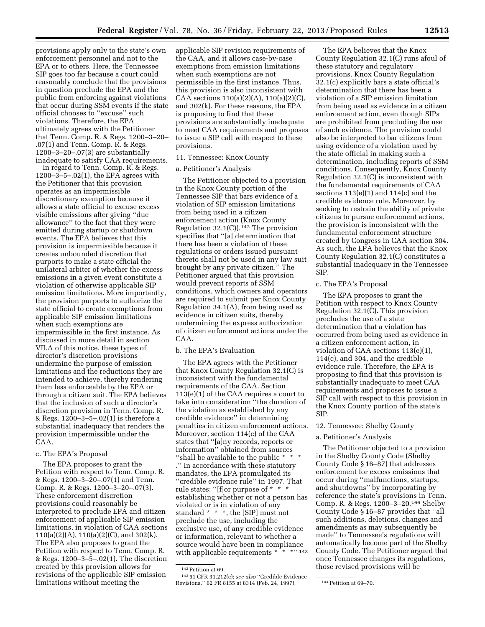provisions apply only to the state's own enforcement personnel and not to the EPA or to others. Here, the Tennessee SIP goes too far because a court could reasonably conclude that the provisions in question preclude the EPA and the public from enforcing against violations that occur during SSM events if the state official chooses to ''excuse'' such violations. Therefore, the EPA ultimately agrees with the Petitioner that Tenn. Comp. R. & Regs. 1200–3–20– .07(1) and Tenn. Comp. R. & Regs. 1200–3–20–.07(3) are substantially inadequate to satisfy CAA requirements.

In regard to Tenn. Comp. R. & Regs. 1200–3–5–.02(1), the EPA agrees with the Petitioner that this provision operates as an impermissible discretionary exemption because it allows a state official to excuse excess visible emissions after giving ''due allowance'' to the fact that they were emitted during startup or shutdown events. The EPA believes that this provision is impermissible because it creates unbounded discretion that purports to make a state official the unilateral arbiter of whether the excess emissions in a given event constitute a violation of otherwise applicable SIP emission limitations. More importantly, the provision purports to authorize the state official to create exemptions from applicable SIP emission limitations when such exemptions are impermissible in the first instance. As discussed in more detail in section VII.A of this notice, these types of director's discretion provisions undermine the purpose of emission limitations and the reductions they are intended to achieve, thereby rendering them less enforceable by the EPA or through a citizen suit. The EPA believes that the inclusion of such a director's discretion provision in Tenn. Comp. R. & Regs. 1200–3–5–.02(1) is therefore a substantial inadequacy that renders the provision impermissible under the CAA.

# c. The EPA's Proposal

The EPA proposes to grant the Petition with respect to Tenn. Comp. R. & Regs. 1200–3–20–.07(1) and Tenn. Comp. R. & Regs. 1200–3–20–.07(3). These enforcement discretion provisions could reasonably be interpreted to preclude EPA and citizen enforcement of applicable SIP emission limitations, in violation of CAA sections 110(a)(2)(A), 110(a)(2)(C), and 302(k). The EPA also proposes to grant the Petition with respect to Tenn. Comp. R. & Regs. 1200–3–5–.02(1). The discretion created by this provision allows for revisions of the applicable SIP emission limitations without meeting the

applicable SIP revision requirements of the CAA, and it allows case-by-case exemptions from emission limitations when such exemptions are not permissible in the first instance. Thus, this provision is also inconsistent with CAA sections 110(a)(2)(A), 110(a)(2)(C), and 302(k). For these reasons, the EPA is proposing to find that these provisions are substantially inadequate to meet CAA requirements and proposes to issue a SIP call with respect to these provisions.

# 11. Tennessee: Knox County

# a. Petitioner's Analysis

The Petitioner objected to a provision in the Knox County portion of the Tennessee SIP that bars evidence of a violation of SIP emission limitations from being used in a citizen enforcement action (Knox County Regulation 32.1(C)).142 The provision specifies that ''[a] determination that there has been a violation of these regulations or orders issued pursuant thereto shall not be used in any law suit brought by any private citizen.'' The Petitioner argued that this provision would prevent reports of SSM conditions, which owners and operators are required to submit per Knox County Regulation 34.1(A), from being used as evidence in citizen suits, thereby undermining the express authorization of citizen enforcement actions under the CAA.

#### b. The EPA's Evaluation

The EPA agrees with the Petitioner that Knox County Regulation 32.1(C) is inconsistent with the fundamental requirements of the CAA. Section 113(e)(1) of the CAA requires a court to take into consideration ''the duration of the violation as established by any credible evidence'' in determining penalties in citizen enforcement actions. Moreover, section 114(c) of the CAA states that ''[a]ny records, reports or information'' obtained from sources ''shall be available to the public \* \* \* .'' In accordance with these statutory mandates, the EPA promulgated its ''credible evidence rule'' in 1997. That rule states: "[f]or purpose of \* \* \* establishing whether or not a person has violated or is in violation of any standard \* \* \*, the [SIP] must not preclude the use, including the exclusive use, of any credible evidence or information, relevant to whether a source would have been in compliance with applicable requirements  $* \rightarrow \cdots$  143

The EPA believes that the Knox County Regulation 32.1(C) runs afoul of these statutory and regulatory provisions. Knox County Regulation 32.1(c) explicitly bars a state official's determination that there has been a violation of a SIP emission limitation from being used as evidence in a citizen enforcement action, even though SIPs are prohibited from precluding the use of such evidence. The provision could also be interpreted to bar citizens from using evidence of a violation used by the state official in making such a determination, including reports of SSM conditions. Consequently, Knox County Regulation 32.1(C) is inconsistent with the fundamental requirements of CAA sections  $113(e)(1)$  and  $114(e)$  and the credible evidence rule. Moreover, by seeking to restrain the ability of private citizens to pursue enforcement actions, the provision is inconsistent with the fundamental enforcement structure created by Congress in CAA section 304. As such, the EPA believes that the Knox County Regulation 32.1(C) constitutes a substantial inadequacy in the Tennessee SIP.

# c. The EPA's Proposal

The EPA proposes to grant the Petition with respect to Knox County Regulation 32.1(C). This provision precludes the use of a state determination that a violation has occurred from being used as evidence in a citizen enforcement action, in violation of CAA sections 113(e)(1), 114(c), and 304, and the credible evidence rule. Therefore, the EPA is proposing to find that this provision is substantially inadequate to meet CAA requirements and proposes to issue a SIP call with respect to this provision in the Knox County portion of the state's SIP.

## 12. Tennessee: Shelby County

## a. Petitioner's Analysis

The Petitioner objected to a provision in the Shelby County Code (Shelby County Code § 16–87) that addresses enforcement for excess emissions that occur during ''malfunctions, startups, and shutdowns'' by incorporating by reference the state's provisions in Tenn. Comp. R. & Regs. 1200–3–20.144 Shelby County Code § 16–87 provides that ''all such additions, deletions, changes and amendments as may subsequently be made'' to Tennessee's regulations will automatically become part of the Shelby County Code. The Petitioner argued that once Tennessee changes its regulations, those revised provisions will be

 $^{\rm 142}$  Petition at 69.

<sup>143</sup> 51 CFR 31.212(c); *see also* ''Credible Evidence Revisions," 62 FR 8155 at 8314 (Feb. 24, 1997). 144 Petition at 69-70.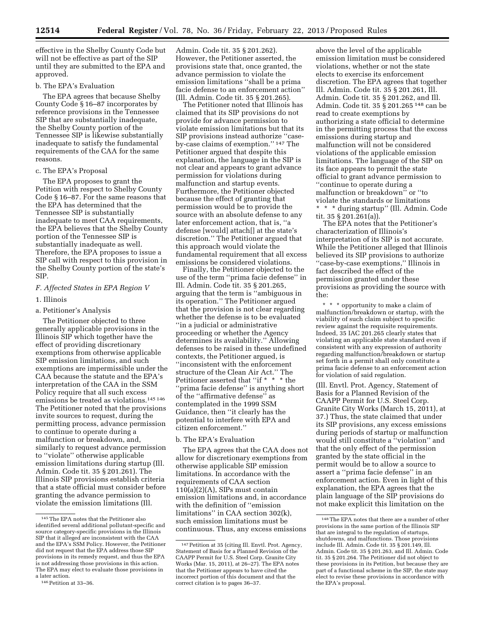effective in the Shelby County Code but will not be effective as part of the SIP until they are submitted to the EPA and approved.

# b. The EPA's Evaluation

The EPA agrees that because Shelby County Code § 16–87 incorporates by reference provisions in the Tennessee SIP that are substantially inadequate, the Shelby County portion of the Tennessee SIP is likewise substantially inadequate to satisfy the fundamental requirements of the CAA for the same reasons.

#### c. The EPA's Proposal

The EPA proposes to grant the Petition with respect to Shelby County Code § 16–87. For the same reasons that the EPA has determined that the Tennessee SIP is substantially inadequate to meet CAA requirements, the EPA believes that the Shelby County portion of the Tennessee SIP is substantially inadequate as well. Therefore, the EPA proposes to issue a SIP call with respect to this provision in the Shelby County portion of the state's SIP.

### *F. Affected States in EPA Region V*

# 1. Illinois

#### a. Petitioner's Analysis

The Petitioner objected to three generally applicable provisions in the Illinois SIP which together have the effect of providing discretionary exemptions from otherwise applicable SIP emission limitations, and such exemptions are impermissible under the CAA because the statute and the EPA's interpretation of the CAA in the SSM Policy require that all such excess emissions be treated as violations.145 146 The Petitioner noted that the provisions invite sources to request, during the permitting process, advance permission to continue to operate during a malfunction or breakdown, and, similarly to request advance permission to ''violate'' otherwise applicable emission limitations during startup (Ill. Admin. Code tit. 35 § 201.261). The Illinois SIP provisions establish criteria that a state official must consider before granting the advance permission to violate the emission limitations (Ill.

Admin. Code tit. 35 § 201.262). However, the Petitioner asserted, the provisions state that, once granted, the advance permission to violate the emission limitations ''shall be a prima facie defense to an enforcement action'' (Ill. Admin. Code tit. 35 § 201.265).

The Petitioner noted that Illinois has claimed that its SIP provisions do not provide for advance permission to violate emission limitations but that its SIP provisions instead authorize ''caseby-case claims of exemption.'' 147 The Petitioner argued that despite this explanation, the language in the SIP is not clear and appears to grant advance permission for violations during malfunction and startup events. Furthermore, the Petitioner objected because the effect of granting that permission would be to provide the source with an absolute defense to any later enforcement action, that is, ''a defense [would] attach[] at the state's discretion.'' The Petitioner argued that this approach would violate the fundamental requirement that all excess emissions be considered violations.

Finally, the Petitioner objected to the use of the term ''prima facie defense'' in Ill. Admin. Code tit. 35 § 201.265, arguing that the term is ''ambiguous in its operation.'' The Petitioner argued that the provision is not clear regarding whether the defense is to be evaluated ''in a judicial or administrative proceeding or whether the Agency determines its availability.'' Allowing defenses to be raised in these undefined contexts, the Petitioner argued, is ''inconsistent with the enforcement structure of the Clean Air Act.'' The Petitioner asserted that ''if \* \* \* the ''prima facie defense'' is anything short of the ''affirmative defense'' as contemplated in the 1999 SSM Guidance, then ''it clearly has the potential to interfere with EPA and citizen enforcement.''

# b. The EPA's Evaluation

The EPA agrees that the CAA does not allow for discretionary exemptions from otherwise applicable SIP emission limitations. In accordance with the requirements of CAA section  $110(a)(2)(A)$ , SIPs must contain emission limitations and, in accordance with the definition of ''emission limitations'' in CAA section 302(k), such emission limitations must be continuous. Thus, any excess emissions

above the level of the applicable emission limitation must be considered violations, whether or not the state elects to exercise its enforcement discretion. The EPA agrees that together Ill. Admin. Code tit. 35 § 201.261, Ill. Admin. Code tit. 35 § 201.262, and Ill. Admin. Code tit. 35 § 201.265 148 can be read to create exemptions by authorizing a state official to determine in the permitting process that the excess emissions during startup and malfunction will not be considered violations of the applicable emission limitations. The language of the SIP on its face appears to permit the state official to grant advance permission to ''continue to operate during a malfunction or breakdown'' or ''to violate the standards or limitations \* \* \* during startup'' (Ill. Admin. Code tit. 35 § 201.261(a)).

The EPA notes that the Petitioner's characterization of Illinois's interpretation of its SIP is not accurate. While the Petitioner alleged that Illinois believed its SIP provisions to authorize ''case-by-case exemptions,'' Illinois in fact described the effect of the permission granted under these provisions as providing the source with the:

\* \* \* opportunity to make a claim of malfunction/breakdown or startup, with the viability of such claim subject to specific review against the requisite requirements. Indeed, 35 IAC 201.265 clearly states that violating an applicable state standard even if consistent with any expression of authority regarding malfunction/breakdown or startup set forth in a permit shall only constitute a prima facie defense to an enforcement action for violation of said regulation.

(Ill. Envtl. Prot. Agency, Statement of Basis for a Planned Revision of the CAAPP Permit for U.S. Steel Corp. Granite City Works (March 15, 2011), at 37.) Thus, the state claimed that under its SIP provisions, any excess emissions during periods of startup or malfunction would still constitute a ''violation'' and that the only effect of the permission granted by the state official in the permit would be to allow a source to assert a ''prima facie defense'' in an enforcement action. Even in light of this explanation, the EPA agrees that the plain language of the SIP provisions do not make explicit this limitation on the

<sup>145</sup>The EPA notes that the Petitioner also identified several additional pollutant-specific and source category-specific provisions in the Illinois SIP that it alleged are inconsistent with the CAA and the EPA's SSM Policy. However, the Petitioner did not request that the EPA address those SIP provisions in its remedy request, and thus the EPA is not addressing those provisions in this action. The EPA may elect to evaluate those provisions in a later action.

<sup>146</sup>Petition at 33–36.

<sup>147</sup>Petition at 35 (citing Ill. Envtl. Prot. Agency, Statement of Basis for a Planned Revision of the CAAPP Permit for U.S. Steel Corp. Granite City Works (Mar. 15, 2011), at 26–27). The EPA notes that the Petitioner appears to have cited the incorrect portion of this document and that the correct citation is to pages 36–37.

<sup>148</sup>The EPA notes that there are a number of other provisions in the same portion of the Illinois SIP that are integral to the regulation of startups, shutdowns, and malfunctions. Those provisions include Ill. Admin. Code tit. 35 § 201.149, Ill. Admin. Code tit. 35 § 201.263, and Ill. Admin. Code tit. 35 § 201.264. The Petitioner did not object to these provisions in its Petition, but because they are part of a functional scheme in the SIP, the state may elect to revise these provisions in accordance with the EPA's proposal.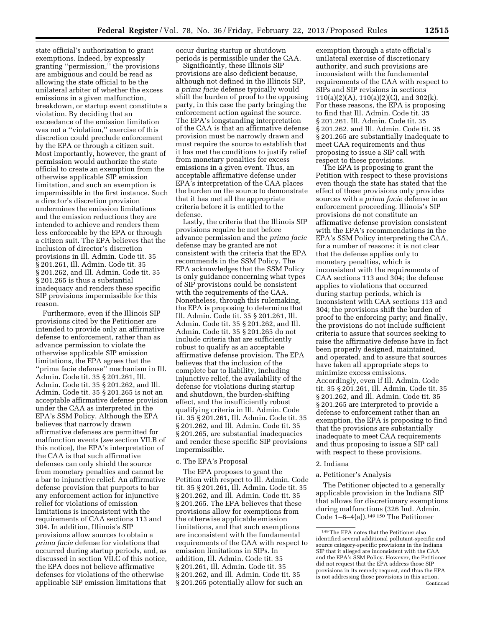state official's authorization to grant exemptions. Indeed, by expressly granting ''permission,'' the provisions are ambiguous and could be read as allowing the state official to be the unilateral arbiter of whether the excess emissions in a given malfunction, breakdown, or startup event constitute a violation. By deciding that an exceedance of the emission limitation was not a ''violation,'' exercise of this discretion could preclude enforcement by the EPA or through a citizen suit. Most importantly, however, the grant of permission would authorize the state official to create an exemption from the otherwise applicable SIP emission limitation, and such an exemption is impermissible in the first instance. Such a director's discretion provision undermines the emission limitations and the emission reductions they are intended to achieve and renders them less enforceable by the EPA or through a citizen suit. The EPA believes that the inclusion of director's discretion provisions in Ill. Admin. Code tit. 35 § 201.261, Ill. Admin. Code tit. 35 § 201.262, and Ill. Admin. Code tit. 35 § 201.265 is thus a substantial inadequacy and renders these specific SIP provisions impermissible for this reason.

Furthermore, even if the Illinois SIP provisions cited by the Petitioner are intended to provide only an affirmative defense to enforcement, rather than as advance permission to violate the otherwise applicable SIP emission limitations, the EPA agrees that the ''prima facie defense'' mechanism in Ill. Admin. Code tit. 35 § 201.261, Ill. Admin. Code tit. 35 § 201.262, and Ill. Admin. Code tit. 35 § 201.265 is not an acceptable affirmative defense provision under the CAA as interpreted in the EPA's SSM Policy. Although the EPA believes that narrowly drawn affirmative defenses are permitted for malfunction events (*see* section VII.B of this notice), the EPA's interpretation of the CAA is that such affirmative defenses can only shield the source from monetary penalties and cannot be a bar to injunctive relief. An affirmative defense provision that purports to bar any enforcement action for injunctive relief for violations of emission limitations is inconsistent with the requirements of CAA sections 113 and 304. In addition, Illinois's SIP provisions allow sources to obtain a *prima facie* defense for violations that occurred during startup periods, and, as discussed in section VII.C of this notice, the EPA does not believe affirmative defenses for violations of the otherwise applicable SIP emission limitations that

occur during startup or shutdown periods is permissible under the CAA.

Significantly, these Illinois SIP provisions are also deficient because, although not defined in the Illinois SIP, a *prima facie* defense typically would shift the burden of proof to the opposing party, in this case the party bringing the enforcement action against the source. The EPA's longstanding interpretation of the CAA is that an affirmative defense provision must be narrowly drawn and must require the source to establish that it has met the conditions to justify relief from monetary penalties for excess emissions in a given event. Thus, an acceptable affirmative defense under EPA's interpretation of the CAA places the burden on the source to demonstrate that it has met all the appropriate criteria before it is entitled to the defense.

Lastly, the criteria that the Illinois SIP provisions require be met before advance permission and the *prima facie*  defense may be granted are not consistent with the criteria that the EPA recommends in the SSM Policy. The EPA acknowledges that the SSM Policy is only guidance concerning what types of SIP provisions could be consistent with the requirements of the CAA. Nonetheless, through this rulemaking, the EPA is proposing to determine that Ill. Admin. Code tit. 35 § 201.261, Ill. Admin. Code tit. 35 § 201.262, and Ill. Admin. Code tit. 35 § 201.265 do not include criteria that are sufficiently robust to qualify as an acceptable affirmative defense provision. The EPA believes that the inclusion of the complete bar to liability, including injunctive relief, the availability of the defense for violations during startup and shutdown, the burden-shifting effect, and the insufficiently robust qualifying criteria in Ill. Admin. Code tit. 35 § 201.261, Ill. Admin. Code tit. 35 § 201.262, and Ill. Admin. Code tit. 35 § 201.265, are substantial inadequacies and render these specific SIP provisions impermissible.

#### c. The EPA's Proposal

The EPA proposes to grant the Petition with respect to Ill. Admin. Code tit. 35 § 201.261, Ill. Admin. Code tit. 35 § 201.262, and Ill. Admin. Code tit. 35 § 201.265. The EPA believes that these provisions allow for exemptions from the otherwise applicable emission limitations, and that such exemptions are inconsistent with the fundamental requirements of the CAA with respect to emission limitations in SIPs. In addition, Ill. Admin. Code tit. 35 § 201.261, Ill. Admin. Code tit. 35 § 201.262, and Ill. Admin. Code tit. 35 § 201.265 potentially allow for such an

exemption through a state official's unilateral exercise of discretionary authority, and such provisions are inconsistent with the fundamental requirements of the CAA with respect to SIPs and SIP revisions in sections  $110(a)(2)(A)$ ,  $110(a)(2)(C)$ , and  $302(k)$ . For these reasons, the EPA is proposing to find that Ill. Admin. Code tit. 35 § 201.261, Ill. Admin. Code tit. 35 § 201.262, and Ill. Admin. Code tit. 35 § 201.265 are substantially inadequate to meet CAA requirements and thus proposing to issue a SIP call with respect to these provisions.

The EPA is proposing to grant the Petition with respect to these provisions even though the state has stated that the effect of these provisions only provides sources with a *prima facie* defense in an enforcement proceeding. Illinois's SIP provisions do not constitute an affirmative defense provision consistent with the EPA's recommendations in the EPA's SSM Policy interpreting the CAA, for a number of reasons: it is not clear that the defense applies only to monetary penalties, which is inconsistent with the requirements of CAA sections 113 and 304; the defense applies to violations that occurred during startup periods, which is inconsistent with CAA sections 113 and 304; the provisions shift the burden of proof to the enforcing party; and finally, the provisions do not include sufficient criteria to assure that sources seeking to raise the affirmative defense have in fact been properly designed, maintained, and operated, and to assure that sources have taken all appropriate steps to minimize excess emissions. Accordingly, even if Ill. Admin. Code tit. 35 § 201.261, Ill. Admin. Code tit. 35 § 201.262, and Ill. Admin. Code tit. 35 § 201.265 are interpreted to provide a defense to enforcement rather than an exemption, the EPA is proposing to find that the provisions are substantially inadequate to meet CAA requirements and thus proposing to issue a SIP call with respect to these provisions.

# 2. Indiana

## a. Petitioner's Analysis

The Petitioner objected to a generally applicable provision in the Indiana SIP that allows for discretionary exemptions during malfunctions (326 Ind. Admin. Code  $1-6-4(a)$ ).<sup>149 150</sup> The Petitioner

<sup>149</sup>The EPA notes that the Petitioner also identified several additional pollutant-specific and source category-specific provisions in the Indiana SIP that it alleged are inconsistent with the CAA and the EPA's SSM Policy. However, the Petitioner did not request that the EPA address those SIP provisions in its remedy request, and thus the EPA is not addressing those provisions in this action. Continued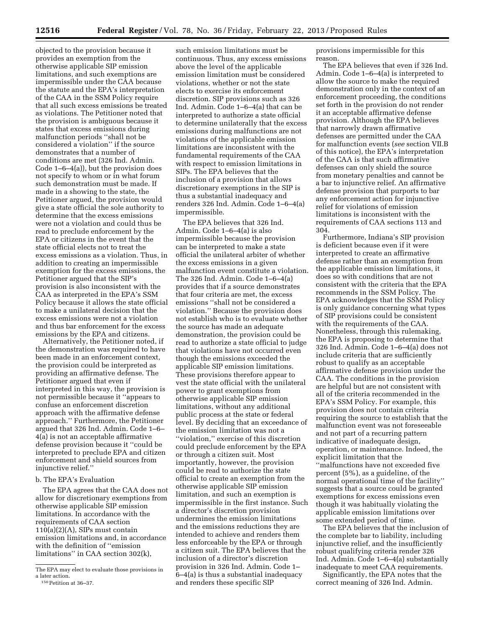objected to the provision because it provides an exemption from the otherwise applicable SIP emission limitations, and such exemptions are impermissible under the CAA because the statute and the EPA's interpretation of the CAA in the SSM Policy require that all such excess emissions be treated as violations. The Petitioner noted that the provision is ambiguous because it states that excess emissions during malfunction periods ''shall not be considered a violation'' if the source demonstrates that a number of conditions are met (326 Ind. Admin. Code 1–6–4(a)), but the provision does not specify to whom or in what forum such demonstration must be made. If made in a showing to the state, the Petitioner argued, the provision would give a state official the sole authority to determine that the excess emissions were not a violation and could thus be read to preclude enforcement by the EPA or citizens in the event that the state official elects not to treat the excess emissions as a violation. Thus, in addition to creating an impermissible exemption for the excess emissions, the Petitioner argued that the SIP's provision is also inconsistent with the CAA as interpreted in the EPA's SSM Policy because it allows the state official to make a unilateral decision that the excess emissions were not a violation and thus bar enforcement for the excess emissions by the EPA and citizens.

Alternatively, the Petitioner noted, if the demonstration was required to have been made in an enforcement context, the provision could be interpreted as providing an affirmative defense. The Petitioner argued that even if interpreted in this way, the provision is not permissible because it ''appears to confuse an enforcement discretion approach with the affirmative defense approach.'' Furthermore, the Petitioner argued that 326 Ind. Admin. Code 1–6– 4(a) is not an acceptable affirmative defense provision because it ''could be interpreted to preclude EPA and citizen enforcement and shield sources from injunctive relief.''

## b. The EPA's Evaluation

The EPA agrees that the CAA does not allow for discretionary exemptions from otherwise applicable SIP emission limitations. In accordance with the requirements of CAA section 110(a)(2)(A), SIPs must contain emission limitations and, in accordance with the definition of ''emission limitations'' in CAA section 302(k),

such emission limitations must be continuous. Thus, any excess emissions above the level of the applicable emission limitation must be considered violations, whether or not the state elects to exercise its enforcement discretion. SIP provisions such as 326 Ind. Admin. Code 1–6–4(a) that can be interpreted to authorize a state official to determine unilaterally that the excess emissions during malfunctions are not violations of the applicable emission limitations are inconsistent with the fundamental requirements of the CAA with respect to emission limitations in SIPs. The EPA believes that the inclusion of a provision that allows discretionary exemptions in the SIP is thus a substantial inadequacy and renders 326 Ind. Admin. Code 1–6–4(a) impermissible.

The EPA believes that 326 Ind. Admin. Code 1–6–4(a) is also impermissible because the provision can be interpreted to make a state official the unilateral arbiter of whether the excess emissions in a given malfunction event constitute a violation. The 326 Ind. Admin. Code 1–6–4(a) provides that if a source demonstrates that four criteria are met, the excess emissions ''shall not be considered a violation.'' Because the provision does not establish who is to evaluate whether the source has made an adequate demonstration, the provision could be read to authorize a state official to judge that violations have not occurred even though the emissions exceeded the applicable SIP emission limitations. These provisions therefore appear to vest the state official with the unilateral power to grant exemptions from otherwise applicable SIP emission limitations, without any additional public process at the state or federal level. By deciding that an exceedance of the emission limitation was not a ''violation,'' exercise of this discretion could preclude enforcement by the EPA or through a citizen suit. Most importantly, however, the provision could be read to authorize the state official to create an exemption from the otherwise applicable SIP emission limitation, and such an exemption is impermissible in the first instance. Such a director's discretion provision undermines the emission limitations and the emissions reductions they are intended to achieve and renders them less enforceable by the EPA or through a citizen suit. The EPA believes that the inclusion of a director's discretion provision in 326 Ind. Admin. Code 1– 6–4(a) is thus a substantial inadequacy and renders these specific SIP

provisions impermissible for this reason.

The EPA believes that even if 326 Ind. Admin. Code 1–6–4(a) is interpreted to allow the source to make the required demonstration only in the context of an enforcement proceeding, the conditions set forth in the provision do not render it an acceptable affirmative defense provision. Although the EPA believes that narrowly drawn affirmative defenses are permitted under the CAA for malfunction events (*see* section VII.B of this notice), the EPA's interpretation of the CAA is that such affirmative defenses can only shield the source from monetary penalties and cannot be a bar to injunctive relief. An affirmative defense provision that purports to bar any enforcement action for injunctive relief for violations of emission limitations is inconsistent with the requirements of CAA sections 113 and 304.

Furthermore, Indiana's SIP provision is deficient because even if it were interpreted to create an affirmative defense rather than an exemption from the applicable emission limitations, it does so with conditions that are not consistent with the criteria that the EPA recommends in the SSM Policy. The EPA acknowledges that the SSM Policy is only guidance concerning what types of SIP provisions could be consistent with the requirements of the CAA. Nonetheless, through this rulemaking, the EPA is proposing to determine that 326 Ind. Admin. Code 1–6–4(a) does not include criteria that are sufficiently robust to qualify as an acceptable affirmative defense provision under the CAA. The conditions in the provision are helpful but are not consistent with all of the criteria recommended in the EPA's SSM Policy. For example, this provision does not contain criteria requiring the source to establish that the malfunction event was not foreseeable and not part of a recurring pattern indicative of inadequate design, operation, or maintenance. Indeed, the explicit limitation that the ''malfunctions have not exceeded five percent (5%), as a guideline, of the normal operational time of the facility'' suggests that a source could be granted exemptions for excess emissions even though it was habitually violating the applicable emission limitations over some extended period of time.

The EPA believes that the inclusion of the complete bar to liability, including injunctive relief, and the insufficiently robust qualifying criteria render 326 Ind. Admin. Code 1–6–4(a) substantially inadequate to meet CAA requirements.

Significantly, the EPA notes that the correct meaning of 326 Ind. Admin.

The EPA may elect to evaluate those provisions in a later action.

<sup>150</sup>Petition at 36–37.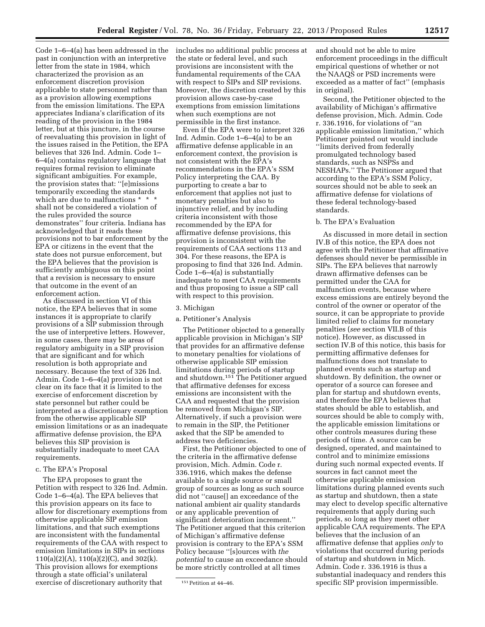Code 1–6–4(a) has been addressed in the past in conjunction with an interpretive letter from the state in 1984, which characterized the provision as an enforcement discretion provision applicable to state personnel rather than as a provision allowing exemptions from the emission limitations. The EPA appreciates Indiana's clarification of its reading of the provision in the 1984 letter, but at this juncture, in the course of reevaluating this provision in light of the issues raised in the Petition, the EPA believes that 326 Ind. Admin. Code 1– 6–4(a) contains regulatory language that requires formal revision to eliminate significant ambiguities. For example, the provision states that: ''[e]missions temporarily exceeding the standards which are due to malfunctions \* \* \* shall not be considered a violation of the rules provided the source demonstrates'' four criteria. Indiana has acknowledged that it reads these provisions not to bar enforcement by the EPA or citizens in the event that the state does not pursue enforcement, but the EPA believes that the provision is sufficiently ambiguous on this point that a revision is necessary to ensure that outcome in the event of an enforcement action.

As discussed in section VI of this notice, the EPA believes that in some instances it is appropriate to clarify provisions of a SIP submission through the use of interpretive letters. However, in some cases, there may be areas of regulatory ambiguity in a SIP provision that are significant and for which resolution is both appropriate and necessary. Because the text of 326 Ind. Admin. Code 1–6–4(a) provision is not clear on its face that it is limited to the exercise of enforcement discretion by state personnel but rather could be interpreted as a discretionary exemption from the otherwise applicable SIP emission limitations or as an inadequate affirmative defense provision, the EPA believes this SIP provision is substantially inadequate to meet CAA requirements.

# c. The EPA's Proposal

The EPA proposes to grant the Petition with respect to 326 Ind. Admin. Code 1–6–4(a). The EPA believes that this provision appears on its face to allow for discretionary exemptions from otherwise applicable SIP emission limitations, and that such exemptions are inconsistent with the fundamental requirements of the CAA with respect to emission limitations in SIPs in sections 110(a)(2)(A), 110(a)(2)(C), and 302(k). This provision allows for exemptions through a state official's unilateral exercise of discretionary authority that

includes no additional public process at the state or federal level, and such provisions are inconsistent with the fundamental requirements of the CAA with respect to SIPs and SIP revisions. Moreover, the discretion created by this provision allows case-by-case exemptions from emission limitations when such exemptions are not permissible in the first instance.

Even if the EPA were to interpret 326 Ind. Admin. Code 1–6–4(a) to be an affirmative defense applicable in an enforcement context, the provision is not consistent with the EPA's recommendations in the EPA's SSM Policy interpreting the CAA. By purporting to create a bar to enforcement that applies not just to monetary penalties but also to injunctive relief, and by including criteria inconsistent with those recommended by the EPA for affirmative defense provisions, this provision is inconsistent with the requirements of CAA sections 113 and 304. For these reasons, the EPA is proposing to find that 326 Ind. Admin. Code 1–6–4(a) is substantially inadequate to meet CAA requirements and thus proposing to issue a SIP call with respect to this provision.

## 3. Michigan

#### a. Petitioner's Analysis

The Petitioner objected to a generally applicable provision in Michigan's SIP that provides for an affirmative defense to monetary penalties for violations of otherwise applicable SIP emission limitations during periods of startup and shutdown.151 The Petitioner argued that affirmative defenses for excess emissions are inconsistent with the CAA and requested that the provision be removed from Michigan's SIP. Alternatively, if such a provision were to remain in the SIP, the Petitioner asked that the SIP be amended to address two deficiencies.

First, the Petitioner objected to one of the criteria in the affirmative defense provision, Mich. Admin. Code r. 336.1916, which makes the defense available to a single source or small group of sources as long as such source did not ''cause[] an exceedance of the national ambient air quality standards or any applicable prevention of significant deterioration increment.'' The Petitioner argued that this criterion of Michigan's affirmative defense provision is contrary to the EPA's SSM Policy because ''[s]ources with *the potential* to cause an exceedance should be more strictly controlled at all times

and should not be able to mire enforcement proceedings in the difficult empirical questions of whether or not the NAAQS or PSD increments were exceeded as a matter of fact'' (emphasis in original).

Second, the Petitioner objected to the availability of Michigan's affirmative defense provision, Mich. Admin. Code r. 336.1916, for violations of ''an applicable emission limitation,'' which Petitioner pointed out would include ''limits derived from federally promulgated technology based standards, such as NSPSs and NESHAPs.'' The Petitioner argued that according to the EPA's SSM Policy, sources should not be able to seek an affirmative defense for violations of these federal technology-based standards.

# b. The EPA's Evaluation

As discussed in more detail in section IV.B of this notice, the EPA does not agree with the Petitioner that affirmative defenses should never be permissible in SIPs. The EPA believes that narrowly drawn affirmative defenses can be permitted under the CAA for malfunction events, because where excess emissions are entirely beyond the control of the owner or operator of the source, it can be appropriate to provide limited relief to claims for monetary penalties (*see* section VII.B of this notice). However, as discussed in section IV.B of this notice, this basis for permitting affirmative defenses for malfunctions does not translate to planned events such as startup and shutdown. By definition, the owner or operator of a source can foresee and plan for startup and shutdown events, and therefore the EPA believes that states should be able to establish, and sources should be able to comply with, the applicable emission limitations or other controls measures during these periods of time. A source can be designed, operated, and maintained to control and to minimize emissions during such normal expected events. If sources in fact cannot meet the otherwise applicable emission limitations during planned events such as startup and shutdown, then a state may elect to develop specific alternative requirements that apply during such periods, so long as they meet other applicable CAA requirements. The EPA believes that the inclusion of an affirmative defense that applies *only* to violations that occurred during periods of startup and shutdown in Mich. Admin. Code r. 336.1916 is thus a substantial inadequacy and renders this specific SIP provision impermissible.

<sup>151</sup>Petition at 44–46.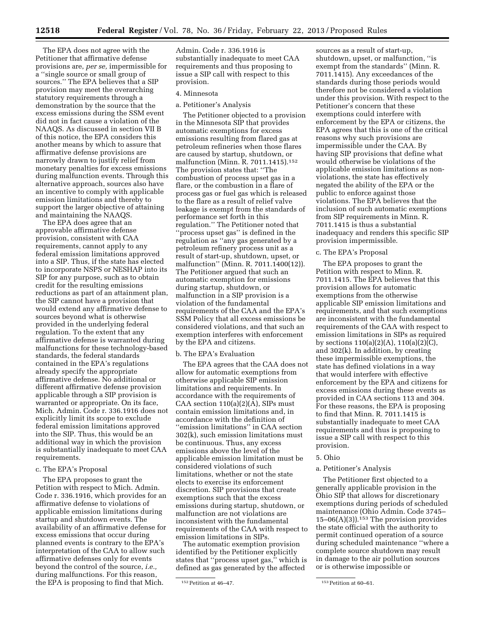The EPA does not agree with the Petitioner that affirmative defense provisions are, *per se,* impermissible for a ''single source or small group of sources.'' The EPA believes that a SIP provision may meet the overarching statutory requirements through a demonstration by the source that the excess emissions during the SSM event did not in fact cause a violation of the NAAQS. As discussed in section VII B of this notice, the EPA considers this another means by which to assure that affirmative defense provisions are narrowly drawn to justify relief from monetary penalties for excess emissions during malfunction events. Through this alternative approach, sources also have an incentive to comply with applicable emission limitations and thereby to support the larger objective of attaining and maintaining the NAAQS.

The EPA does agree that an approvable affirmative defense provision, consistent with CAA requirements, cannot apply to any federal emission limitations approved into a SIP. Thus, if the state has elected to incorporate NSPS or NESHAP into its SIP for any purpose, such as to obtain credit for the resulting emissions reductions as part of an attainment plan, the SIP cannot have a provision that would extend any affirmative defense to sources beyond what is otherwise provided in the underlying federal regulation. To the extent that any affirmative defense is warranted during malfunctions for these technology-based standards, the federal standards contained in the EPA's regulations already specify the appropriate affirmative defense. No additional or different affirmative defense provision applicable through a SIP provision is warranted or appropriate. On its face, Mich. Admin. Code r. 336.1916 does not explicitly limit its scope to exclude federal emission limitations approved into the SIP. Thus, this would be an additional way in which the provision is substantially inadequate to meet CAA requirements.

# c. The EPA's Proposal

The EPA proposes to grant the Petition with respect to Mich. Admin. Code r. 336.1916, which provides for an affirmative defense to violations of applicable emission limitations during startup and shutdown events. The availability of an affirmative defense for excess emissions that occur during planned events is contrary to the EPA's interpretation of the CAA to allow such affirmative defenses only for events beyond the control of the source, *i.e.,*  during malfunctions. For this reason, the EPA is proposing to find that Mich.

Admin. Code r. 336.1916 is substantially inadequate to meet CAA requirements and thus proposing to issue a SIP call with respect to this provision.

## 4. Minnesota

# a. Petitioner's Analysis

The Petitioner objected to a provision in the Minnesota SIP that provides automatic exemptions for excess emissions resulting from flared gas at petroleum refineries when those flares are caused by startup, shutdown, or malfunction (Minn. R. 7011.1415).152 The provision states that: ''The combustion of process upset gas in a flare, or the combustion in a flare of process gas or fuel gas which is released to the flare as a result of relief valve leakage is exempt from the standards of performance set forth in this regulation.'' The Petitioner noted that ''process upset gas'' is defined in the regulation as ''any gas generated by a petroleum refinery process unit as a result of start-up, shutdown, upset, or malfunction'' (Minn. R. 7011.1400(12)). The Petitioner argued that such an automatic exemption for emissions during startup, shutdown, or malfunction in a SIP provision is a violation of the fundamental requirements of the CAA and the EPA's SSM Policy that all excess emissions be considered violations, and that such an exemption interferes with enforcement by the EPA and citizens.

#### b. The EPA's Evaluation

The EPA agrees that the CAA does not allow for automatic exemptions from otherwise applicable SIP emission limitations and requirements. In accordance with the requirements of CAA section  $110(a)(2)(\overline{A})$ , SIPs must contain emission limitations and, in accordance with the definition of ''emission limitations'' in CAA section 302(k), such emission limitations must be continuous. Thus, any excess emissions above the level of the applicable emission limitation must be considered violations of such limitations, whether or not the state elects to exercise its enforcement discretion. SIP provisions that create exemptions such that the excess emissions during startup, shutdown, or malfunction are not violations are inconsistent with the fundamental requirements of the CAA with respect to emission limitations in SIPs.

The automatic exemption provision identified by the Petitioner explicitly states that ''process upset gas,'' which is defined as gas generated by the affected

sources as a result of start-up, shutdown, upset, or malfunction, ''is exempt from the standards'' (Minn. R. 7011.1415). Any exceedances of the standards during those periods would therefore not be considered a violation under this provision. With respect to the Petitioner's concern that these exemptions could interfere with enforcement by the EPA or citizens, the EPA agrees that this is one of the critical reasons why such provisions are impermissible under the CAA. By having SIP provisions that define what would otherwise be violations of the applicable emission limitations as nonviolations, the state has effectively negated the ability of the EPA or the public to enforce against those violations. The EPA believes that the inclusion of such automatic exemptions from SIP requirements in Minn. R. 7011.1415 is thus a substantial inadequacy and renders this specific SIP provision impermissible.

#### c. The EPA's Proposal

The EPA proposes to grant the Petition with respect to Minn. R. 7011.1415. The EPA believes that this provision allows for automatic exemptions from the otherwise applicable SIP emission limitations and requirements, and that such exemptions are inconsistent with the fundamental requirements of the CAA with respect to emission limitations in SIPs as required by sections 110(a)(2)(A), 110(a)(2)(C), and 302(k). In addition, by creating these impermissible exemptions, the state has defined violations in a way that would interfere with effective enforcement by the EPA and citizens for excess emissions during these events as provided in CAA sections 113 and 304. For these reasons, the EPA is proposing to find that Minn. R. 7011.1415 is substantially inadequate to meet CAA requirements and thus is proposing to issue a SIP call with respect to this provision.

## 5. Ohio

#### a. Petitioner's Analysis

The Petitioner first objected to a generally applicable provision in the Ohio SIP that allows for discretionary exemptions during periods of scheduled maintenance (Ohio Admin. Code 3745–  $15-06(A)(3)$ .<sup>153</sup> The provision provides the state official with the authority to permit continued operation of a source during scheduled maintenance ''where a complete source shutdown may result in damage to the air pollution sources or is otherwise impossible or

 $152$  Petition at 46–47.  $153$  Petition at 60–61.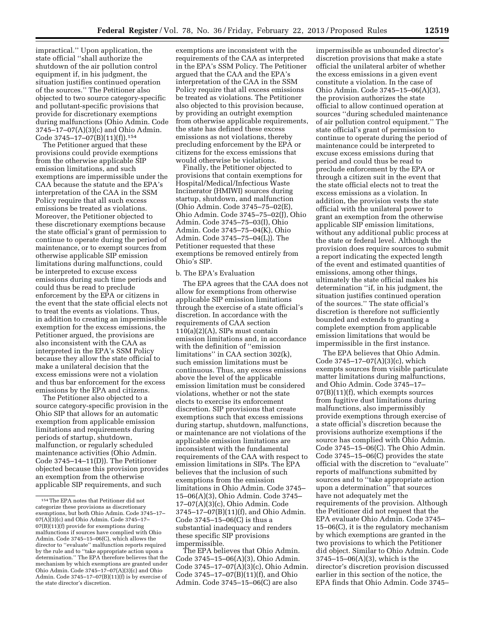impractical.'' Upon application, the state official ''shall authorize the shutdown of the air pollution control equipment if, in his judgment, the situation justifies continued operation of the sources.'' The Petitioner also objected to two source category-specific and pollutant-specific provisions that provide for discretionary exemptions during malfunctions (Ohio Admin. Code 3745–17–07(A)(3)(c) and Ohio Admin. Code 3745–17–07(B)(11)(f)).154

The Petitioner argued that these provisions could provide exemptions from the otherwise applicable SIP emission limitations, and such exemptions are impermissible under the CAA because the statute and the EPA's interpretation of the CAA in the SSM Policy require that all such excess emissions be treated as violations. Moreover, the Petitioner objected to these discretionary exemptions because the state official's grant of permission to continue to operate during the period of maintenance, or to exempt sources from otherwise applicable SIP emission limitations during malfunctions, could be interpreted to excuse excess emissions during such time periods and could thus be read to preclude enforcement by the EPA or citizens in the event that the state official elects not to treat the events as violations. Thus, in addition to creating an impermissible exemption for the excess emissions, the Petitioner argued, the provisions are also inconsistent with the CAA as interpreted in the EPA's SSM Policy because they allow the state official to make a unilateral decision that the excess emissions were not a violation and thus bar enforcement for the excess emissions by the EPA and citizens.

The Petitioner also objected to a source category-specific provision in the Ohio SIP that allows for an automatic exemption from applicable emission limitations and requirements during periods of startup, shutdown, malfunction, or regularly scheduled maintenance activities (Ohio Admin. Code 3745–14–11(D)). The Petitioner objected because this provision provides an exemption from the otherwise applicable SIP requirements, and such

exemptions are inconsistent with the requirements of the CAA as interpreted in the EPA's SSM Policy. The Petitioner argued that the CAA and the EPA's interpretation of the CAA in the SSM Policy require that all excess emissions be treated as violations. The Petitioner also objected to this provision because, by providing an outright exemption from otherwise applicable requirements, the state has defined these excess emissions as not violations, thereby precluding enforcement by the EPA or citizens for the excess emissions that would otherwise be violations.

Finally, the Petitioner objected to provisions that contain exemptions for Hospital/Medical/Infectious Waste Incinerator (HMIWI) sources during startup, shutdown, and malfunction (Ohio Admin. Code 3745–75–02(E), Ohio Admin. Code 3745–75–02(J), Ohio Admin. Code 3745–75–03(I), Ohio Admin. Code 3745–75–04(K), Ohio Admin. Code 3745–75–04(L)). The Petitioner requested that these exemptions be removed entirely from Ohio's SIP.

# b. The EPA's Evaluation

The EPA agrees that the CAA does not allow for exemptions from otherwise applicable SIP emission limitations through the exercise of a state official's discretion. In accordance with the requirements of CAA section  $110(a)(2)(A)$ , SIPs must contain emission limitations and, in accordance with the definition of ''emission limitations'' in CAA section 302(k), such emission limitations must be continuous. Thus, any excess emissions above the level of the applicable emission limitation must be considered violations, whether or not the state elects to exercise its enforcement discretion. SIP provisions that create exemptions such that excess emissions during startup, shutdown, malfunctions, or maintenance are not violations of the applicable emission limitations are inconsistent with the fundamental requirements of the CAA with respect to emission limitations in SIPs. The EPA believes that the inclusion of such exemptions from the emission limitations in Ohio Admin. Code 3745– 15–06(A)(3), Ohio Admin. Code 3745– 17–07(A)(3)(c), Ohio Admin. Code 3745–17–07(B)(11)(f), and Ohio Admin. Code 3745–15–06(C) is thus a substantial inadequacy and renders these specific SIP provisions impermissible.

The EPA believes that Ohio Admin. Code 3745–15–06(A)(3), Ohio Admin. Code 3745–17–07(A)(3)(c), Ohio Admin. Code 3745–17–07(B)(11)(f), and Ohio Admin. Code 3745–15–06(C) are also

impermissible as unbounded director's discretion provisions that make a state official the unilateral arbiter of whether the excess emissions in a given event constitute a violation. In the case of Ohio Admin. Code 3745–15–06(A)(3), the provision authorizes the state official to allow continued operation at sources ''during scheduled maintenance of air pollution control equipment.'' The state official's grant of permission to continue to operate during the period of maintenance could be interpreted to excuse excess emissions during that period and could thus be read to preclude enforcement by the EPA or through a citizen suit in the event that the state official elects not to treat the excess emissions as a violation. In addition, the provision vests the state official with the unilateral power to grant an exemption from the otherwise applicable SIP emission limitations, without any additional public process at the state or federal level. Although the provision does require sources to submit a report indicating the expected length of the event and estimated quantities of emissions, among other things, ultimately the state official makes his determination ''if, in his judgment, the situation justifies continued operation of the sources.'' The state official's discretion is therefore not sufficiently bounded and extends to granting a complete exemption from applicable emission limitations that would be impermissible in the first instance.

The EPA believes that Ohio Admin. Code 3745–17–07(A)(3)(c), which exempts sources from visible particulate matter limitations during malfunctions, and Ohio Admin. Code 3745–17–  $07(B)(11)(f)$ , which exempts sources from fugitive dust limitations during malfunctions, also impermissibly provide exemptions through exercise of a state official's discretion because the provisions authorize exemptions if the source has complied with Ohio Admin. Code 3745–15–06(C). The Ohio Admin. Code 3745–15–06(C) provides the state official with the discretion to ''evaluate'' reports of malfunctions submitted by sources and to ''take appropriate action upon a determination'' that sources have not adequately met the requirements of the provision. Although the Petitioner did not request that the EPA evaluate Ohio Admin. Code 3745– 15–06(C), it is the regulatory mechanism by which exemptions are granted in the two provisions to which the Petitioner did object. Similar to Ohio Admin. Code 3745–15–06(A)(3), which is the director's discretion provision discussed earlier in this section of the notice, the EPA finds that Ohio Admin. Code 3745–

<sup>154</sup>The EPA notes that Petitioner did not categorize these provisions as discretionary exemptions, but both Ohio Admin. Code 3745–17–  $07(A)(3)(c)$  and Ohio Admin. Code 3745–17– 07(B)(11)(f) provide for exemptions during malfunctions if sources have complied with Ohio Admin. Code 3745–15–06(C), which allows the director to ''evaluate'' malfunction reports required by the rule and to ''take appropriate action upon a determination.'' The EPA therefore believes that the mechanism by which exemptions are granted under Ohio Admin. Code  $3745-17-07(A)(3)(c)$  and Ohio Admin. Code 3745–17–07(B)(11)(f) is by exercise of the state director's discretion.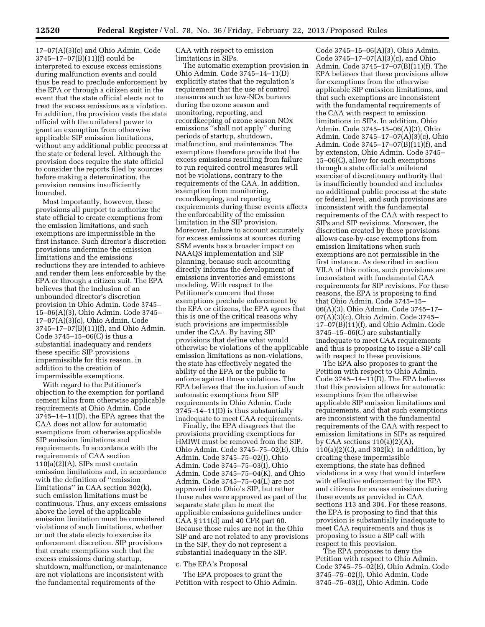17–07(A)(3)(c) and Ohio Admin. Code 3745–17–07(B)(11)(f) could be interpreted to excuse excess emissions during malfunction events and could thus be read to preclude enforcement by the EPA or through a citizen suit in the event that the state official elects not to treat the excess emissions as a violation. In addition, the provision vests the state official with the unilateral power to grant an exemption from otherwise applicable SIP emission limitations, without any additional public process at the state or federal level. Although the provision does require the state official to consider the reports filed by sources before making a determination, the provision remains insufficiently bounded.

Most importantly, however, these provisions all purport to authorize the state official to create exemptions from the emission limitations, and such exemptions are impermissible in the first instance. Such director's discretion provisions undermine the emission limitations and the emissions reductions they are intended to achieve and render them less enforceable by the EPA or through a citizen suit. The EPA believes that the inclusion of an unbounded director's discretion provision in Ohio Admin. Code 3745– 15–06(A)(3), Ohio Admin. Code 3745– 17–07(A)(3)(c), Ohio Admin. Code 3745–17–07(B)(11)(f), and Ohio Admin. Code 3745–15–06(C) is thus a substantial inadequacy and renders these specific SIP provisions impermissible for this reason, in addition to the creation of impermissible exemptions.

With regard to the Petitioner's objection to the exemption for portland cement kilns from otherwise applicable requirements at Ohio Admin. Code 3745–14–11(D), the EPA agrees that the CAA does not allow for automatic exemptions from otherwise applicable SIP emission limitations and requirements. In accordance with the requirements of CAA section 110(a)(2)(A), SIPs must contain emission limitations and, in accordance with the definition of ''emission limitations'' in CAA section 302(k), such emission limitations must be continuous. Thus, any excess emissions above the level of the applicable emission limitation must be considered violations of such limitations, whether or not the state elects to exercise its enforcement discretion. SIP provisions that create exemptions such that the excess emissions during startup, shutdown, malfunction, or maintenance are not violations are inconsistent with the fundamental requirements of the

CAA with respect to emission limitations in SIPs.

The automatic exemption provision in Ohio Admin. Code 3745–14–11(D) explicitly states that the regulation's requirement that the use of control measures such as low-NOx burners during the ozone season and monitoring, reporting, and recordkeeping of ozone season NOx emissions ''shall not apply'' during periods of startup, shutdown, malfunction, and maintenance. The exemptions therefore provide that the excess emissions resulting from failure to run required control measures will not be violations, contrary to the requirements of the CAA. In addition, exemption from monitoring, recordkeeping, and reporting requirements during these events affects the enforceability of the emission limitation in the SIP provision. Moreover, failure to account accurately for excess emissions at sources during SSM events has a broader impact on NAAQS implementation and SIP planning, because such accounting directly informs the development of emissions inventories and emissions modeling. With respect to the Petitioner's concern that these exemptions preclude enforcement by the EPA or citizens, the EPA agrees that this is one of the critical reasons why such provisions are impermissible under the CAA. By having SIP provisions that define what would otherwise be violations of the applicable emission limitations as non-violations, the state has effectively negated the ability of the EPA or the public to enforce against those violations. The EPA believes that the inclusion of such automatic exemptions from SIP requirements in Ohio Admin. Code 3745–14–11(D) is thus substantially inadequate to meet CAA requirements.

Finally, the EPA disagrees that the provisions providing exemptions for HMIWI must be removed from the SIP. Ohio Admin. Code 3745–75–02(E), Ohio Admin. Code 3745–75–02(J), Ohio Admin. Code 3745–75–03(I), Ohio Admin. Code 3745–75–04(K), and Ohio Admin. Code 3745–75–04(L) are not approved into Ohio's SIP, but rather those rules were approved as part of the separate state plan to meet the applicable emissions guidelines under CAA § 111(d) and 40 CFR part 60. Because those rules are not in the Ohio SIP and are not related to any provisions in the SIP, they do not represent a substantial inadequacy in the SIP.

## c. The EPA's Proposal

The EPA proposes to grant the Petition with respect to Ohio Admin.

Code 3745–15–06(A)(3), Ohio Admin. Code 3745–17–07(A)(3)(c), and Ohio Admin. Code 3745–17–07(B)(11)(f). The EPA believes that these provisions allow for exemptions from the otherwise applicable SIP emission limitations, and that such exemptions are inconsistent with the fundamental requirements of the CAA with respect to emission limitations in SIPs. In addition, Ohio Admin. Code 3745–15–06(A)(3), Ohio Admin. Code 3745–17–07(A)(3)(c), Ohio Admin. Code 3745–17–07(B)(11)(f), and by extension, Ohio Admin. Code 3745– 15–06(C), allow for such exemptions through a state official's unilateral exercise of discretionary authority that is insufficiently bounded and includes no additional public process at the state or federal level, and such provisions are inconsistent with the fundamental requirements of the CAA with respect to SIPs and SIP revisions. Moreover, the discretion created by these provisions allows case-by-case exemptions from emission limitations when such exemptions are not permissible in the first instance. As described in section VII.A of this notice, such provisions are inconsistent with fundamental CAA requirements for SIP revisions. For these reasons, the EPA is proposing to find that Ohio Admin. Code 3745–15– 06(A)(3), Ohio Admin. Code 3745–17– 07(A)(3)(c), Ohio Admin. Code 3745– 17–07(B)(11)(f), and Ohio Admin. Code 3745–15–06(C) are substantially inadequate to meet CAA requirements and thus is proposing to issue a SIP call with respect to these provisions.

The EPA also proposes to grant the Petition with respect to Ohio Admin. Code 3745–14–11(D). The EPA believes that this provision allows for automatic exemptions from the otherwise applicable SIP emission limitations and requirements, and that such exemptions are inconsistent with the fundamental requirements of the CAA with respect to emission limitations in SIPs as required by CAA sections  $110(a)(2)(A)$  $110(a)(2)(C)$ , and  $302(k)$ . In addition, by creating these impermissible exemptions, the state has defined violations in a way that would interfere with effective enforcement by the EPA and citizens for excess emissions during these events as provided in CAA sections 113 and 304. For these reasons, the EPA is proposing to find that this provision is substantially inadequate to meet CAA requirements and thus is proposing to issue a SIP call with respect to this provision.

The EPA proposes to deny the Petition with respect to Ohio Admin. Code 3745–75–02(E), Ohio Admin. Code 3745–75–02(J), Ohio Admin. Code 3745–75–03(I), Ohio Admin. Code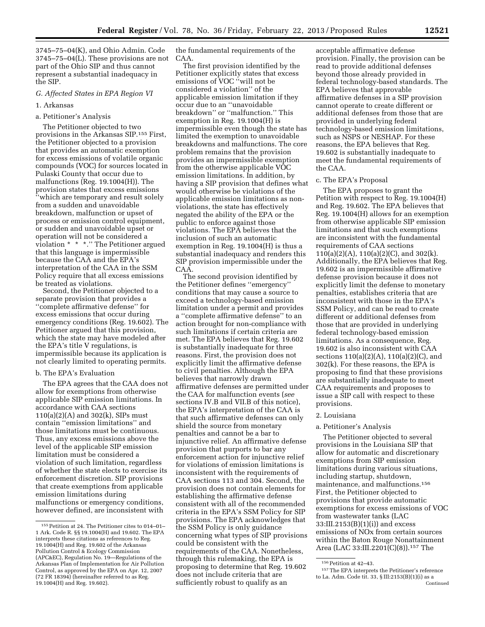3745–75–04(K), and Ohio Admin. Code 3745–75–04(L). These provisions are not part of the Ohio SIP and thus cannot represent a substantial inadequacy in the SIP.

## *G. Affected States in EPA Region VI*

### 1. Arkansas

# a. Petitioner's Analysis

The Petitioner objected to two provisions in the Arkansas SIP.155 First, the Petitioner objected to a provision that provides an automatic exemption for excess emissions of volatile organic compounds (VOC) for sources located in Pulaski County that occur due to malfunctions (Reg. 19.1004(H)). The provision states that excess emissions ''which are temporary and result solely from a sudden and unavoidable breakdown, malfunction or upset of process or emission control equipment, or sudden and unavoidable upset or operation will not be considered a violation \* \* \*.'' The Petitioner argued that this language is impermissible because the CAA and the EPA's interpretation of the CAA in the SSM Policy require that all excess emissions be treated as violations.

Second, the Petitioner objected to a separate provision that provides a ''complete affirmative defense'' for excess emissions that occur during emergency conditions (Reg. 19.602). The Petitioner argued that this provision, which the state may have modeled after the EPA's title V regulations, is impermissible because its application is not clearly limited to operating permits.

## b. The EPA's Evaluation

The EPA agrees that the CAA does not allow for exemptions from otherwise applicable SIP emission limitations. In accordance with CAA sections 110(a)(2)(A) and 302(k), SIPs must contain ''emission limitations'' and those limitations must be continuous. Thus, any excess emissions above the level of the applicable SIP emission limitation must be considered a violation of such limitation, regardless of whether the state elects to exercise its enforcement discretion. SIP provisions that create exemptions from applicable emission limitations during malfunctions or emergency conditions, however defined, are inconsistent with

the fundamental requirements of the CAA.

The first provision identified by the Petitioner explicitly states that excess emissions of VOC ''will not be considered a violation'' of the applicable emission limitation if they occur due to an ''unavoidable breakdown'' or ''malfunction.'' This exemption in Reg. 19.1004(H) is impermissible even though the state has limited the exemption to unavoidable breakdowns and malfunctions. The core problem remains that the provision provides an impermissible exemption from the otherwise applicable VOC emission limitations. In addition, by having a SIP provision that defines what would otherwise be violations of the applicable emission limitations as nonviolations, the state has effectively negated the ability of the EPA or the public to enforce against those violations. The EPA believes that the inclusion of such an automatic exemption in Reg. 19.1004(H) is thus a substantial inadequacy and renders this SIP provision impermissible under the CAA.

The second provision identified by the Petitioner defines ''emergency'' conditions that may cause a source to exceed a technology-based emission limitation under a permit and provides a ''complete affirmative defense'' to an action brought for non-compliance with such limitations if certain criteria are met. The EPA believes that Reg. 19.602 is substantially inadequate for three reasons. First, the provision does not explicitly limit the affirmative defense to civil penalties. Although the EPA believes that narrowly drawn affirmative defenses are permitted under the CAA for malfunction events (*see*  sections IV.B and VII.B of this notice), the EPA's interpretation of the CAA is that such affirmative defenses can only shield the source from monetary penalties and cannot be a bar to injunctive relief. An affirmative defense provision that purports to bar any enforcement action for injunctive relief for violations of emission limitations is inconsistent with the requirements of CAA sections 113 and 304. Second, the provision does not contain elements for establishing the affirmative defense consistent with all of the recommended criteria in the EPA's SSM Policy for SIP provisions. The EPA acknowledges that the SSM Policy is only guidance concerning what types of SIP provisions could be consistent with the requirements of the CAA. Nonetheless, through this rulemaking, the EPA is proposing to determine that Reg. 19.602 does not include criteria that are sufficiently robust to qualify as an

acceptable affirmative defense provision. Finally, the provision can be read to provide additional defenses beyond those already provided in federal technology-based standards. The EPA believes that approvable affirmative defenses in a SIP provision cannot operate to create different or additional defenses from those that are provided in underlying federal technology-based emission limitations, such as NSPS or NESHAP. For these reasons, the EPA believes that Reg. 19.602 is substantially inadequate to meet the fundamental requirements of the CAA.

### c. The EPA's Proposal

The EPA proposes to grant the Petition with respect to Reg. 19.1004(H) and Reg. 19.602. The EPA believes that Reg. 19.1004(H) allows for an exemption from otherwise applicable SIP emission limitations and that such exemptions are inconsistent with the fundamental requirements of CAA sections 110(a)(2)(A), 110(a)(2)(C), and 302(k). Additionally, the EPA believes that Reg. 19.602 is an impermissible affirmative defense provision because it does not explicitly limit the defense to monetary penalties, establishes criteria that are inconsistent with those in the EPA's SSM Policy, and can be read to create different or additional defenses from those that are provided in underlying federal technology-based emission limitations. As a consequence, Reg. 19.602 is also inconsistent with CAA sections 110(a)(2)(A), 110(a)(2)(C), and 302(k). For these reasons, the EPA is proposing to find that these provisions are substantially inadequate to meet CAA requirements and proposes to issue a SIP call with respect to these provisions.

### 2. Louisiana

### a. Petitioner's Analysis

The Petitioner objected to several provisions in the Louisiana SIP that allow for automatic and discretionary exemptions from SIP emission limitations during various situations, including startup, shutdown, maintenance, and malfunctions.156 First, the Petitioner objected to provisions that provide automatic exemptions for excess emissions of VOC from wastewater tanks (LAC 33:III.2153(B)(1)(i)) and excess emissions of NOx from certain sources within the Baton Rouge Nonattainment Area (LAC 33:III.2201(C)(8)).157 The

<sup>155</sup>Petition at 24. The Petitioner cites to 014–01– 1 Ark. Code R. §§ 19.1004(H) and 19.602. The EPA interprets these citations as references to Reg. 19.1004(H) and Reg. 19.602 of the Arkansas Pollution Control & Ecology Commission (APC&EC), Regulation No. 19—Regulations of the Arkansas Plan of Implementation for Air Pollution Control, as approved by the EPA on Apr. 12, 2007 (72 FR 18394) (hereinafter referred to as Reg. 19.1004(H) and Reg. 19.602).

 $^{\rm 156}$  Petition at 42–43.

<sup>157</sup>The EPA interprets the Petitioner's reference to La. Adm. Code tit. 33, § III:2153(B)(1)(i) as a Continued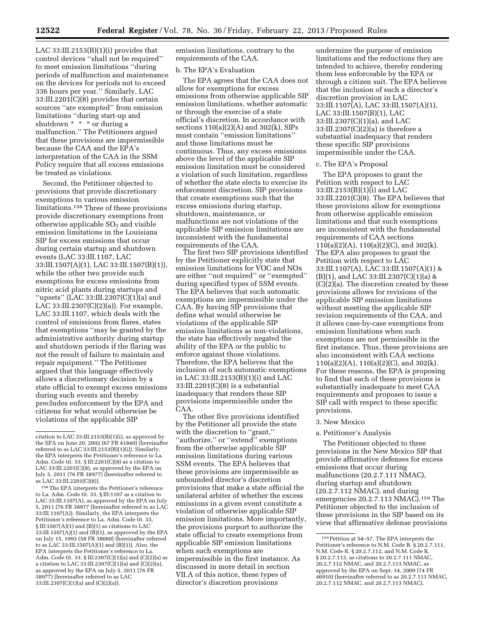LAC 33:III.2153(B)(1)(i) provides that control devices ''shall not be required'' to meet emission limitations ''during periods of malfunction and maintenance on the devices for periods not to exceed 336 hours per year.'' Similarly, LAC 33:III.2201(C)(8) provides that certain sources ''are exempted'' from emission limitations ''during start-up and shutdown  $* * * \circ$  or during a malfunction.'' The Petitioners argued that these provisions are impermissible because the CAA and the EPA's interpretation of the CAA in the SSM Policy require that all excess emissions be treated as violations.

Second, the Petitioner objected to provisions that provide discretionary exemptions to various emission limitations.158 Three of these provisions provide discretionary exemptions from otherwise applicable  $SO<sub>2</sub>$  and visible emission limitations in the Louisiana SIP for excess emissions that occur during certain startup and shutdown events (LAC 33:III.1107, LAC 33:III.1507(A)(1), LAC 33:III.1507(B)(1)), while the other two provide such exemptions for excess emissions from nitric acid plants during startups and "upsets" (LAC 33:III.2307(C)(1)(a) and LAC 33:III.2307(C)(2)(a)). For example, LAC 33:III.1107, which deals with the control of emissions from flares, states that exemptions ''may be granted by the administrative authority during startup and shutdown periods if the flaring was not the result of failure to maintain and repair equipment.'' The Petitioner argued that this language effectively allows a discretionary decision by a state official to exempt excess emissions during such events and thereby precludes enforcement by the EPA and citizens for what would otherwise be violations of the applicable SIP

158The EPA interprets the Petitioner's reference to La. Adm. Code tit. 33, § III:1107 as a citation to LAC 33:III.1107(A), as approved by the EPA on July 5, 2011 (76 FR 38977 (hereinafter referred to as LAC 33:III.1107(A)). Similarly, the EPA interprets the Petitioner's reference to La. Adm. Code tit. 33, § III:1507(A)(1) and (B)(1) as citations to LAC 33:III.1507(A)(1) and (B)(1), as approved by the EPA on July 15, 1993 (58 FR 38060) (hereinafter referred to as LAC 33:III.1507(A)(1) and (B)(1)). Also, the EPA interprets the Petitioner's reference to La. Adm. Code tit. 33, § III:2307(C)(1)(a) and (C)(2)(a) as a citation to LAC 33:III.2307(C)(1)(a) and (C)(2)(a), as approved by the EPA on July 5, 2011 (76 FR 38977) (hereinafter referred to as LAC 33:III.2307(C)(1)(a) and (C)(2)(a)).

emission limitations, contrary to the requirements of the CAA.

#### b. The EPA's Evaluation

The EPA agrees that the CAA does not allow for exemptions for excess emissions from otherwise applicable SIP emission limitations, whether automatic or through the exercise of a state official's discretion. In accordance with sections  $110(a)(2)(A)$  and  $302(k)$ , SIPs must contain ''emission limitations'' and those limitations must be continuous. Thus, any excess emissions above the level of the applicable SIP emission limitation must be considered a violation of such limitation, regardless of whether the state elects to exercise its enforcement discretion. SIP provisions that create exemptions such that the excess emissions during startup, shutdown, maintenance, or malfunctions are not violations of the applicable SIP emission limitations are inconsistent with the fundamental requirements of the CAA.

The first two SIP provisions identified by the Petitioner explicitly state that emission limitations for VOC and NOx are either ''not required'' or ''exempted'' during specified types of SSM events. The EPA believes that such automatic exemptions are impermissible under the CAA. By having SIP provisions that define what would otherwise be violations of the applicable SIP emission limitations as non-violations, the state has effectively negated the ability of the EPA or the public to enforce against those violations. Therefore, the EPA believes that the inclusion of such automatic exemptions in LAC 33:III.2153(B)(1)(i) and LAC  $33:III.2201(C)(8)$  is a substantial inadequacy that renders these SIP provisions impermissible under the CAA.

The other five provisions identified by the Petitioner all provide the state with the discretion to "grant," ''authorize,'' or ''extend'' exemptions from the otherwise applicable SIP emission limitations during various SSM events. The EPA believes that these provisions are impermissible as unbounded director's discretion provisions that make a state official the unilateral arbiter of whether the excess emissions in a given event constitute a violation of otherwise applicable SIP emission limitations. More importantly, the provisions purport to authorize the state official to create exemptions from applicable SIP emission limitations when such exemptions are impermissible in the first instance. As discussed in more detail in section VII.A of this notice, these types of director's discretion provisions

undermine the purpose of emission limitations and the reductions they are intended to achieve, thereby rendering them less enforceable by the EPA or through a citizen suit. The EPA believes that the inclusion of such a director's discretion provision in LAC 33:III.1107(A), LAC 33:III.1507(A)(1), LAC 33:III.1507(B)(1), LAC 33:III.2307(C)(1)(a), and LAC 33:III.2307(C)(2)(a) is therefore a substantial inadequacy that renders these specific SIP provisions impermissible under the CAA.

#### c. The EPA's Proposal

The EPA proposes to grant the Petition with respect to LAC 33:III.2153(B)(1)(i) and LAC 33:III.2201(C)(8). The EPA believes that these provisions allow for exemptions from otherwise applicable emission limitations and that such exemptions are inconsistent with the fundamental requirements of CAA sections 110(a)(2)(A), 110(a)(2)(C), and 302(k). The EPA also proposes to grant the Petition with respect to LAC 33:III.1107(A), LAC 33:III.1507(A)(1) & (B)(1), and LAC 33:III.2307(C)(1)(a) & (C)(2)(a). The discretion created by these provisions allows for revisions of the applicable SIP emission limitations without meeting the applicable SIP revision requirements of the CAA, and it allows case-by-case exemptions from emission limitations when such exemptions are not permissible in the first instance. Thus, these provisions are also inconsistent with CAA sections 110(a)(2)(A), 110(a)(2)(C), and 302(k). For these reasons, the EPA is proposing to find that each of these provisions is substantially inadequate to meet CAA requirements and proposes to issue a SIP call with respect to these specific provisions.

### 3. New Mexico

### a. Petitioner's Analysis

The Petitioner objected to three provisions in the New Mexico SIP that provide affirmative defenses for excess emissions that occur during malfunctions (20.2.7.111 NMAC), during startup and shutdown (20.2.7.112 NMAC), and during emergencies 20.2.7.113 NMAC).159 The Petitioner objected to the inclusion of these provisions in the SIP based on its view that affirmative defense provisions

citation to LAC 33:III.2153(B)(1)(i), as approved by the EPA on June 20, 2002 (67 FR 41840) (hereinafter referred to as LAC 33:III.2153(B)(1)(i)). Similarly, the EPA interprets the Petitioner's reference to La. Adm. Code tit. 33, § III:2201(C)(8) as a citation to LAC 33:III.2201(C)(8), as approved by the EPA on July 5, 2011 (76 FR 38977) (hereinafter referred to as LAC 33:III.2201(C)(8)).

<sup>159</sup>Petition at 54–57. The EPA interprets the Petitioner's reference to N.M. Code R. § 20.2.7.111, N.M. Code R. § 20.2.7.112, and N.M. Code R. § 20.2.7.113, as citations to 20.2.7.111 NMAC, 20.2.7.112 NMAC, and 20.2.7.113 NMAC, as approved by the EPA on Sept. 14, 2009 (74 FR 46910) (hereinafter referred to as 20.2.7.111 NMAC, 20.2.7.112 NMAC, and 20.2.7.113 NMAC).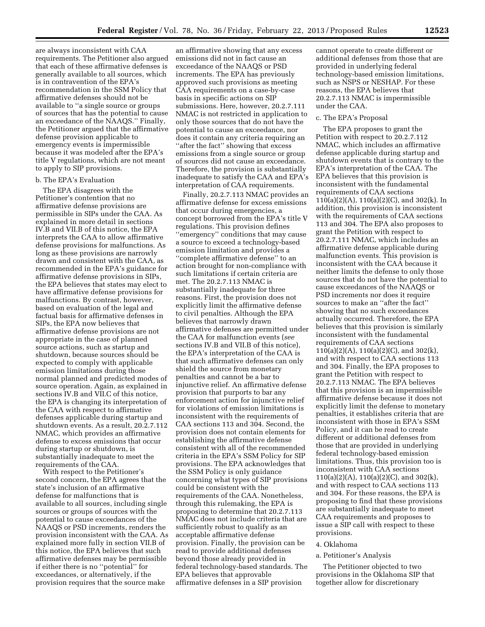are always inconsistent with CAA requirements. The Petitioner also argued that each of these affirmative defenses is generally available to all sources, which is in contravention of the EPA's recommendation in the SSM Policy that affirmative defenses should not be available to ''a single source or groups of sources that has the potential to cause an exceedance of the NAAQS.'' Finally, the Petitioner argued that the affirmative defense provision applicable to emergency events is impermissible because it was modeled after the EPA's title V regulations, which are not meant to apply to SIP provisions.

#### b. The EPA's Evaluation

The EPA disagrees with the Petitioner's contention that no affirmative defense provisions are permissible in SIPs under the CAA. As explained in more detail in sections IV.B and VII.B of this notice, the EPA interprets the CAA to allow affirmative defense provisions for malfunctions. As long as these provisions are narrowly drawn and consistent with the CAA, as recommended in the EPA's guidance for affirmative defense provisions in SIPs, the EPA believes that states may elect to have affirmative defense provisions for malfunctions. By contrast, however, based on evaluation of the legal and factual basis for affirmative defenses in SIPs, the EPA now believes that affirmative defense provisions are not appropriate in the case of planned source actions, such as startup and shutdown, because sources should be expected to comply with applicable emission limitations during those normal planned and predicted modes of source operation. Again, as explained in sections IV.B and VII.C of this notice, the EPA is changing its interpretation of the CAA with respect to affirmative defenses applicable during startup and shutdown events. As a result, 20.2.7.112 NMAC, which provides an affirmative defense to excess emissions that occur during startup or shutdown, is substantially inadequate to meet the requirements of the CAA.

With respect to the Petitioner's second concern, the EPA agrees that the state's inclusion of an affirmative defense for malfunctions that is available to all sources, including single sources or groups of sources with the potential to cause exceedances of the NAAQS or PSD increments, renders the provision inconsistent with the CAA. As explained more fully in section VII.B of this notice, the EPA believes that such affirmative defenses may be permissible if either there is no ''potential'' for exceedances, or alternatively, if the provision requires that the source make

an affirmative showing that any excess emissions did not in fact cause an exceedance of the NAAQS or PSD increments. The EPA has previously approved such provisions as meeting CAA requirements on a case-by-case basis in specific actions on SIP submissions. Here, however, 20.2.7.111 NMAC is not restricted in application to only those sources that do not have the potential to cause an exceedance, nor does it contain any criteria requiring an "after the fact" showing that excess emissions from a single source or group of sources did not cause an exceedance. Therefore, the provision is substantially inadequate to satisfy the CAA and EPA's interpretation of CAA requirements.

Finally, 20.2.7.113 NMAC provides an affirmative defense for excess emissions that occur during emergencies, a concept borrowed from the EPA's title V regulations. This provision defines ''emergency'' conditions that may cause a source to exceed a technology-based emission limitation and provides a ''complete affirmative defense'' to an action brought for non-compliance with such limitations if certain criteria are met. The 20.2.7.113 NMAC is substantially inadequate for three reasons. First, the provision does not explicitly limit the affirmative defense to civil penalties. Although the EPA believes that narrowly drawn affirmative defenses are permitted under the CAA for malfunction events (*see*  sections IV.B and VII.B of this notice), the EPA's interpretation of the CAA is that such affirmative defenses can only shield the source from monetary penalties and cannot be a bar to injunctive relief. An affirmative defense provision that purports to bar any enforcement action for injunctive relief for violations of emission limitations is inconsistent with the requirements of CAA sections 113 and 304. Second, the provision does not contain elements for establishing the affirmative defense consistent with all of the recommended criteria in the EPA's SSM Policy for SIP provisions. The EPA acknowledges that the SSM Policy is only guidance concerning what types of SIP provisions could be consistent with the requirements of the CAA. Nonetheless, through this rulemaking, the EPA is proposing to determine that 20.2.7.113 NMAC does not include criteria that are sufficiently robust to qualify as an acceptable affirmative defense provision. Finally, the provision can be read to provide additional defenses beyond those already provided in federal technology-based standards. The EPA believes that approvable affirmative defenses in a SIP provision

cannot operate to create different or additional defenses from those that are provided in underlying federal technology-based emission limitations, such as NSPS or NESHAP. For these reasons, the EPA believes that 20.2.7.113 NMAC is impermissible under the CAA.

#### c. The EPA's Proposal

The EPA proposes to grant the Petition with respect to 20.2.7.112 NMAC, which includes an affirmative defense applicable during startup and shutdown events that is contrary to the EPA's interpretation of the CAA. The EPA believes that this provision is inconsistent with the fundamental requirements of CAA sections 110(a)(2)(A), 110(a)(2)(C), and 302(k). In addition, this provision is inconsistent with the requirements of CAA sections 113 and 304. The EPA also proposes to grant the Petition with respect to 20.2.7.111 NMAC, which includes an affirmative defense applicable during malfunction events. This provision is inconsistent with the CAA because it neither limits the defense to only those sources that do not have the potential to cause exceedances of the NAAQS or PSD increments nor does it require sources to make an ''after the fact'' showing that no such exceedances actually occurred. Therefore, the EPA believes that this provision is similarly inconsistent with the fundamental requirements of CAA sections 110(a)(2)(A), 110(a)(2)(C), and 302(k), and with respect to CAA sections 113 and 304. Finally, the EPA proposes to grant the Petition with respect to 20.2.7.113 NMAC. The EPA believes that this provision is an impermissible affirmative defense because it does not explicitly limit the defense to monetary penalties, it establishes criteria that are inconsistent with those in EPA's SSM Policy, and it can be read to create different or additional defenses from those that are provided in underlying federal technology-based emission limitations. Thus, this provision too is inconsistent with CAA sections 110(a)(2)(A), 110(a)(2)(C), and 302(k), and with respect to CAA sections 113 and 304. For these reasons, the EPA is proposing to find that these provisions are substantially inadequate to meet CAA requirements and proposes to issue a SIP call with respect to these provisions.

# 4. Oklahoma

#### a. Petitioner's Analysis

The Petitioner objected to two provisions in the Oklahoma SIP that together allow for discretionary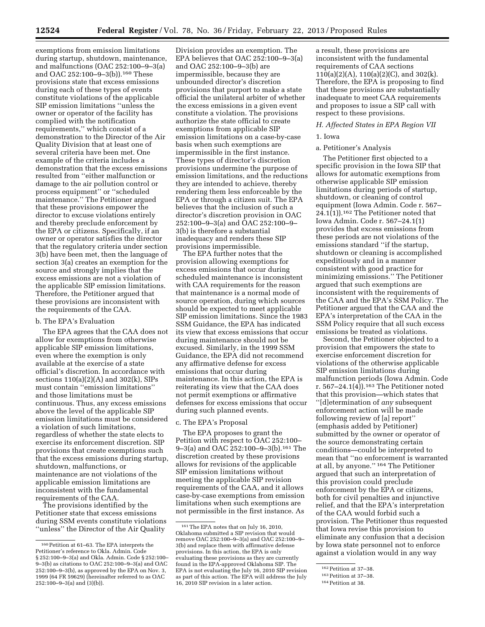exemptions from emission limitations during startup, shutdown, maintenance, and malfunctions (OAC 252:100–9–3(a) and OAC 252:100–9–3(b)).160 These provisions state that excess emissions during each of these types of events constitute violations of the applicable SIP emission limitations ''unless the owner or operator of the facility has complied with the notification requirements,'' which consist of a demonstration to the Director of the Air Quality Division that at least one of several criteria have been met. One example of the criteria includes a demonstration that the excess emissions resulted from ''either malfunction or damage to the air pollution control or process equipment'' or ''scheduled maintenance.'' The Petitioner argued that these provisions empower the director to excuse violations entirely and thereby preclude enforcement by the EPA or citizens. Specifically, if an owner or operator satisfies the director that the regulatory criteria under section 3(b) have been met, then the language of section 3(a) creates an exemption for the source and strongly implies that the excess emissions are not a violation of the applicable SIP emission limitations. Therefore, the Petitioner argued that these provisions are inconsistent with the requirements of the CAA.

#### b. The EPA's Evaluation

The EPA agrees that the CAA does not allow for exemptions from otherwise applicable SIP emission limitations, even where the exemption is only available at the exercise of a state official's discretion. In accordance with sections  $110(a)(2)(A)$  and  $302(k)$ , SIPs must contain ''emission limitations'' and those limitations must be continuous. Thus, any excess emissions above the level of the applicable SIP emission limitations must be considered a violation of such limitations, regardless of whether the state elects to exercise its enforcement discretion. SIP provisions that create exemptions such that the excess emissions during startup, shutdown, malfunctions, or maintenance are not violations of the applicable emission limitations are inconsistent with the fundamental requirements of the CAA.

The provisions identified by the Petitioner state that excess emissions during SSM events constitute violations ''unless'' the Director of the Air Quality

Division provides an exemption. The EPA believes that OAC 252:100–9–3(a) and OAC 252:100–9–3(b) are impermissible, because they are unbounded director's discretion provisions that purport to make a state official the unilateral arbiter of whether the excess emissions in a given event constitute a violation. The provisions authorize the state official to create exemptions from applicable SIP emission limitations on a case-by-case basis when such exemptions are impermissible in the first instance. These types of director's discretion provisions undermine the purpose of emission limitations, and the reductions they are intended to achieve, thereby rendering them less enforceable by the EPA or through a citizen suit. The EPA believes that the inclusion of such a director's discretion provision in OAC 252:100–9–3(a) and OAC 252:100–9– 3(b) is therefore a substantial inadequacy and renders these SIP provisions impermissible.

The EPA further notes that the provision allowing exemptions for excess emissions that occur during scheduled maintenance is inconsistent with CAA requirements for the reason that maintenance is a normal mode of source operation, during which sources should be expected to meet applicable SIP emission limitations. Since the 1983 SSM Guidance, the EPA has indicated its view that excess emissions that occur during maintenance should not be excused. Similarly, in the 1999 SSM Guidance, the EPA did not recommend any affirmative defense for excess emissions that occur during maintenance. In this action, the EPA is reiterating its view that the CAA does not permit exemptions or affirmative defenses for excess emissions that occur during such planned events.

## c. The EPA's Proposal

The EPA proposes to grant the Petition with respect to OAC 252:100– 9–3(a) and OAC 252:100–9–3(b).161 The discretion created by these provisions allows for revisions of the applicable SIP emission limitations without meeting the applicable SIP revision requirements of the CAA, and it allows case-by-case exemptions from emission limitations when such exemptions are not permissible in the first instance. As

a result, these provisions are inconsistent with the fundamental requirements of CAA sections 110(a)(2)(A), 110(a)(2)(C), and 302(k). Therefore, the EPA is proposing to find that these provisions are substantially inadequate to meet CAA requirements and proposes to issue a SIP call with respect to these provisions.

# *H. Affected States in EPA Region VII*

#### 1. Iowa

## a. Petitioner's Analysis

The Petitioner first objected to a specific provision in the Iowa SIP that allows for automatic exemptions from otherwise applicable SIP emission limitations during periods of startup, shutdown, or cleaning of control equipment (Iowa Admin. Code r. 567–  $24.1(1)$ .<sup>162</sup> The Petitioner noted that Iowa Admin. Code r. 567–24.1(1) provides that excess emissions from these periods are not violations of the emissions standard ''if the startup, shutdown or cleaning is accomplished expeditiously and in a manner consistent with good practice for minimizing emissions.'' The Petitioner argued that such exemptions are inconsistent with the requirements of the CAA and the EPA's SSM Policy. The Petitioner argued that the CAA and the EPA's interpretation of the CAA in the SSM Policy require that all such excess emissions be treated as violations.

Second, the Petitioner objected to a provision that empowers the state to exercise enforcement discretion for violations of the otherwise applicable SIP emission limitations during malfunction periods (Iowa Admin. Code r. 567–24.1 $(4)$ ).<sup>163</sup> The Petitioner noted that this provision—which states that ''[d]etermination of *any* subsequent enforcement action will be made following review of [a] report'' (emphasis added by Petitioner) submitted by the owner or operator of the source demonstrating certain conditions—could be interpreted to mean that ''no enforcement is warranted at all, by anyone.'' 164 The Petitioner argued that such an interpretation of this provision could preclude enforcement by the EPA or citizens, both for civil penalties and injunctive relief, and that the EPA's interpretation of the CAA would forbid such a provision. The Petitioner thus requested that Iowa revise this provision to eliminate any confusion that a decision by Iowa state personnel not to enforce against a violation would in any way

<sup>160</sup>Petition at 61–63. The EPA interprets the Petitioner's reference to Okla. Admin. Code § 252:100–9–3(a) and Okla. Admin. Code § 252:100– 9–3(b) as citations to OAC 252:100–9–3(a) and OAC 252:100–9–3(b), as approved by the EPA on Nov. 3, 1999 (64 FR 59629) (hereinafter referred to as OAC 252:100–9–3(a) and (3)(b)).

<sup>161</sup>The EPA notes that on July 16, 2010, Oklahoma submitted a SIP revision that would remove OAC 252:100–9–3(a) and OAC 252:100–9– 3(b) and replace them with affirmative defense provisions. In this action, the EPA is only evaluating these provisions as they are currently found in the EPA-approved Oklahoma SIP. The EPA is not evaluating the July 16, 2010 SIP revision as part of this action. The EPA will address the July 16, 2010 SIP revision in a later action.

<sup>162</sup>Petition at 37–38.

<sup>163</sup>Petition at 37–38.

<sup>164</sup>Petition at 38.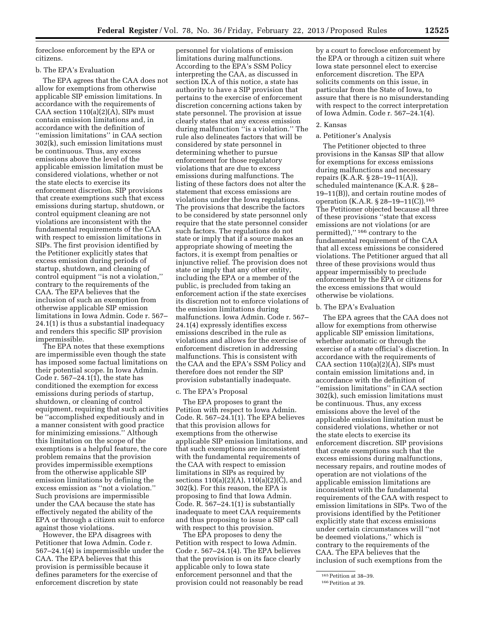foreclose enforcement by the EPA or citizens.

## b. The EPA's Evaluation

The EPA agrees that the CAA does not allow for exemptions from otherwise applicable SIP emission limitations. In accordance with the requirements of CAA section  $110(a)(2)(A)$ , SIPs must contain emission limitations and, in accordance with the definition of ''emission limitations'' in CAA section 302(k), such emission limitations must be continuous. Thus, any excess emissions above the level of the applicable emission limitation must be considered violations, whether or not the state elects to exercise its enforcement discretion. SIP provisions that create exemptions such that excess emissions during startup, shutdown, or control equipment cleaning are not violations are inconsistent with the fundamental requirements of the CAA with respect to emission limitations in SIPs. The first provision identified by the Petitioner explicitly states that excess emission during periods of startup, shutdown, and cleaning of control equipment ''is not a violation,'' contrary to the requirements of the CAA. The EPA believes that the inclusion of such an exemption from otherwise applicable SIP emission limitations in Iowa Admin. Code r. 567– 24.1(1) is thus a substantial inadequacy and renders this specific SIP provision impermissible.

The EPA notes that these exemptions are impermissible even though the state has imposed some factual limitations on their potential scope. In Iowa Admin. Code r. 567–24.1(1), the state has conditioned the exemption for excess emissions during periods of startup, shutdown, or cleaning of control equipment, requiring that such activities be ''accomplished expeditiously and in a manner consistent with good practice for minimizing emissions.'' Although this limitation on the scope of the exemptions is a helpful feature, the core problem remains that the provision provides impermissible exemptions from the otherwise applicable SIP emission limitations by defining the excess emission as ''not a violation.'' Such provisions are impermissible under the CAA because the state has effectively negated the ability of the EPA or through a citizen suit to enforce against those violations.

However, the EPA disagrees with Petitioner that Iowa Admin. Code r. 567–24.1(4) is impermissible under the CAA. The EPA believes that this provision is permissible because it defines parameters for the exercise of enforcement discretion by state

personnel for violations of emission limitations during malfunctions. According to the EPA's SSM Policy interpreting the CAA, as discussed in section IX.A of this notice, a state has authority to have a SIP provision that pertains to the exercise of enforcement discretion concerning actions taken by state personnel. The provision at issue clearly states that any excess emission during malfunction ''is a violation.'' The rule also delineates factors that will be considered by state personnel in determining whether to pursue enforcement for those regulatory violations that are due to excess emissions during malfunctions. The listing of these factors does not alter the statement that excess emissions are violations under the Iowa regulations. The provisions that describe the factors to be considered by state personnel only require that the state personnel consider such factors. The regulations do not state or imply that if a source makes an appropriate showing of meeting the factors, it is exempt from penalties or injunctive relief. The provision does not state or imply that any other entity, including the EPA or a member of the public, is precluded from taking an enforcement action if the state exercises its discretion not to enforce violations of the emission limitations during malfunctions. Iowa Admin. Code r. 567– 24.1(4) expressly identifies excess emissions described in the rule as violations and allows for the exercise of enforcement discretion in addressing malfunctions. This is consistent with the CAA and the EPA's SSM Policy and therefore does not render the SIP provision substantially inadequate.

# c. The EPA's Proposal

The EPA proposes to grant the Petition with respect to Iowa Admin. Code. R. 567–24.1(1). The EPA believes that this provision allows for exemptions from the otherwise applicable SIP emission limitations, and that such exemptions are inconsistent with the fundamental requirements of the CAA with respect to emission limitations in SIPs as required by sections 110(a)(2)(A), 110(a)(2)(C), and 302(k). For this reason, the EPA is proposing to find that Iowa Admin. Code. R. 567–24.1(1) is substantially inadequate to meet CAA requirements and thus proposing to issue a SIP call with respect to this provision.

The EPA proposes to deny the Petition with respect to Iowa Admin. Code r. 567–24.1(4). The EPA believes that the provision is on its face clearly applicable only to Iowa state enforcement personnel and that the provision could not reasonably be read by a court to foreclose enforcement by the EPA or through a citizen suit where Iowa state personnel elect to exercise enforcement discretion. The EPA solicits comments on this issue, in particular from the State of Iowa, to assure that there is no misunderstanding with respect to the correct interpretation of Iowa Admin. Code r. 567–24.1(4).

## 2. Kansas

# a. Petitioner's Analysis

The Petitioner objected to three provisions in the Kansas SIP that allow for exemptions for excess emissions during malfunctions and necessary repairs (K.A.R. § 28–19–11(A)), scheduled maintenance (K.A.R. § 28– 19–11(B)), and certain routine modes of operation (K.A.R. § 28–19–11(C)).165 The Petitioner objected because all three of these provisions ''state that excess emissions are not violations (or are permitted),'' 166 contrary to the fundamental requirement of the CAA that all excess emissions be considered violations. The Petitioner argued that all three of these provisions would thus appear impermissibly to preclude enforcement by the EPA or citizens for the excess emissions that would otherwise be violations.

#### b. The EPA's Evaluation

The EPA agrees that the CAA does not allow for exemptions from otherwise applicable SIP emission limitations, whether automatic or through the exercise of a state official's discretion. In accordance with the requirements of CAA section  $110(a)(2)(\text{\AA})$ , SIPs must contain emission limitations and, in accordance with the definition of ''emission limitations'' in CAA section 302(k), such emission limitations must be continuous. Thus, any excess emissions above the level of the applicable emission limitation must be considered violations, whether or not the state elects to exercise its enforcement discretion. SIP provisions that create exemptions such that the excess emissions during malfunctions, necessary repairs, and routine modes of operation are not violations of the applicable emission limitations are inconsistent with the fundamental requirements of the CAA with respect to emission limitations in SIPs. Two of the provisions identified by the Petitioner explicitly state that excess emissions under certain circumstances will ''not be deemed violations,'' which is contrary to the requirements of the CAA. The EPA believes that the inclusion of such exemptions from the

 $165$  Petition at 38–39.<br> $166$  Petition at 39.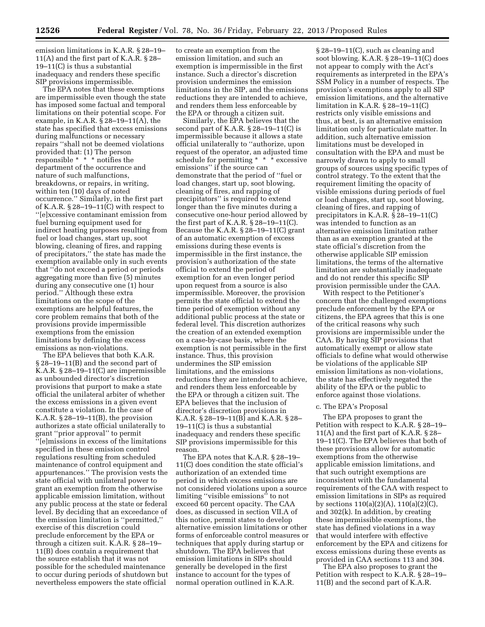emission limitations in K.A.R. § 28–19– 11(A) and the first part of K.A.R. § 28– 19–11(C) is thus a substantial inadequacy and renders these specific SIP provisions impermissible.

The EPA notes that these exemptions are impermissible even though the state has imposed some factual and temporal limitations on their potential scope. For example, in K.A.R. § 28–19–11(A), the state has specified that excess emissions during malfunctions or necessary repairs ''shall not be deemed violations provided that: (1) The person responsible \* \* \* notifies the department of the occurrence and nature of such malfunctions, breakdowns, or repairs, in writing, within ten (10) days of noted occurrence.'' Similarly, in the first part of K.A.R. § 28–19–11(C) with respect to ''[e]xcessive contaminant emission from fuel burning equipment used for indirect heating purposes resulting from fuel or load changes, start up, soot blowing, cleaning of fires, and rapping of precipitators,'' the state has made the exemption available only in such events that ''do not exceed a period or periods aggregating more than five (5) minutes during any consecutive one (1) hour period.'' Although these extra limitations on the scope of the exemptions are helpful features, the core problem remains that both of the provisions provide impermissible exemptions from the emission limitations by defining the excess emissions as non-violations.

The EPA believes that both K.A.R. § 28–19–11(B) and the second part of K.A.R. § 28–19–11(C) are impermissible as unbounded director's discretion provisions that purport to make a state official the unilateral arbiter of whether the excess emissions in a given event constitute a violation. In the case of K.A.R.  $§ 28-19-11(B)$ , the provision authorizes a state official unilaterally to grant ''prior approval'' to permit ''[e]missions in excess of the limitations specified in these emission control regulations resulting from scheduled maintenance of control equipment and appurtenances.'' The provision vests the state official with unilateral power to grant an exemption from the otherwise applicable emission limitation, without any public process at the state or federal level. By deciding that an exceedance of the emission limitation is ''permitted,'' exercise of this discretion could preclude enforcement by the EPA or through a citizen suit. K.A.R. § 28–19– 11(B) does contain a requirement that the source establish that it was not possible for the scheduled maintenance to occur during periods of shutdown but nevertheless empowers the state official

to create an exemption from the emission limitation, and such an exemption is impermissible in the first instance. Such a director's discretion provision undermines the emission limitations in the SIP, and the emissions reductions they are intended to achieve, and renders them less enforceable by the EPA or through a citizen suit.

Similarly, the EPA believes that the second part of K.A.R. § 28–19–11(C) is impermissible because it allows a state official unilaterally to ''authorize, upon request of the operator, an adjusted time schedule for permitting \* \* \* excessive emissions'' if the source can demonstrate that the period of ''fuel or load changes, start up, soot blowing, cleaning of fires, and rapping of precipitators'' is required to extend longer than the five minutes during a consecutive one-hour period allowed by the first part of K.A.R. § 28–19–11(C). Because the K.A.R. § 28–19–11(C) grant of an automatic exemption of excess emissions during these events is impermissible in the first instance, the provision's authorization of the state official to extend the period of exemption for an even longer period upon request from a source is also impermissible. Moreover, the provision permits the state official to extend the time period of exemption without any additional public process at the state or federal level. This discretion authorizes the creation of an extended exemption on a case-by-case basis, where the exemption is not permissible in the first instance. Thus, this provision undermines the SIP emission limitations, and the emissions reductions they are intended to achieve, and renders them less enforceable by the EPA or through a citizen suit. The EPA believes that the inclusion of director's discretion provisions in K.A.R. § 28–19–11(B) and K.A.R. § 28– 19–11(C) is thus a substantial inadequacy and renders these specific SIP provisions impermissible for this reason.

The EPA notes that K.A.R. § 28–19– 11(C) does condition the state official's authorization of an extended time period in which excess emissions are not considered violations upon a source limiting ''visible emissions'' to not exceed 60 percent opacity. The CAA does, as discussed in section VII.A of this notice, permit states to develop alternative emission limitations or other forms of enforceable control measures or techniques that apply during startup or shutdown. The EPA believes that emission limitations in SIPs should generally be developed in the first instance to account for the types of normal operation outlined in K.A.R.

§ 28–19–11(C), such as cleaning and soot blowing. K.A.R. § 28–19–11(C) does not appear to comply with the Act's requirements as interpreted in the EPA's SSM Policy in a number of respects. The provision's exemptions apply to all SIP emission limitations, and the alternative limitation in K.A.R. § 28–19–11(C) restricts only visible emissions and thus, at best, is an alternative emission limitation only for particulate matter. In addition, such alternative emission limitations must be developed in consultation with the EPA and must be narrowly drawn to apply to small groups of sources using specific types of control strategy. To the extent that the requirement limiting the opacity of visible emissions during periods of fuel or load changes, start up, soot blowing, cleaning of fires, and rapping of precipitators in K.A.R. § 28–19–11(C) was intended to function as an alternative emission limitation rather than as an exemption granted at the state official's discretion from the otherwise applicable SIP emission limitations, the terms of the alternative limitation are substantially inadequate and do not render this specific SIP provision permissible under the CAA.

With respect to the Petitioner's concern that the challenged exemptions preclude enforcement by the EPA or citizens, the EPA agrees that this is one of the critical reasons why such provisions are impermissible under the CAA. By having SIP provisions that automatically exempt or allow state officials to define what would otherwise be violations of the applicable SIP emission limitations as non-violations, the state has effectively negated the ability of the EPA or the public to enforce against those violations.

#### c. The EPA's Proposal

The EPA proposes to grant the Petition with respect to K.A.R. § 28–19– 11(A) and the first part of K.A.R. § 28– 19–11(C). The EPA believes that both of these provisions allow for automatic exemptions from the otherwise applicable emission limitations, and that such outright exemptions are inconsistent with the fundamental requirements of the CAA with respect to emission limitations in SIPs as required by sections 110(a)(2)(A), 110(a)(2)(C), and 302(k). In addition, by creating these impermissible exemptions, the state has defined violations in a way that would interfere with effective enforcement by the EPA and citizens for excess emissions during these events as provided in CAA sections 113 and 304.

The EPA also proposes to grant the Petition with respect to K.A.R. § 28–19– 11(B) and the second part of K.A.R.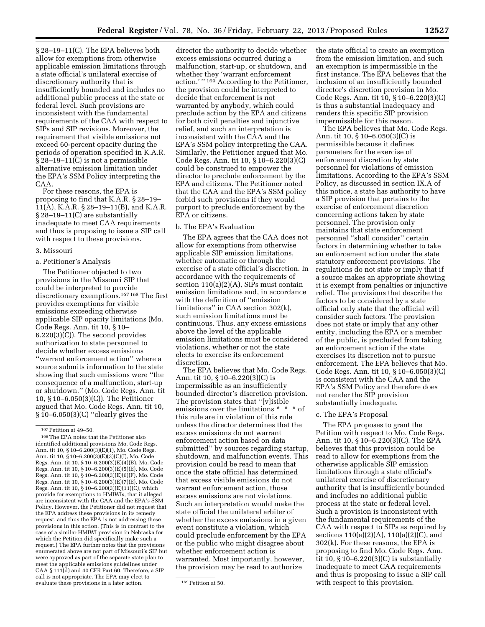§ 28–19–11(C). The EPA believes both allow for exemptions from otherwise applicable emission limitations through a state official's unilateral exercise of discretionary authority that is insufficiently bounded and includes no additional public process at the state or federal level. Such provisions are inconsistent with the fundamental requirements of the CAA with respect to SIPs and SIP revisions. Moreover, the requirement that visible emissions not exceed 60-percent opacity during the periods of operation specified in K.A.R. § 28–19–11(C) is not a permissible alternative emission limitation under the EPA's SSM Policy interpreting the CAA.

For these reasons, the EPA is proposing to find that K.A.R. § 28–19– 11(A), K.A.R. § 28–19–11(B), and K.A.R. § 28–19–11(C) are substantially inadequate to meet CAA requirements and thus is proposing to issue a SIP call with respect to these provisions.

#### 3. Missouri

## a. Petitioner's Analysis

The Petitioner objected to two provisions in the Missouri SIP that could be interpreted to provide discretionary exemptions.167 168 The first provides exemptions for visible emissions exceeding otherwise applicable SIP opacity limitations (Mo. Code Regs. Ann. tit 10, § 10– 6.220(3)(C)). The second provides authorization to state personnel to decide whether excess emissions ''warrant enforcement action'' where a source submits information to the state showing that such emissions were ''the consequence of a malfunction, start-up or shutdown.'' (Mo. Code Regs. Ann. tit 10, § 10–6.050(3)(C)). The Petitioner argued that Mo. Code Regs. Ann. tit 10, § 10–6.050(3)(C) ''clearly gives the

director the authority to decide whether excess emissions occurred during a malfunction, start-up, or shutdown, and whether they 'warrant enforcement action.'" 169 According to the Petitioner, the provision could be interpreted to decide that enforcement is not warranted by anybody, which could preclude action by the EPA and citizens for both civil penalties and injunctive relief, and such an interpretation is inconsistent with the CAA and the EPA's SSM policy interpreting the CAA. Similarly, the Petitioner argued that Mo. Code Regs. Ann. tit 10, § 10–6.220(3)(C) could be construed to empower the director to preclude enforcement by the EPA and citizens. The Petitioner noted that the CAA and the EPA's SSM policy forbid such provisions if they would purport to preclude enforcement by the EPA or citizens.

## b. The EPA's Evaluation

The EPA agrees that the CAA does not allow for exemptions from otherwise applicable SIP emission limitations, whether automatic or through the exercise of a state official's discretion. In accordance with the requirements of section  $110(a)(2)(A)$ , SIPs must contain emission limitations and, in accordance with the definition of ''emission limitations'' in CAA section 302(k), such emission limitations must be continuous. Thus, any excess emissions above the level of the applicable emission limitations must be considered violations, whether or not the state elects to exercise its enforcement discretion.

The EPA believes that Mo. Code Regs. Ann. tit 10, § 10–6.220(3)(C) is impermissible as an insufficiently bounded director's discretion provision. The provision states that ''[v]isible emissions over the limitations \* \* \* of this rule are in violation of this rule unless the director determines that the excess emissions do not warrant enforcement action based on data submitted'' by sources regarding startup, shutdown, and malfunction events. This provision could be read to mean that once the state official has determined that excess visible emissions do not warrant enforcement action, those excess emissions are not violations. Such an interpretation would make the state official the unilateral arbiter of whether the excess emissions in a given event constitute a violation, which could preclude enforcement by the EPA or the public who might disagree about whether enforcement action is warranted. Most importantly, however, the provision may be read to authorize

the state official to create an exemption from the emission limitation, and such an exemption is impermissible in the first instance. The EPA believes that the inclusion of an insufficiently bounded director's discretion provision in Mo. Code Regs. Ann. tit 10, § 10–6.220(3)(C) is thus a substantial inadequacy and renders this specific SIP provision impermissible for this reason.

The EPA believes that Mo. Code Regs. Ann. tit 10, § 10–6.050(3)(C) is permissible because it defines parameters for the exercise of enforcement discretion by state personnel for violations of emission limitations. According to the EPA's SSM Policy, as discussed in section IX.A of this notice, a state has authority to have a SIP provision that pertains to the exercise of enforcement discretion concerning actions taken by state personnel. The provision only maintains that state enforcement personnel ''shall consider'' certain factors in determining whether to take an enforcement action under the state statutory enforcement provisions. The regulations do not state or imply that if a source makes an appropriate showing it is exempt from penalties or injunctive relief. The provisions that describe the factors to be considered by a state official only state that the official will consider such factors. The provision does not state or imply that any other entity, including the EPA or a member of the public, is precluded from taking an enforcement action if the state exercises its discretion not to pursue enforcement. The EPA believes that Mo. Code Regs. Ann. tit 10, § 10–6.050(3)(C) is consistent with the CAA and the EPA's SSM Policy and therefore does not render the SIP provision substantially inadequate.

#### c. The EPA's Proposal

The EPA proposes to grant the Petition with respect to Mo. Code Regs. Ann. tit 10, § 10–6.220(3)(C). The EPA believes that this provision could be read to allow for exemptions from the otherwise applicable SIP emission limitations through a state official's unilateral exercise of discretionary authority that is insufficiently bounded and includes no additional public process at the state or federal level. Such a provision is inconsistent with the fundamental requirements of the CAA with respect to SIPs as required by sections 110(a)(2)(A), 110(a)(2)(C), and 302(k). For these reasons, the EPA is proposing to find Mo. Code Regs. Ann. tit 10,  $\S 10-6.220(3)(C)$  is substantially inadequate to meet CAA requirements and thus is proposing to issue a SIP call with respect to this provision.

<sup>167</sup>Petition at 49–50.

<sup>168</sup>The EPA notes that the Petitioner also identified additional provisions Mo. Code Regs. Ann. tit 10, § 10–6.200(3)(E)(1), Mo. Code Regs. Ann. tit 10, § 10–6.200(3)(E)(3)(C)(I), Mo. Code Regs. Ann. tit 10, § 10–6.200(3)(E)(4)(B), Mo. Code Regs. Ann. tit 10, § 10–6.200(3)(E)(5)(E), Mo. Code Regs. Ann. tit 10, § 10–6.200(3)(E)(6)(F), Mo. Code Regs. Ann. tit 10, § 10–6.200(3)(E)(7)(E), Mo. Code Regs. Ann. tit 10, § 10–6.200(3)(E)(11)(C), which provide for exemptions to HMIWIs, that it alleged are inconsistent with the CAA and the EPA's SSM Policy. However, the Petitioner did not request that the EPA address these provisions in its remedy request, and thus the EPA is not addressing these provisions in this action. (This is in contrast to the case of a similar HMIWI provision in Nebraska for which the Petition did specifically make such a request.) The EPA further notes that the provisions enumerated above are not part of Missouri's SIP but were approved as part of the separate state plan to meet the applicable emissions guidelines under CAA § 111(d) and 40 CFR Part 60. Therefore, a SIP call is not appropriate. The EPA may elect to evaluate these provisions in a later action. 169 Petition at 50.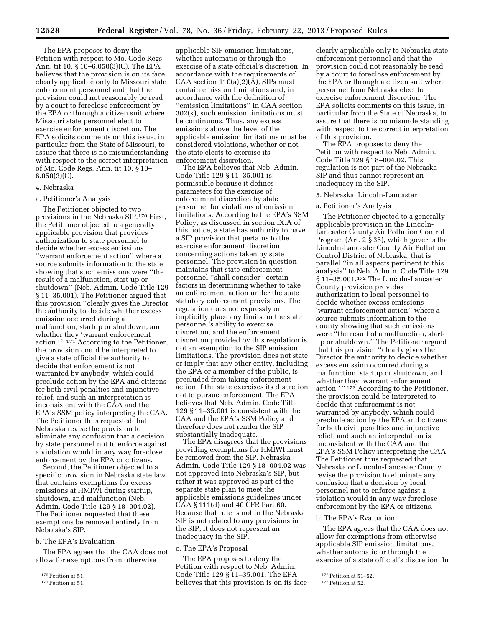The EPA proposes to deny the Petition with respect to Mo. Code Regs. Ann. tit 10, § 10–6.050(3)(C). The EPA believes that the provision is on its face clearly applicable only to Missouri state enforcement personnel and that the provision could not reasonably be read by a court to foreclose enforcement by the EPA or through a citizen suit where Missouri state personnel elect to exercise enforcement discretion. The EPA solicits comments on this issue, in particular from the State of Missouri, to assure that there is no misunderstanding with respect to the correct interpretation of Mo. Code Regs. Ann. tit 10, § 10–  $6.050(3)(C)$ .

#### 4. Nebraska

## a. Petitioner's Analysis

The Petitioner objected to two provisions in the Nebraska SIP.170 First, the Petitioner objected to a generally applicable provision that provides authorization to state personnel to decide whether excess emissions ''warrant enforcement action'' where a source submits information to the state showing that such emissions were ''the result of a malfunction, start-up or shutdown'' (Neb. Admin. Code Title 129 § 11–35.001). The Petitioner argued that this provision ''clearly gives the Director the authority to decide whether excess emission occurred during a malfunction, startup or shutdown, and whether they 'warrant enforcement action.' '' 171 According to the Petitioner, the provision could be interpreted to give a state official the authority to decide that enforcement is not warranted by anybody, which could preclude action by the EPA and citizens for both civil penalties and injunctive relief, and such an interpretation is inconsistent with the CAA and the EPA's SSM policy interpreting the CAA. The Petitioner thus requested that Nebraska revise the provision to eliminate any confusion that a decision by state personnel not to enforce against a violation would in any way foreclose enforcement by the EPA or citizens.

Second, the Petitioner objected to a specific provision in Nebraska state law that contains exemptions for excess emissions at HMIWI during startup, shutdown, and malfunction (Neb. Admin. Code Title 129 § 18–004.02). The Petitioner requested that these exemptions be removed entirely from Nebraska's SIP.

#### b. The EPA's Evaluation

The EPA agrees that the CAA does not allow for exemptions from otherwise

applicable SIP emission limitations, whether automatic or through the exercise of a state official's discretion. In accordance with the requirements of CAA section  $110(a)(2)(\overline{A})$ , SIPs must contain emission limitations and, in accordance with the definition of ''emission limitations'' in CAA section 302(k), such emission limitations must be continuous. Thus, any excess emissions above the level of the applicable emission limitations must be considered violations, whether or not the state elects to exercise its enforcement discretion.

The EPA believes that Neb. Admin. Code Title 129 § 11–35.001 is permissible because it defines parameters for the exercise of enforcement discretion by state personnel for violations of emission limitations. According to the EPA's SSM Policy, as discussed in section IX.A of this notice, a state has authority to have a SIP provision that pertains to the exercise enforcement discretion concerning actions taken by state personnel. The provision in question maintains that state enforcement personnel ''shall consider'' certain factors in determining whether to take an enforcement action under the state statutory enforcement provisions. The regulation does not expressly or implicitly place any limits on the state personnel's ability to exercise discretion, and the enforcement discretion provided by this regulation is not an exemption to the SIP emission limitations. The provision does not state or imply that any other entity, including the EPA or a member of the public, is precluded from taking enforcement action if the state exercises its discretion not to pursue enforcement. The EPA believes that Neb. Admin. Code Title 129 § 11–35.001 is consistent with the CAA and the EPA's SSM Policy and therefore does not render the SIP substantially inadequate.

The EPA disagrees that the provisions providing exemptions for HMIWI must be removed from the SIP. Nebraska Admin. Code Title 129 § 18–004.02 was not approved into Nebraska's SIP, but rather it was approved as part of the separate state plan to meet the applicable emissions guidelines under CAA § 111(d) and 40 CFR Part 60. Because that rule is not in the Nebraska SIP is not related to any provisions in the SIP, it does not represent an inadequacy in the SIP.

#### c. The EPA's Proposal

The EPA proposes to deny the Petition with respect to Neb. Admin. Code Title 129 § 11–35.001. The EPA believes that this provision is on its face

clearly applicable only to Nebraska state enforcement personnel and that the provision could not reasonably be read by a court to foreclose enforcement by the EPA or through a citizen suit where personnel from Nebraska elect to exercise enforcement discretion. The EPA solicits comments on this issue, in particular from the State of Nebraska, to assure that there is no misunderstanding with respect to the correct interpretation of this provision.

The EPA proposes to deny the Petition with respect to Neb. Admin. Code Title 129 § 18–004.02. This regulation is not part of the Nebraska SIP and thus cannot represent an inadequacy in the SIP.

# 5. Nebraska: Lincoln-Lancaster

#### a. Petitioner's Analysis

The Petitioner objected to a generally applicable provision in the Lincoln-Lancaster County Air Pollution Control Program (Art. 2 § 35), which governs the Lincoln-Lancaster County Air Pollution Control District of Nebraska, that is parallel ''in all aspects pertinent to this analysis'' to Neb. Admin. Code Title 129 § 11-35.001.<sup>172</sup> The Lincoln-Lancaster County provision provides authorization to local personnel to decide whether excess emissions 'warrant enforcement action'' where a source submits information to the county showing that such emissions were ''the result of a malfunction, startup or shutdown.'' The Petitioner argued that this provision ''clearly gives the Director the authority to decide whether excess emission occurred during a malfunction, startup or shutdown, and whether they 'warrant enforcement action.'" 173 According to the Petitioner, the provision could be interpreted to decide that enforcement is not warranted by anybody, which could preclude action by the EPA and citizens for both civil penalties and injunctive relief, and such an interpretation is inconsistent with the CAA and the EPA's SSM Policy interpreting the CAA. The Petitioner thus requested that Nebraska or Lincoln-Lancaster County revise the provision to eliminate any confusion that a decision by local personnel not to enforce against a violation would in any way foreclose enforcement by the EPA or citizens.

## b. The EPA's Evaluation

The EPA agrees that the CAA does not allow for exemptions from otherwise applicable SIP emission limitations, whether automatic or through the exercise of a state official's discretion. In

<sup>170</sup>Petition at 51.

<sup>171</sup> Petition at 51

<sup>172</sup>Petition at 51–52.

<sup>173</sup>Petition at 52.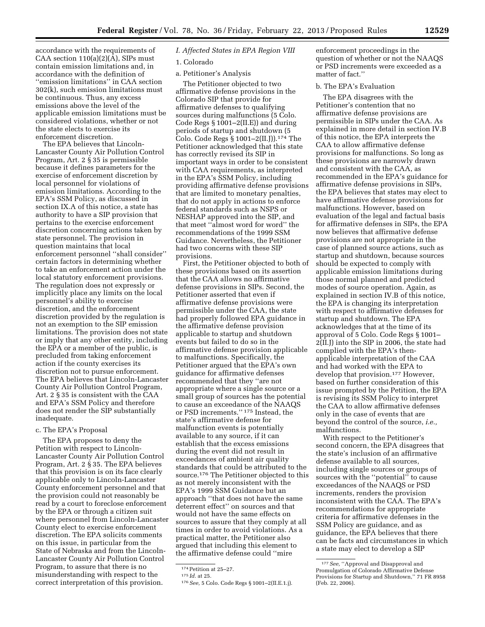accordance with the requirements of CAA section  $110(a)(2)(A)$ , SIPs must contain emission limitations and, in accordance with the definition of ''emission limitations'' in CAA section 302(k), such emission limitations must be continuous. Thus, any excess emissions above the level of the applicable emission limitations must be considered violations, whether or not the state elects to exercise its enforcement discretion.

The EPA believes that Lincoln-Lancaster County Air Pollution Control Program, Art. 2 § 35 is permissible because it defines parameters for the exercise of enforcement discretion by local personnel for violations of emission limitations. According to the EPA's SSM Policy, as discussed in section IX.A of this notice, a state has authority to have a SIP provision that pertains to the exercise enforcement discretion concerning actions taken by state personnel. The provision in question maintains that local enforcement personnel ''shall consider'' certain factors in determining whether to take an enforcement action under the local statutory enforcement provisions. The regulation does not expressly or implicitly place any limits on the local personnel's ability to exercise discretion, and the enforcement discretion provided by the regulation is not an exemption to the SIP emission limitations. The provision does not state or imply that any other entity, including the EPA or a member of the public, is precluded from taking enforcement action if the county exercises its discretion not to pursue enforcement. The EPA believes that Lincoln-Lancaster County Air Pollution Control Program, Art. 2 § 35 is consistent with the CAA and EPA's SSM Policy and therefore does not render the SIP substantially inadequate.

## c. The EPA's Proposal

The EPA proposes to deny the Petition with respect to Lincoln-Lancaster County Air Pollution Control Program, Art. 2 § 35. The EPA believes that this provision is on its face clearly applicable only to Lincoln-Lancaster County enforcement personnel and that the provision could not reasonably be read by a court to foreclose enforcement by the EPA or through a citizen suit where personnel from Lincoln-Lancaster County elect to exercise enforcement discretion. The EPA solicits comments on this issue, in particular from the State of Nebraska and from the Lincoln-Lancaster County Air Pollution Control Program, to assure that there is no misunderstanding with respect to the correct interpretation of this provision.

# *I. Affected States in EPA Region VIII*

# 1. Colorado

# a. Petitioner's Analysis

The Petitioner objected to two affirmative defense provisions in the Colorado SIP that provide for affirmative defenses to qualifying sources during malfunctions (5 Colo. Code Regs § 1001–2(II.E)) and during periods of startup and shutdown (5 Colo. Code Regs § 1001–2(II.J)).174 The Petitioner acknowledged that this state has correctly revised its SIP in important ways in order to be consistent with CAA requirements, as interpreted in the EPA's SSM Policy, including providing affirmative defense provisions that are limited to monetary penalties, that do not apply in actions to enforce federal standards such as NSPS or NESHAP approved into the SIP, and that meet ''almost word for word'' the recommendations of the 1999 SSM Guidance. Nevertheless, the Petitioner had two concerns with these SIP provisions.

First, the Petitioner objected to both of these provisions based on its assertion that the CAA allows no affirmative defense provisions in SIPs. Second, the Petitioner asserted that even if affirmative defense provisions were permissible under the CAA, the state had properly followed EPA guidance in the affirmative defense provision applicable to startup and shutdown events but failed to do so in the affirmative defense provision applicable to malfunctions. Specifically, the Petitioner argued that the EPA's own guidance for affirmative defenses recommended that they ''are not appropriate where a single source or a small group of sources has the potential to cause an exceedance of the NAAQS or PSD increments.'' 175 Instead, the state's affirmative defense for malfunction events is potentially available to any source, if it can establish that the excess emissions during the event did not result in exceedances of ambient air quality standards that could be attributed to the source.176 The Petitioner objected to this as not merely inconsistent with the EPA's 1999 SSM Guidance but an approach ''that does not have the same deterrent effect'' on sources and that would not have the same effects on sources to assure that they comply at all times in order to avoid violations. As a practical matter, the Petitioner also argued that including this element to the affirmative defense could ''mire

enforcement proceedings in the question of whether or not the NAAQS or PSD increments were exceeded as a matter of fact.''

# b. The EPA's Evaluation

The EPA disagrees with the Petitioner's contention that no affirmative defense provisions are permissible in SIPs under the CAA. As explained in more detail in section IV.B of this notice, the EPA interprets the CAA to allow affirmative defense provisions for malfunctions. So long as these provisions are narrowly drawn and consistent with the CAA, as recommended in the EPA's guidance for affirmative defense provisions in SIPs, the EPA believes that states may elect to have affirmative defense provisions for malfunctions. However, based on evaluation of the legal and factual basis for affirmative defenses in SIPs, the EPA now believes that affirmative defense provisions are not appropriate in the case of planned source actions, such as startup and shutdown, because sources should be expected to comply with applicable emission limitations during those normal planned and predicted modes of source operation. Again, as explained in section IV.B of this notice, the EPA is changing its interpretation with respect to affirmative defenses for startup and shutdown. The EPA acknowledges that at the time of its approval of 5 Colo. Code Regs § 1001– 2(II.J) into the SIP in 2006, the state had complied with the EPA's thenapplicable interpretation of the CAA and had worked with the EPA to develop that provision.177 However, based on further consideration of this issue prompted by the Petition, the EPA is revising its SSM Policy to interpret the CAA to allow affirmative defenses only in the case of events that are beyond the control of the source, *i.e.,*  malfunctions.

With respect to the Petitioner's second concern, the EPA disagrees that the state's inclusion of an affirmative defense available to all sources, including single sources or groups of sources with the ''potential'' to cause exceedances of the NAAQS or PSD increments, renders the provision inconsistent with the CAA. The EPA's recommendations for appropriate criteria for affirmative defenses in the SSM Policy are guidance, and as guidance, the EPA believes that there can be facts and circumstances in which a state may elect to develop a SIP

<sup>174</sup>Petition at 25–27. 175 *Id.* at 25. 176*See,* 5 Colo. Code Regs § 1001–2(II.E.1.j).

<sup>177</sup>*See,* ''Approval and Disapproval and Promulgation of Colorado Affirmative Defense Provisions for Startup and Shutdown,'' 71 FR 8958 (Feb. 22, 2006).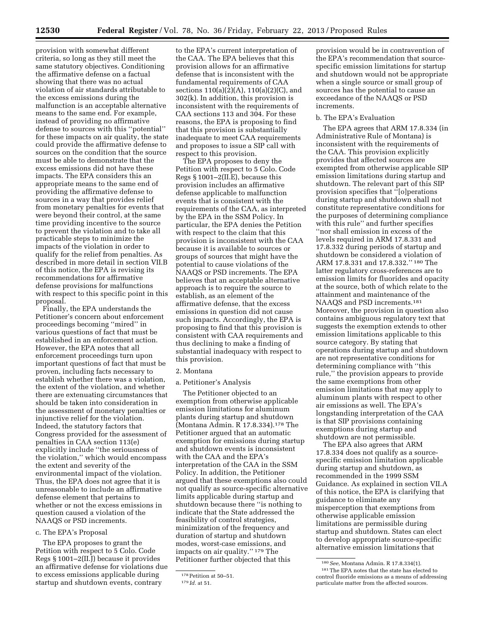provision with somewhat different criteria, so long as they still meet the same statutory objectives. Conditioning the affirmative defense on a factual showing that there was no actual violation of air standards attributable to the excess emissions during the malfunction is an acceptable alternative means to the same end. For example, instead of providing no affirmative defense to sources with this ''potential'' for these impacts on air quality, the state could provide the affirmative defense to sources on the condition that the source must be able to demonstrate that the excess emissions did not have these impacts. The EPA considers this an appropriate means to the same end of providing the affirmative defense to sources in a way that provides relief from monetary penalties for events that were beyond their control, at the same time providing incentive to the source to prevent the violation and to take all practicable steps to minimize the impacts of the violation in order to qualify for the relief from penalties. As described in more detail in section VII.B of this notice, the EPA is revising its recommendations for affirmative defense provisions for malfunctions with respect to this specific point in this proposal.

Finally, the EPA understands the Petitioner's concern about enforcement proceedings becoming ''mired'' in various questions of fact that must be established in an enforcement action. However, the EPA notes that all enforcement proceedings turn upon important questions of fact that must be proven, including facts necessary to establish whether there was a violation, the extent of the violation, and whether there are extenuating circumstances that should be taken into consideration in the assessment of monetary penalties or injunctive relief for the violation. Indeed, the statutory factors that Congress provided for the assessment of penalties in CAA section 113(e) explicitly include ''the seriousness of the violation,'' which would encompass the extent and severity of the environmental impact of the violation. Thus, the EPA does not agree that it is unreasonable to include an affirmative defense element that pertains to whether or not the excess emissions in question caused a violation of the NAAQS or PSD increments.

#### c. The EPA's Proposal

The EPA proposes to grant the Petition with respect to 5 Colo. Code Regs § 1001–2(II.J) because it provides an affirmative defense for violations due to excess emissions applicable during startup and shutdown events, contrary

to the EPA's current interpretation of the CAA. The EPA believes that this provision allows for an affirmative defense that is inconsistent with the fundamental requirements of CAA sections  $110(a)(2)(A)$ ,  $110(a)(2)(C)$ , and 302(k). In addition, this provision is inconsistent with the requirements of CAA sections 113 and 304. For these reasons, the EPA is proposing to find that this provision is substantially inadequate to meet CAA requirements and proposes to issue a SIP call with respect to this provision.

The EPA proposes to deny the Petition with respect to 5 Colo. Code Regs § 1001–2(II.E), because this provision includes an affirmative defense applicable to malfunction events that is consistent with the requirements of the CAA, as interpreted by the EPA in the SSM Policy. In particular, the EPA denies the Petition with respect to the claim that this provision is inconsistent with the CAA because it is available to sources or groups of sources that might have the potential to cause violations of the NAAQS or PSD increments. The EPA believes that an acceptable alternative approach is to require the source to establish, as an element of the affirmative defense, that the excess emissions in question did not cause such impacts. Accordingly, the EPA is proposing to find that this provision is consistent with CAA requirements and thus declining to make a finding of substantial inadequacy with respect to this provision.

#### 2. Montana

## a. Petitioner's Analysis

The Petitioner objected to an exemption from otherwise applicable emission limitations for aluminum plants during startup and shutdown (Montana Admin. R 17.8.334).178 The Petitioner argued that an automatic exemption for emissions during startup and shutdown events is inconsistent with the CAA and the EPA's interpretation of the CAA in the SSM Policy. In addition, the Petitioner argued that these exemptions also could not qualify as source-specific alternative limits applicable during startup and shutdown because there ''is nothing to indicate that the State addressed the feasibility of control strategies, minimization of the frequency and duration of startup and shutdown modes, worst-case emissions, and impacts on air quality.'' 179 The Petitioner further objected that this

provision would be in contravention of the EPA's recommendation that sourcespecific emission limitations for startup and shutdown would not be appropriate when a single source or small group of sources has the potential to cause an exceedance of the NAAQS or PSD increments.

#### b. The EPA's Evaluation

The EPA agrees that ARM 17.8.334 (in Administrative Rule of Montana) is inconsistent with the requirements of the CAA. This provision explicitly provides that affected sources are exempted from otherwise applicable SIP emission limitations during startup and shutdown. The relevant part of this SIP provision specifies that ''[o]perations during startup and shutdown shall not constitute representative conditions for the purposes of determining compliance with this rule'' and further specifies ''nor shall emission in excess of the levels required in ARM 17.8.331 and 17.8.332 during periods of startup and shutdown be considered a violation of ARM 17.8.331 and 17.8.332.'' 180 The latter regulatory cross-references are to emission limits for fluorides and opacity at the source, both of which relate to the attainment and maintenance of the NAAQS and PSD increments.181 Moreover, the provision in question also contains ambiguous regulatory text that suggests the exemption extends to other emission limitations applicable to this source category. By stating that operations during startup and shutdown are not representative conditions for determining compliance with ''this rule,'' the provision appears to provide the same exemptions from other emission limitations that may apply to aluminum plants with respect to other air emissions as well. The EPA's longstanding interpretation of the CAA is that SIP provisions containing exemptions during startup and shutdown are not permissible.

The EPA also agrees that ARM 17.8.334 does not qualify as a sourcespecific emission limitation applicable during startup and shutdown, as recommended in the 1999 SSM Guidance. As explained in section VII.A of this notice, the EPA is clarifying that guidance to eliminate any misperception that exemptions from otherwise applicable emission limitations are permissible during startup and shutdown. States can elect to develop appropriate source-specific alternative emission limitations that

<sup>178</sup>Petition at 50–51.

<sup>179</sup> *Id.* at 51.

<sup>180</sup>*See,* Montana Admin. R 17.8.334(1). 181The EPA notes that the state has elected to control fluoride emissions as a means of addressing particulate matter from the affected sources.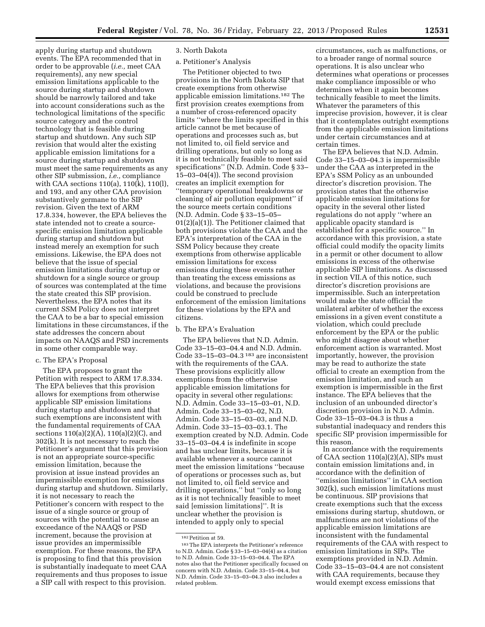apply during startup and shutdown events. The EPA recommended that in order to be approvable (*i.e.,* meet CAA requirements), any new special emission limitations applicable to the source during startup and shutdown should be narrowly tailored and take into account considerations such as the technological limitations of the specific source category and the control technology that is feasible during startup and shutdown. Any such SIP revision that would alter the existing applicable emission limitations for a source during startup and shutdown must meet the same requirements as any other SIP submission, *i.e.,* compliance with CAA sections 110(a), 110(k), 110(l), and 193, and any other CAA provision substantively germane to the SIP revision. Given the text of ARM 17.8.334, however, the EPA believes the state intended not to create a sourcespecific emission limitation applicable during startup and shutdown but instead merely an exemption for such emissions. Likewise, the EPA does not believe that the issue of special emission limitations during startup or shutdown for a single source or group of sources was contemplated at the time the state created this SIP provision. Nevertheless, the EPA notes that its current SSM Policy does not interpret the CAA to be a bar to special emission limitations in these circumstances, if the state addresses the concern about impacts on NAAQS and PSD increments in some other comparable way.

# c. The EPA's Proposal

The EPA proposes to grant the Petition with respect to ARM 17.8.334. The EPA believes that this provision allows for exemptions from otherwise applicable SIP emission limitations during startup and shutdown and that such exemptions are inconsistent with the fundamental requirements of CAA sections 110(a)(2)(A), 110(a)(2)(C), and 302(k). It is not necessary to reach the Petitioner's argument that this provision is not an appropriate source-specific emission limitation, because the provision at issue instead provides an impermissible exemption for emissions during startup and shutdown. Similarly, it is not necessary to reach the Petitioner's concern with respect to the issue of a single source or group of sources with the potential to cause an exceedance of the NAAQS or PSD increment, because the provision at issue provides an impermissible exemption. For these reasons, the EPA is proposing to find that this provision is substantially inadequate to meet CAA requirements and thus proposes to issue a SIP call with respect to this provision.

# 3. North Dakota

# a. Petitioner's Analysis

The Petitioner objected to two provisions in the North Dakota SIP that create exemptions from otherwise applicable emission limitations.182 The first provision creates exemptions from a number of cross-referenced opacity limits ''where the limits specified in this article cannot be met because of operations and processes such as, but not limited to, oil field service and drilling operations, but only so long as it is not technically feasible to meet said specifications'' (N.D. Admin. Code § 33– 15–03–04(4)). The second provision creates an implicit exemption for ''temporary operational breakdowns or cleaning of air pollution equipment'' if the source meets certain conditions (N.D. Admin. Code § 33–15–05– 01(2)(a)(1)). The Petitioner claimed that both provisions violate the CAA and the EPA's interpretation of the CAA in the SSM Policy because they create exemptions from otherwise applicable emission limitations for excess emissions during these events rather than treating the excess emissions as violations, and because the provisions could be construed to preclude enforcement of the emission limitations for these violations by the EPA and citizens.

### b. The EPA's Evaluation

The EPA believes that N.D. Admin. Code 33–15–03–04.4 and N.D. Admin. Code 33–15–03–04.3 183 are inconsistent with the requirements of the CAA. These provisions explicitly allow exemptions from the otherwise applicable emission limitations for opacity in several other regulations: N.D. Admin. Code 33–15–03–01, N.D. Admin. Code 33–15–03–02, N.D. Admin. Code 33–15–03–03, and N.D. Admin. Code 33–15–03–03.1. The exemption created by N.D. Admin. Code 33–15–03–04.4 is indefinite in scope and has unclear limits, because it is available whenever a source cannot meet the emission limitations ''because of operations or processes such as, but not limited to, oil field service and drilling operations,'' but ''only so long as it is not technically feasible to meet said [emission limitations]''. It is unclear whether the provision is intended to apply only to special

circumstances, such as malfunctions, or to a broader range of normal source operations. It is also unclear who determines what operations or processes make compliance impossible or who determines when it again becomes technically feasible to meet the limits. Whatever the parameters of this imprecise provision, however, it is clear that it contemplates outright exemptions from the applicable emission limitations under certain circumstances and at certain times.

The EPA believes that N.D. Admin. Code 33–15–03–04.3 is impermissible under the CAA as interpreted in the EPA's SSM Policy as an unbounded director's discretion provision. The provision states that the otherwise applicable emission limitations for opacity in the several other listed regulations do not apply ''where an applicable opacity standard is established for a specific source.'' In accordance with this provision, a state official could modify the opacity limits in a permit or other document to allow emissions in excess of the otherwise applicable SIP limitations. As discussed in section VII.A of this notice, such director's discretion provisions are impermissible. Such an interpretation would make the state official the unilateral arbiter of whether the excess emissions in a given event constitute a violation, which could preclude enforcement by the EPA or the public who might disagree about whether enforcement action is warranted. Most importantly, however, the provision may be read to authorize the state official to create an exemption from the emission limitation, and such an exemption is impermissible in the first instance. The EPA believes that the inclusion of an unbounded director's discretion provision in N.D. Admin. Code 33–15–03–04.3 is thus a substantial inadequacy and renders this specific SIP provision impermissible for this reason.

In accordance with the requirements of CAA section 110(a)(2)(A), SIPs must contain emission limitations and, in accordance with the definition of ''emission limitations'' in CAA section 302(k), such emission limitations must be continuous. SIP provisions that create exemptions such that the excess emissions during startup, shutdown, or malfunctions are not violations of the applicable emission limitations are inconsistent with the fundamental requirements of the CAA with respect to emission limitations in SIPs. The exemptions provided in N.D. Admin. Code 33–15–03–04.4 are not consistent with CAA requirements, because they would exempt excess emissions that

<sup>182</sup>Petition at 59.

<sup>183</sup>The EPA interprets the Petitioner's reference to N.D. Admin. Code § 33–15–03–04(4) as a citation to N.D. Admin. Code 33–15–03–04.4. The EPA notes also that the Petitioner specifically focused on concern with N.D. Admin. Code 33–15–04.4, but N.D. Admin. Code 33–15–03–04.3 also includes a related problem.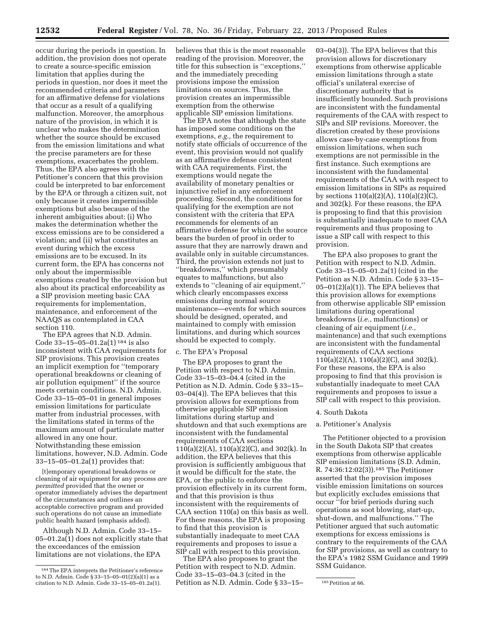occur during the periods in question. In addition, the provision does not operate to create a source-specific emission limitation that applies during the periods in question, nor does it meet the recommended criteria and parameters for an affirmative defense for violations that occur as a result of a qualifying malfunction. Moreover, the amorphous nature of the provision, in which it is unclear who makes the determination whether the source should be excused from the emission limitations and what the precise parameters are for these exemptions, exacerbates the problem. Thus, the EPA also agrees with the Petitioner's concern that this provision could be interpreted to bar enforcement by the EPA or through a citizen suit, not only because it creates impermissible exemptions but also because of the inherent ambiguities about: (i) Who makes the determination whether the excess emissions are to be considered a violation; and (ii) what constitutes an event during which the excess emissions are to be excused. In its current form, the EPA has concerns not only about the impermissible exemptions created by the provision but also about its practical enforceability as a SIP provision meeting basic CAA requirements for implementation, maintenance, and enforcement of the NAAQS as contemplated in CAA section 110.

The EPA agrees that N.D. Admin. Code  $33-15-05-01.2a(1)$ <sup>184</sup> is also inconsistent with CAA requirements for SIP provisions. This provision creates an implicit exemption for ''temporary operational breakdowns or cleaning of air pollution equipment'' if the source meets certain conditions. N.D. Admin. Code 33–15–05–01 in general imposes emission limitations for particulate matter from industrial processes, with the limitations stated in terms of the maximum amount of particulate matter allowed in any one hour. Notwithstanding these emission limitations, however, N.D. Admin. Code 33–15–05–01.2a(1) provides that:

[t]emporary operational breakdowns or cleaning of air equipment for any process *are permitted* provided that the owner or operator immediately advises the department of the circumstances and outlines an acceptable corrective program and provided such operations do not cause an immediate public health hazard (emphasis added).

Although N.D. Admin. Code 33–15– 05–01.2a(1) does not explicitly state that the exceedances of the emission limitations are not violations, the EPA

believes that this is the most reasonable reading of the provision. Moreover, the title for this subsection is ''exceptions,'' and the immediately preceding provisions impose the emission limitations on sources. Thus, the provision creates an impermissible exemption from the otherwise applicable SIP emission limitations.

The EPA notes that although the state has imposed some conditions on the exemptions, *e.g.,* the requirement to notify state officials of occurrence of the event, this provision would not qualify as an affirmative defense consistent with CAA requirements. First, the exemptions would negate the availability of monetary penalties or injunctive relief in any enforcement proceeding. Second, the conditions for qualifying for the exemption are not consistent with the criteria that EPA recommends for elements of an affirmative defense for which the source bears the burden of proof in order to assure that they are narrowly drawn and available only in suitable circumstances. Third, the provision extends not just to ''breakdowns,'' which presumably equates to malfunctions, but also extends to ''cleaning of air equipment,'' which clearly encompasses excess emissions during normal source maintenance—events for which sources should be designed, operated, and maintained to comply with emission limitations, and during which sources should be expected to comply.

### c. The EPA's Proposal

The EPA proposes to grant the Petition with respect to N.D. Admin. Code 33–15–03–04.4 (cited in the Petition as N.D. Admin. Code § 33–15– 03–04(4)). The EPA believes that this provision allows for exemptions from otherwise applicable SIP emission limitations during startup and shutdown and that such exemptions are inconsistent with the fundamental requirements of CAA sections 110(a)(2)(A), 110(a)(2)(C), and 302(k). In addition, the EPA believes that this provision is sufficiently ambiguous that it would be difficult for the state, the EPA, or the public to enforce the provision effectively in its current form, and that this provision is thus inconsistent with the requirements of CAA section 110(a) on this basis as well. For these reasons, the EPA is proposing to find that this provision is substantially inadequate to meet CAA requirements and proposes to issue a SIP call with respect to this provision.

citation to N.D. Admin. Code 33–15–05–01.2a(1). Petition as N.D. Admin. Code § 33–15– <sup>185</sup> Petition at 66. The EPA also proposes to grant the Petition with respect to N.D. Admin. Code 33–15–03–04.3 (cited in the

03–04(3)). The EPA believes that this provision allows for discretionary exemptions from otherwise applicable emission limitations through a state official's unilateral exercise of discretionary authority that is insufficiently bounded. Such provisions are inconsistent with the fundamental requirements of the CAA with respect to SIPs and SIP revisions. Moreover, the discretion created by these provisions allows case-by-case exemptions from emission limitations, when such exemptions are not permissible in the first instance. Such exemptions are inconsistent with the fundamental requirements of the CAA with respect to emission limitations in SIPs as required by sections 110(a)(2)(A), 110(a)(2)(C), and 302(k). For these reasons, the EPA is proposing to find that this provision is substantially inadequate to meet CAA requirements and thus proposing to issue a SIP call with respect to this provision.

The EPA also proposes to grant the Petition with respect to N.D. Admin. Code 33–15–05–01.2a(1) (cited in the Petition as N.D. Admin. Code § 33–15–  $05-01(2)(a)(1)$ . The EPA believes that this provision allows for exemptions from otherwise applicable SIP emission limitations during operational breakdowns (*i.e.,* malfunctions) or cleaning of air equipment (*i.e.,*  maintenance) and that such exemptions are inconsistent with the fundamental requirements of CAA sections  $110(a)(2)(A)$ ,  $110(a)(2)(C)$ , and  $302(k)$ . For these reasons, the EPA is also proposing to find that this provision is substantially inadequate to meet CAA requirements and proposes to issue a SIP call with respect to this provision.

### 4. South Dakota

# a. Petitioner's Analysis

The Petitioner objected to a provision in the South Dakota SIP that creates exemptions from otherwise applicable SIP emission limitations (S.D. Admin, R. 74:36:12:02(3)).185 The Petitioner asserted that the provision imposes visible emission limitations on sources but explicitly excludes emissions that occur ''for brief periods during such operations as soot blowing, start-up, shut-down, and malfunctions.'' The Petitioner argued that such automatic exemptions for excess emissions is contrary to the requirements of the CAA for SIP provisions, as well as contrary to the EPA's 1982 SSM Guidance and 1999 SSM Guidance.

<sup>184</sup>The EPA interprets the Petitioner's reference to N.D. Admin. Code § 33–15–05–01(2)(a)(1) as a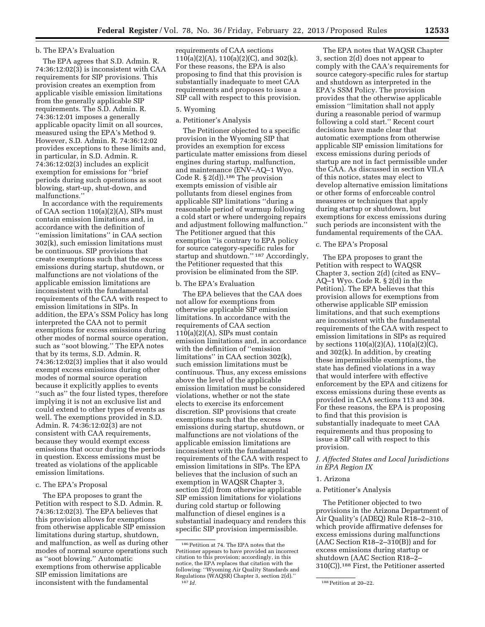### b. The EPA's Evaluation

The EPA agrees that S.D. Admin. R. 74:36:12:02(3) is inconsistent with CAA requirements for SIP provisions. This provision creates an exemption from applicable visible emission limitations from the generally applicable SIP requirements. The S.D. Admin. R. 74:36:12:01 imposes a generally applicable opacity limit on all sources, measured using the EPA's Method 9. However, S.D. Admin. R. 74:36:12:02 provides exceptions to these limits and, in particular, in S.D. Admin. R. 74:36:12:02(3) includes an explicit exemption for emissions for ''brief periods during such operations as soot blowing, start-up, shut-down, and malfunctions.''

In accordance with the requirements of CAA section 110(a)(2)(A), SIPs must contain emission limitations and, in accordance with the definition of ''emission limitations'' in CAA section 302(k), such emission limitations must be continuous. SIP provisions that create exemptions such that the excess emissions during startup, shutdown, or malfunctions are not violations of the applicable emission limitations are inconsistent with the fundamental requirements of the CAA with respect to emission limitations in SIPs. In addition, the EPA's SSM Policy has long interpreted the CAA not to permit exemptions for excess emissions during other modes of normal source operation, such as ''soot blowing.'' The EPA notes that by its terms, S.D. Admin. R. 74:36:12:02(3) implies that it also would exempt excess emissions during other modes of normal source operation because it explicitly applies to events ''such as'' the four listed types, therefore implying it is not an exclusive list and could extend to other types of events as well. The exemptions provided in S.D. Admin. R. 74:36:12:02(3) are not consistent with CAA requirements, because they would exempt excess emissions that occur during the periods in question. Excess emissions must be treated as violations of the applicable emission limitations.

### c. The EPA's Proposal

The EPA proposes to grant the Petition with respect to S.D. Admin. R. 74:36:12:02(3). The EPA believes that this provision allows for exemptions from otherwise applicable SIP emission limitations during startup, shutdown, and malfunction, as well as during other modes of normal source operations such as ''soot blowing.'' Automatic exemptions from otherwise applicable SIP emission limitations are inconsistent with the fundamental

requirements of CAA sections 110(a)(2)(A), 110(a)(2)(C), and 302(k). For these reasons, the EPA is also proposing to find that this provision is substantially inadequate to meet CAA requirements and proposes to issue a SIP call with respect to this provision.

# 5. Wyoming

## a. Petitioner's Analysis

The Petitioner objected to a specific provision in the Wyoming SIP that provides an exemption for excess particulate matter emissions from diesel engines during startup, malfunction, and maintenance (ENV–AQ–1 Wyo. Code R.  $\S 2(d)$ .<sup>186</sup> The provision exempts emission of visible air pollutants from diesel engines from applicable SIP limitations ''during a reasonable period of warmup following a cold start or where undergoing repairs and adjustment following malfunction.'' The Petitioner argued that this exemption ''is contrary to EPA policy for source category-specific rules for startup and shutdown."<sup>187</sup> Accordingly, the Petitioner requested that this provision be eliminated from the SIP.

### b. The EPA's Evaluation

The EPA believes that the CAA does not allow for exemptions from otherwise applicable SIP emission limitations. In accordance with the requirements of CAA section 110(a)(2)(A), SIPs must contain emission limitations and, in accordance with the definition of ''emission limitations'' in CAA section 302(k), such emission limitations must be continuous. Thus, any excess emissions above the level of the applicable emission limitation must be considered violations, whether or not the state elects to exercise its enforcement discretion. SIP provisions that create exemptions such that the excess emissions during startup, shutdown, or malfunctions are not violations of the applicable emission limitations are inconsistent with the fundamental requirements of the CAA with respect to emission limitations in SIPs. The EPA believes that the inclusion of such an exemption in WAQSR Chapter 3, section 2(d) from otherwise applicable SIP emission limitations for violations during cold startup or following malfunction of diesel engines is a substantial inadequacy and renders this specific SIP provision impermissible.

The EPA notes that WAQSR Chapter 3, section 2(d) does not appear to comply with the CAA's requirements for source category-specific rules for startup and shutdown as interpreted in the EPA's SSM Policy. The provision provides that the otherwise applicable emission ''limitation shall not apply during a reasonable period of warmup following a cold start.'' Recent court decisions have made clear that automatic exemptions from otherwise applicable SIP emission limitations for excess emissions during periods of startup are not in fact permissible under the CAA. As discussed in section VII.A of this notice, states may elect to develop alternative emission limitations or other forms of enforceable control measures or techniques that apply during startup or shutdown, but exemptions for excess emissions during such periods are inconsistent with the fundamental requirements of the CAA.

### c. The EPA's Proposal

The EPA proposes to grant the Petition with respect to WAQSR Chapter 3, section 2(d) (cited as ENV– AQ–1 Wyo. Code R. § 2(d) in the Petition). The EPA believes that this provision allows for exemptions from otherwise applicable SIP emission limitations, and that such exemptions are inconsistent with the fundamental requirements of the CAA with respect to emission limitations in SIPs as required by sections 110(a)(2)(A), 110(a)(2)(C), and 302(k). In addition, by creating these impermissible exemptions, the state has defined violations in a way that would interfere with effective enforcement by the EPA and citizens for excess emissions during these events as provided in CAA sections 113 and 304. For these reasons, the EPA is proposing to find that this provision is substantially inadequate to meet CAA requirements and thus proposing to issue a SIP call with respect to this provision.

# *J. Affected States and Local Jurisdictions in EPA Region IX*

# 1. Arizona

# a. Petitioner's Analysis

The Petitioner objected to two provisions in the Arizona Department of Air Quality's (ADEQ) Rule R18–2–310, which provide affirmative defenses for excess emissions during malfunctions  $(AAC Section R18-2-310(B))$  and for excess emissions during startup or shutdown (AAC Section R18–2– 310(C)).188 First, the Petitioner asserted

 $^{186}\rm{Petition}$  at 74. The EPA notes that the Petitioner appears to have provided an incorrect citation to this provision; accordingly, in this notice, the EPA replaces that citation with the following: ''Wyoming Air Quality Standards and Regulations (WAQSR) Chapter 3, section 2(d).<br> $187$  *Id.* 

<sup>188</sup> Petition at 20-22.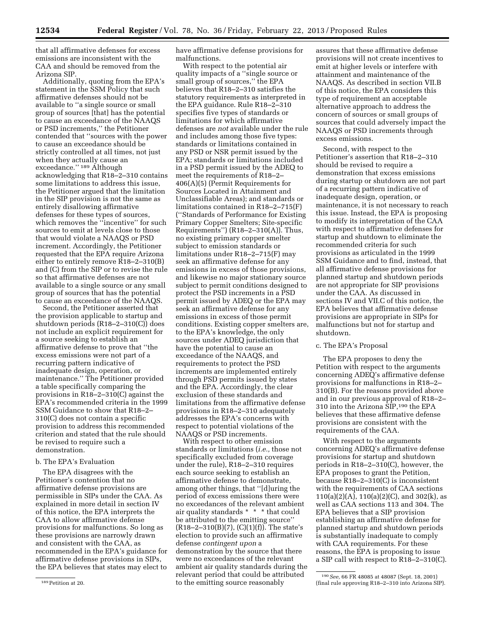that all affirmative defenses for excess emissions are inconsistent with the CAA and should be removed from the Arizona SIP.

Additionally, quoting from the EPA's statement in the SSM Policy that such affirmative defenses should not be available to ''a single source or small group of sources [that] has the potential to cause an exceedance of the NAAQS or PSD increments,'' the Petitioner contended that ''sources with the power to cause an exceedance should be strictly controlled at all times, not just when they actually cause an exceedance.'' 189 Although acknowledging that R18–2–310 contains some limitations to address this issue, the Petitioner argued that the limitation in the SIP provision is not the same as entirely disallowing affirmative defenses for these types of sources, which removes the ''incentive'' for such sources to emit at levels close to those that would violate a NAAQS or PSD increment. Accordingly, the Petitioner requested that the EPA require Arizona either to entirely remove R18–2–310(B) and (C) from the SIP or to revise the rule so that affirmative defenses are not available to a single source or any small group of sources that has the potential to cause an exceedance of the NAAQS.

Second, the Petitioner asserted that the provision applicable to startup and shutdown periods (R18–2–310(C)) does not include an explicit requirement for a source seeking to establish an affirmative defense to prove that ''the excess emissions were not part of a recurring pattern indicative of inadequate design, operation, or maintenance.'' The Petitioner provided a table specifically comparing the provisions in R18–2–310(C) against the EPA's recommended criteria in the 1999 SSM Guidance to show that R18–2– 310(C) does not contain a specific provision to address this recommended criterion and stated that the rule should be revised to require such a demonstration.

# b. The EPA's Evaluation

The EPA disagrees with the Petitioner's contention that no affirmative defense provisions are permissible in SIPs under the CAA. As explained in more detail in section IV of this notice, the EPA interprets the CAA to allow affirmative defense provisions for malfunctions. So long as these provisions are narrowly drawn and consistent with the CAA, as recommended in the EPA's guidance for affirmative defense provisions in SIPs, the EPA believes that states may elect to

have affirmative defense provisions for malfunctions.

With respect to the potential air quality impacts of a ''single source or small group of sources,'' the EPA believes that R18–2–310 satisfies the statutory requirements as interpreted in the EPA guidance. Rule R18–2–310 specifies five types of standards or limitations for which affirmative defenses are *not* available under the rule and includes among those five types: standards or limitations contained in any PSD or NSR permit issued by the EPA; standards or limitations included in a PSD permit issued by the ADEQ to meet the requirements of R18–2– 406(A)(5) (Permit Requirements for Sources Located in Attainment and Unclassifiable Areas); and standards or limitations contained in R18–2–715(F) (''Standards of Performance for Existing Primary Copper Smelters; Site-specific Requirements'') (R18–2–310(A)). Thus, no existing primary copper smelter subject to emission standards or limitations under R18–2–715(F) may seek an affirmative defense for any emissions in excess of those provisions, and likewise no major stationary source subject to permit conditions designed to protect the PSD increments in a PSD permit issued by ADEQ or the EPA may seek an affirmative defense for any emissions in excess of those permit conditions. Existing copper smelters are, to the EPA's knowledge, the only sources under ADEQ jurisdiction that have the potential to cause an exceedance of the NAAQS, and requirements to protect the PSD increments are implemented entirely through PSD permits issued by states and the EPA. Accordingly, the clear exclusion of these standards and limitations from the affirmative defense provisions in R18–2–310 adequately addresses the EPA's concerns with respect to potential violations of the NAAQS or PSD increments.

With respect to other emission standards or limitations (*i.e.,* those not specifically excluded from coverage under the rule), R18–2–310 requires each source seeking to establish an affirmative defense to demonstrate, among other things, that ''[d]uring the period of excess emissions there were no exceedances of the relevant ambient air quality standards \* \* \* that could be attributed to the emitting source''  $(R18–2–310(B)(7), (C)(1)(f))$ . The state's election to provide such an affirmative defense *contingent upon* a demonstration by the source that there were no exceedances of the relevant ambient air quality standards during the relevant period that could be attributed to the emitting source reasonably

assures that these affirmative defense provisions will not create incentives to emit at higher levels or interfere with attainment and maintenance of the NAAQS. As described in section VII.B of this notice, the EPA considers this type of requirement an acceptable alternative approach to address the concern of sources or small groups of sources that could adversely impact the NAAQS or PSD increments through excess emissions.

Second, with respect to the Petitioner's assertion that R18–2–310 should be revised to require a demonstration that excess emissions during startup or shutdown are not part of a recurring pattern indicative of inadequate design, operation, or maintenance, it is not necessary to reach this issue. Instead, the EPA is proposing to modify its interpretation of the CAA with respect to affirmative defenses for startup and shutdown to eliminate the recommended criteria for such provisions as articulated in the 1999 SSM Guidance and to find, instead, that all affirmative defense provisions for planned startup and shutdown periods are not appropriate for SIP provisions under the CAA. As discussed in sections IV and VII.C of this notice, the EPA believes that affirmative defense provisions are appropriate in SIPs for malfunctions but not for startup and shutdown.

# c. The EPA's Proposal

The EPA proposes to deny the Petition with respect to the arguments concerning ADEQ's affirmative defense provisions for malfunctions in R18–2– 310(B). For the reasons provided above and in our previous approval of R18–2– 310 into the Arizona SIP,190 the EPA believes that these affirmative defense provisions are consistent with the requirements of the CAA.

With respect to the arguments concerning ADEQ's affirmative defense provisions for startup and shutdown periods in R18–2–310(C), however, the EPA proposes to grant the Petition, because R18–2–310(C) is inconsistent with the requirements of CAA sections  $110(a)(2)(A)$ ,  $110(a)(2)(C)$ , and  $302(k)$ , as well as CAA sections 113 and 304. The EPA believes that a SIP provision establishing an affirmative defense for planned startup and shutdown periods is substantially inadequate to comply with CAA requirements. For these reasons, the EPA is proposing to issue a SIP call with respect to R18–2–310(C).

<sup>189</sup>Petition at 20.

<sup>190</sup>*See,* 66 FR 48085 at 48087 (Sept. 18, 2001) (final rule approving R18–2–310 into Arizona SIP).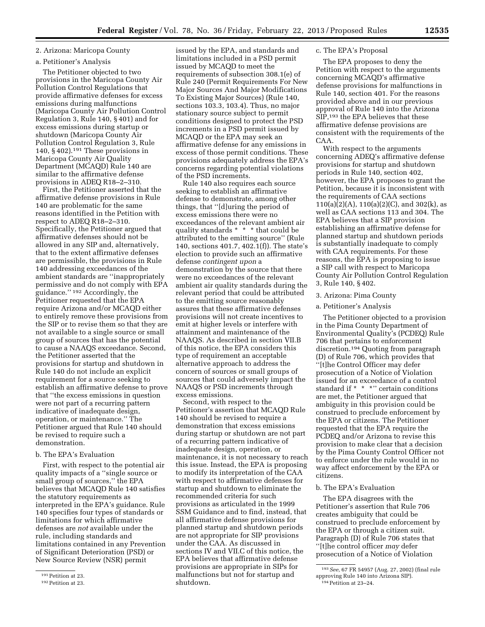# 2. Arizona: Maricopa County

### a. Petitioner's Analysis

The Petitioner objected to two provisions in the Maricopa County Air Pollution Control Regulations that provide affirmative defenses for excess emissions during malfunctions (Maricopa County Air Pollution Control Regulation 3, Rule 140, § 401) and for excess emissions during startup or shutdown (Maricopa County Air Pollution Control Regulation 3, Rule 140, § 402).191 These provisions in Maricopa County Air Quality Department (MCAQD) Rule 140 are similar to the affirmative defense provisions in ADEQ R18–2–310.

First, the Petitioner asserted that the affirmative defense provisions in Rule 140 are problematic for the same reasons identified in the Petition with respect to ADEQ R18–2–310. Specifically, the Petitioner argued that affirmative defenses should not be allowed in any SIP and, alternatively, that to the extent affirmative defenses are permissible, the provisions in Rule 140 addressing exceedances of the ambient standards are ''inappropriately permissive and do not comply with EPA guidance.'' 192 Accordingly, the Petitioner requested that the EPA require Arizona and/or MCAQD either to entirely remove these provisions from the SIP or to revise them so that they are not available to a single source or small group of sources that has the potential to cause a NAAQS exceedance. Second, the Petitioner asserted that the provisions for startup and shutdown in Rule 140 do not include an explicit requirement for a source seeking to establish an affirmative defense to prove that ''the excess emissions in question were not part of a recurring pattern indicative of inadequate design, operation, or maintenance.'' The Petitioner argued that Rule 140 should be revised to require such a demonstration.

### b. The EPA's Evaluation

First, with respect to the potential air quality impacts of a ''single source or small group of sources,'' the EPA believes that MCAQD Rule 140 satisfies the statutory requirements as interpreted in the EPA's guidance. Rule 140 specifies four types of standards or limitations for which affirmative defenses are *not* available under the rule, including standards and limitations contained in any Prevention of Significant Deterioration (PSD) or New Source Review (NSR) permit

issued by the EPA, and standards and limitations included in a PSD permit issued by MCAQD to meet the requirements of subsection 308.1(e) of Rule 240 (Permit Requirements For New Major Sources And Major Modifications To Existing Major Sources) (Rule 140, sections 103.3, 103.4). Thus, no major stationary source subject to permit conditions designed to protect the PSD increments in a PSD permit issued by MCAQD or the EPA may seek an affirmative defense for any emissions in excess of those permit conditions. These provisions adequately address the EPA's concerns regarding potential violations of the PSD increments.

Rule 140 also requires each source seeking to establish an affirmative defense to demonstrate, among other things, that ''[d]uring the period of excess emissions there were no exceedances of the relevant ambient air quality standards \* \* \* that could be attributed to the emitting source'' (Rule 140, sections 401.7, 402.1(f)). The state's election to provide such an affirmative defense *contingent upon* a demonstration by the source that there were no exceedances of the relevant ambient air quality standards during the relevant period that could be attributed to the emitting source reasonably assures that these affirmative defenses provisions will not create incentives to emit at higher levels or interfere with attainment and maintenance of the NAAQS. As described in section VII.B of this notice, the EPA considers this type of requirement an acceptable alternative approach to address the concern of sources or small groups of sources that could adversely impact the NAAQS or PSD increments through excess emissions.

Second, with respect to the Petitioner's assertion that MCAQD Rule 140 should be revised to require a demonstration that excess emissions during startup or shutdown are not part of a recurring pattern indicative of inadequate design, operation, or maintenance, it is not necessary to reach this issue. Instead, the EPA is proposing to modify its interpretation of the CAA with respect to affirmative defenses for startup and shutdown to eliminate the recommended criteria for such provisions as articulated in the 1999 SSM Guidance and to find, instead, that all affirmative defense provisions for planned startup and shutdown periods are not appropriate for SIP provisions under the CAA. As discussed in sections IV and VII.C of this notice, the EPA believes that affirmative defense provisions are appropriate in SIPs for malfunctions but not for startup and shutdown.

### c. The EPA's Proposal

The EPA proposes to deny the Petition with respect to the arguments concerning MCAQD's affirmative defense provisions for malfunctions in Rule 140, section 401. For the reasons provided above and in our previous approval of Rule 140 into the Arizona SIP,<sup>193</sup> the EPA believes that these affirmative defense provisions are consistent with the requirements of the CAA.

With respect to the arguments concerning ADEQ's affirmative defense provisions for startup and shutdown periods in Rule 140, section 402, however, the EPA proposes to grant the Petition, because it is inconsistent with the requirements of CAA sections  $110(a)(2)(A)$ ,  $110(a)(2)(C)$ , and  $302(k)$ , as well as CAA sections 113 and 304. The EPA believes that a SIP provision establishing an affirmative defense for planned startup and shutdown periods is substantially inadequate to comply with CAA requirements. For these reasons, the EPA is proposing to issue a SIP call with respect to Maricopa County Air Pollution Control Regulation 3, Rule 140, § 402.

### 3. Arizona: Pima County

#### a. Petitioner's Analysis

The Petitioner objected to a provision in the Pima County Department of Environmental Quality's (PCDEQ) Rule 706 that pertains to enforcement discretion.194 Quoting from paragraph (D) of Rule 706, which provides that ''[t]he Control Officer may defer prosecution of a Notice of Violation issued for an exceedance of a control standard if \* \* \*'' certain conditions are met, the Petitioner argued that ambiguity in this provision could be construed to preclude enforcement by the EPA or citizens. The Petitioner requested that the EPA require the PCDEQ and/or Arizona to revise this provision to make clear that a decision by the Pima County Control Officer not to enforce under the rule would in no way affect enforcement by the EPA or citizens.

# b. The EPA's Evaluation

The EPA disagrees with the Petitioner's assertion that Rule 706 creates ambiguity that could be construed to preclude enforcement by the EPA or through a citizen suit. Paragraph (D) of Rule 706 states that ''[t]he control officer *may* defer prosecution of a Notice of Violation

<sup>191</sup>Petition at 23.

<sup>192</sup>Petition at 23.

<sup>193</sup>*See,* 67 FR 54957 (Aug. 27, 2002) (final rule approving Rule 140 into Arizona SIP). 194Petition at 23–24.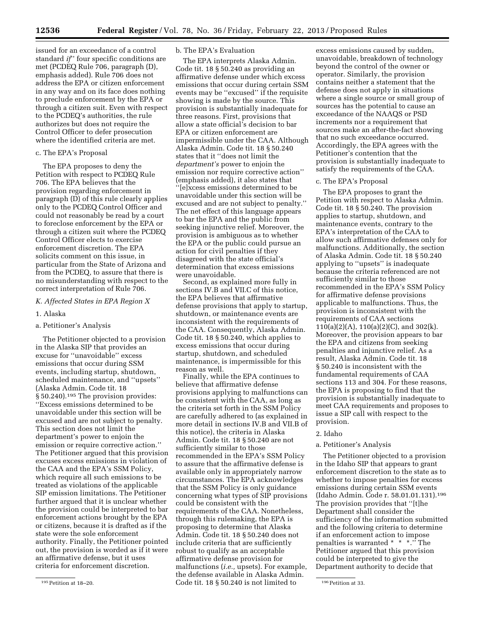issued for an exceedance of a control standard *if*'' four specific conditions are met (PCDEQ Rule 706, paragraph (D), emphasis added). Rule 706 does not address the EPA or citizen enforcement in any way and on its face does nothing to preclude enforcement by the EPA or through a citizen suit. Even with respect to the PCDEQ's authorities, the rule authorizes but does not require the Control Officer to defer prosecution where the identified criteria are met.

# c. The EPA's Proposal

The EPA proposes to deny the Petition with respect to PCDEQ Rule 706. The EPA believes that the provision regarding enforcement in paragraph (D) of this rule clearly applies only to the PCDEQ Control Officer and could not reasonably be read by a court to foreclose enforcement by the EPA or through a citizen suit where the PCDEQ Control Officer elects to exercise enforcement discretion. The EPA solicits comment on this issue, in particular from the State of Arizona and from the PCDEQ, to assure that there is no misunderstanding with respect to the correct interpretation of Rule 706.

### *K. Affected States in EPA Region X*

### 1. Alaska

### a. Petitioner's Analysis

The Petitioner objected to a provision in the Alaska SIP that provides an excuse for ''unavoidable'' excess emissions that occur during SSM events, including startup, shutdown, scheduled maintenance, and ''upsets'' (Alaska Admin. Code tit. 18 § 50.240).<sup>195</sup> The provision provides: ''Excess emissions determined to be unavoidable under this section will be excused and are not subject to penalty. This section does not limit the department's power to enjoin the emission or require corrective action.'' The Petitioner argued that this provision excuses excess emissions in violation of the CAA and the EPA's SSM Policy, which require all such emissions to be treated as violations of the applicable SIP emission limitations. The Petitioner further argued that it is unclear whether the provision could be interpreted to bar enforcement actions brought by the EPA or citizens, because it is drafted as if the state were the sole enforcement authority. Finally, the Petitioner pointed out, the provision is worded as if it were an affirmative defense, but it uses criteria for enforcement discretion.

### b. The EPA's Evaluation

The EPA interprets Alaska Admin. Code tit. 18 § 50.240 as providing an affirmative defense under which excess emissions that occur during certain SSM events may be ''excused'' if the requisite showing is made by the source. This provision is substantially inadequate for three reasons. First, provisions that allow a state official's decision to bar EPA or citizen enforcement are impermissible under the CAA. Although Alaska Admin. Code tit. 18 § 50.240 states that it ''does not limit the *department's* power to enjoin the emission nor require corrective action'' (emphasis added), it also states that ''[e]xcess emissions determined to be unavoidable under this section will be excused and are not subject to penalty.'' The net effect of this language appears to bar the EPA and the public from seeking injunctive relief. Moreover, the provision is ambiguous as to whether the EPA or the public could pursue an action for civil penalties if they disagreed with the state official's determination that excess emissions were unavoidable.

Second, as explained more fully in sections IV.B and VII.C of this notice, the EPA believes that affirmative defense provisions that apply to startup, shutdown, or maintenance events are inconsistent with the requirements of the CAA. Consequently, Alaska Admin. Code tit. 18 § 50.240, which applies to excess emissions that occur during startup, shutdown, and scheduled maintenance, is impermissible for this reason as well.

<sup>195</sup>Petition at 18–20. The settlement of the Code tit. 18 § 50.240 is not limited to the <sup>196</sup>Petition at 33. Finally, while the EPA continues to believe that affirmative defense provisions applying to malfunctions can be consistent with the CAA, as long as the criteria set forth in the SSM Policy are carefully adhered to (as explained in more detail in sections IV.B and VII.B of this notice), the criteria in Alaska Admin. Code tit. 18 § 50.240 are not sufficiently similar to those recommended in the EPA's SSM Policy to assure that the affirmative defense is available only in appropriately narrow circumstances. The EPA acknowledges that the SSM Policy is only guidance concerning what types of SIP provisions could be consistent with the requirements of the CAA. Nonetheless, through this rulemaking, the EPA is proposing to determine that Alaska Admin. Code tit. 18 § 50.240 does not include criteria that are sufficiently robust to qualify as an acceptable affirmative defense provision for malfunctions (*i.e.,* upsets). For example, the defense available in Alaska Admin.

excess emissions caused by sudden, unavoidable, breakdown of technology beyond the control of the owner or operator. Similarly, the provision contains neither a statement that the defense does not apply in situations where a single source or small group of sources has the potential to cause an exceedance of the NAAQS or PSD increments nor a requirement that sources make an after-the-fact showing that no such exceedance occurred. Accordingly, the EPA agrees with the Petitioner's contention that the provision is substantially inadequate to satisfy the requirements of the CAA.

### c. The EPA's Proposal

The EPA proposes to grant the Petition with respect to Alaska Admin. Code tit. 18 § 50.240. The provision applies to startup, shutdown, and maintenance events, contrary to the EPA's interpretation of the CAA to allow such affirmative defenses only for malfunctions. Additionally, the section of Alaska Admin. Code tit. 18 § 50.240 applying to ''upsets'' is inadequate because the criteria referenced are not sufficiently similar to those recommended in the EPA's SSM Policy for affirmative defense provisions applicable to malfunctions. Thus, the provision is inconsistent with the requirements of CAA sections 110(a)(2)(A), 110(a)(2)(C), and 302(k). Moreover, the provision appears to bar the EPA and citizens from seeking penalties and injunctive relief. As a result, Alaska Admin. Code tit. 18 § 50.240 is inconsistent with the fundamental requirements of CAA sections 113 and 304. For these reasons, the EPA is proposing to find that the provision is substantially inadequate to meet CAA requirements and proposes to issue a SIP call with respect to the provision.

#### 2. Idaho

### a. Petitioner's Analysis

The Petitioner objected to a provision in the Idaho SIP that appears to grant enforcement discretion to the state as to whether to impose penalties for excess emissions during certain SSM events (Idaho Admin. Code r. 58.01.01.131).196 The provision provides that ''[t]he Department shall consider the sufficiency of the information submitted and the following criteria to determine if an enforcement action to impose penalties is warranted \* \* \*.'' The Petitioner argued that this provision could be interpreted to give the Department authority to decide that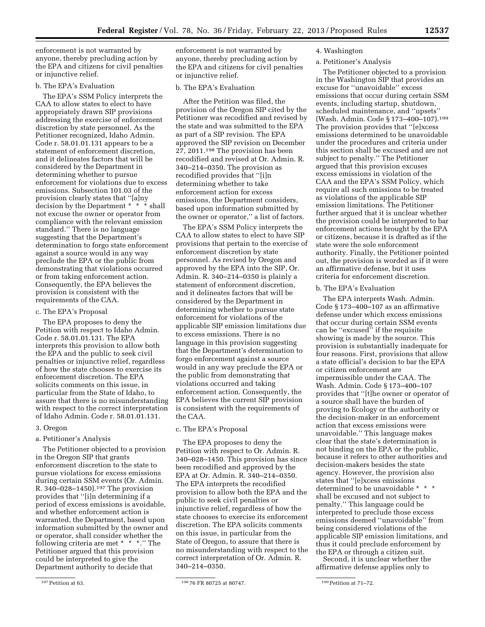enforcement is not warranted by anyone, thereby precluding action by the EPA and citizens for civil penalties or injunctive relief.

# b. The EPA's Evaluation

The EPA's SSM Policy interprets the CAA to allow states to elect to have appropriately drawn SIP provisions addressing the exercise of enforcement discretion by state personnel. As the Petitioner recognized, Idaho Admin. Code r. 58.01.01.131 appears to be a statement of enforcement discretion, and it delineates factors that will be considered by the Department in determining whether to pursue enforcement for violations due to excess emissions. Subsection 101.03 of the provision clearly states that ''[a]ny decision by the Department \* \* \* shall not excuse the owner or operator from compliance with the relevant emission standard.'' There is no language suggesting that the Department's determination to forgo state enforcement against a source would in any way preclude the EPA or the public from demonstrating that violations occurred or from taking enforcement action. Consequently, the EPA believes the provision is consistent with the requirements of the CAA.

### c. The EPA's Proposal

The EPA proposes to deny the Petition with respect to Idaho Admin. Code r. 58.01.01.131. The EPA interprets this provision to allow both the EPA and the public to seek civil penalties or injunctive relief, regardless of how the state chooses to exercise its enforcement discretion. The EPA solicits comments on this issue, in particular from the State of Idaho, to assure that there is no misunderstanding with respect to the correct interpretation of Idaho Admin. Code r. 58.01.01.131.

#### 3. Oregon

# a. Petitioner's Analysis

The Petitioner objected to a provision in the Oregon SIP that grants enforcement discretion to the state to pursue violations for excess emissions during certain SSM events (Or. Admin. R. 340–028–1450).197 The provision provides that ''[i]n determining if a period of excess emissions is avoidable, and whether enforcement action is warranted, the Department, based upon information submitted by the owner and or operator, shall consider whether the following criteria are met \* \* \*.'' The Petitioner argued that this provision could be interpreted to give the Department authority to decide that

enforcement is not warranted by anyone, thereby precluding action by the EPA and citizens for civil penalties or injunctive relief.

# b. The EPA's Evaluation

After the Petition was filed, the provision of the Oregon SIP cited by the Petitioner was recodified and revised by the state and was submitted to the EPA as part of a SIP revision. The EPA approved the SIP revision on December 27, 2011.198 The provision has been recodified and revised at Or. Admin. R. 340–214–0350. The provision as recodified provides that ''[i]n determining whether to take enforcement action for excess emissions, the Department considers, based upon information submitted by the owner or operator,'' a list of factors.

The EPA's SSM Policy interprets the CAA to allow states to elect to have SIP provisions that pertain to the exercise of enforcement discretion by state personnel. As revised by Oregon and approved by the EPA into the SIP, Or. Admin. R. 340–214–0350 is plainly a statement of enforcement discretion, and it delineates factors that will be considered by the Department in determining whether to pursue state enforcement for violations of the applicable SIP emission limitations due to excess emissions. There is no language in this provision suggesting that the Department's determination to forgo enforcement against a source would in any way preclude the EPA or the public from demonstrating that violations occurred and taking enforcement action. Consequently, the EPA believes the current SIP provision is consistent with the requirements of the CAA.

### c. The EPA's Proposal

The EPA proposes to deny the Petition with respect to Or. Admin. R. 340–028–1450. This provision has since been recodified and approved by the EPA at Or. Admin. R. 340–214–0350. The EPA interprets the recodified provision to allow both the EPA and the public to seek civil penalties or injunctive relief, regardless of how the state chooses to exercise its enforcement discretion. The EPA solicits comments on this issue, in particular from the State of Oregon, to assure that there is no misunderstanding with respect to the correct interpretation of Or. Admin. R. 340–214–0350.

## 4. Washington

# a. Petitioner's Analysis

The Petitioner objected to a provision in the Washington SIP that provides an excuse for ''unavoidable'' excess emissions that occur during certain SSM events, including startup, shutdown, scheduled maintenance, and ''upsets'' (Wash. Admin. Code § 173–400–107).199 The provision provides that ''[e]xcess emissions determined to be unavoidable under the procedures and criteria under this section shall be excused and are not subject to penalty.'' The Petitioner argued that this provision excuses excess emissions in violation of the CAA and the EPA's SSM Policy, which require all such emissions to be treated as violations of the applicable SIP emission limitations. The Petitioner further argued that it is unclear whether the provision could be interpreted to bar enforcement actions brought by the EPA or citizens, because it is drafted as if the state were the sole enforcement authority. Finally, the Petitioner pointed out, the provision is worded as if it were an affirmative defense, but it uses criteria for enforcement discretion.

# b. The EPA's Evaluation

The EPA interprets Wash. Admin. Code § 173–400–107 as an affirmative defense under which excess emissions that occur during certain SSM events can be ''excused'' if the requisite showing is made by the source. This provision is substantially inadequate for four reasons. First, provisions that allow a state official's decision to bar the EPA or citizen enforcement are impermissible under the CAA. The Wash. Admin. Code § 173–400–107 provides that ''[t]he owner or operator of a source shall have the burden of proving to Ecology or the authority or the decision-maker in an enforcement action that excess emissions were unavoidable.'' This language makes clear that the state's determination is not binding on the EPA or the public, because it refers to other authorities and decision-makers besides the state agency. However, the provision also states that ''[e]xcess emissions determined to be unavoidable \* \* \* shall be excused and not subject to penalty.'' This language could be interpreted to preclude those excess emissions deemed ''unavoidable'' from being considered violations of the applicable SIP emission limitations, and thus it could preclude enforcement by the EPA or through a citizen suit.

Second, it is unclear whether the affirmative defense applies only to

<sup>197</sup> Petition at 63. 198 76 FR 80725 at 80747.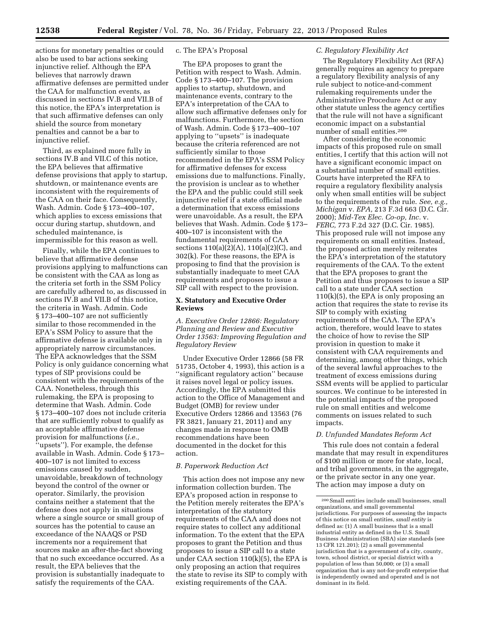actions for monetary penalties or could also be used to bar actions seeking injunctive relief. Although the EPA believes that narrowly drawn affirmative defenses are permitted under the CAA for malfunction events, as discussed in sections IV.B and VII.B of this notice, the EPA's interpretation is that such affirmative defenses can only shield the source from monetary penalties and cannot be a bar to injunctive relief.

Third, as explained more fully in sections IV.B and VII.C of this notice, the EPA believes that affirmative defense provisions that apply to startup, shutdown, or maintenance events are inconsistent with the requirements of the CAA on their face. Consequently, Wash. Admin. Code § 173–400–107, which applies to excess emissions that occur during startup, shutdown, and scheduled maintenance, is impermissible for this reason as well.

Finally, while the EPA continues to believe that affirmative defense provisions applying to malfunctions can be consistent with the CAA as long as the criteria set forth in the SSM Policy are carefully adhered to, as discussed in sections IV.B and VII.B of this notice, the criteria in Wash. Admin. Code § 173–400–107 are not sufficiently similar to those recommended in the EPA's SSM Policy to assure that the affirmative defense is available only in appropriately narrow circumstances. The EPA acknowledges that the SSM Policy is only guidance concerning what types of SIP provisions could be consistent with the requirements of the CAA. Nonetheless, through this rulemaking, the EPA is proposing to determine that Wash. Admin. Code § 173–400–107 does not include criteria that are sufficiently robust to qualify as an acceptable affirmative defense provision for malfunctions (*i.e.,*  ''upsets''). For example, the defense available in Wash. Admin. Code § 173– 400–107 is not limited to excess emissions caused by sudden, unavoidable, breakdown of technology beyond the control of the owner or operator. Similarly, the provision contains neither a statement that the defense does not apply in situations where a single source or small group of sources has the potential to cause an exceedance of the NAAQS or PSD increments nor a requirement that sources make an after-the-fact showing that no such exceedance occurred. As a result, the EPA believes that the provision is substantially inadequate to satisfy the requirements of the CAA.

# c. The EPA's Proposal

The EPA proposes to grant the Petition with respect to Wash. Admin. Code § 173–400–107. The provision applies to startup, shutdown, and maintenance events, contrary to the EPA's interpretation of the CAA to allow such affirmative defenses only for malfunctions. Furthermore, the section of Wash. Admin. Code § 173–400–107 applying to ''upsets'' is inadequate because the criteria referenced are not sufficiently similar to those recommended in the EPA's SSM Policy for affirmative defenses for excess emissions due to malfunctions. Finally, the provision is unclear as to whether the EPA and the public could still seek injunctive relief if a state official made a determination that excess emissions were unavoidable. As a result, the EPA believes that Wash. Admin. Code § 173– 400–107 is inconsistent with the fundamental requirements of CAA sections 110(a)(2)(A), 110(a)(2)(C), and 302(k). For these reasons, the EPA is proposing to find that the provision is substantially inadequate to meet CAA requirements and proposes to issue a SIP call with respect to the provision.

# **X. Statutory and Executive Order Reviews**

*A. Executive Order 12866: Regulatory Planning and Review and Executive Order 13563: Improving Regulation and Regulatory Review* 

Under Executive Order 12866 (58 FR 51735, October 4, 1993), this action is a ''significant regulatory action'' because it raises novel legal or policy issues. Accordingly, the EPA submitted this action to the Office of Management and Budget (OMB) for review under Executive Orders 12866 and 13563 (76 FR 3821, January 21, 2011) and any changes made in response to OMB recommendations have been documented in the docket for this action.

# *B. Paperwork Reduction Act*

This action does not impose any new information collection burden. The EPA's proposed action in response to the Petition merely reiterates the EPA's interpretation of the statutory requirements of the CAA and does not require states to collect any additional information. To the extent that the EPA proposes to grant the Petition and thus proposes to issue a SIP call to a state under CAA section 110(k)(5), the EPA is only proposing an action that requires the state to revise its SIP to comply with existing requirements of the CAA.

### *C. Regulatory Flexibility Act*

The Regulatory Flexibility Act (RFA) generally requires an agency to prepare a regulatory flexibility analysis of any rule subject to notice-and-comment rulemaking requirements under the Administrative Procedure Act or any other statute unless the agency certifies that the rule will not have a significant economic impact on a substantial number of small entities.200

After considering the economic impacts of this proposed rule on small entities, I certify that this action will not have a significant economic impact on a substantial number of small entities. Courts have interpreted the RFA to require a regulatory flexibility analysis only when small entities will be subject to the requirements of the rule. *See, e.g., Michigan* v. *EPA,* 213 F.3d 663 (D.C. Cir. 2000); *Mid-Tex Elec. Co-op, Inc.* v. *FERC,* 773 F.2d 327 (D.C. Cir. 1985). This proposed rule will not impose any requirements on small entities. Instead, the proposed action merely reiterates the EPA's interpretation of the statutory requirements of the CAA. To the extent that the EPA proposes to grant the Petition and thus proposes to issue a SIP call to a state under CAA section  $110(k)(5)$ , the EPA is only proposing an action that requires the state to revise its SIP to comply with existing requirements of the CAA. The EPA's action, therefore, would leave to states the choice of how to revise the SIP provision in question to make it consistent with CAA requirements and determining, among other things, which of the several lawful approaches to the treatment of excess emissions during SSM events will be applied to particular sources. We continue to be interested in the potential impacts of the proposed rule on small entities and welcome comments on issues related to such impacts.

# *D. Unfunded Mandates Reform Act*

This rule does not contain a federal mandate that may result in expenditures of \$100 million or more for state, local, and tribal governments, in the aggregate, or the private sector in any one year. The action may impose a duty on

 $\,$   $\,$  200 Small entities include small businesses, small organizations, and small governmental jurisdictions. For purposes of assessing the impacts of this notice on small entities, *small entity* is defined as: (1) A small business that is a small industrial entity as defined in the U.S. Small Business Administration (SBA) size standards (see 13 CFR 121.201); (2) a small governmental jurisdiction that is a government of a city, county, town, school district, or special district with a population of less than 50,000; or (3) a small organization that is any not-for-profit enterprise that is independently owned and operated and is not dominant in its field.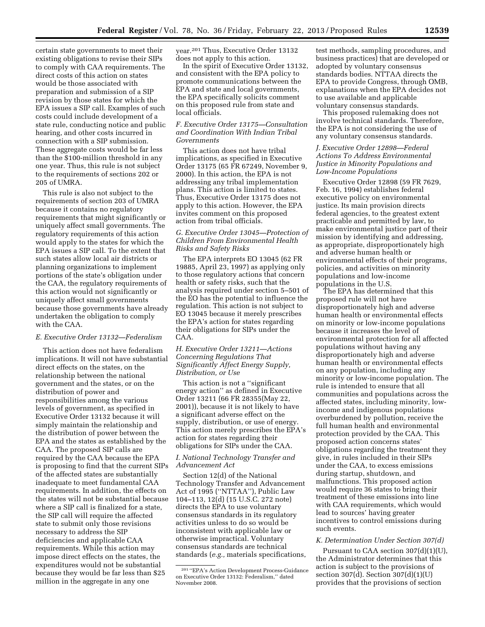certain state governments to meet their existing obligations to revise their SIPs to comply with CAA requirements. The direct costs of this action on states would be those associated with preparation and submission of a SIP revision by those states for which the EPA issues a SIP call. Examples of such costs could include development of a state rule, conducting notice and public hearing, and other costs incurred in connection with a SIP submission. These aggregate costs would be far less than the \$100-million threshold in any one year. Thus, this rule is not subject to the requirements of sections 202 or 205 of UMRA.

This rule is also not subject to the requirements of section 203 of UMRA because it contains no regulatory requirements that might significantly or uniquely affect small governments. The regulatory requirements of this action would apply to the states for which the EPA issues a SIP call. To the extent that such states allow local air districts or planning organizations to implement portions of the state's obligation under the CAA, the regulatory requirements of this action would not significantly or uniquely affect small governments because those governments have already undertaken the obligation to comply with the CAA.

# *E. Executive Order 13132—Federalism*

This action does not have federalism implications. It will not have substantial direct effects on the states, on the relationship between the national government and the states, or on the distribution of power and responsibilities among the various levels of government, as specified in Executive Order 13132 because it will simply maintain the relationship and the distribution of power between the EPA and the states as established by the CAA. The proposed SIP calls are required by the CAA because the EPA is proposing to find that the current SIPs of the affected states are substantially inadequate to meet fundamental CAA requirements. In addition, the effects on the states will not be substantial because where a SIP call is finalized for a state, the SIP call will require the affected state to submit only those revisions necessary to address the SIP deficiencies and applicable CAA requirements. While this action may impose direct effects on the states, the expenditures would not be substantial because they would be far less than \$25 million in the aggregate in any one

year.201 Thus, Executive Order 13132 does not apply to this action.

In the spirit of Executive Order 13132, and consistent with the EPA policy to promote communications between the EPA and state and local governments, the EPA specifically solicits comment on this proposed rule from state and local officials.

# *F. Executive Order 13175—Consultation and Coordination With Indian Tribal Governments*

This action does not have tribal implications, as specified in Executive Order 13175 (65 FR 67249, November 9, 2000). In this action, the EPA is not addressing any tribal implementation plans. This action is limited to states. Thus, Executive Order 13175 does not apply to this action. However, the EPA invites comment on this proposed action from tribal officials.

# *G. Executive Order 13045—Protection of Children From Environmental Health Risks and Safety Risks*

The EPA interprets EO 13045 (62 FR 19885, April 23, 1997) as applying only to those regulatory actions that concern health or safety risks, such that the analysis required under section 5–501 of the EO has the potential to influence the regulation. This action is not subject to EO 13045 because it merely prescribes the EPA's action for states regarding their obligations for SIPs under the CAA.

# *H. Executive Order 13211—Actions Concerning Regulations That Significantly Affect Energy Supply, Distribution, or Use*

This action is not a ''significant energy action'' as defined in Executive Order 13211 (66 FR 28355(May 22, 2001)), because it is not likely to have a significant adverse effect on the supply, distribution, or use of energy. This action merely prescribes the EPA's action for states regarding their obligations for SIPs under the CAA.

# *I. National Technology Transfer and Advancement Act*

Section 12(d) of the National Technology Transfer and Advancement Act of 1995 (''NTTAA''), Public Law 104–113, 12(d) (15 U.S.C. 272 note) directs the EPA to use voluntary consensus standards in its regulatory activities unless to do so would be inconsistent with applicable law or otherwise impractical. Voluntary consensus standards are technical standards (*e.g.,* materials specifications,

test methods, sampling procedures, and business practices) that are developed or adopted by voluntary consensus standards bodies. NTTAA directs the EPA to provide Congress, through OMB, explanations when the EPA decides not to use available and applicable voluntary consensus standards.

This proposed rulemaking does not involve technical standards. Therefore, the EPA is not considering the use of any voluntary consensus standards.

# *J. Executive Order 12898—Federal Actions To Address Environmental Justice in Minority Populations and Low-Income Populations*

Executive Order 12898 (59 FR 7629, Feb. 16, 1994) establishes federal executive policy on environmental justice. Its main provision directs federal agencies, to the greatest extent practicable and permitted by law, to make environmental justice part of their mission by identifying and addressing, as appropriate, disproportionately high and adverse human health or environmental effects of their programs, policies, and activities on minority populations and low-income populations in the U.S.

The EPA has determined that this proposed rule will not have disproportionately high and adverse human health or environmental effects on minority or low-income populations because it increases the level of environmental protection for all affected populations without having any disproportionately high and adverse human health or environmental effects on any population, including any minority or low-income population. The rule is intended to ensure that all communities and populations across the affected states, including minority, lowincome and indigenous populations overburdened by pollution, receive the full human health and environmental protection provided by the CAA. This proposed action concerns states' obligations regarding the treatment they give, in rules included in their SIPs under the CAA, to excess emissions during startup, shutdown, and malfunctions. This proposed action would require 36 states to bring their treatment of these emissions into line with CAA requirements, which would lead to sources' having greater incentives to control emissions during such events.

### *K. Determination Under Section 307(d)*

Pursuant to CAA section 307(d)(1)(U), the Administrator determines that this action is subject to the provisions of section 307(d). Section 307(d)(1)(U) provides that the provisions of section

<sup>201</sup> ''EPA's Action Development Process-Guidance on Executive Order 13132: Federalism,'' dated November 2008.